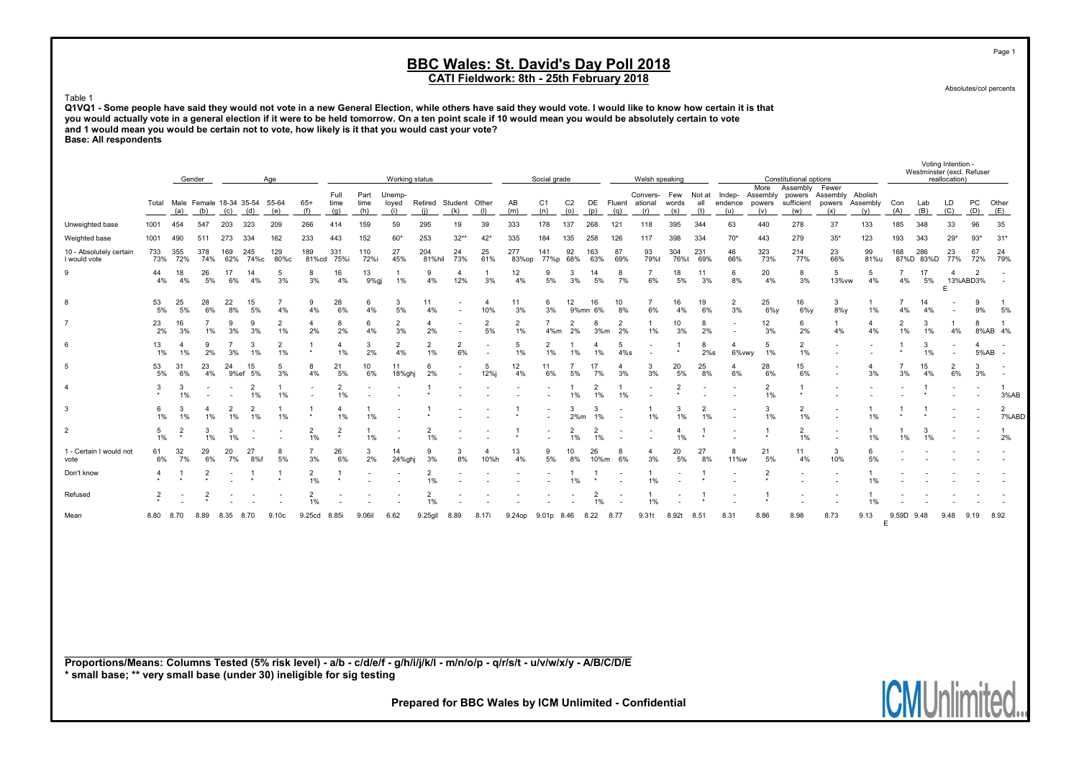CATI Fieldwork: 8th - 25th February 2018

Absolutes/col percents

#### Table 1

Q1VQ1 - Some people have said they would not vote in a new General Election, while others have said they would vote. I would like to know how certain it is that you would actually vote in a general election if it were to be held tomorrow. On a ten point scale if 10 would mean you would be absolutely certain to vote and 1 would mean you would be certain not to vote, how likely is it that you would cast your vote? Base: All respondents

|                                         |                |                          | Gender                   |                      |                                      | Age                  |                          |                      |                     | Working status         |                      |                                                      |                       |                      | Social grade          |                       |                      |                          | Welsh speaking             |                     |                      |                                 |                      | Constitutional options     |                                         |                                          |                          |                  | Voting Intention -<br>Westminster (excl. Refuser<br>reallocation) |                          |                          |
|-----------------------------------------|----------------|--------------------------|--------------------------|----------------------|--------------------------------------|----------------------|--------------------------|----------------------|---------------------|------------------------|----------------------|------------------------------------------------------|-----------------------|----------------------|-----------------------|-----------------------|----------------------|--------------------------|----------------------------|---------------------|----------------------|---------------------------------|----------------------|----------------------------|-----------------------------------------|------------------------------------------|--------------------------|------------------|-------------------------------------------------------------------|--------------------------|--------------------------|
|                                         | Total          | (a)                      | (b)                      | (c)                  | Male Female 18-34 35-54 55-64<br>(d) | (e)                  | $65+$<br>(f)             | Full<br>time<br>(g)  | Part<br>time<br>(h) | Unemp-<br>loyed<br>(i) | Retired<br>(i)       | Student Other<br>(k)                                 | (1)                   | AB<br>(m)            | C <sub>1</sub><br>(n) | C <sub>2</sub><br>(o) | (p)                  | DE Fluent<br>(q)         | Convers-<br>ational<br>(r) | Few<br>words<br>(s) | all<br>(t)           | Not at Indep-<br>endence<br>(u) | (v)                  | More Assembly Fewer<br>(w) | Assembly powers Assembly Abolish<br>(x) | powers sufficient powers Assembly<br>(v) | Con<br>(A)               | Lab<br>(B)       | LD<br>(C)                                                         | PC<br>(D)                | Other<br>(E)             |
| Unweighted base                         | 1001           | 454                      | 547                      | 203                  | 323                                  | 209                  | 266                      | 414                  | 159                 | 59                     | 295                  | 19                                                   | 39                    | 333                  | 178                   | 137                   | 268                  | 121                      | 118                        | 395                 | 344                  | 63                              | 440                  | 278                        | 37                                      | 133                                      | 185                      | 348              | 33                                                                | 96                       | 35                       |
| Weighted base                           | 1001           | 490                      | 511                      | 273                  | 334                                  | 162                  | 233                      | 443                  | 152                 | $60*$                  | 253                  | $32**$                                               | $42*$                 | 335                  | 184                   | 135                   | 258                  | 126                      | 117                        | 398                 | 334                  | $70*$                           | 443                  | 279                        | $35*$                                   | 123                                      | 193                      | 343              | $29*$                                                             | $93*$                    | $31*$                    |
| 10 - Absolutely certain<br>I would vote | 733<br>73%     | 355<br>72%               | 378<br>74%               | 169<br>62%           | 245<br>74%с                          | 129<br>80%c          | 189<br>81%cd             | 331<br>75%i          | 110<br>72%i         | 27<br>45%              | 204<br>81%hil        | 24<br>73%                                            | 25<br>61%             | 277<br>83%op         | 141<br>77%p           | 92<br>68%             | 163<br>63%           | 87<br>69%                | 93<br>79%t                 | 304<br>76%t         | 231<br>69%           | 46<br>66%                       | 323<br>73%           | 214<br>77%                 | 23<br>66%                               | 99<br>81%u                               | 168                      | 286<br>87%D 83%D | 23<br>77%                                                         | 67<br>72%                | 24<br>79%                |
| 9                                       | 44<br>4%       | 18<br>4%                 | 26<br>5%                 | 17<br>6%             | 14<br>4%                             | 5<br>3%              | 8<br>3%                  | 16<br>4%             | 13<br>9%gj          | 1%                     | 9<br>4%              | $\mathbf{4}$<br>12%                                  | 3%                    | 12<br>4%             | 9<br>5%               | 3<br>3%               | 14<br>5%             | 8<br>7%                  | 6%                         | 18<br>5%            | 11<br>3%             | 6<br>8%                         | 20<br>4%             | 8<br>3%                    | 5<br>13% vw                             | 5<br>4%                                  | $\overline{7}$<br>4%     | 17<br>5%         | $\overline{a}$<br>13%ABD3%                                        | $\overline{2}$           |                          |
| 8                                       | 53<br>5%       | 25<br>5%                 | 28<br>6%                 | 22<br>8%             | 15<br>5%                             | 7<br>4%              | 9<br>4%                  | 28<br>6%             | 6<br>4%             | 3<br>5%                | 11<br>4%             | $\overline{\phantom{a}}$<br>$\overline{\phantom{a}}$ | $\overline{4}$<br>10% | 11<br>3%             | 6<br>3%               | 12<br>9%mn            | 16<br>6%             | 10<br>8%                 | 6%                         | 16<br>4%            | 19<br>6%             | $\overline{2}$<br>3%            | 25<br>$6\%$ y        | 16<br>$6\%$                | 3<br>8%y                                | 1%                                       | 4%                       | 14<br>4%         | $\overline{\phantom{a}}$<br>$\sim$                                | 9<br>9%                  | 5%                       |
| $\overline{7}$                          | 23<br>2%       | 16<br>3%                 | 1%                       | 9<br>3%              | -9<br>3%                             | $\overline{2}$<br>1% | 2%                       | 2%                   | 6<br>4%             | 3%                     | 2%                   |                                                      | $\overline{2}$<br>5%  | $\overline{2}$<br>1% | 4%m                   | 2<br>2%               | 3%m                  | $\overline{2}$<br>2%     | 1%                         | 10<br>3%            | 8<br>2%              |                                 | 12<br>3%             | 6<br>2%                    | 1<br>4%                                 | 4<br>4%                                  | $\overline{2}$<br>1%     | 3<br>1%          | 4%                                                                | 8                        | 8%AB 4%                  |
| 6                                       | 13<br>1%       | $1\%$                    | 2%                       | 3%                   | 3<br>1%                              | $\overline{2}$<br>1% | $\star$                  | 1%                   | 3<br>2%             | $\overline{2}$<br>4%   | $\overline{2}$<br>1% | $\overline{2}$<br>6%                                 |                       | 5<br>1%              | $\overline{2}$<br>1%  | 1%                    | 1%                   | 5<br>$4\%s$              |                            | $\star$             | 8<br>$2\%s$          | 6%vwy                           | -5<br>1%             | 2<br>1%                    | $\overline{\phantom{a}}$                |                                          | $\star$                  | 3<br>1%          | $\overline{\phantom{a}}$                                          | 4<br>5%AB                | $\overline{\phantom{a}}$ |
| 5                                       | 53<br>5%       | -31<br>6%                | 23<br>4%                 | 24<br>9%ef           | 15<br>5%                             | 5<br>3%              | 8<br>4%                  | 21<br>5%             | 10<br>6%            | 11<br>18%ghj           | 6<br>2%              |                                                      | 5<br>12%j             | 12<br>4%             | 11<br>6%              | 5%                    | 17<br>7%             | 4<br>3%                  | 3<br>3%                    | 20<br>5%            | 25<br>8%             | 4<br>6%                         | 28<br>6%             | 15<br>6%                   |                                         | 4<br>3%                                  | 3%                       | 15<br>4%         | 2<br>6%                                                           | 3<br>3%                  |                          |
| $\overline{4}$                          | 3              | -3<br>$1\%$              | $\overline{\phantom{a}}$ |                      | $\overline{2}$<br>$1\%$              | 1%                   | $\overline{\phantom{a}}$ | $\overline{2}$<br>1% |                     |                        |                      |                                                      |                       |                      |                       | 1%                    | $\overline{2}$<br>1% | 1%                       |                            | $\overline{2}$      |                      |                                 | $\overline{2}$<br>1% |                            |                                         |                                          | $\overline{\phantom{a}}$ |                  |                                                                   | $\overline{\phantom{a}}$ | 3%AB                     |
| -3                                      | 6<br>1%        | 3<br>$1\%$               | $1\%$                    | $\overline{2}$<br>1% | $\overline{2}$<br>1%                 | 1%                   |                          | 1%                   | 1%                  |                        |                      |                                                      |                       | $\star$              |                       | 3<br>2%m              | 1%                   | $\overline{\phantom{a}}$ | 1%                         | 3<br>1%             | $\overline{2}$<br>1% |                                 | 3<br>1%              | 2<br>1%                    |                                         | 1%                                       |                          |                  |                                                                   |                          | $\overline{2}$<br>7%ABD  |
| $\overline{2}$                          | 5<br>1%        | 2                        | 1%                       | 3<br>1%              |                                      |                      | $\overline{2}$<br>1%     |                      | 1%                  |                        | $\overline{2}$<br>1% |                                                      |                       |                      |                       | 2<br>1%               | 2<br>1%              |                          |                            | 4<br>1%             |                      |                                 |                      | $\overline{2}$<br>1%       |                                         | 1%                                       | 1%                       | 3<br>1%          |                                                                   |                          | 2%                       |
| 1 - Certain I would not<br>vote         | 61<br>6%       | 32<br>7%                 | 29<br>6%                 | 20<br>7%             | 27<br>8%f                            | 8<br>5%              | 3%                       | 26<br>6%             | 3<br>2%             | 14<br>24%ghj           | 9<br>3%              | 3<br>8%                                              | 10%h                  | 13<br>4%             | 9<br>5%               | 10<br>8%              | 26<br>10%m           | 6%                       | 4<br>3%                    | 20<br>5%            | 27<br>8%             | 8<br>11%w                       | 21<br>5%             | 11<br>4%                   | 3<br>10%                                | 6<br>5%                                  |                          |                  |                                                                   |                          |                          |
| Don't know                              |                |                          | 2                        |                      |                                      | $\star$              | 2<br>1%                  | $\star$              |                     |                        | $\overline{2}$<br>1% |                                                      |                       |                      |                       | 1%                    | $\star$              |                          | 1%                         |                     | $\star$              |                                 | $\overline{2}$       | $\overline{\phantom{a}}$   | $\overline{\phantom{a}}$                | 1%                                       |                          |                  |                                                                   |                          |                          |
| Refused                                 | $\overline{2}$ | $\overline{\phantom{a}}$ | $\overline{2}$           |                      |                                      |                      | 2<br>1%                  |                      |                     |                        | $\overline{2}$<br>1% |                                                      |                       |                      |                       |                       | $\overline{2}$<br>1% | $\overline{\phantom{a}}$ | 1%                         |                     | $\star$              |                                 |                      |                            |                                         | 1%                                       |                          |                  |                                                                   |                          |                          |
| Mean                                    | 8.80           | 8.70                     | 8.89                     | 8.35                 | 8.70                                 | 9.10c                | 9.25cd                   | 8.85i                | 9.06il              | 6.62                   | 9.25gil              | 8.89                                                 | 8.17i                 | 9.24op               | 9.01p 8.46            |                       | 8.22                 | 8.77                     | 9.31t                      | 8.92t               | 8.51                 | 8.31                            | 8.86                 | 8.98                       | 8.73                                    | 9.13                                     | 9.59D<br>E               | 9.48             | 9.48                                                              | 9.19                     | 8.92                     |
|                                         |                |                          |                          |                      |                                      |                      |                          |                      |                     |                        |                      |                                                      |                       |                      |                       |                       |                      |                          |                            |                     |                      |                                 |                      |                            |                                         |                                          |                          |                  |                                                                   |                          |                          |

Proportions/Means: Columns Tested (5% risk level) - a/b - c/d/e/f - g/h/i/j/k/l - m/n/o/p - q/r/s/t - u/v/w/x/y - A/B/C/D/E \* small base; \*\* very small base (under 30) ineligible for sig testing

Prepared for BBC Wales by ICM Unlimited - Confidential



Page 1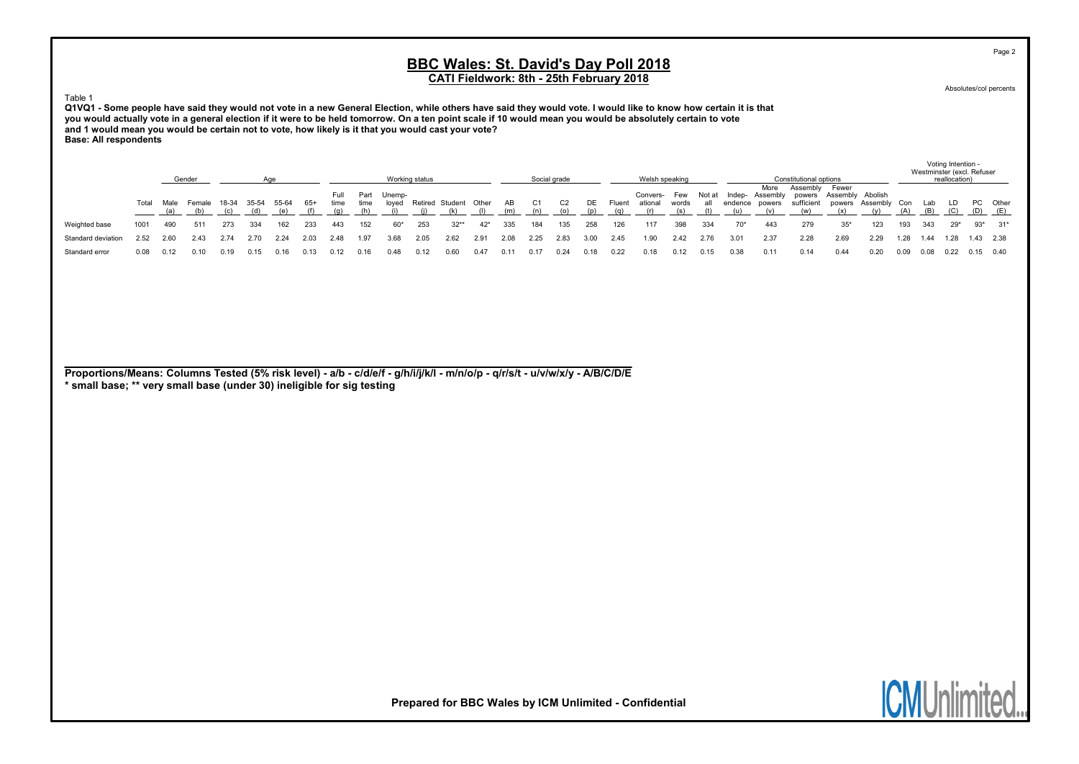CATI Fieldwork: 8th - 25th February 2018

Absolutes/col percents

Page 2

#### Table 1

Q1VQ1 - Some people have said they would not vote in a new General Election, while others have said they would vote. I would like to know how certain it is that you would actually vote in a general election if it were to be held tomorrow. On a ten point scale if 10 would mean you would be absolutely certain to vote and 1 would mean you would be certain not to vote, how likely is it that you would cast your vote? Base: All respondents

|                    |       |      | Gender |       |       |      |      |              |              |                 | Working status |                       |       |      |      | Social grade |       |        | Welsh speaking      |                    |      |                   |                            | Constitutional options                            |                              |      |      |      | Voting Intention -<br>Westminster (excl. Refuser<br>reallocation) |             |                         |
|--------------------|-------|------|--------|-------|-------|------|------|--------------|--------------|-----------------|----------------|-----------------------|-------|------|------|--------------|-------|--------|---------------------|--------------------|------|-------------------|----------------------------|---------------------------------------------------|------------------------------|------|------|------|-------------------------------------------------------------------|-------------|-------------------------|
|                    | Total | Male | Female | 18-34 | 35-54 |      | -65+ | Full<br>time | Part<br>time | Unemp-<br>loved |                | Retired Student Other |       | AB   |      | C2           | DE    | Fluent | Convers-<br>ational | Few Notat<br>words | all  | Indep-<br>endence | More<br>Assembly<br>powers | Assembly<br>powers Assembly Abolish<br>sufficient | Fewer<br>powers Assembly Con |      |      | Lab  | LD.                                                               |             | PC Other<br>$(D)$ $(E)$ |
| Weighted base      | 1001  | 490  | 511    | 273   | 334   | 162  | 233  | 443          | 152          | $60*$           | 253            | $32**$                | $42*$ | 335  | 184  | 135          | 258   | 126    | 117                 | 398                | 334  | $70*$             | 443                        | 279                                               | $35*$                        | 123  | 193  | 343  | $29*$                                                             |             | $93*$ $31*$             |
| Standard deviation | 2.52  | 2.60 | 2.43   | 2.74  | 2.70  | 2.24 | 2.03 | 2.48         | 1.97         | 3.68            | 2.05           | 2.62                  | 2.91  | 2.08 | 2.25 | 2.83         | 3.00  | 2.45   | 1.90                | 2.42               | 2.76 | 3.01              | 2.37                       | 2.28                                              | 2.69                         | 2.29 | 1.28 | 1.44 | 1.28                                                              | 1.43 2.38   |                         |
| Standard error     | 0.08  | 0.12 |        | 1.19  |       |      | 0.13 |              |              | 0.48            | 0.12           | 0.60                  | 0.47  | 0.11 | 0.17 | 0.24         | D. 18 | 0.22   | 0.18                | 0.12               | 0.15 | ว.38              | 0.11                       | 0.14                                              | 0.44                         | 0.20 | 0.09 | 0.08 | 0.22                                                              | $0.15$ 0.40 |                         |

Proportions/Means: Columns Tested (5% risk level) - a/b - c/d/e/f - g/h/i/j/k/l - m/n/o/p - q/r/s/t - u/v/w/x/y - A/B/C/D/E \* small base; \*\* very small base (under 30) ineligible for sig testing

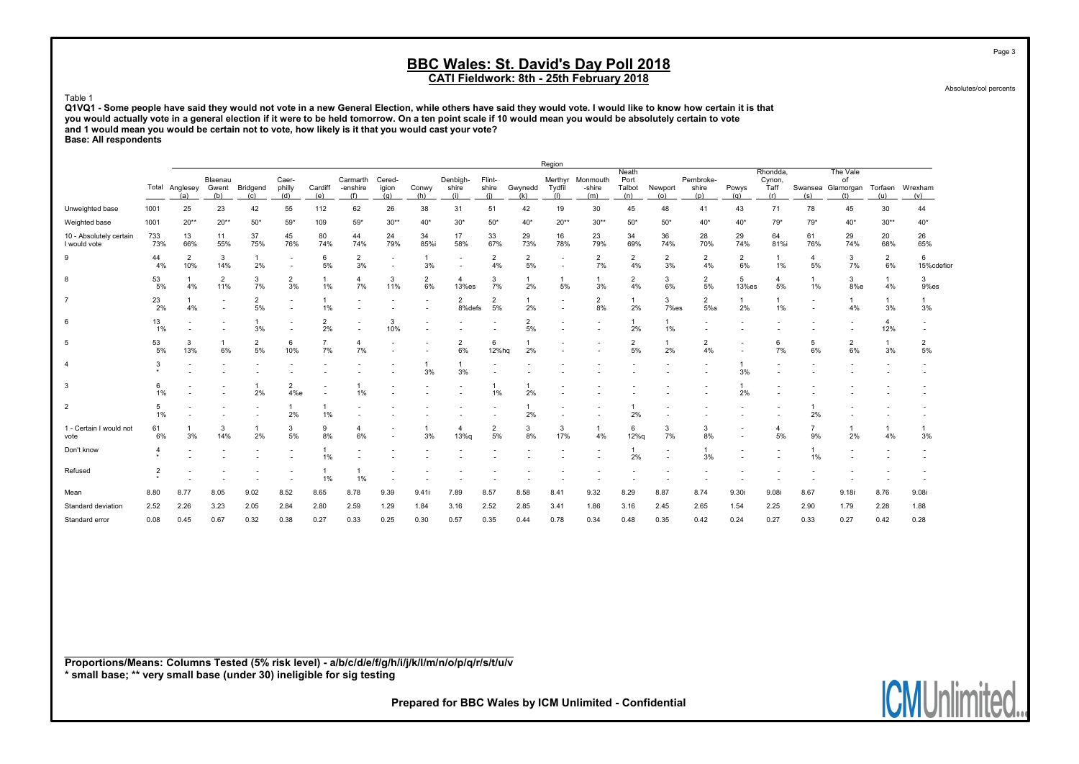Absolutes/col percents

Table 1 Q1VQ1 - Some people have said they would not vote in a new General Election, while others have said they would vote. I would like to know how certain it is that you would actually vote in a general election if it were to be held tomorrow. On a ten point scale if 10 would mean you would be absolutely certain to vote and 1 would mean you would be certain not to vote, how likely is it that you would cast your vote? Base: All respondents

|                                         |              |                       |                         |                      |                                                      |                         |                             |                                                      |                      |                          |                        |                      | Region                   |                           |                                |                      |                           |              |                                   |                          |                                                    |                       |                      |
|-----------------------------------------|--------------|-----------------------|-------------------------|----------------------|------------------------------------------------------|-------------------------|-----------------------------|------------------------------------------------------|----------------------|--------------------------|------------------------|----------------------|--------------------------|---------------------------|--------------------------------|----------------------|---------------------------|--------------|-----------------------------------|--------------------------|----------------------------------------------------|-----------------------|----------------------|
|                                         |              | Total Anglesey<br>(a) | Blaenau<br>Gwent<br>(b) | Bridgend<br>(c)      | Caer-<br>philly<br>(d)                               | Cardiff<br>(e)          | Carmarth<br>-enshire<br>(f) | Cered-<br>igion<br>(a)                               | Conwy<br>(h)         | Denbigh-<br>shire<br>(i) | Flint-<br>shire<br>(i) | Gwynedd<br>(k)       | Merthyr<br>Tydfil<br>(1) | Monmouth<br>-shire<br>(m) | Neath<br>Port<br>Talbot<br>(n) | Newport<br>(o)       | Pembroke-<br>shire<br>(p) | Powys<br>(a) | Rhondda,<br>Cynon,<br>Taff<br>(r) | (s)                      | The Vale<br>οf<br>Swansea Glamorgan Torfaen<br>(1) | (u)                   | Wrexham<br>(v)       |
| Unweighted base                         | 1001         | 25                    | 23                      | 42                   | 55                                                   | 112                     | 62                          | 26                                                   | 38                   | 31                       | 51                     | 42                   | 19                       | 30                        | 45                             | 48                   | 41                        | 43           | 71                                | 78                       | 45                                                 | 30                    | 44                   |
| Weighted base                           | 1001         | $20**$                | $20**$                  | $50*$                | $59*$                                                | 109                     | $59*$                       | $30**$                                               | $40*$                | $30*$                    | $50*$                  | $40*$                | $20**$                   | $30**$                    | $50*$                          | $50*$                | $40*$                     | $40*$        | $79*$                             | $79*$                    | $40*$                                              | $30**$                | $40*$                |
| 10 - Absolutely certain<br>I would vote | 733<br>73%   | 13<br>66%             | 11<br>55%               | 37<br>75%            | 45<br>76%                                            | 80<br>74%               | 44<br>74%                   | 24<br>79%                                            | 34<br>85%i           | 17<br>58%                | 33<br>67%              | 29<br>73%            | 16<br>78%                | 23<br>79%                 | 34<br>69%                      | 36<br>74%            | 28<br>70%                 | 29<br>74%    | 64<br>81%i                        | 61<br>76%                | 29<br>74%                                          | 20<br>68%             | 26<br>65%            |
| 9                                       | 44<br>4%     | $\overline{2}$<br>10% | 3<br>14%                | $\overline{1}$<br>2% | $\overline{\phantom{a}}$<br>$\overline{\phantom{a}}$ | 6<br>5%                 | $\overline{2}$<br>3%        | $\overline{\phantom{a}}$<br>$\overline{\phantom{a}}$ | -1<br>3%             | $\overline{\phantom{a}}$ | $\overline{2}$<br>4%   | $\overline{2}$<br>5% | $\overline{\phantom{a}}$ | 2<br>7%                   | 2<br>4%                        | $\overline{2}$<br>3% | $\overline{2}$<br>4%      | 2<br>6%      | $\mathbf{1}$<br>1%                | 4<br>5%                  | 3<br>7%                                            | $\overline{2}$<br>6%  | 6<br>15%cdefior      |
| 8                                       | 53<br>5%     | 4%                    | 2<br>11%                | 3<br>7%              | 2<br>3%                                              | $\overline{1}$<br>$1\%$ | $\overline{4}$<br>7%        | 3<br>11%                                             | $\overline{2}$<br>6% | $\overline{4}$<br>13%es  | 3<br>7%                | 2%                   | 5%                       | 3%                        | 2<br>4%                        | 3<br>6%              | $\overline{2}$<br>5%      | 5<br>13%es   | $\overline{\mathbf{4}}$<br>5%     | 1%                       | 3<br>8%e                                           | $\mathbf{1}$<br>4%    | 3<br>9%es            |
| 7                                       | 23<br>2%     | 4%                    |                         | $\overline{2}$<br>5% | $\overline{\phantom{a}}$                             | $\overline{1}$<br>1%    | $\overline{\phantom{a}}$    |                                                      |                      | $\overline{2}$<br>8%defs | 2<br>5%                | 2%                   | $\blacksquare$           | 2<br>8%                   | 1<br>2%                        | 3<br>7%es            | 2<br>5%s                  | 2%           | $\mathbf{1}$<br>1%                | $\overline{\phantom{a}}$ | $\mathbf{1}$<br>4%                                 | 3%                    | 3%                   |
| 6                                       | 13<br>1%     |                       |                         | 3%                   |                                                      | $\overline{2}$<br>2%    |                             | 3<br>10%                                             |                      |                          |                        | $\overline{2}$<br>5% |                          |                           | 2%                             | 1%                   |                           |              |                                   |                          |                                                    | $\overline{a}$<br>12% |                      |
| 5                                       | 53<br>5%     | 3<br>13%              | 6%                      | $\overline{2}$<br>5% | 6<br>10%                                             | $\overline{7}$<br>7%    | $\overline{4}$<br>7%        |                                                      |                      | $\overline{2}$<br>6%     | 6<br>12%hq             | 2%                   |                          |                           | 2<br>5%                        | 2%                   | 2<br>4%                   |              | 6<br>7%                           | 5<br>6%                  | $\overline{2}$<br>6%                               | 3%                    | $\overline{2}$<br>5% |
| 4                                       | 3            |                       |                         |                      |                                                      |                         |                             |                                                      | 3%                   | 3%                       |                        |                      |                          |                           |                                |                      |                           | 3%           |                                   |                          |                                                    |                       |                      |
| 3                                       | 6<br>1%      |                       |                         | 2%                   | $\overline{2}$<br>4%e                                |                         | 1%                          |                                                      |                      |                          | 1%                     | 2%                   |                          |                           |                                |                      |                           | 2%           |                                   |                          |                                                    |                       |                      |
| $\overline{2}$                          | 5<br>1%      |                       |                         |                      | 2%                                                   | 1<br>1%                 |                             |                                                      |                      |                          |                        | 2%                   |                          |                           | 2%                             |                      |                           |              |                                   | 2%                       |                                                    |                       |                      |
| 1 - Certain I would not<br>vote         | 61<br>6%     | 3%                    | 3<br>14%                | 2%                   | 3<br>5%                                              | 9<br>8%                 | 4<br>6%                     |                                                      | 3%                   | 4<br>13%g                | $\overline{2}$<br>5%   | 3<br>8%              | 3<br>17%                 | 4%                        | 6<br>12%g                      | 7%                   | 3<br>8%                   |              | 4<br>5%                           | 9%                       | $\mathbf{1}$<br>2%                                 | 4%                    | 3%                   |
| Don't know                              | 4<br>$\star$ |                       |                         |                      |                                                      | -1<br>1%                |                             |                                                      |                      |                          |                        |                      |                          |                           | 2%                             |                      | 3%                        |              |                                   | 1%                       |                                                    |                       |                      |
| Refused                                 | 2            |                       |                         |                      |                                                      | -1<br>1%                | 1%                          |                                                      |                      |                          |                        |                      |                          |                           |                                |                      |                           |              |                                   |                          |                                                    |                       |                      |
| Mean                                    | 8.80         | 8.77                  | 8.05                    | 9.02                 | 8.52                                                 | 8.65                    | 8.78                        | 9.39                                                 | 9.41i                | 7.89                     | 8.57                   | 8.58                 | 8.41                     | 9.32                      | 8.29                           | 8.87                 | 8.74                      | 9.30i        | 9.08i                             | 8.67                     | 9.18i                                              | 8.76                  | 9.08i                |
| Standard deviation                      | 2.52         | 2.26                  | 3.23                    | 2.05                 | 2.84                                                 | 2.80                    | 2.59                        | 1.29                                                 | 1.84                 | 3.16                     | 2.52                   | 2.85                 | 3.41                     | 1.86                      | 3.16                           | 2.45                 | 2.65                      | 1.54         | 2.25                              | 2.90                     | 1.79                                               | 2.28                  | 1.88                 |
| Standard error                          | 0.08         | 0.45                  | 0.67                    | 0.32                 | 0.38                                                 | 0.27                    | 0.33                        | 0.25                                                 | 0.30                 | 0.57                     | 0.35                   | 0.44                 | 0.78                     | 0.34                      | 0.48                           | 0.35                 | 0.42                      | 0.24         | 0.27                              | 0.33                     | 0.27                                               | 0.42                  | 0.28                 |

Proportions/Means: Columns Tested (5% risk level) - a/b/c/d/e/f/g/h/i/j/k/l/m/n/o/p/q/r/s/t/u/v \* small base; \*\* very small base (under 30) ineligible for sig testing

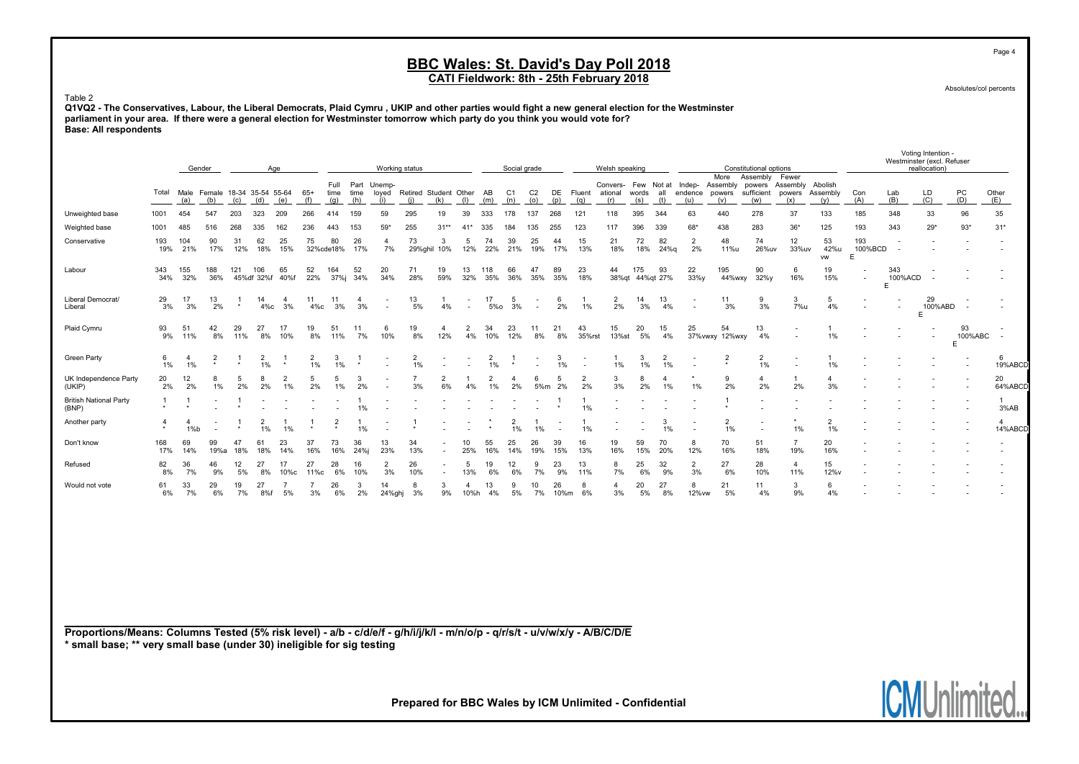Absolutes/col percents

Page 4

#### Table 2

Q1VQ2 - The Conservatives, Labour, the Liberal Democrats, Plaid Cymru , UKIP and other parties would fight a new general election for the Westminster parliament in your area. If there were a general election for Westminster tomorrow which party do you think you would vote for? Base: All respondents

|                                                                                                                             |                         |                           | Gender                   |           |                                      | Age                  |                            |                 |             |                                  | Working status               |                                            |                        |                      | Social grade                |                                    |                                                      |                          | Welsh speaking       |              |                       |                                                                               |                                | Constitutional options |                        |                             |                               | Westminster (excl. Refuser | Voting Intention -<br>reallocation) |                    |                                   |
|-----------------------------------------------------------------------------------------------------------------------------|-------------------------|---------------------------|--------------------------|-----------|--------------------------------------|----------------------|----------------------------|-----------------|-------------|----------------------------------|------------------------------|--------------------------------------------|------------------------|----------------------|-----------------------------|------------------------------------|------------------------------------------------------|--------------------------|----------------------|--------------|-----------------------|-------------------------------------------------------------------------------|--------------------------------|------------------------|------------------------|-----------------------------|-------------------------------|----------------------------|-------------------------------------|--------------------|-----------------------------------|
|                                                                                                                             | Total                   | (a)                       | (b)                      | (c)       | Male Female 18-34 35-54 55-64<br>(d) | (e)                  | $65+$<br>(f)               | time<br>(g)     | time<br>(h) | Full Part Unemp-<br>loyed<br>(i) | Retired Student Other<br>(i) | (k)                                        | (1)                    | AB<br>(m)            | C <sub>1</sub><br>(n)       | C <sub>2</sub><br>(o)              | (p)                                                  | DE Fluent<br>(q)         | ational<br>(r)       | words<br>(s) | all<br>(t)            | Convers- Few Not at Indep- Assembly powers Assembly Abolish<br>endence<br>(u) | More Assembly<br>powers<br>(v) | sufficient<br>(w)      | Fewer<br>powers<br>(x) | Assembly<br>(y)             | Con<br>(A)                    | Lab<br>(B)                 | LD<br>(C)                           | PC<br>(D)          | Other<br>(E)                      |
| Unweighted base                                                                                                             | 1001                    | 454                       | 547                      | 203       | 323                                  | 209                  | 266                        | 414             | 159         | 59                               | 295                          | 19                                         | 39                     | 333                  | 178                         | 137                                | 268                                                  | 121                      | 118                  | 395          | 344                   | 63                                                                            | 440                            | 278                    | 37                     | 133                         | 185                           | 348                        | 33                                  | 96                 | 35                                |
| Weighted base                                                                                                               | 1001                    | 485                       | 516                      | 268       | 335                                  | 162                  | 236                        | 443             | 153         | $59*$                            | 255                          | $31**$                                     | $41*$                  | 335                  | 184                         | 135                                | 255                                                  | 123                      | 117                  | 396          | 339                   | $68*$                                                                         | 438                            | 283                    | $36*$                  | 125                         | 193                           | 343                        | $29*$                               | $93*$              | $31*$                             |
| Conservative                                                                                                                | 193<br>19%              | 104<br>21%                | 90<br>17%                | 31<br>12% | 62<br>18%                            | 25<br>15%            | 75                         | 80<br>32%cde18% | 26<br>17%   | 4<br>7%                          | 73<br>29%ghil                | 3<br>10%                                   | 5<br>12%               | 74<br>22%            | 39<br>21%                   | 25<br>19%                          | 44<br>17%                                            | 15<br>13%                | 21<br>18%            | 72<br>18%    | 82<br>24%g            | $\overline{2}$<br>2%                                                          | 48<br>11%u                     | 74<br>26%uv            | 12<br>33%uv            | 53<br>42%u<br><b>VW</b>     | 193<br>100%BCD<br>$\mathsf E$ | $\sim$                     |                                     |                    |                                   |
| Labour                                                                                                                      | 343<br>34%              | 155<br>32%                | 188<br>36%               | 121       | 106<br>45%df 32%f                    | 65<br>40%f           | 52<br>22%                  | 164<br>37%j     | 52<br>34%   | 20<br>34%                        | 71<br>28%                    | 19<br>59%                                  | 13<br>32%              | 118<br>35%           | 66<br>36%                   | 47<br>35%                          | 89<br>35%                                            | 23<br>18%                | 44                   | 175          | 93<br>38%qt 44%qt 27% | 22<br>33%y                                                                    | 195<br>44%wxy                  | 90<br>$32\%$ y         | 6<br>16%               | 19<br>15%                   | $\overline{\phantom{a}}$      | 343<br>100%ACD<br>E        |                                     |                    |                                   |
| Liberal Democrat/<br>Liberal                                                                                                | 29<br>3%                | 17<br>3%                  | 13<br>2%                 | $\star$   | 14<br>$4\%c$                         | $\overline{4}$<br>3% | 11<br>$4\%c$               | 11<br>3%        | 4<br>3%     | $\sim$                           | 13<br>5%                     | 4%                                         |                        | 17<br>5%o            | 5<br>3%                     | $\overline{\phantom{a}}$<br>$\sim$ | 6<br>2%                                              | 1%                       | 2<br>2%              | 14<br>3%     | 13<br>4%              |                                                                               | 11<br>3%                       | 9<br>3%                | 3<br>7%u               | 5<br>4%                     | $\overline{\phantom{a}}$      |                            | 29<br>100%ABD<br>E                  |                    |                                   |
| Plaid Cymru                                                                                                                 | 93<br>9%                | 51<br>11%                 | 42<br>8%                 | 29<br>11% | 27<br>8%                             | 17<br>10%            | 19<br>8%                   | 51<br>11%       | 11<br>7%    | 6<br>10%                         | 19<br>8%                     | $\overline{4}$<br>12%                      | $\overline{2}$<br>4%   | 34<br>10%            | 23<br>12%                   | 11<br>8%                           | 21<br>8%                                             | 43<br>35%rst             | 15<br>13%st          | 20<br>5%     | 15<br>4%              | 25                                                                            | 54<br>37% vwxy 12% wxy         | 13<br>4%               | $\blacksquare$         | $1\%$                       |                               |                            | $\blacksquare$                      | 93<br>100%ABC<br>E | $\overline{\phantom{a}}$          |
| <b>Green Party</b>                                                                                                          | 6<br>1%                 | $\overline{4}$<br>1%      | $\star$                  |           | $\overline{2}$<br>1%                 | $\star$              | 2<br>1%                    | 3<br>1%         |             |                                  | $\overline{2}$<br>1%         |                                            |                        | $\overline{2}$<br>1% | $\star$                     |                                    | 3<br>1%                                              | $\overline{\phantom{a}}$ | -1<br>1%             | 3<br>1%      | 2<br>1%               |                                                                               | $\overline{2}$                 | $\overline{2}$<br>1%   |                        | 1%                          |                               |                            |                                     |                    | 6<br>19%ABCD                      |
| UK Independence Party<br>(UKIP)                                                                                             | 20<br>2%                | 12<br>2%                  | 1%                       | 5<br>2%   | 8<br>2%                              | $\overline{2}$<br>1% | 5<br>2%                    | 5<br>1%         | 3<br>2%     |                                  | 3%                           | $\overline{2}$<br>6%                       | 4%                     | $\overline{2}$<br>1% | $\boldsymbol{\Delta}$<br>2% | 6<br>5%m                           | 5<br>2%                                              | $\overline{2}$<br>2%     | 3<br>3%              | 8<br>2%      | $\mathbf{A}$<br>1%    | 1%                                                                            | 9<br>2%                        | $\overline{4}$<br>2%   | 2%                     | $\boldsymbol{\Delta}$<br>3% |                               |                            |                                     |                    | 20<br>64%ABCD                     |
| <b>British National Party</b><br>(BNP)                                                                                      | $\mathbf{1}$<br>$\star$ | $\overline{1}$<br>$\star$ |                          |           |                                      |                      |                            |                 | 1%          |                                  |                              |                                            |                        |                      |                             |                                    |                                                      | 1%                       |                      |              |                       |                                                                               |                                |                        |                        |                             |                               |                            |                                     |                    | $\overline{1}$<br>3%AB            |
| Another party                                                                                                               | 4<br>$^\star$           | $\overline{4}$<br>1%b     | $\overline{\phantom{a}}$ |           | $\overline{2}$<br>1%                 | $\overline{1}$<br>1% | $\overline{1}$<br>$^\star$ | $\overline{2}$  | 1%          |                                  |                              |                                            |                        |                      | $\overline{2}$<br>1%        | $\mathbf{1}$<br>1%                 | $\overline{\phantom{a}}$<br>$\overline{\phantom{a}}$ | 1%                       |                      |              | $\mathbf{B}$<br>1%    |                                                                               | $\overline{2}$<br>1%           |                        | 1%                     | $\overline{2}$<br>1%        |                               |                            |                                     |                    | $\boldsymbol{\Lambda}$<br>14%ABCD |
| Don't know                                                                                                                  | 168<br>17%              | 69<br>14%                 | 99<br>19%a               | 47<br>18% | 61<br>18%                            | 23<br>14%            | 37<br>16%                  | 73<br>16%       | 36<br>24%j  | 13<br>23%                        | 34<br>13%                    | $\overline{\phantom{a}}$                   | 10<br>25%              | 55<br>16%            | 25<br>14%                   | 26<br>19%                          | 39<br>15%                                            | 16<br>13%                | 19<br>16%            | 59<br>15%    | 70<br>20%             | 8<br>12%                                                                      | 70<br>16%                      | 51<br>18%              | $\overline{7}$<br>19%  | 20<br>16%                   |                               |                            |                                     |                    |                                   |
| Refused                                                                                                                     | 82<br>8%                | 36<br>7%                  | 46<br>9%                 | 12<br>5%  | 27<br>8%                             | 17<br>10%с           | 27<br>11%с                 | 28<br>6%        | 16<br>10%   | $\overline{2}$<br>3%             | 26<br>10%                    | $\overline{\phantom{a}}$<br>$\blacksquare$ | 5<br>13%               | 19<br>6%             | 12<br>6%                    | 9<br>7%                            | 23<br>9%                                             | 13<br>11%                | 8<br>7%              | 25<br>6%     | 32<br>9%              | $\overline{2}$<br>3%                                                          | 27<br>6%                       | 28<br>10%              | $\overline{4}$<br>11%  | 15<br>12%v                  |                               |                            |                                     |                    |                                   |
| Would not vote                                                                                                              | 61<br>6%                | 33<br>7%                  | 29<br>6%                 | 19<br>7%  | 27<br>8%f                            | 7<br>5%              | 7<br>3%                    | 26<br>6%        | 3<br>2%     | 14<br>24%ghj                     | 8<br>3%                      | 3<br>9%                                    | $\overline{4}$<br>10%h | 13<br>4%             | 9<br>5%                     | 10<br>7%                           | 26<br>10%m                                           | 8<br>6%                  | $\overline{4}$<br>3% | 20<br>5%     | 27<br>8%              | 8<br>12% vw                                                                   | 21<br>5%                       | 11<br>4%               | 3<br>9%                | 6<br>4%                     |                               |                            |                                     |                    |                                   |
|                                                                                                                             |                         |                           |                          |           |                                      |                      |                            |                 |             |                                  |                              |                                            |                        |                      |                             |                                    |                                                      |                          |                      |              |                       |                                                                               |                                |                        |                        |                             |                               |                            |                                     |                    |                                   |
|                                                                                                                             |                         |                           |                          |           |                                      |                      |                            |                 |             |                                  |                              |                                            |                        |                      |                             |                                    |                                                      |                          |                      |              |                       |                                                                               |                                |                        |                        |                             |                               |                            |                                     |                    |                                   |
|                                                                                                                             |                         |                           |                          |           |                                      |                      |                            |                 |             |                                  |                              |                                            |                        |                      |                             |                                    |                                                      |                          |                      |              |                       |                                                                               |                                |                        |                        |                             |                               |                            |                                     |                    |                                   |
| Proportions/Means: Columns Tested (5% risk level) - a/b - c/d/e/f - q/h/i/j/k/l - m/n/o/p - q/r/s/t - u/v/w/x/y - A/B/C/D/E |                         |                           |                          |           |                                      |                      |                            |                 |             |                                  |                              |                                            |                        |                      |                             |                                    |                                                      |                          |                      |              |                       |                                                                               |                                |                        |                        |                             |                               |                            |                                     |                    |                                   |

\* small base; \*\* very small base (under 30) ineligible for sig testing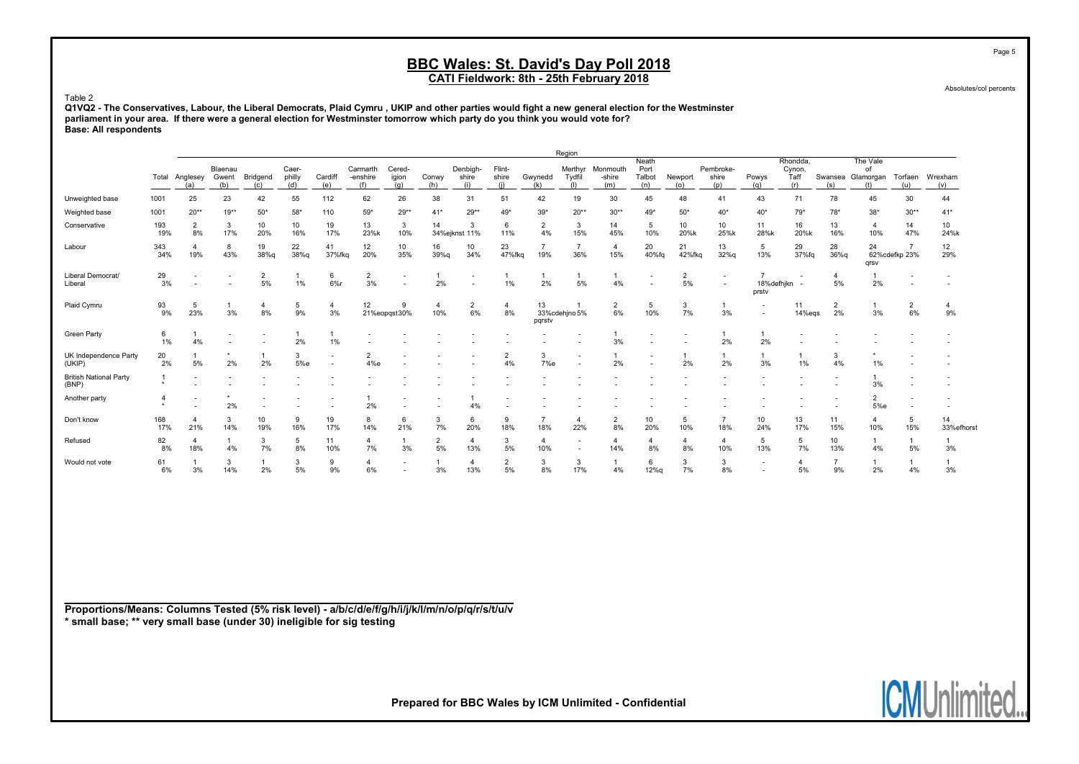Absolutes/col percents

Table 2

Q1VQ2 - The Conservatives, Labour, the Liberal Democrats, Plaid Cymru , UKIP and other parties would fight a new general election for the Westminster parliament in your area. If there were a general election for Westminster tomorrow which party do you think you would vote for? Base: All respondents

|                                        |                           |                       |                         |                      |                        |                          |                             |                                      |              |                          |                        |                | Region                                               |                           |                                |                      |                                                      |                          |                                   |                      |                                            |                      |                      |
|----------------------------------------|---------------------------|-----------------------|-------------------------|----------------------|------------------------|--------------------------|-----------------------------|--------------------------------------|--------------|--------------------------|------------------------|----------------|------------------------------------------------------|---------------------------|--------------------------------|----------------------|------------------------------------------------------|--------------------------|-----------------------------------|----------------------|--------------------------------------------|----------------------|----------------------|
|                                        | Total                     | Anglesey<br>(a)       | Blaenau<br>Gwent<br>(b) | Bridgend<br>(c)      | Caer-<br>philly<br>(d) | Cardiff<br>(e)           | Carmarth<br>-enshire<br>(f) | Cered-<br>igion<br>(a)               | Conwy<br>(h) | Denbigh<br>shire<br>(i)  | Flint-<br>shire<br>(i) | Gwynedd<br>(k) | Merthyr<br>Tydfil<br>(1)                             | Monmouth<br>-shire<br>(m) | Neath<br>Port<br>Talbot<br>(n) | Newport<br>(0)       | Pembroke-<br>shire<br>(p)                            | Powys<br>(a)             | Rhondda,<br>Cynon,<br>Taff<br>(r) | (s)                  | The Vale<br>of<br>Swansea Glamorgan<br>(t) | Torfaen<br>(u)       | Wrexham<br>(v)       |
| Unweighted base                        | 1001                      | 25                    | 23                      | 42                   | 55                     | 112                      | 62                          | 26                                   | 38           | 31                       | 51                     | 42             | 19                                                   | 30                        | 45                             | 48                   | 41                                                   | 43                       | 71                                | 78                   | 45                                         | 30                   | 44                   |
| Weighted base                          | 1001                      | $20**$                | $19**$                  | $50*$                | $58*$                  | 110                      | $59*$                       | $29**$                               | $41*$        | $29**$                   | $49*$                  | $39*$          | $20**$                                               | $30**$                    | $49*$                          | $50*$                | $40*$                                                | 40*                      | $79*$                             | $78*$                | $38*$                                      | $30**$               | $41*$                |
| Conservative                           | 193<br>19%                | $\overline{2}$<br>8%  | 3<br>17%                | 10<br>20%            | 10<br>16%              | 19<br>17%                | 13<br>23%k                  | 3<br>10%                             | 14           | 3<br>34%ejknst 11%       | 6<br>11%               | 2<br>4%        | 3<br>15%                                             | 14<br>45%                 | 5<br>10%                       | 10<br>20%k           | 10<br>25%k                                           | 11<br>28%k               | 16<br>20%k                        | 13<br>16%            | $\overline{a}$<br>10%                      | 14<br>47%            | 10<br>24%k           |
| Labour                                 | 343<br>34%                | $\overline{4}$<br>19% | 8<br>43%                | 19<br>38%g           | 22<br>38%g             | 41<br>37%fkg             | 12<br>20%                   | 10<br>35%                            | 16<br>39%g   | 10<br>34%                | 23<br>47%fka           | 19%            | $\overline{7}$<br>36%                                | $\overline{4}$<br>15%     | 20<br>40%fq                    | 21<br>42%fkg         | 13<br>32%g                                           | 5<br>13%                 | 29<br>37%fq                       | 28<br>$36%$ a        | 24<br>qrsv                                 | 62%cdefkp 23%        | 12<br>29%            |
| Liberal Democrat/<br>Liberal           | 29<br>3%                  |                       |                         | 2<br>5%              | 1%                     | 6<br>6%r                 | 2<br>3%                     | <b>-</b><br>$\overline{\phantom{a}}$ | 2%           | $\overline{\phantom{a}}$ | 1%                     | 2%             | $\mathbf{1}$<br>5%                                   | $\overline{1}$<br>4%      |                                | $\overline{c}$<br>5% | $\overline{\phantom{a}}$<br>$\overline{\phantom{a}}$ | 18%defhjkn<br>prstv      |                                   | $\overline{4}$<br>5% | 2%                                         |                      |                      |
| Plaid Cymru                            | $\frac{93}{9\%}$          | 5<br>23%              | 3%                      | $\overline{4}$<br>8% | 5<br>9%                | $\overline{4}$<br>3%     | 12                          | 9<br>21%eopgst30%                    | 10%          | $\overline{2}$<br>6%     | $\overline{4}$<br>8%   | 13<br>pqrstv   | 33%cdehjno 5%                                        | 2<br>6%                   | 5<br>10%                       | 3<br>7%              | 3%                                                   | $\overline{\phantom{a}}$ | 11<br>14%eas                      | $\overline{2}$<br>2% | 3%                                         | $\overline{2}$<br>6% | $\overline{4}$<br>9% |
| <b>Green Party</b>                     | 6<br>1%                   | 4%                    |                         |                      | 2%                     | 1%                       |                             |                                      |              |                          |                        |                |                                                      | 3%                        |                                |                      | 2%                                                   | 2%                       |                                   |                      |                                            |                      |                      |
| UK Independence Party<br>(UKIP)        | 20<br>2%                  | 5%                    | 2%                      | 2%                   | 3<br>5%e               | $\overline{\phantom{a}}$ | $\overline{2}$<br>4%e       |                                      |              |                          | $\overline{2}$<br>4%   | 3<br>7%e       | $\overline{\phantom{a}}$                             | 2%                        |                                | 2%                   | 2%                                                   | 3%                       | $\mathbf{1}$<br>1%                | 3<br>4%              | 1%                                         |                      |                      |
| <b>British National Party</b><br>(BNP) | $\star$                   |                       |                         |                      |                        |                          |                             |                                      |              |                          |                        |                |                                                      |                           |                                |                      |                                                      |                          |                                   |                      | 3%                                         |                      |                      |
| Another party                          | $\overline{4}$<br>$\star$ |                       | 2%                      |                      |                        |                          | 2%                          | -                                    |              | 4%                       |                        |                |                                                      |                           |                                |                      |                                                      |                          |                                   |                      | $\overline{2}$<br>5%e                      |                      |                      |
| Don't know                             | 168<br>17%                | $\overline{4}$<br>21% | 3<br>14%                | 10<br>19%            | 9<br>16%               | 19<br>17%                | 8<br>14%                    | 6<br>21%                             | 3<br>7%      | 6<br>20%                 | 9<br>18%               | 18%            | 4<br>22%                                             | $\overline{2}$<br>8%      | 10<br>20%                      | 5<br>10%             | $\overline{7}$<br>18%                                | 10<br>24%                | 13<br>17%                         | 11<br>15%            | $\overline{4}$<br>10%                      | 5<br>15%             | 14<br>33%efhorst     |
| Refused                                | 82<br>8%                  | $\overline{4}$<br>18% | 4%                      | 3<br>7%              | 5<br>8%                | 11<br>10%                | $\overline{4}$<br>7%        | $\overline{1}$<br>3%                 | 2<br>5%      | 13%                      | 3<br>5%                | 4<br>10%       | $\overline{\phantom{a}}$<br>$\overline{\phantom{a}}$ | $\overline{4}$<br>14%     | $\overline{4}$<br>8%           | 4<br>8%              | 4<br>10%                                             | 5<br>13%                 | 5<br>7%                           | 10<br>13%            | $\overline{1}$<br>4%                       | $\mathbf{1}$<br>5%   | 3%                   |
| Would not vote                         | 61<br>6%                  | 3%                    | 3<br>14%                | 2%                   | 3<br>5%                | 9<br>9%                  | $\overline{4}$<br>6%        | $\overline{\phantom{a}}$             | 3%           | 4<br>13%                 | $\overline{2}$<br>5%   | 3<br>8%        | 3<br>17%                                             | 4%                        | 6<br>12%q                      | 3<br>7%              | 3<br>8%                                              | $\overline{\phantom{a}}$ | $\overline{4}$<br>5%              | 9%                   | -1<br>2%                                   | 4%                   | 3%                   |

Proportions/Means: Columns Tested (5% risk level) - a/b/c/d/e/f/g/h/i/j/k/l/m/n/o/p/q/r/s/t/u/v \* small base; \*\* very small base (under 30) ineligible for sig testing

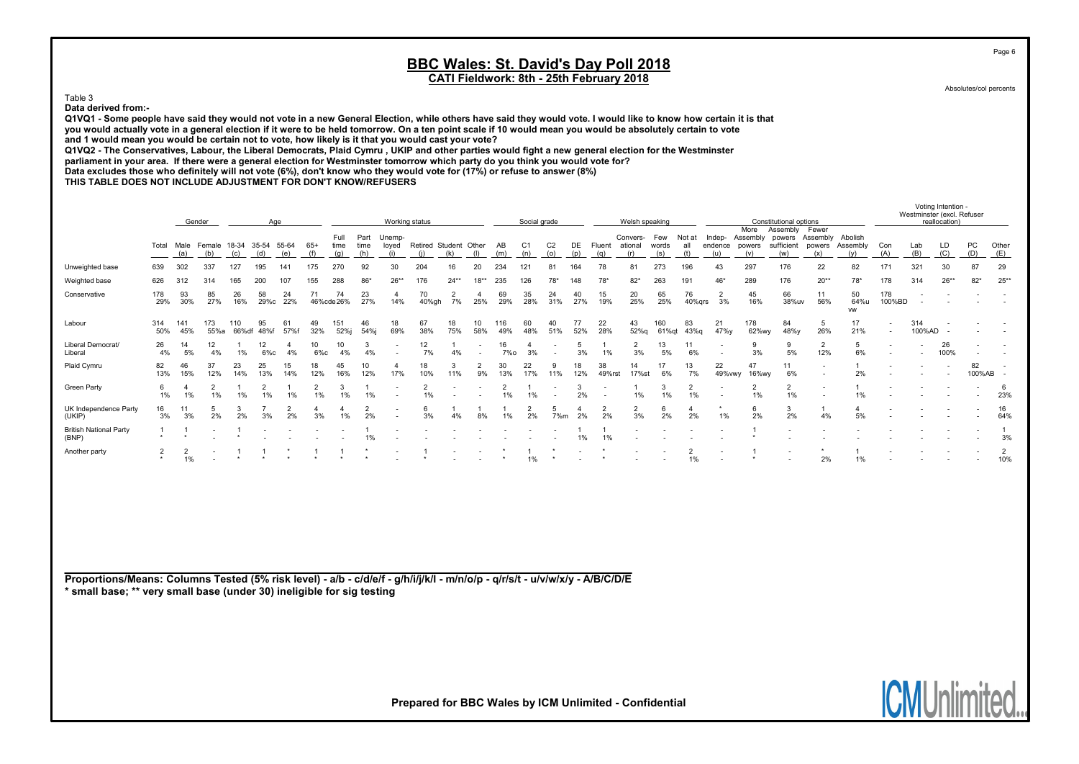Absolutes/col percents

Page 6

Voting Intention -

**IUNUI** 

# Table 3

Data derived from:-

Q1VQ1 - Some people have said they would not vote in a new General Election, while others have said they would vote. I would like to know how certain it is that you would actually vote in a general election if it were to be held tomorrow. On a ten point scale if 10 would mean you would be absolutely certain to vote and 1 would mean you would be certain not to vote, how likely is it that you would cast your vote?

Q1VQ2 - The Conservatives, Labour, the Liberal Democrats, Plaid Cymru , UKIP and other parties would fight a new general election for the Westminster

parliament in your area. If there were a general election for Westminster tomorrow which party do you think you would vote for?

Data excludes those who definitely will not vote (6%), don't know who they would vote for (17%) or refuse to answer (8%)

THIS TABLE DOES NOT INCLUDE ADJUSTMENT FOR DON'T KNOW/REFUSERS

|                                                                                                                                                                                                       | Gender<br>Age                                                             |                      |             |                    |                      |                      |                      |                      |                     | Working status           |                              |                          |                          |            | Social grade          |                       |           |                 |                                | Welsh speaking |                      |                          |                                   | Constitutional options                  |                        |                                     |                  | Westminster (excl. Refuser | reallocation) |                      |                          |
|-------------------------------------------------------------------------------------------------------------------------------------------------------------------------------------------------------|---------------------------------------------------------------------------|----------------------|-------------|--------------------|----------------------|----------------------|----------------------|----------------------|---------------------|--------------------------|------------------------------|--------------------------|--------------------------|------------|-----------------------|-----------------------|-----------|-----------------|--------------------------------|----------------|----------------------|--------------------------|-----------------------------------|-----------------------------------------|------------------------|-------------------------------------|------------------|----------------------------|---------------|----------------------|--------------------------|
|                                                                                                                                                                                                       | Male Female 18-34 35-54 55-64<br>Total<br>(a)<br>(b)<br>(c)<br>(d)<br>(e) |                      |             |                    |                      |                      |                      | Full<br>time<br>(q)  | Part<br>time<br>(h) | Unemp-<br>loyed<br>(i)   | Retired Student Other<br>(i) | (k)                      | (1)                      | AB<br>(m)  | C <sub>1</sub><br>(n) | C <sub>2</sub><br>(o) | DE<br>(p) | Fluent<br>(q)   | Convers- Few<br>ational<br>(r) | words<br>(s)   | Not at<br>all<br>(t) | Indep-<br>endence<br>(u) | More<br>Assembly<br>powers<br>(v) | Assembly<br>powers<br>sufficient<br>(w) | Fewer<br>powers<br>(x) | Assembly Abolish<br>Assembly<br>(v) | Con<br>(A)       | Lab<br>(B)                 | LD<br>(C)     | PC<br>(D)            | Other<br>(E)             |
| Unweighted base                                                                                                                                                                                       | 639                                                                       | 302                  | 337         | 127                | 195                  | 141                  | 175                  | 270                  | 92                  | 30                       | 204                          | 16                       | 20                       | 234        | 121                   | 81                    | 164       | 78              | 81                             | 273            | 196                  | 43                       | 297                               | 176                                     | 22                     | 82                                  | 171              | 321                        | 30            | 87                   | 29                       |
| Weighted base                                                                                                                                                                                         | 626                                                                       | 312                  | 314         | 165                | 200                  | 107                  | 155                  | 288                  | $86*$               | $26*$                    | 176                          | $24**$                   | $18**$                   | 235        | 126                   | 78'                   | 148       | 78              | $82*$                          | 263            | 191                  | $46*$                    | 289                               | 176                                     | $20**$                 | $78*$                               | 178              | 314                        | $26**$        | $82*$                | $25**$                   |
| Conservative                                                                                                                                                                                          | 178<br>29%                                                                | 93<br>30%            | 85<br>27%   | 26<br>16%          | 58<br>29%с           | 24<br>22%            | 71                   | 74<br>46%cde26%      | 23<br>27%           | $\overline{4}$<br>14%    | 70<br>40%gh                  | $\overline{2}$<br>7%     | $\overline{4}$<br>25%    | 69<br>29%  | 35<br>28%             | 24<br>31%             | 40<br>27% | 15<br>19%       | 20<br>25%                      | 65<br>25%      | 76<br>40%qrs         | $\overline{2}$<br>3%     | 45<br>16%                         | 66<br>38%uv                             | 11<br>56%              | 50<br>64%u<br><b>VW</b>             | 178<br>100%BD    |                            |               |                      | $\overline{\phantom{a}}$ |
| Labour                                                                                                                                                                                                | 314<br>50%                                                                | 141<br>45%           | 173<br>55%a | 110<br>66%df       | 95<br>48%f           | 61<br>57%f           | 49<br>32%            | 151<br>52%j          | 46<br>54%j          | 18<br>69%                | 67<br>38%                    | 18<br>75%                | 10<br>58%                | 116<br>49% | 60<br>48%             | 40<br>51%             | 77<br>52% | 22<br>28%       | 43<br>52%q                     | 160<br>61%qt   | 83<br>43%g           | 21<br>47%y               | 178<br>62%wy                      | 84<br>48%y                              | 5<br>26%               | 17<br>21%                           | $\sim$<br>$\sim$ | 314<br>100%AD              |               |                      |                          |
| Liberal Democrat/<br>Liberal                                                                                                                                                                          | 26<br>4%                                                                  | 14<br>5%             | 12<br>4%    | 1%                 | 12<br>6%с            | $\overline{4}$<br>4% | 10<br>$6\%c$         | 10<br>4%             | 3<br>4%             |                          | 12<br>7%                     | 4%                       | $\overline{\phantom{a}}$ | 16<br>7%o  | 4<br>3%               |                       | 5<br>3%   | 1%              | $\overline{2}$<br>3%           | 13<br>5%       | 11<br>6%             |                          | 9<br>3%                           | 9<br>5%                                 | $\overline{2}$<br>12%  | 5<br>6%                             |                  |                            | 26<br>100%    |                      |                          |
| Plaid Cymru                                                                                                                                                                                           | 82<br>13%                                                                 | 46<br>15%            | 37<br>12%   | 23<br>14%          | 25<br>13%            | 15<br>14%            | 18<br>12%            | 45<br>16%            | 10<br>12%           | 4<br>17%                 | 18<br>10%                    | 3<br>11%                 | 2<br>9%                  | 30<br>13%  | 22<br>17%             | 9<br>11%              | 18<br>12% | 38<br>49%rst    | 14<br>17%st                    | 17<br>6%       | 13<br>7%             | 22<br>49% vwy            | 47<br>16%wy                       | 11<br>6%                                |                        | 2%                                  |                  |                            |               | 82<br>100%AB         |                          |
| <b>Green Party</b>                                                                                                                                                                                    | 6<br>1%                                                                   | $\overline{4}$<br>1% | 2<br>1%     | $\mathbf{1}$<br>1% | $\overline{2}$<br>1% | 1<br>1%              | $\overline{2}$<br>1% | 3<br>1%              | -1<br>1%            | $\overline{\phantom{a}}$ | $\overline{2}$<br>1%         | $\overline{\phantom{a}}$ | $\overline{\phantom{a}}$ | 2<br>1%    | 1%                    | $\sim$                | 3<br>2%   | $\sim$          | $\mathbf{1}$<br>1%             | 3<br>1%        | $\overline{2}$<br>1% |                          | $\overline{2}$<br>1%              | $\overline{2}$<br>1%                    |                        | $\mathbf{1}$<br>1%                  |                  |                            |               |                      | 6<br>23%                 |
| UK Independence Party<br>(UKIP)                                                                                                                                                                       | 16<br>3%                                                                  | 11<br>3%             | 5<br>2%     | 3<br>2%            | 7<br>3%              | $\overline{2}$<br>2% | $\mathbf{4}$<br>3%   | $\overline{4}$<br>1% | 2<br>2%             |                          | 6<br>3%                      | 4%                       | 8%                       | 1%         | $\overline{2}$<br>2%  | 5<br>7%m              | 4<br>2%   | $\frac{2}{2\%}$ | $\overline{2}$<br>3%           | 6<br>2%        | 4<br>2%              | 1%                       | 6<br>2%                           | 3<br>2%                                 | -1<br>4%               | $\overline{4}$<br>5%                |                  |                            |               |                      | 16<br>64%                |
| <b>British National Party</b><br>(BNP)                                                                                                                                                                | $\mathbf{1}$                                                              |                      |             |                    |                      |                      |                      |                      | -1<br>1%            |                          |                              |                          |                          |            |                       |                       | 1%        | -1<br>1%        |                                |                |                      |                          |                                   |                                         |                        |                                     |                  |                            |               |                      | $\overline{1}$<br>3%     |
| Another party                                                                                                                                                                                         | $\frac{2}{\ast}$                                                          | 2<br>1%              |             | -1                 | $\mathbf{1}$         |                      | $\overline{1}$       | $\overline{1}$       |                     | $\overline{\phantom{a}}$ | $\mathbf{1}$                 | $\overline{\phantom{a}}$ | $\overline{\phantom{a}}$ |            | $\mathbf{1}$<br>1%    | $\star$               |           |                 |                                |                | 2<br>1%              |                          |                                   |                                         | 2%                     | -1<br>1%                            |                  |                            |               |                      | $\overline{2}$<br>10%    |
|                                                                                                                                                                                                       |                                                                           |                      |             |                    |                      |                      |                      |                      |                     |                          |                              |                          |                          |            |                       |                       |           |                 |                                |                |                      |                          |                                   |                                         |                        |                                     |                  |                            |               |                      |                          |
|                                                                                                                                                                                                       |                                                                           |                      |             |                    |                      |                      |                      |                      |                     |                          |                              |                          |                          |            |                       |                       |           |                 |                                |                |                      |                          |                                   |                                         |                        |                                     |                  |                            |               |                      |                          |
|                                                                                                                                                                                                       |                                                                           |                      |             |                    |                      |                      |                      |                      |                     |                          |                              |                          |                          |            |                       |                       |           |                 |                                |                |                      |                          |                                   |                                         |                        |                                     |                  |                            |               |                      |                          |
|                                                                                                                                                                                                       |                                                                           |                      |             |                    |                      |                      |                      |                      |                     |                          |                              |                          |                          |            |                       |                       |           |                 |                                |                |                      |                          |                                   |                                         |                        |                                     |                  |                            |               |                      |                          |
| Proportions/Means: Columns Tested (5% risk level) - a/b - c/d/e/f - g/h/i/j/k/l - m/n/o/p - q/r/s/t - u/v/w/x/y - A/B/C/D/E<br>* small base; ** very small base (under 30) ineligible for sig testing |                                                                           |                      |             |                    |                      |                      |                      |                      |                     |                          |                              |                          |                          |            |                       |                       |           |                 |                                |                |                      |                          |                                   |                                         |                        |                                     |                  |                            |               |                      |                          |
|                                                                                                                                                                                                       |                                                                           |                      |             |                    |                      |                      |                      |                      |                     |                          |                              |                          |                          |            |                       |                       |           |                 |                                |                |                      |                          |                                   |                                         |                        |                                     |                  |                            |               |                      |                          |
|                                                                                                                                                                                                       |                                                                           |                      |             |                    |                      |                      |                      |                      |                     |                          |                              |                          |                          |            |                       |                       |           |                 |                                |                |                      |                          |                                   |                                         |                        |                                     |                  |                            |               |                      |                          |
|                                                                                                                                                                                                       |                                                                           |                      |             |                    |                      |                      |                      |                      |                     |                          |                              |                          |                          |            |                       |                       |           |                 |                                |                |                      |                          |                                   |                                         |                        |                                     |                  |                            |               |                      |                          |
|                                                                                                                                                                                                       |                                                                           |                      |             |                    |                      |                      |                      |                      |                     |                          |                              |                          |                          |            |                       |                       |           |                 |                                |                |                      |                          |                                   |                                         |                        |                                     |                  |                            |               |                      |                          |
|                                                                                                                                                                                                       |                                                                           |                      |             |                    |                      |                      |                      |                      |                     |                          |                              |                          |                          |            |                       |                       |           |                 |                                |                |                      |                          |                                   |                                         |                        |                                     |                  | <b>IAMILIE</b>             |               | $\mathbf{e}_{\perp}$ |                          |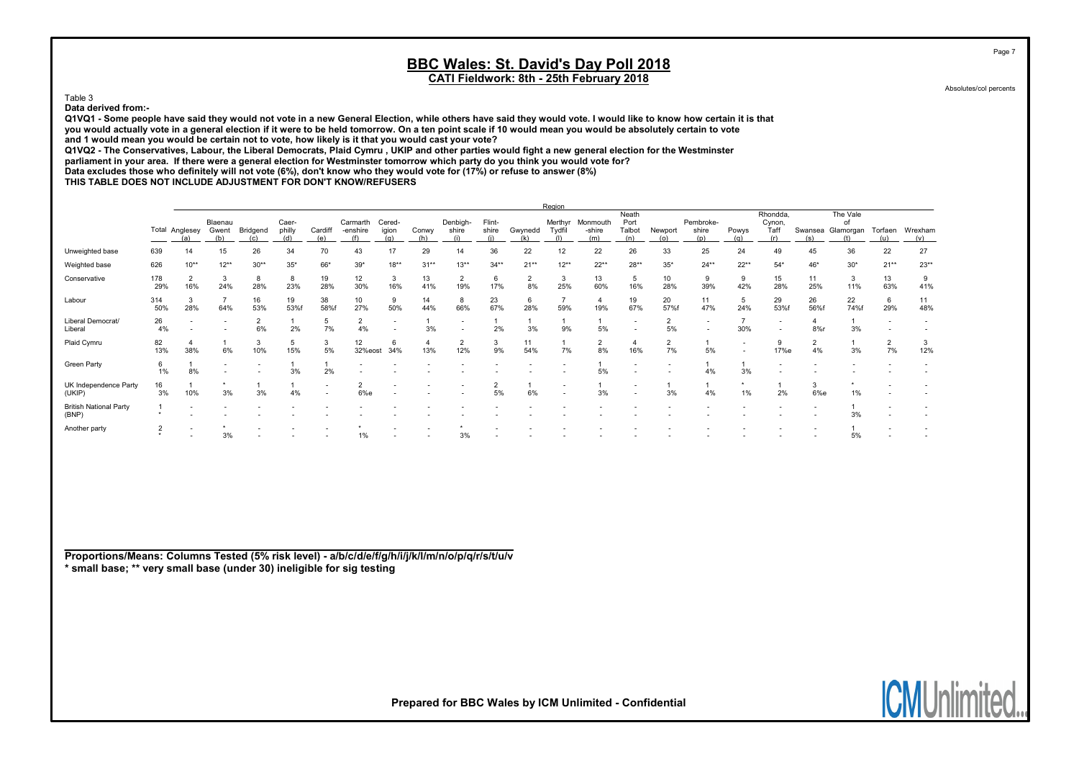Absolutes/col percents

Page 7

Table 3

Data derived from:-

Q1VQ1 - Some people have said they would not vote in a new General Election, while others have said they would vote. I would like to know how certain it is that you would actually vote in a general election if it were to be held tomorrow. On a ten point scale if 10 would mean you would be absolutely certain to vote and 1 would mean you would be certain not to vote, how likely is it that you would cast your vote?

Q1VQ2 - The Conservatives, Labour, the Liberal Democrats, Plaid Cymru , UKIP and other parties would fight a new general election for the Westminster

parliament in your area. If there were a general election for Westminster tomorrow which party do you think you would vote for?

Data excludes those who definitely will not vote (6%), don't know who they would vote for (17%) or refuse to answer (8%)

THIS TABLE DOES NOT INCLUDE ADJUSTMENT FOR DON'T KNOW/REFUSERS

|                                        |                |                       |                         |                          |                 |                |                             |                        |              |                       |                 |                      | Region                   |                           |                                |                          |                           |                                                      |                                          |                      |                                     |                |                     |
|----------------------------------------|----------------|-----------------------|-------------------------|--------------------------|-----------------|----------------|-----------------------------|------------------------|--------------|-----------------------|-----------------|----------------------|--------------------------|---------------------------|--------------------------------|--------------------------|---------------------------|------------------------------------------------------|------------------------------------------|----------------------|-------------------------------------|----------------|---------------------|
|                                        |                | Total Anglesey<br>(a) | Blaenau<br>Gwent<br>(b) | Bridgend                 | Caer-<br>philly | Cardiff<br>(e) | Carmarth<br>-enshire<br>(f) | Cered-<br>igion<br>(a) | Conwy<br>(h) | Denbigh-<br>shire     | Flint-<br>shire | Gwynedd<br>(k)       | Merthyr<br>Tydfil<br>(1) | Monmouth<br>-shire<br>(m) | Neath<br>Port<br>Talbot<br>(n) | Newport<br>(0)           | Pembroke-<br>shire<br>(p) | Powys<br>(a)                                         | Rhondda,<br>Cynon,<br><b>Taff</b><br>(r) | (s)                  | The Vale<br>of<br>Swansea Glamorgan | Torfaen<br>(u) | Wrexham<br>(v)      |
| Unweighted base                        | 639            |                       | 15                      | 26                       | 34              | 70             | 43                          | 17                     | 29           | 14                    | 36              | 22                   | 12                       | 22                        | 26                             | 33                       | 25                        | 24                                                   | 49                                       | 45                   | 36                                  | 22             | 27                  |
| Weighted base                          | 626            | $10**$                | $12**$                  | $30**$                   | $35*$           | 66*            | $39*$                       | $18**$                 | $31**$       | $13**$                | $34**$          | $21**$               | $12**$                   | $22**$                    | $28**$                         | $35*$                    | $24**$                    | $22**$                                               | $54*$                                    | 46*                  | $30*$                               | $21**$         | $23**$              |
| Conservative                           | 178<br>29%     | $\overline{2}$<br>16% | 3<br>24%                | 8<br>28%                 | 8<br>23%        | 19<br>28%      | 12<br>30%                   | 3<br>16%               | 13<br>41%    | $\overline{2}$<br>19% | 6<br>17%        | $\overline{2}$<br>8% | 3<br>25%                 | 13<br>60%                 | 5<br>16%                       | 10<br>28%                | 9<br>39%                  | 9<br>42%                                             | 15<br>28%                                | 11<br>25%            | 3<br>11%                            | 13<br>63%      | 9<br>41%            |
| Labour                                 | 314<br>50%     | 3<br>28%              | 64%                     | 16<br>53%                | 19<br>53%f      | 38<br>58%f     | 10<br>27%                   | 9<br>50%               | 14<br>44%    | 8<br>66%              | 23<br>67%       | 6<br>28%             | 59%                      | 4<br>19%                  | 19<br>67%                      | 20<br>57%f               | 11<br>47%                 | 5<br>24%                                             | 29<br>53%f                               | 26<br>56%f           | 22<br>74%f                          | 6<br>29%       | 11<br>48%           |
| Liberal Democrat/<br>Liberal           | 26<br>4%       |                       |                         | 6%                       | 2%              | 5<br>7%        | $\overline{2}$<br>4%        | $\sim$                 | 3%           | $\sim$                | 2%              | 3%                   | 9%                       | 5%                        | $\overline{\phantom{a}}$       | 2<br>5%                  | $\overline{\phantom{a}}$  | $\overline{7}$<br>30%                                | $\sim$                                   | 4<br>8%              | 3%                                  |                |                     |
| Plaid Cymru                            | 82<br>13%      | 38%                   | 6%                      | 3<br>10%                 | 5<br>15%        | 3<br>5%        | 12<br>32%eost               | 6<br>34%               | 13%          | $\overline{2}$<br>12% | 3<br>9%         | 11<br>54%            | 7%                       | 2<br>8%                   | 16%                            | $\overline{2}$<br>7%     | 5%                        | $\overline{\phantom{a}}$<br>$\overline{\phantom{a}}$ | 9<br>17%e                                | $\overline{2}$<br>4% | 3%                                  | 2<br>7%        | $\mathbf{3}$<br>12% |
| <b>Green Party</b>                     | 6<br>1%        | 8%                    |                         | $\overline{\phantom{a}}$ | 3%              | 2%             |                             |                        |              |                       |                 |                      |                          | 5%                        |                                | $\overline{\phantom{a}}$ | 4%                        | 3%                                                   |                                          |                      |                                     |                |                     |
| UK Independence Party<br>(UKIP)        | 16<br>3%       | 10%                   | 3%                      | 3%                       | 4%              |                | 6%e                         |                        |              |                       | 5%              | 6%                   |                          | 3%                        |                                | 3%                       | 4%                        | $\star$<br>1%                                        | 2%                                       | 3<br>6%e             | 1%                                  |                |                     |
| <b>British National Party</b><br>(BNP) |                |                       |                         |                          |                 |                |                             |                        |              |                       |                 |                      |                          |                           |                                |                          |                           |                                                      |                                          |                      | 3%                                  |                |                     |
| Another party                          | $\overline{2}$ |                       | 3%                      |                          |                 |                | 1%                          |                        |              | 3%                    |                 |                      |                          |                           |                                |                          |                           |                                                      |                                          |                      | 5%                                  |                |                     |

Proportions/Means: Columns Tested (5% risk level) - a/b/c/d/e/f/g/h/i/j/k/l/m/n/o/p/q/r/s/t/u/v \* small base; \*\* very small base (under 30) ineligible for sig testing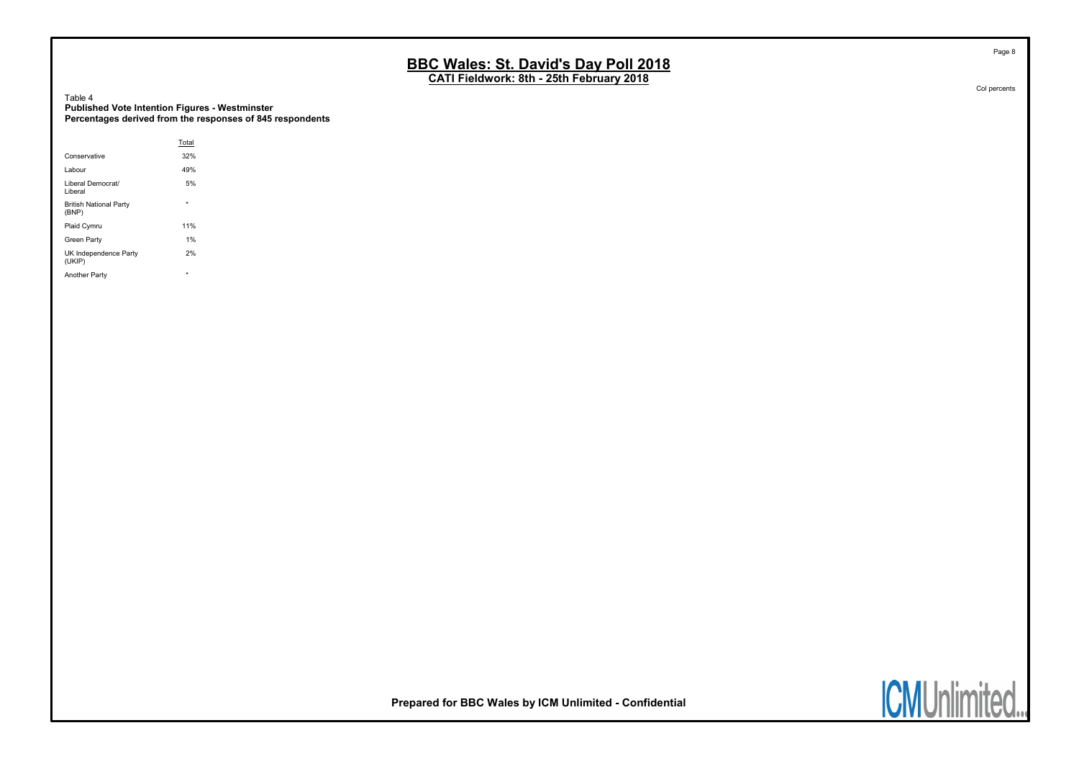CATI Fieldwork: 8th - 25th February 2018

Table 4 Published Vote Intention Figures - Westminster Percentages derived from the responses of 845 respondents

|                                        | Total   |  |
|----------------------------------------|---------|--|
| Conservative                           | 32%     |  |
| Labour                                 | 49%     |  |
| Liberal Democrat/<br>Liberal           | 5%      |  |
| <b>British National Party</b><br>(BNP) | ٠       |  |
| Plaid Cymru                            | 11%     |  |
| Green Party                            | 1%      |  |
| UK Independence Party<br>(UKIP)        | 2%      |  |
| Another Party                          | $\star$ |  |

Col percents

Page 8

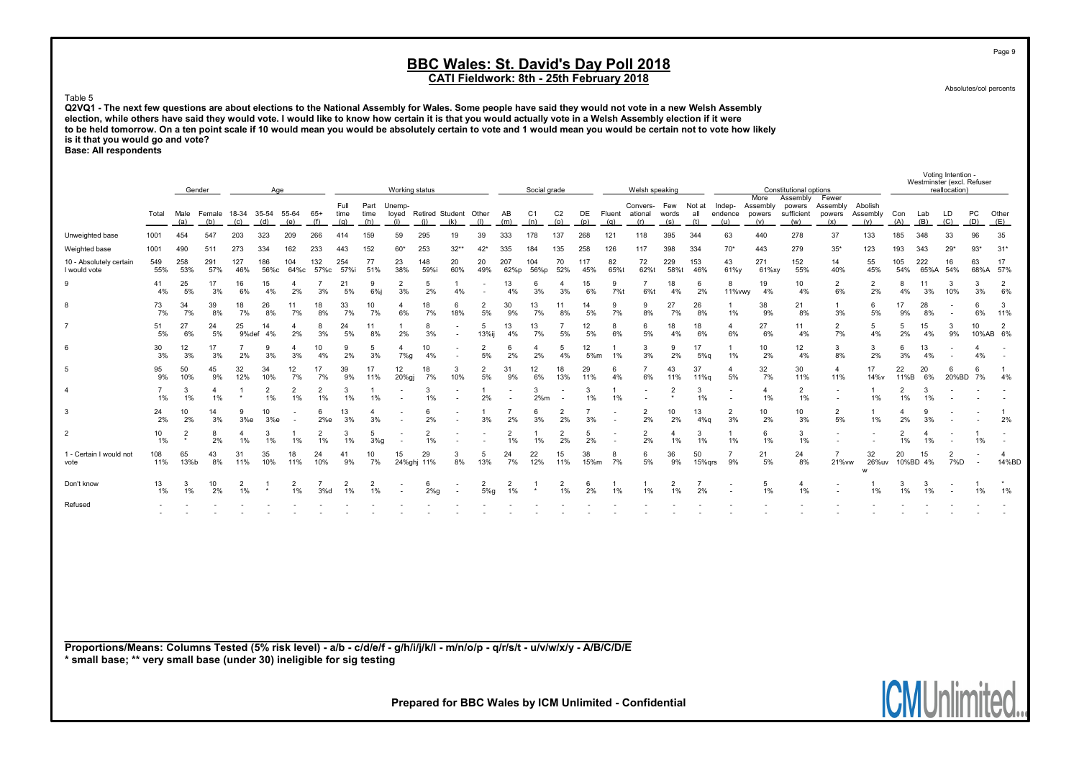CATI Fieldwork: 8th - 25th February 2018

Absolutes/col percents

**IGNUNIN** 

**IIIGO** 

Page 9

#### Table 5

Q2VQ1 - The next few questions are about elections to the National Assembly for Wales. Some people have said they would not vote in a new Welsh Assembly election, while others have said they would vote. I would like to know how certain it is that you would actually vote in a Welsh Assembly election if it were to be held tomorrow. On a ten point scale if 10 would mean you would be absolutely certain to vote and 1 would mean you would be certain not to vote how likely is it that you would go and vote?

Base: All respondents

|                                                                                                                                                                                                       |                          |                | Gender               |                      |                      | Age                  |                      |                      |                        | Working status         |                      |                                                      |                      |                      | Social grade          |                       |            |               | Welsh speaking             |                         |                      |                          |                                   | Constitutional options                  |                                                      |                            |                         |                | Voting Intention -<br>Westminster (excl. Refuser<br>reallocation) |                          |                                |
|-------------------------------------------------------------------------------------------------------------------------------------------------------------------------------------------------------|--------------------------|----------------|----------------------|----------------------|----------------------|----------------------|----------------------|----------------------|------------------------|------------------------|----------------------|------------------------------------------------------|----------------------|----------------------|-----------------------|-----------------------|------------|---------------|----------------------------|-------------------------|----------------------|--------------------------|-----------------------------------|-----------------------------------------|------------------------------------------------------|----------------------------|-------------------------|----------------|-------------------------------------------------------------------|--------------------------|--------------------------------|
|                                                                                                                                                                                                       | Total                    | Male<br>(a)    | Female<br>(b)        | 18-34<br>(c)         | 35-54<br>(d)         | 55-64<br>(e)         | $65+$<br>(f)         | Full<br>time<br>(g)  | Part<br>time<br>(h)    | Unemp-<br>loyed<br>(i) | (i)                  | Retired Student Other<br>(k)                         | (1)                  | AB<br>(m)            | C <sub>1</sub><br>(n) | C <sub>2</sub><br>(o) | DE<br>(p)  | Fluent<br>(q) | Convers-<br>ational<br>(r) | Few<br>words<br>(s)     | Not at<br>all<br>(t) | Indep-<br>endence<br>(u) | More<br>Assembly<br>powers<br>(v) | Assembly<br>powers<br>sufficient<br>(w) | Fewer<br>Assembly<br>powers<br>(x)                   | Abolish<br>Assembly<br>(y) | Con<br>(A)              | Lab<br>(B)     | LD<br>(C)                                                         | PC<br>(D)                | Other<br>(E)                   |
| Unweighted base                                                                                                                                                                                       | 1001                     | 454            | 547                  | 203                  | 323                  | 209                  | 266                  | 414                  | 159                    | 59                     | 295                  | 19                                                   | 39                   | 333                  | 178                   | 137                   | 268        | 121           | 118                        | 395                     | 344                  | 63                       | 440                               | 278                                     | 37                                                   | 133                        | 185                     | 348            | 33                                                                | 96                       | 35                             |
| Weighted base                                                                                                                                                                                         | 1001                     | 490            | 511                  | 273                  | 334                  | 162                  | 233                  | 443                  | 152                    | $60*$                  | 253                  | $32*$                                                | $42*$                | 335                  | 184                   | 135                   | 258        | 126           | 117                        | 398                     | 334                  | $70*$                    | 443                               | 279                                     | $35*$                                                | 123                        | 193                     | 343            | $29*$                                                             | $93*$                    | $31*$                          |
| 10 - Absolutely certain<br>I would vote                                                                                                                                                               | 549<br>55%               | 258<br>53%     | 291<br>57%           | 127<br>46%           | 186<br>56%c          | 104<br>64%с          | 132<br>57%c          | 254<br>57%i          | 77<br>51%              | 23<br>38%              | 148<br>59%i          | 20<br>60%                                            | 20<br>49%            | 207<br>62%p          | 104<br>56%p           | 70<br>52%             | 117<br>45% | 82<br>65%t    | 72<br>62%t                 | 229<br>58%              | 153<br>46%           | 43<br>61%y               | 271<br>61%xy                      | 152<br>55%                              | 14<br>40%                                            | 55<br>45%                  | 105<br>54%              | 222<br>65%A    | 16<br>54%                                                         | 63<br>68%A               | 17<br>57%                      |
| 9                                                                                                                                                                                                     | 41<br>4%                 | 25<br>5%       | 17<br>3%             | 16<br>6%             | 15<br>4%             | $\overline{4}$<br>2% | $\overline{7}$<br>3% | 21<br>5%             | $\mathbf{q}$<br>$6%$ j | $\overline{2}$<br>3%   | 5<br>2%              | 4%                                                   |                      | 13<br>4%             | 6<br>3%               | 4<br>3%               | 15<br>6%   | 9<br>7%t      | $\overline{7}$<br>6%t      | 18<br>4%                | 6<br>2%              | 8<br>11% vwy             | 19<br>4%                          | 10<br>4%                                | $\overline{2}$<br>6%                                 | $\overline{2}$<br>2%       | 8<br>4%                 | 11<br>3%       | 3<br>10%                                                          | 3<br>3%                  | $\overline{2}$<br>6%           |
| 8                                                                                                                                                                                                     | 73<br>7%                 | 34<br>7%       | 39<br>8%             | 18<br>7%             | 26<br>8%             | 11<br>7%             | 18<br>8%             | 33<br>7%             | 10<br>7%               | 4<br>6%                | 18<br>7%             | 6<br>18%                                             | $\overline{2}$<br>5% | 30<br>9%             | 13<br>7%              | 11<br>8%              | 14<br>5%   | 9<br>7%       | 9<br>8%                    | 27<br>7%                | 26<br>8%             | $\mathbf{1}$<br>1%       | 38<br>9%                          | 21<br>8%                                | $\overline{1}$<br>3%                                 | 6<br>5%                    | 17<br>9%                | 28<br>8%       | . .                                                               | 6<br>6%                  | 3<br>11%                       |
| $\overline{7}$                                                                                                                                                                                        | 51<br>5%                 | 27<br>6%       | 24<br>5%             | 25<br>9%def          | 14<br>4%             | $\overline{4}$<br>2% | $\mathbf{R}$<br>3%   | 24<br>5%             | 11<br>8%               | $\mathbf{1}$<br>2%     | 8<br>3%              | $\overline{\phantom{a}}$<br>$\blacksquare$           | 5<br>13%ij           | 13<br>4%             | 13<br>7%              | $\overline{7}$<br>5%  | 12<br>5%   | 8<br>6%       | 6<br>5%                    | 18<br>4%                | 18<br>6%             | $\overline{4}$<br>6%     | 27<br>6%                          | 11<br>4%                                | $\overline{2}$<br>7%                                 | 5<br>4%                    | 5<br>2%                 | 15<br>4%       | 3<br>9%                                                           | 10<br>10%AB              | $\overline{2}$<br>6%           |
| 6                                                                                                                                                                                                     | 30<br>3%                 | 12<br>3%       | 17<br>3%             | 2%                   | 9<br>3%              | $\overline{4}$<br>3% | 10<br>4%             | <b>q</b><br>2%       | -5<br>3%               | $\overline{4}$<br>7%g  | 10<br>4%             | $\overline{\phantom{a}}$                             | $\overline{2}$<br>5% | 6<br>2%              | $\overline{4}$<br>2%  | 5<br>4%               | 12<br>5%m  | 1%            | 3<br>3%                    | 9<br>2%                 | 17<br>5%q            | 1%                       | 10<br>2%                          | 12<br>4%                                | 3<br>8%                                              | 3<br>2%                    | 6<br>3%                 | 13<br>4%       | $\overline{\phantom{a}}$                                          | $\overline{4}$<br>4%     | $\overline{\phantom{a}}$       |
| 5                                                                                                                                                                                                     | 95<br>9%                 | 50<br>10%      | 45<br>9%             | 32<br>12%            | 34<br>10%            | 12<br>7%             | 17<br>7%             | 39<br>9%             | 17<br>11%              | 12<br>20%gj            | 18<br>7%             | 3<br>10%                                             | $\overline{2}$<br>5% | 31<br>9%             | 12<br>6%              | 18<br>13%             | 29<br>11%  | 6<br>4%       | $\overline{7}$<br>6%       | 43<br>11%               | 37<br>11%g           | $\overline{a}$<br>5%     | 32<br>7%                          | 30<br>11%                               | $\overline{4}$<br>11%                                | 17<br>14%v                 | 22<br>11%B              | 20<br>6%       | 6<br>20%BD                                                        | 6<br>7%                  | $\overline{1}$<br>4%           |
| 4                                                                                                                                                                                                     | 1%                       | 3<br>1%        | $\overline{4}$<br>1% | $\star$              | $\overline{2}$<br>1% | 2<br>1%              | 2<br>1%              | -3<br>1%             | 1%                     |                        | 3<br>1%              |                                                      | 2%                   |                      | 3<br>2%m              |                       | 3<br>1%    | 1%            |                            | $\overline{2}$          | 3<br>1%              |                          | $\overline{4}$<br>1%              | 2<br>1%                                 | $\overline{\phantom{a}}$<br>$\overline{\phantom{a}}$ | -1<br>1%                   | $\overline{2}$<br>$1\%$ | 3<br>1%        |                                                                   |                          |                                |
| 3                                                                                                                                                                                                     | 24<br>2%                 | 10<br>2%       | 14<br>3%             | 9<br>3%e             | 10<br>3%e            |                      | 6<br>2%e             | 13<br>3%             | 3%                     |                        | 6<br>2%              |                                                      | 3%                   | $\overline{7}$<br>2% | 6<br>3%               | 2<br>2%               | 7<br>3%    |               | $\overline{2}$<br>2%       | 10<br>2%                | 13<br>4%q            | $\overline{2}$<br>3%     | 10<br>2%                          | 10<br>3%                                | $\overline{2}$<br>5%                                 | 1%                         | 4<br>2%                 | g<br>3%        |                                                                   |                          | -1<br>2%                       |
| $\overline{2}$                                                                                                                                                                                        | 10<br>1%                 | $\overline{2}$ | 8<br>2%              | 4<br>1%              | 3<br>$1\%$           | 1%                   | $\overline{2}$<br>1% | 1%                   | 5<br>3%g               |                        | $\overline{2}$<br>1% |                                                      |                      | $\overline{2}$<br>1% | -1<br>1%              | $\overline{2}$<br>2%  | -5<br>2%   |               | $\overline{2}$<br>2%       | $\overline{4}$<br>$1\%$ | 3<br>1%              | 1%                       | 6<br>1%                           | 3<br>1%                                 |                                                      |                            | $\overline{2}$<br>1%    | 1%             |                                                                   | $1\%$                    |                                |
| 1 - Certain I would not<br>vote                                                                                                                                                                       | 108<br>11%               | 65<br>13%b     | 43<br>8%             | 31<br>11%            | 35<br>10%            | 18<br>11%            | 24<br>10%            | 41<br>9%             | 10<br>7%               | 15                     | 29<br>24%ghj 11%     | 3<br>8%                                              | 5<br>13%             | 24<br>7%             | 22<br>12%             | 15<br>11%             | 38<br>15%m | 8<br>7%       | 6<br>5%                    | 36<br>9%                | 50<br>15%grs         | $\overline{7}$<br>9%     | 21<br>5%                          | 24<br>8%                                | $\overline{7}$<br>21% vw                             | 32<br>26%uv<br>w           | 20                      | 15<br>10%BD 4% | $\overline{2}$<br>7%D                                             | $\overline{\phantom{a}}$ | $\boldsymbol{\Delta}$<br>14%BD |
| Don't know                                                                                                                                                                                            | 13<br>1%                 | -3<br>1%       | 10<br>2%             | $\overline{2}$<br>1% |                      | $\overline{2}$<br>1% | 7<br>3%d             | $\overline{2}$<br>1% | 2<br>1%                |                        | -6<br>$2\%$ g        | $\overline{\phantom{a}}$<br>$\overline{\phantom{a}}$ | 2<br>5%g             | $\overline{2}$<br>1% |                       | 2<br>1%               | 6<br>2%    | 1%            | 1<br>1%                    | $\overline{2}$<br>1%    | 7<br>2%              |                          | -5<br>1%                          | $\overline{4}$<br>1%                    | $\overline{\phantom{a}}$                             | 1<br>1%                    | 3<br>1%                 | 3<br>1%        |                                                                   | 1%                       | 1%                             |
| Refused                                                                                                                                                                                               | $\overline{\phantom{a}}$ |                |                      |                      |                      |                      |                      |                      |                        |                        |                      |                                                      |                      |                      |                       |                       |            |               |                            |                         |                      |                          |                                   |                                         |                                                      |                            |                         |                |                                                                   |                          |                                |
| Proportions/Means: Columns Tested (5% risk level) - a/b - c/d/e/f - g/h/i/j/k/l - m/n/o/p - q/r/s/t - u/v/w/x/y - A/B/C/D/E<br>* small base; ** very small base (under 30) ineligible for sig testing |                          |                |                      |                      |                      |                      |                      |                      |                        |                        |                      |                                                      |                      |                      |                       |                       |            |               |                            |                         |                      |                          |                                   |                                         |                                                      |                            | <b>IALII I</b>          |                |                                                                   | $\mathbf{0}$             |                                |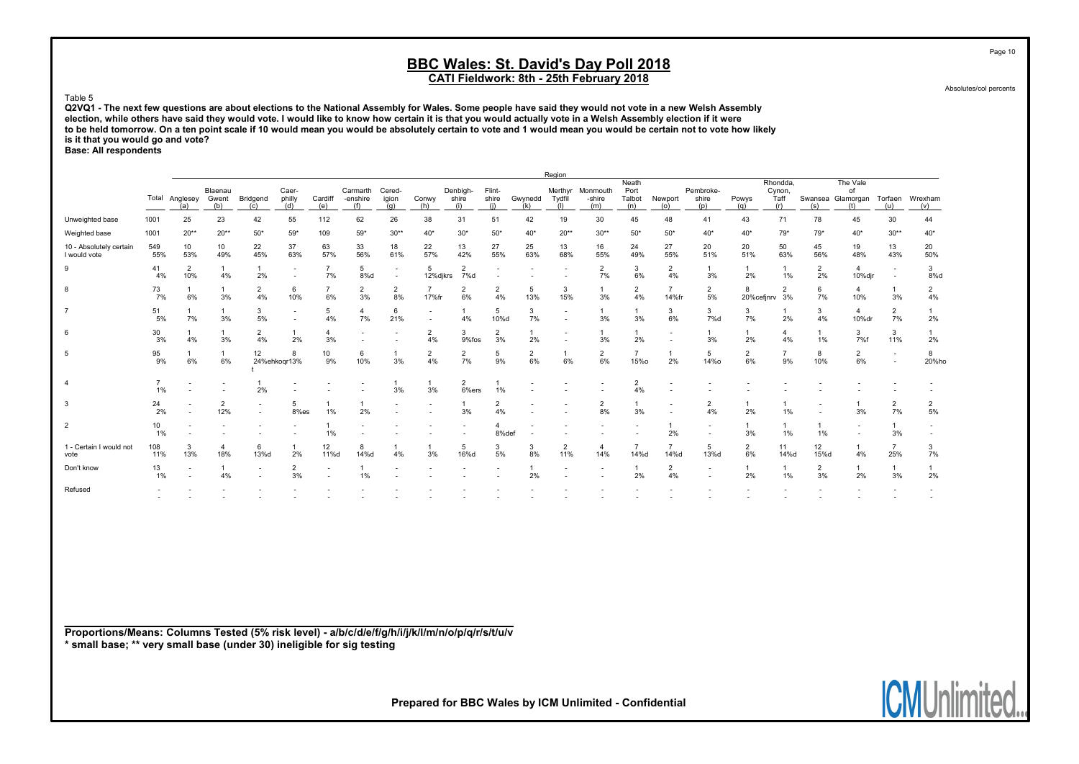Absolutes/col percents

Page 10

#### Table 5

Q2VQ1 - The next few questions are about elections to the National Assembly for Wales. Some people have said they would not vote in a new Welsh Assembly election, while others have said they would vote. I would like to know how certain it is that you would actually vote in a Welsh Assembly election if it were to be held tomorrow. On a ten point scale if 10 would mean you would be absolutely certain to vote and 1 would mean you would be certain not to vote how likely is it that you would go and vote?

Base: All respondents

|                                         |                          |                          |                         |                                                      |                                                      |                      |                               |                                            |                                                      |                          |                          |                          | Region                   |                           |                                |                          |                           |                      |                                   |                      |                                                            |                                                      |            |
|-----------------------------------------|--------------------------|--------------------------|-------------------------|------------------------------------------------------|------------------------------------------------------|----------------------|-------------------------------|--------------------------------------------|------------------------------------------------------|--------------------------|--------------------------|--------------------------|--------------------------|---------------------------|--------------------------------|--------------------------|---------------------------|----------------------|-----------------------------------|----------------------|------------------------------------------------------------|------------------------------------------------------|------------|
|                                         |                          | Total Anglesey<br>(a)    | Blaenau<br>Gwent<br>(b) | Bridgend<br>(c)                                      | Caer-<br>philly<br>(d)                               | Cardiff<br>(e)       | Carmarth<br>-enshire<br>(f)   | Cered-<br>igion<br>(q)                     | Conwy<br>(h)                                         | Denbigh-<br>shire<br>(i) | Flint-<br>shire<br>(i)   | Gwynedd<br>(k)           | Merthyr<br>Tydfil<br>(1) | Monmouth<br>-shire<br>(m) | Neath<br>Port<br>Talbot<br>(n) | Newport<br>(o)           | Pembroke-<br>shire<br>(p) | Powys<br>(q)         | Rhondda.<br>Cynon,<br>Taff<br>(r) | (s)                  | The Vale<br>of<br>Swansea Glamorgan Torfaen Wrexham<br>(t) | (u)                                                  | (v)        |
| Unweighted base                         | 1001                     | 25                       | 23                      | 42                                                   | 55                                                   | 112                  | 62                            | 26                                         | 38                                                   | 31                       | 51                       | 42                       | 19                       | 30                        | 45                             | 48                       | 41                        | 43                   | 71                                | 78                   | 45                                                         | 30                                                   | 44         |
| Weighted base                           | 1001                     | $20**$                   | $20**$                  | $50*$                                                | $59*$                                                | 109                  | $59*$                         | $30**$                                     | 40*                                                  | $30*$                    | $50^{\star}$             | $40*$                    | $20**$                   | $30**$                    | $50*$                          | $50*$                    | $40*$                     | $40*$                | $79*$                             | $79*$                | $40*$                                                      | $30**$                                               | $40*$      |
| 10 - Absolutely certain<br>I would vote | 549<br>55%               | 10 <sup>1</sup><br>53%   | 10<br>49%               | 22<br>45%                                            | 37<br>63%                                            | 63<br>57%            | 33<br>56%                     | 18<br>61%                                  | 22<br>57%                                            | 13<br>42%                | 27<br>55%                | 25<br>63%                | 13<br>68%                | 16<br>55%                 | 24<br>49%                      | 27<br>55%                | 20<br>51%                 | 20<br>51%            | 50<br>63%                         | 45<br>56%            | 19<br>48%                                                  | 13<br>43%                                            | 20<br>50%  |
| 9                                       | 41<br>4%                 | $\overline{2}$<br>10%    | 4%                      | 2%                                                   | $\overline{\phantom{a}}$<br>$\overline{\phantom{a}}$ | $\overline{7}$<br>7% | 5<br>8%d                      | $\blacksquare$<br>$\overline{\phantom{a}}$ | 5<br>12%djkrs                                        | $\overline{2}$<br>7%d    | $\overline{\phantom{a}}$ | $\overline{\phantom{a}}$ |                          | $\overline{2}$<br>7%      | 3<br>6%                        | $\overline{2}$<br>4%     | $\mathbf{1}$<br>3%        | 1<br>2%              | 1%                                | $\overline{2}$<br>2% | 4<br>10%djr                                                | $\overline{\phantom{a}}$<br>$\overline{\phantom{a}}$ | 3<br>8%d   |
| 8                                       | 73<br>7%                 | $\mathbf{1}$<br>6%       | 3%                      | $\overline{2}$<br>4%                                 | 6<br>10%                                             | $\overline{7}$<br>6% | 2<br>3%                       | $\overline{2}$<br>8%                       | $\overline{7}$<br>17%fr                              | $\overline{2}$<br>6%     | $\overline{2}$<br>4%     | 5<br>13%                 | 3<br>15%                 | 3%                        | $\overline{2}$<br>4%           | $\overline{7}$<br>14%fr  | $\overline{2}$<br>5%      | 8<br>20%cefinrv      | $\overline{2}$<br>3%              | 6<br>7%              | 4<br>10%                                                   | $\mathbf{1}$<br>3%                                   | 2<br>4%    |
| $\overline{7}$                          | 51<br>5%                 | 7%                       | 3%                      | 3<br>5%                                              | $\blacksquare$<br>$\overline{\phantom{a}}$           | 5<br>4%              | $\overline{\mathbf{4}}$<br>7% | 6<br>21%                                   | $\overline{\phantom{a}}$<br>$\overline{\phantom{a}}$ | 4%                       | 5<br>10%d                | 3<br>7%                  |                          | 3%                        | 3%                             | 3<br>6%                  | 3<br>7%d                  | 3<br>7%              | 2%                                | 3<br>4%              | 4<br>10%dr                                                 | $\overline{2}$<br>7%                                 | 2%         |
| 6                                       | 30<br>3%                 | 4%                       | 3%                      | 2<br>4%                                              | 2%                                                   | 4<br>3%              |                               |                                            | $\overline{2}$<br>4%                                 | 3<br>9%fos               | $\overline{2}$<br>3%     | 2%                       |                          | 3%                        | 2%                             | $\overline{\phantom{a}}$ | 3%                        | 1<br>2%              | $\overline{4}$<br>4%              | 1%                   | 3<br>7%f                                                   | 3<br>11%                                             | 2%         |
| 5                                       | 95<br>9%                 | 6%                       | 6%                      | 12 <sup>°</sup>                                      | 24%ehkoar13%                                         | 10<br>9%             | 6<br>10%                      | 3%                                         | $\overline{2}$<br>4%                                 | $\overline{2}$<br>7%     | 5<br>9%                  | $\overline{2}$<br>6%     | $\overline{1}$<br>6%     | $\overline{2}$<br>6%      | $\overline{7}$<br><b>15%o</b>  | 2%                       | 5<br><b>14%o</b>          | $\overline{2}$<br>6% | 9%                                | 8<br>10%             | $\overline{2}$<br>6%                                       | $\overline{\phantom{a}}$                             | 8<br>20%ho |
| $\overline{4}$                          | $\overline{7}$<br>1%     |                          |                         | 2%                                                   |                                                      |                      |                               | 3%                                         | $\mathbf{1}$<br>3%                                   | $\overline{2}$<br>6%ers  | 1%                       |                          |                          |                           | $\overline{c}$<br>4%           | $\overline{\phantom{a}}$ |                           |                      |                                   |                      |                                                            |                                                      |            |
| 3                                       | 24<br>2%                 | $\overline{\phantom{a}}$ | $\overline{2}$<br>12%   | $\overline{\phantom{a}}$<br>$\overline{\phantom{a}}$ | 5<br>8%es                                            | 1%                   | 2%                            |                                            |                                                      | 3%                       | $\overline{2}$<br>4%     |                          |                          | $\overline{2}$<br>8%      | 3%                             | $\overline{\phantom{a}}$ | $\overline{2}$<br>4%      | 1<br>2%              | 1%                                |                      | 3%                                                         | $\overline{2}$<br>7%                                 | 2<br>5%    |
| 2                                       | 10<br>1%                 |                          |                         |                                                      |                                                      | 1%                   |                               |                                            |                                                      |                          | 8%def                    |                          |                          |                           |                                | 2%                       | $\overline{\phantom{a}}$  | 1<br>3%              | 1%                                | 1%                   |                                                            | $\mathbf{1}$<br>3%                                   |            |
| 1 - Certain I would not<br>vote         | 108<br>11%               | 3<br>13%                 | $\overline{4}$<br>18%   | 6<br>13%d                                            | 2%                                                   | 12<br>11%d           | 8<br>14%d                     | 4%                                         | 3%                                                   | 5<br>16%d                | 3<br>5%                  | 3<br>8%                  | $\overline{2}$<br>11%    | $\overline{4}$<br>14%     | $\overline{7}$<br>14%d         | $\overline{7}$<br>14%d   | 5<br>13%d                 | $\overline{2}$<br>6% | 11<br>14%d                        | 12<br>15%d           | 4%                                                         | $\overline{7}$<br>25%                                | 3<br>7%    |
| Don't know                              | 13<br>1%                 | $\overline{\phantom{a}}$ | 4%                      |                                                      | $\overline{2}$<br>3%                                 |                      | 1%                            |                                            |                                                      |                          |                          | 2%                       |                          |                           | 2%                             | $\overline{2}$<br>4%     | $\overline{\phantom{a}}$  | $\mathbf{1}$<br>2%   | 1%                                | $\overline{2}$<br>3% | 1<br>2%                                                    | $\mathbf{1}$<br>3%                                   | 1<br>2%    |
| Refused                                 | $\overline{\phantom{0}}$ |                          |                         |                                                      |                                                      |                      |                               |                                            |                                                      |                          |                          |                          |                          |                           |                                |                          |                           |                      |                                   |                      |                                                            |                                                      |            |
|                                         |                          |                          |                         |                                                      |                                                      |                      |                               |                                            |                                                      |                          |                          |                          |                          |                           |                                |                          |                           |                      |                                   |                      |                                                            |                                                      |            |

Proportions/Means: Columns Tested (5% risk level) - a/b/c/d/e/f/g/h/i/j/k/l/m/n/o/p/q/r/s/t/u/v \* small base; \*\* very small base (under 30) ineligible for sig testing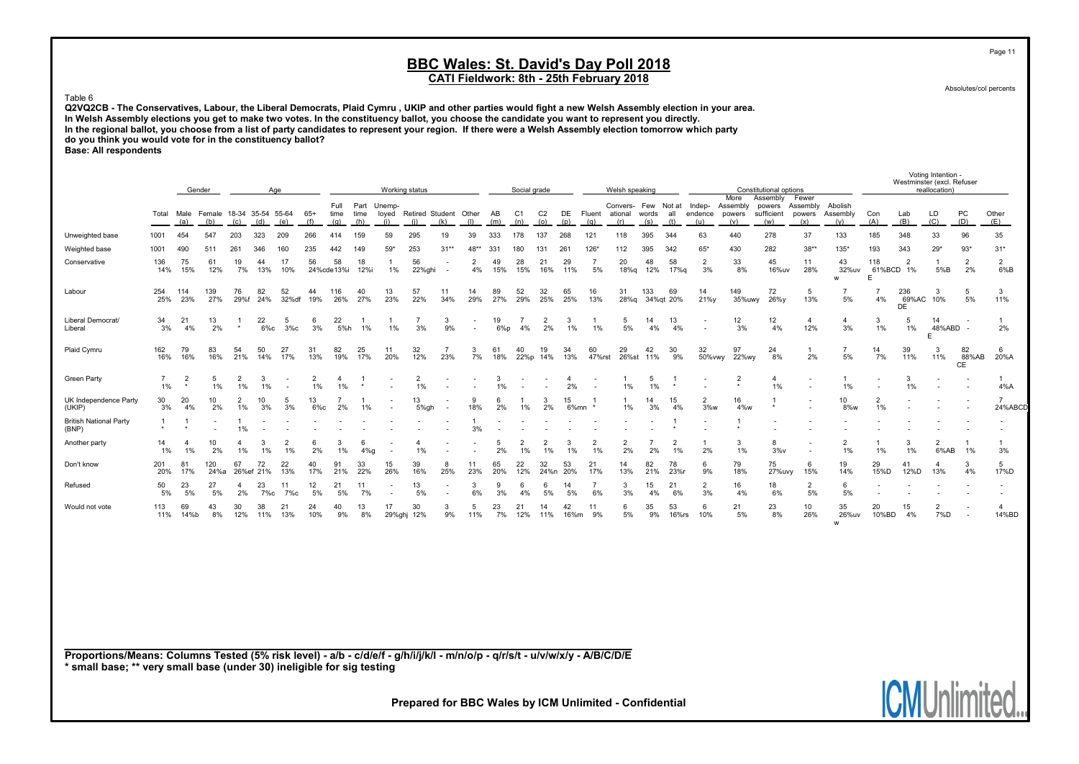Absolutes/col percents

Page 11

#### Table 6

Q2VQ2CB - The Conservatives, Labour, the Liberal Democrats, Plaid Cymru , UKIP and other parties would fight a new Welsh Assembly election in your area. In Welsh Assembly elections you get to make two votes. In the constituency ballot, you choose the candidate you want to represent you directly. In the regional ballot, you choose from a list of party candidates to represent your region. If there were a Welsh Assembly election tomorrow which party do you think you would vote for in the constituency ballot? Base: All respondents

Voting Intention - Westminster (excl. Refuser<br>reallocation) Gender — Age — Dorking status — Social grade More Welsh speaking Constitutional options — Constitutional options — reallocation) More Assembly Fewer<br>Assembly powers Assembly Full Part Unemp- Convers- Few Not at Indep- Assembly powers Assembly Abolish Total Male Female 18-34 35-54 55-64 65+ time time loyed Retired Student Other AB C1 C2 DE Fluent ational words all endence powers sufficient powers Assembly Con Lab LD PC Other صراح (a) (b) (c) (d) (f) (c) (d) (h) (i) (k) (a) (b) (c) (d) (e) (f) (g) (h) (i) (j) (k) (l) (m) (n) (o) (p) (q) (r) (s) (t) (u) (v) (w) (x) (y) (A) (B) (C) (D) (E) Unweighted base 1001 454 547 203 323 209 266 414 159 59 295 19 39 333 178 137 268 121 118 395 344 63 440 278 37 133 185 348 33 96 35 Weighted base 1001 490 511 261 346 160 235 442 149 59\* 253 31\*\* 48\*\* 331 180 131 261 126\* 112 395 342 65\* 430 282 38\*\* 135\* 193 343 29\* 93\* 31\* Conservative 136 75 61 19 44 17 56 58 18 1 56 - 2 49 28 21 29 7 20 48 58 2 33 45 11 43 118 2 1 2 2 14% 15% 12% 7% 13% 10% 24%cde13%i 12%i 1% 22%ghi - 4% 15% 15% 16% 11% 5% 18%q 12% 17%q 3% 8% 16%uv 28% 32%uv 61%BCD 1% 5%B 2% 6%B w E Labour 254 114 139 76 82 52 44 116 40 13 57 11 14 89 52 32 65 16 31 133 69 14 149 72 5 7 7 236 3 5 3 25% 23% 27% 29%f 24% 32%df 19% 26% 27% 23% 22% 34% 29% 27% 29% 25% 25% 13% 28%q 34%qt 20% 21%y 35%uwy 26%y 13% 5% 4% 69%AC 10% 5% 11% DE Liberal Democrat/ 34 21 13 1 22 5 6 22 1 1 7 3 - 19 7 2 3 1 5 14 13 - 12 12 4 4 3 5 14 - 1 Liberal 3% 4% 2% \* 6%c 3%c 3% 5%h 1% 1% 3% 9% - 6%p 4% 2% 1% 1% 5% 4% 4% - 3% 4% 12% 3% 1% 1% 48%ABD - 2% E Plaid Cymru 162 79 83 54 50 27 31 82 25 11 32 7 3 61 40 19 34 60 29 42 30 32 97 24 1 7 14 39 3 82 6 16% 16% 16% 21% 14% 17% 13% 19% 17% 20% 12% 23% 7% 18% 22%p 14% 13% 47%rst 26%st 11% 9% 50%vwy 22%wy 8% 2% 5% 7% 11% 11% 88%AB 20%A  $C<sub>F</sub>$ Green Party 7 2 5 2 3 - 2 4 1 - 2 - - 3 - - 4 - 1 5 1 - 2 4 - 1 - 3 - - 1 1% \* 1% 1% 1% - 1% 1% \* - 1% - - 1% - - 2% - 1% 1% \* - \* 1% - 1% - 1% - - 4%A UK Independence Party 30 20 10 2 10 5 13 7 1 - 13 - 9 6 1 3 15 1 1 14 15 2 16 1 - 10 2 - - - 7 (UKIP) 3% 4% 2% 1% 3% 3% 6%c 2% 1% - 5%gh - 18% 2% 1% 2% 6%mn \* 1% 3% 4% 3%w 4%w \* - 8%w 1% - - - 24%ABCD British National Party 1 1 - 1 - - - - - - - - 1 - - - - - - - 1 - 1 - - - - - - - - (BNP) \* \* - 1% - - - - - - - - 3% - - - - - - - \* - \* - - - - - - - - Another party 14 4 10 4 3 2 6 3 6 - 4 - - 5 2 2 3 2 2 7 2 1 3 8 - 2 1 3 2 1 1 1% 1% 2% 1% 1% 1% 2% 1% 4%g - 1% - - 2% 1% 1% 1% 1% 2% 2% 1% 2% 1% 3%v - 1% 1% 1% 6%AB 1% 3% Don't know 201 81 120 67 72 22 40 91 33 15 39 8 11 65 22 32 53 21 14 82 78 6 79 75 6 19 29 41 4 3 5 20% 17% 24%a 26%ef 21% 13% 17% 21% 22% 26% 16% 25% 23% 20% 12% 24%n 20% 17% 13% 21% 23%r 9% 18% 27%uvy 15% 14% 15%D 12%D 13% 4% 17%D Refused 50 23 27 4 23 11 12 21 11 - 13 - 3 9 6 6 14 7 3 15 21 2 16 18 2 6 - - - - - 5% 5% 5% 2% 7%c 7%c 5% 5% 7% - 5% - 6% 3% 4% 5% 5% 6% 3% 4% 6% 3% 4% 6% 5% 5% - - - - - Would not vote 113 69 43 30 38 21 24 40 13 17 30 3 5 23 21 14 42 11 6 35 53 6 21 23 10 35 20 15 2 - 4 11% 14%b 8% 12% 11% 13% 10% 9% 8% 29%ghj 12% 9% 11% 7% 12% 11% 16%m 9% 5% 9% 16%rs 10% 5% 8% 26% 26%uv 10%BD 4% 7%D - 14%BD w

Proportions/Means: Columns Tested (5% risk level) - a/b - c/d/e/f - g/h/i/j/k/l - m/n/o/p - q/r/s/t - u/v/w/x/y - A/B/C/D/E \* small base; \*\* very small base (under 30) ineligible for sig testing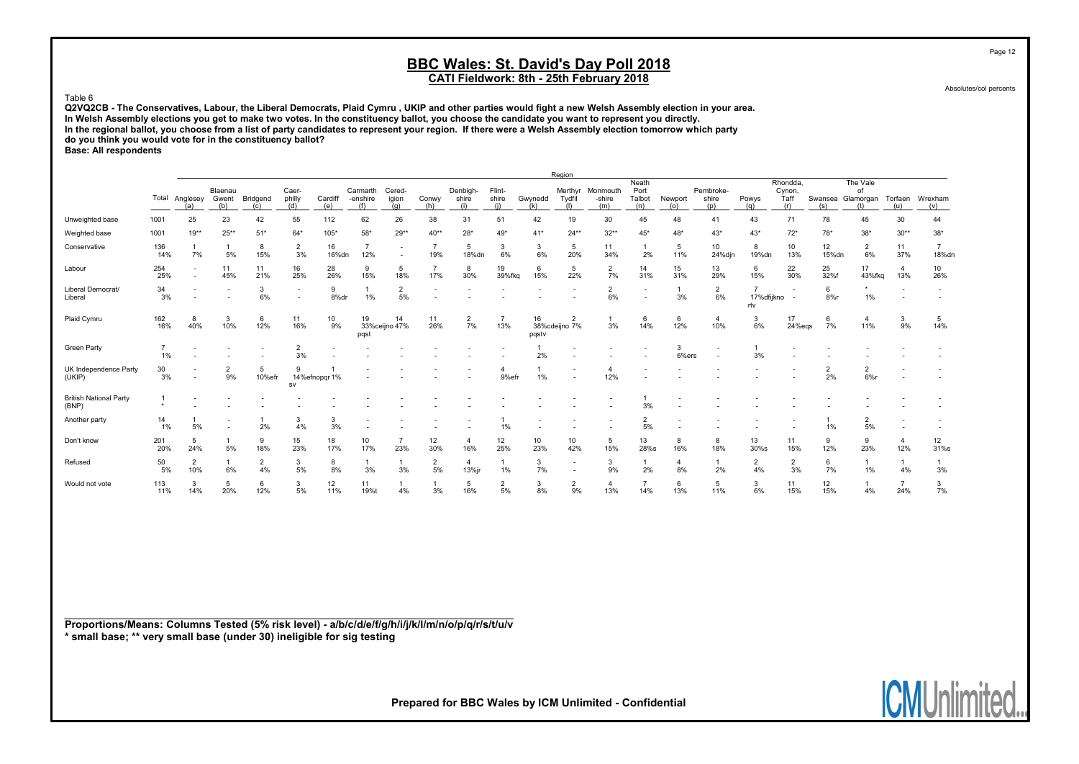Absolutes/col percents

Page 12

#### Table 6

Q2VQ2CB - The Conservatives, Labour, the Liberal Democrats, Plaid Cymru , UKIP and other parties would fight a new Welsh Assembly election in your area. In Welsh Assembly elections you get to make two votes. In the constituency ballot, you choose the candidate you want to represent you directly. In the regional ballot, you choose from a list of party candidates to represent your region. If there were a Welsh Assembly election tomorrow which party do you think you would vote for in the constituency ballot? Base: All respondents

Region Neath Rhondda, The Vale<br>
Port Pembroke- Cynon, of Blaenau Caer- Carmarth Cered- Denbigh- Flint- Merthyr Monmouth Port Pembroke- Cynon, of Total Anglesey Gwent Bridgend philly Cardiff -enshire igion Conwy shire shire Gwynedd Tydfil -shire Talbot Newport shire Powys Taff Swansea. Glamorgan Torfaen Wrexham (a) (b) (c) (d) (e) (f) (g) (h) (i) (i) (i) (i) (i) (i) (a) (b) (c) (d) (e) (f) (g) (h) (i) (j) (k) (l) (m) (n) (o) (p) (q) (r) (s) (t) (u) (v) Unweighted base 1001 25 23 42 55 112 62 26 38 31 51 42 19 30 45 48 41 43 71 78 45 30 44 Weighted base 1001 19\*\* 25\*\* 51\* 64\* 105\* 58\* 29\*\* 40\*\* 49\* 41\* 24\*\* 32\*\* 43\* 43\* 43\* 78\* 38\* 38\* 38\* 38\* Conservative 136 1 1 8 2 16 7 - 7 5 3 3 5 11 1 5 10 8 10 12 2 11 7 14% 7% 5% 15% 3% 16%dn 12% - 19% 18%dn 6% 6% 20% 34% 2% 11% 24%djn 19%dn 13% 15%dn 6% 37% 18%dn Labour 254 - 11 11 16 28 9 5 7 8 19 6 5 2 14 15 13 6 22 25 17 4 10 25% - 45% 21% 25% 26% 15% 18% 17% 30% 39%fkq 15% 22% 7% 31% 31% 29% 15% 30% 32%f 43%fkq 13% 26% Liberal Democrat/ 34 - - 3 - 9 1 2 - - - - - - 2 - 1 2 7 - 6 \* - -Liberal 3% - - 6% - 8%dr 1% 5% - - - - - 6% - 3% 6% 17%dfijkno - 8%r 1% - rtv Plaid Cymru 162 8 3 6 11 10 19 14 11 2 7 16 2 1 6 6 4 3 17 6 4 3 5 16% 40% 10% 12% 16% 9% 33%ceijno 47% 26% 7% 13% 38%cdeijno 7% 3% 14% 12% 10% 6% 24%eqs 7% 11% 9% 14% pqst pqstv Green Party 7 - - - 2 - - - - - - 1 - - - 3 - 1 - - - - - 1% - - - 3% - - - - - - 2% - - - 6%ers - 3% - - - - - UK Independence Party 30 - 2 5 9 1 - - - - 4 1 - 4 - - - - - - - 2 2 - -(UKIP) 3% - 9% 10%efr 14%efnopqr1% - - - 9%efr 1% - 12% - - - - - 2% 6%r - sv British National Party 1 - - - - - - - - - - - - - 1 - - - - - - - - (BNP) \* - - - - - - - - - - - - - 3% - - - - - - - - Another party 14 1 - 1 3 3 - - - - 1 - - - - 2 - - - - - - - 1 2 - -1% 5% - 2% 4% 3% - - - - 1% - - - 5% - - - - 1% 5% - - Don't know 201 5 1 9 15 18 10 7 12 4 12 10 10 5 13 8 8 13 11 9 9 4 12 20% 24% 5% 18% 23% 17% 17% 23% 30% 16% 25% 23% 42% 15% 28%s 16% 18% 30%s 15% 12% 23% 12% 31%s Refused 50 2 1 2 3 8 1 1 2 4 1 3 - 3 1 4 1 2 2 6 1 1 1 5% 10% 6% 4% 5% 8% 3% 3% 5% 13%jr 1% 7% - 9% 2% 8% 2% 4% 3% 7% 1% 4% 3% Would not vote 113 3 5 6 3 12 11 1 1 5 2 3 2 4 7 6 5 3 11 12 1 7 3 11% 14% 20% 12% 5% 11% 19%t 4% 3% 16% 5% 8% 9% 13% 14% 13% 11% 6% 15% 15% 4% 24% 7%

Proportions/Means: Columns Tested (5% risk level) - a/b/c/d/e/f/g/h/i/j/k/l/m/n/o/p/q/r/s/t/u/v \* small base; \*\* very small base (under 30) ineligible for sig testing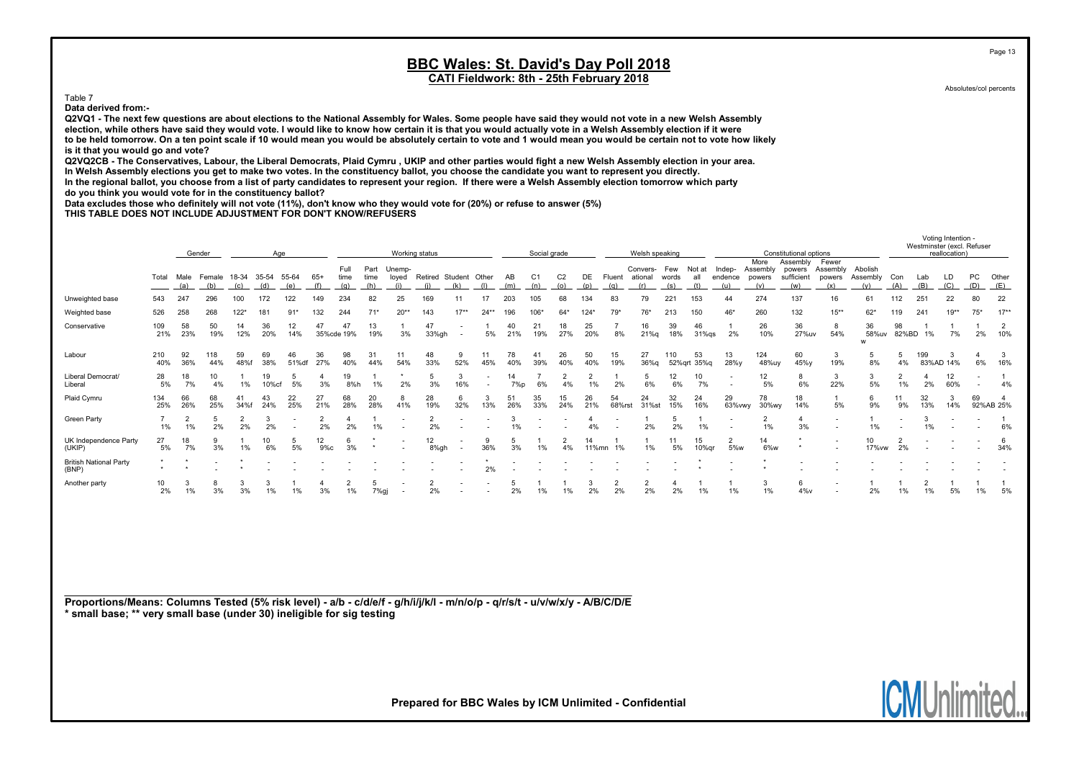CATI Fieldwork: 8th - 25th February 2018

Table 7

Data derived from:-

Q2VQ1 - The next few questions are about elections to the National Assembly for Wales. Some people have said they would not vote in a new Welsh Assembly election, while others have said they would vote. I would like to know how certain it is that you would actually vote in a Welsh Assembly election if it were to be held tomorrow. On a ten point scale if 10 would mean you would be absolutely certain to vote and 1 would mean you would be certain not to vote how likely is it that you would go and vote?

Q2VQ2CB - The Conservatives, Labour, the Liberal Democrats, Plaid Cymru , UKIP and other parties would fight a new Welsh Assembly election in your area. In Welsh Assembly elections you get to make two votes. In the constituency ballot, you choose the candidate you want to represent you directly. In the regional ballot, you choose from a list of party candidates to represent your region. If there were a Welsh Assembly election tomorrow which party

do you think you would vote for in the constituency ballot?

Data excludes those who definitely will not vote (11%), don't know who they would vote for (20%) or refuse to answer (5%)

THIS TABLE DOES NOT INCLUDE ADJUSTMENT FOR DON'T KNOW/REFUSERS

|                                        |            | Gender<br>Age                                                                |            |            |             |             |                     |                  |                 |                          | Working status       |                          |           |           | Social grade          |           |           |                     | Welsh speaking |               |                   |                            |                                  | Constitutional options             |                          |              |             |           | reallocation) | Westminster (excl. Refuser |          |
|----------------------------------------|------------|------------------------------------------------------------------------------|------------|------------|-------------|-------------|---------------------|------------------|-----------------|--------------------------|----------------------|--------------------------|-----------|-----------|-----------------------|-----------|-----------|---------------------|----------------|---------------|-------------------|----------------------------|----------------------------------|------------------------------------|--------------------------|--------------|-------------|-----------|---------------|----------------------------|----------|
|                                        | Total      | Male<br>18-34<br>35-54<br>55-64<br>Female<br>(b)<br>(a)<br>(e)<br>(c)<br>(d) |            |            |             | $65+$       | Full<br>time<br>(a) | Part<br>time     | Unemp-<br>loyed | Retired Student          |                      | Other                    | AB<br>(m) | C1<br>(n) | C <sub>2</sub><br>(o) | DE<br>(p) | Fluent    | Convers-<br>ational | Few<br>words   | Not at<br>all | Indep-<br>endence | More<br>Assembly<br>powers | Assembly<br>powers<br>sufficient | Fewer<br>Assembly<br>powers<br>(x) | Abolish<br>Assembly      | Con<br>(A)   | Lab<br>(B)  | (C)       | PC<br>(D)     | Other<br>(E)               |          |
| Unweighted base                        | 543        | 247                                                                          | 296        | 100        |             | 122         | 149                 | 234              | 82              | 25                       | 169                  |                          |           | 203       | 105                   | 68        | 134       | 83                  | 79             | 221           | 153               | 44                         | 274                              | 137                                | 16                       | 61           | 112         | 251       | 22            | 80                         | 22       |
| Weighted base                          | 526        | 258                                                                          | 268        | $122*$     | 181         | $91*$       | 132                 | 244              | $71*$           | $20**$                   | 143                  | $17**$                   | $24**$    | 196       | $106*$                | $64*$     | $124*$    | $79*$               | 76*            | 213           | 150               | 46*                        | 260                              | 132                                | $15***$                  | $62*$        |             | 241       | $19**$        | $75*$                      | $17**$   |
| Conservative                           | 109<br>21% | 58<br>23%                                                                    | 50<br>19%  | 14<br>12%  | 36<br>20%   | 12<br>14%   | 47                  | 47<br>35%cde 19% | 13<br>19%       | 3%                       | 47<br>33%gh          | $\overline{\phantom{a}}$ | 5%        | 40<br>21% | 21<br>19%             | 18<br>27% | 25<br>20% | 8%                  | 16<br>21%g     | 39<br>18%     | 46<br>$31\%$ qs   | 2%                         | 26<br>10%                        | 36<br>27%uv                        | 8<br>54%                 | 36<br>58%uv  | 98<br>82%BD | 1%        | 7%            | 2%                         | 2<br>10% |
| Labour                                 | 210<br>40% | 92<br>36%                                                                    | 118<br>44% | 59<br>48%f | 69<br>38%   | 46<br>51%df | 36<br>27%           | 98<br>40%        | 31<br>44%       | 54%                      | 48<br>33%            | 52%                      | 11<br>45% | 78<br>40% | 39%                   | 26<br>40% | 50<br>40% | 15<br>19%           | 27<br>36%g     | 110           | 53<br>52%grt 35%g | 13<br>28%y                 | 124<br>48%uy                     | 60<br>45%y                         | 19%                      | -5<br>8%     | 4%          | 199       | 83%AD 14%     | 6%                         | 3<br>16% |
| Liberal Democrat/<br>Liberal           | 28<br>5%   | 18<br>7%                                                                     | 4%         | 1%         | 19<br>10%cf | 5%          |                     | 19<br>8%h        | 1%              | 2%                       | 3%                   | 16%                      |           | 14<br>7%p | 6%                    | 4%        | 1%        | 2%                  | 5<br>6%        | 12<br>6%      | 10<br>7%          |                            | 12<br>5%                         | 8<br>6%                            | 3<br>22%                 | 3<br>5%      | 2<br>1%     | 2%        | 12<br>60%     |                            | 4%       |
| Plaid Cymru                            | 134<br>25% | 66<br>26%                                                                    | 68<br>25%  | 34%f       | 43<br>24%   | 22<br>25%   | 27<br>21%           | 68<br>28%        | 20<br>28%       | 8<br>41%                 | 28<br>19%            | 32%                      | 13%       | 26%       | 35<br>33%             | 15<br>24% | 26<br>21% | 54<br>68%rst        | 24<br>31%st    | 32<br>15%     | 24<br>16%         | 29<br>63%vwy               | 78<br>30%wy                      | 18<br>14%                          | 5%                       | 6<br>9%      | 9%          | 32<br>13% | 3<br>14%      | 69<br>92%AB 25%            |          |
| <b>Green Party</b>                     | 1%         | 1%                                                                           | 2%         | 2%         | 2%          |             | 2%                  | 2%               | 1%              |                          | $\overline{2}$<br>2% |                          |           |           |                       |           | 4%        |                     | 2%             | 2%            | 1%                |                            |                                  | $\overline{4}$<br>3%               | $\overline{\phantom{a}}$ |              |             |           |               |                            | 6%       |
| UK Independence Party<br>(UKIP)        | 27<br>5%   | 18<br>7%                                                                     | 3%         | 1%         | 10<br>6%    | 5%          | 12<br>9%с           | 3%               |                 | $\overline{\phantom{a}}$ | 12<br>8%gh           |                          | 9<br>36%  | 3%        | 1%                    | 4%        | 11%mn     | 1%                  | 1%             | 5%            | 15<br>10%gr       | $\overline{2}$<br>5%w      | 14<br>6%w                        |                                    | $\overline{\phantom{a}}$ | 10<br>17% vw | 2%          |           |               |                            | 6<br>34% |
| <b>British National Party</b><br>(BNP) |            |                                                                              |            |            |             |             |                     |                  |                 |                          |                      |                          | 2%        |           |                       |           |           |                     |                |               |                   |                            |                                  |                                    |                          |              |             |           |               |                            |          |
| Another party                          | 10<br>2%   | 1%                                                                           | 3%         | 3%         | 1%          | $1\%$       | 3%                  | 1%               | 7%gj            |                          | 2%                   |                          |           | 2%        |                       |           | 2%        | 2%                  | 2%             | 2%            | 1%                | 1%                         |                                  | 6<br>4%v                           | $\overline{\phantom{a}}$ | 2%           |             |           | 5%            | 1%                         | 5%       |

Proportions/Means: Columns Tested (5% risk level) - a/b - c/d/e/f - g/h/i/j/k/l - m/n/o/p - q/r/s/t - u/v/w/x/y - A/B/C/D/E \* small base; \*\* very small base (under 30) ineligible for sig testing

Prepared for BBC Wales by ICM Unlimited - Confidential

Page 13

Absolutes/col percents

Voting Intention -

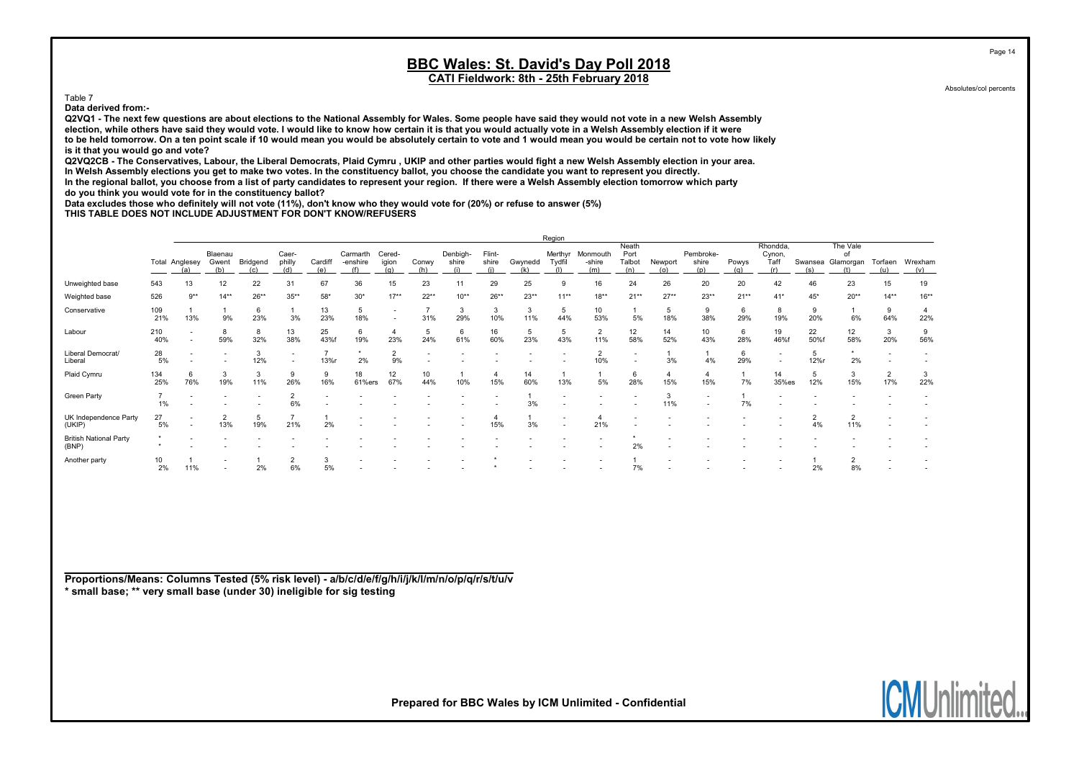Table 7

Data derived from:-

Q2VQ1 - The next few questions are about elections to the National Assembly for Wales. Some people have said they would not vote in a new Welsh Assembly election, while others have said they would vote. I would like to know how certain it is that you would actually vote in a Welsh Assembly election if it were to be held tomorrow. On a ten point scale if 10 would mean you would be absolutely certain to vote and 1 would mean you would be certain not to vote how likely is it that you would go and vote?

Q2VQ2CB - The Conservatives, Labour, the Liberal Democrats, Plaid Cymru , UKIP and other parties would fight a new Welsh Assembly election in your area. In Welsh Assembly elections you get to make two votes. In the constituency ballot, you choose the candidate you want to represent you directly. In the regional ballot, you choose from a list of party candidates to represent your region. If there were a Welsh Assembly election tomorrow which party

do you think you would vote for in the constituency ballot?

Data excludes those who definitely will not vote (11%), don't know who they would vote for (20%) or refuse to answer (5%)

THIS TABLE DOES NOT INCLUDE ADJUSTMENT FOR DON'T KNOW/REFUSERS

|                                        |            |                                                      |                          |          |                          |                |                      |                          |              |                   |                 |           | Region            |                           |                                |                       |                           |          |                                   |                |                             |                |                |
|----------------------------------------|------------|------------------------------------------------------|--------------------------|----------|--------------------------|----------------|----------------------|--------------------------|--------------|-------------------|-----------------|-----------|-------------------|---------------------------|--------------------------------|-----------------------|---------------------------|----------|-----------------------------------|----------------|-----------------------------|----------------|----------------|
|                                        |            | Total Anglesey                                       | Blaenau<br>Gwent         | Bridgend | Caer-<br>philly          | Cardiff<br>(e) | Carmarth<br>-enshire | Cered-<br>igion<br>(a)   | Conwy<br>(h) | Denbigh-<br>shire | Flint-<br>shire | Gwynedd   | Merthyr<br>Tydfil | Monmouth<br>-shire<br>(m) | Neath<br>Port<br>Talbot<br>(n) | Newport<br>(o)        | Pembroke-<br>shire<br>(p) | Powys    | Rhondda,<br>Cynon,<br>Taff<br>(r) | Swansea<br>(s) | The Vale<br>of<br>Glamorgan | Torfaen<br>(u) | Wrexham<br>(v) |
| Unweighted base                        | 543        | 13                                                   | 12                       | 22       | 31                       | 67             | 36                   | 15                       | 23           | 11                | 29              | 25        |                   | 16                        | 24                             | 26                    | 20                        | 20       | 42                                | 46             | 23                          | 15             | 19             |
| Weighted base                          | 526        | $9***$                                               | $14**$                   | $26**$   | $35***$                  | $58*$          | $30*$                | $17**$                   | $22**$       | $10**$            | $26**$          | $23**$    | $11***$           | $18**$                    | $21**$                         | $27**$                | $23**$                    | $21**$   | $41*$                             | $45*$          | $20**$                      | $14**$         | $16***$        |
| Conservative                           | 109<br>21% | 13%                                                  | 9%                       | 6<br>23% | 3%                       | 13<br>23%      | 5<br>18%             | $\overline{\phantom{a}}$ | 31%          | 3<br>29%          | 3<br>10%        | 3<br>11%  | 5<br>44%          | 10<br>53%                 | 5%                             | 5<br>18%              | 9<br>38%                  | 6<br>29% | 8<br>19%                          | 9<br>20%       | 6%                          | 9<br>64%       | 22%            |
| Labour                                 | 210<br>40% | $\overline{\phantom{a}}$<br>$\overline{\phantom{a}}$ | 8<br>59%                 | 8<br>32% | 13<br>38%                | 25<br>43%f     | 6<br>19%             | $\overline{4}$<br>23%    | 5<br>24%     | 6<br>61%          | 16<br>60%       | 5<br>23%  | 5<br>43%          | $\overline{2}$<br>11%     | 12<br>58%                      | 14<br>52%             | 10<br>43%                 | 6<br>28% | 19<br>46%f                        | 22<br>50%f     | 12<br>58%                   | 3<br>20%       | 9<br>56%       |
| Liberal Democrat/<br>Liberal           | 28<br>5%   | $\overline{\phantom{a}}$                             |                          | 3<br>12% | $\overline{\phantom{a}}$ | 13%r           | 2%                   | $\overline{2}$<br>9%     |              |                   |                 |           |                   | $\overline{2}$<br>10%     | $\overline{\phantom{a}}$       | 3%                    | 4%                        | 6<br>29% | $\overline{\phantom{a}}$          | 5<br>12%r      | 2%                          |                |                |
| Plaid Cymru                            | 134<br>25% | 76%                                                  | 3<br>19%                 | 3<br>11% | 9<br>26%                 | 9<br>16%       | 18<br>61%ers         | 12<br>67%                | 10<br>44%    | 10%               | 15%             | 14<br>60% | 13%               | 5%                        | 28%                            | $\overline{4}$<br>15% | 15%                       | 7%       | 14<br>35%es                       | 5<br>12%       | $\overline{3}$<br>15%       | 2<br>17%       | 3<br>22%       |
| Green Party                            | 1%         |                                                      |                          |          | $\sim$<br>6%             |                |                      |                          |              |                   |                 | 3%        |                   |                           |                                | 3<br>11%              | $\overline{\phantom{a}}$  | 7%       |                                   |                |                             |                |                |
| UK Independence Party<br>(UKIP)        | 27<br>5%   | $\overline{\phantom{a}}$<br>$\overline{\phantom{a}}$ | $\overline{2}$<br>13%    | 19%      | 21%                      | 2%             |                      |                          |              |                   | 15%             | 3%        |                   | 4<br>21%                  |                                |                       |                           |          |                                   | 4%             | $\overline{2}$<br>11%       |                |                |
| <b>British National Party</b><br>(BNP) |            |                                                      |                          |          |                          |                |                      |                          |              |                   |                 |           |                   |                           | 2%                             |                       |                           |          |                                   |                |                             |                |                |
| Another party                          | 10<br>2%   | 11%                                                  | $\overline{\phantom{0}}$ | 2%       | ۷<br>6%                  | 5%             |                      |                          |              |                   |                 |           |                   |                           |                                |                       |                           |          |                                   | 2%             | $\overline{2}$<br>8%        |                |                |

Proportions/Means: Columns Tested (5% risk level) - a/b/c/d/e/f/g/h/i/j/k/l/m/n/o/p/q/r/s/t/u/v \* small base; \*\* very small base (under 30) ineligible for sig testing

Prepared for BBC Wales by ICM Unlimited - Confidential

Page 14

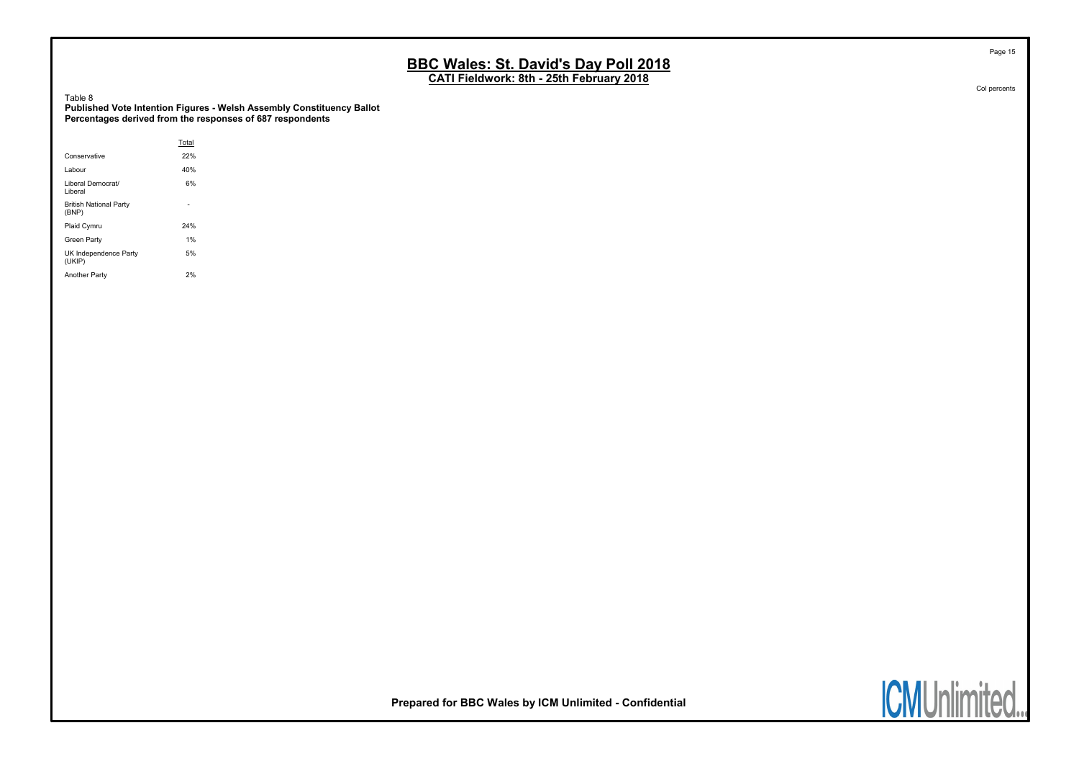CATI Fieldwork: 8th - 25th February 2018

Table 8

Published Vote Intention Figures - Welsh Assembly Constituency Ballot Percentages derived from the responses of 687 respondents

|                                        | Total |  |
|----------------------------------------|-------|--|
| Conservative                           | 22%   |  |
| Labour                                 | 40%   |  |
| Liberal Democrat/<br>Liberal           | 6%    |  |
| <b>British National Party</b><br>(BNP) |       |  |
| Plaid Cymru                            | 24%   |  |
| Green Party                            | 1%    |  |
| UK Independence Party<br>(UKIP)        | 5%    |  |
| <b>Another Party</b>                   | 2%    |  |

Col percents

Page 15

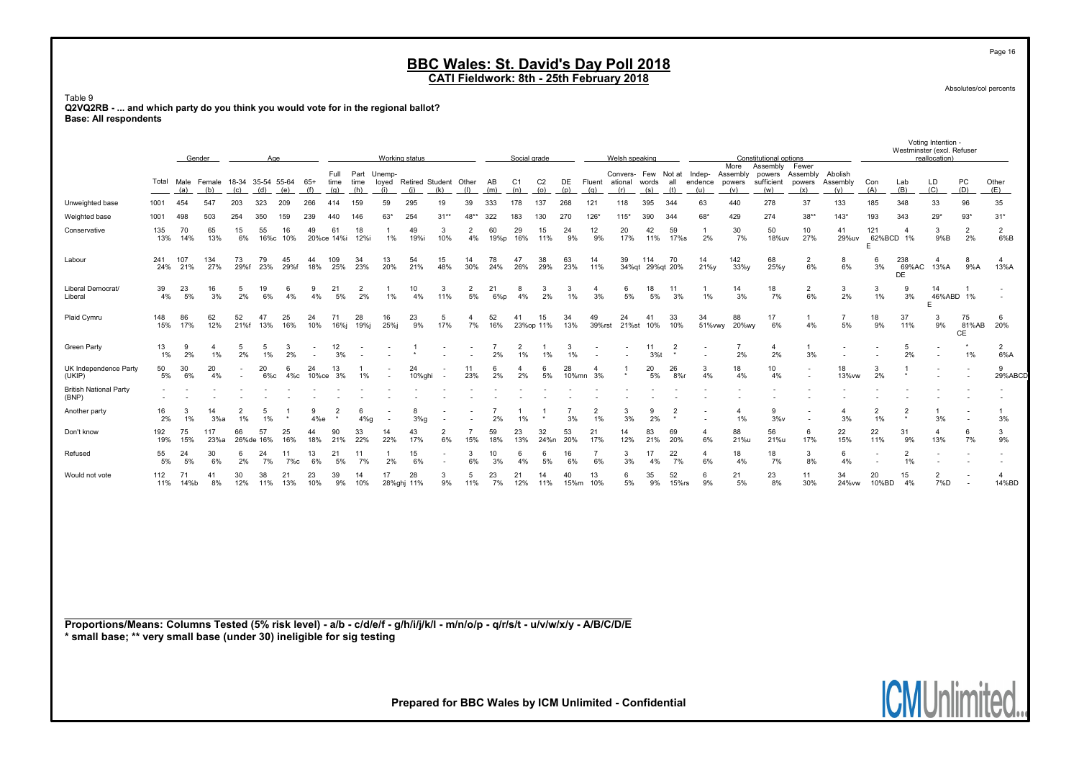CATI Fieldwork: 8th - 25th February 2018

Table 9 Q2VQ2RB - ... and which party do you think you would vote for in the regional ballot? Base: All respondents

|                                                                                                                                                                                                       |            | Gender      |                      |                          | Age             |              |                     |                     |                      |                                    | Working status   |                      |                       |                       | Social grade          |                 |               |                                       | Welsh speaking |                 |                          |                                   |                                         | Constitutional options                     |                      |                      |                          | Westminster (excl. Refuser | voung interition.<br>reallocation) |                   |                         |
|-------------------------------------------------------------------------------------------------------------------------------------------------------------------------------------------------------|------------|-------------|----------------------|--------------------------|-----------------|--------------|---------------------|---------------------|----------------------|------------------------------------|------------------|----------------------|-----------------------|-----------------------|-----------------------|-----------------|---------------|---------------------------------------|----------------|-----------------|--------------------------|-----------------------------------|-----------------------------------------|--------------------------------------------|----------------------|----------------------|--------------------------|----------------------------|------------------------------------|-------------------|-------------------------|
|                                                                                                                                                                                                       | Total      | Male<br>(a) | Female<br>(b)        | 18-34 35-54 55-64<br>(d) | (e)             | $65+$<br>(f) | Full<br>time<br>(g) | Part<br>time<br>(h) | Unemp-<br>(i)        | loyed Retired Student Other<br>(i) | (k)              |                      | AB<br>(m)             | C <sub>1</sub><br>(n) | C <sub>2</sub><br>(0) | DE<br>(p)       | Fluent<br>(q) | Convers- Few Not at<br>ational<br>(r) | words<br>(s)   | all<br>(t)      | Indep-<br>endence<br>(u) | More<br>Assembly<br>powers<br>(v) | Assembly<br>powers<br>sufficient<br>(w) | Fewer<br>Assembly Abolish<br>powers<br>(x) | Assembly<br>(y)      | Con<br>(A)           | Lab<br>(B)               | LD<br>(C)                  | PC<br>(D)                          | Other<br>(E)      |                         |
| Unweighted base                                                                                                                                                                                       | 1001       | 454         | 547                  | (c)<br>203               | 323             | 209          | 266                 | 414                 | 159                  | 59                                 | 295              | 19                   | 39                    | 333                   | 178                   | 137             | 268           | 121                                   | 118            | 395             | 344                      | 63                                | 440                                     | 278                                        | 37                   | 133                  | 185                      | 348                        | 33                                 | 96                | 35                      |
| Weighted base                                                                                                                                                                                         | 1001       | 498         | 503                  | 254                      | 350             | 159          | 239                 | 440                 | 146                  | $63*$                              | 254              | $31**$               | $48$ *                | 322                   | 183                   | 130             | 270           | 126'                                  | 115'           | 390             | 344                      | 68'                               | 429                                     | 274                                        | $38**$               | $143*$               | 193                      | 343                        | $29*$                              | $93*$             | $31*$                   |
| Conservative                                                                                                                                                                                          | 135<br>13% | 70<br>14%   | 65<br>13%            | 15<br>6%                 | 55<br>16%с      | 16<br>10%    | 49                  | 61<br>20%ce 14%i    | 18<br>12%i           | $\mathbf{1}$<br>1%                 | 49<br>19%i       | 3<br>10%             | $\overline{2}$<br>4%  | 60<br>19%p            | 29<br>16%             | 15<br>11%       | 24<br>9%      | 12<br>9%                              | 20<br>17%      | 42<br>11%       | 59<br>17%s               | -1<br>2%                          | 30<br>7%                                | 50<br>18%uv                                | 10<br>27%            | 41<br>29%uv          | 121<br>E.                | 4<br>62%BCD 1%             | 3<br>9%B                           | 2<br>2%           | 2<br>6%B                |
| Labour                                                                                                                                                                                                | 241<br>24% | 107<br>21%  | 134<br>27%           | 73<br>29%f               | 79<br>23%       | 45<br>29%f   | 44<br>18%           | 109<br>25%          | 34<br>23%            | 13<br>20%                          | 54<br>21%        | 15<br>48%            | 14<br>30%             | 78<br>24%             | 47<br>26%             | 38<br>29%       | 63<br>23%     | 14<br>11%                             | 39             | 114             | 70<br>34%qt 29%qt 20%    | 14<br>21%y                        | 142<br>33%y                             | 68<br>25%y                                 | $\overline{2}$<br>6% | 8<br>6%              | 6<br>3%                  | 238<br>69%AC<br><b>DE</b>  | $\boldsymbol{\Delta}$<br>13%A      | 8<br>9%A          | $\overline{a}$<br>13%A  |
| Liberal Democrat/<br>Liberal                                                                                                                                                                          | 39<br>4%   | 23<br>5%    | 16<br>3%             | 5<br>2%                  | 19<br>6%        | 6<br>4%      | 9<br>4%             | 21<br>5%            | $\overline{2}$<br>2% | -1<br>1%                           | 10<br>4%         | 3<br>11%             | $\overline{2}$<br>5%  | 21<br>$6\%p$          | 8<br>4%               | 3<br>2%         | 3<br>1%       | $\overline{4}$<br>3%                  | 6<br>5%        | 18<br>5%        | 11<br>3%                 | -1<br>1%                          | 14<br>3%                                | 18<br>7%                                   | 2<br>6%              | 3<br>2%              | 3<br>$1\%$               | 9<br>3%                    | 14<br>46%ABD 1%<br>E               |                   |                         |
| Plaid Cymru                                                                                                                                                                                           | 148<br>15% | 86<br>17%   | 62<br>12%            | 52<br>21%f               | 47<br>13%       | 25<br>16%    | 24<br>10%           | 71<br>16%j          | 28<br>19%j           | 16<br>25%j                         | 23<br>9%         | 5<br>17%             | 4<br>7%               | 52<br>16%             | 41                    | 15<br>23%op 11% | 34<br>13%     | 49<br>39%rst                          | 24             | 41<br>21%st 10% | 33<br>10%                | 34<br>51% vwy                     | 88<br>20%wy                             | 17<br>6%                                   | -1<br>4%             | $\overline{7}$<br>5% | 18<br>9%                 | 37<br>11%                  | 3<br>9%                            | 75<br>81%AB<br>CE | -6<br>20%               |
| <b>Green Party</b>                                                                                                                                                                                    | 13<br>1%   | 9<br>2%     | $\overline{a}$<br>1% | 5<br>2%                  | -5<br>1%        | -3<br>2%     |                     | 12<br>3%            |                      |                                    |                  |                      |                       | 7<br>2%               | $\overline{2}$<br>1%  | 1%              | 3<br>1%       |                                       |                | 11<br>3%        | $\overline{2}$           |                                   | $\overline{7}$<br>2%                    | $\overline{4}$<br>2%                       | 3%                   |                      | $\overline{\phantom{a}}$ | -5<br>2%                   |                                    | 1%                | $\overline{2}$<br>6%A   |
| UK Independence Party<br>(UKIP)                                                                                                                                                                       | 50<br>5%   | 30<br>6%    | 20<br>4%             |                          | 20<br>$6\%c$    | 6<br>4%с     | 24<br>10%ce         | 13<br>3%            | 1%                   |                                    | 24<br>10%ghi     |                      | 11<br>23%             | 6<br>2%               | 4<br>2%               | 6<br>5%         | 28            | $\overline{4}$<br>10%mn 3%            |                | 20<br>5%        | 26<br>$8%$ r             | 3<br>4%                           | 18<br>4%                                | 10<br>4%                                   |                      | 18<br>13% vw         | 3<br>2%                  |                            |                                    |                   | 9<br>29%ABCD            |
| <b>British National Party</b><br>(BNP)                                                                                                                                                                |            |             |                      |                          |                 |              |                     |                     |                      |                                    |                  |                      |                       |                       |                       |                 |               |                                       |                |                 |                          |                                   |                                         |                                            |                      |                      |                          |                            |                                    |                   | $\overline{a}$          |
| Another party                                                                                                                                                                                         | 16<br>2%   | 3<br>1%     | 14<br>3%a            | $\overline{2}$<br>1%     | -5<br>1%        |              | 9<br>4%e            | $\overline{2}$      | 6<br>$4\%$ g         |                                    | 8<br>3%g         |                      |                       | 2%                    | 1%                    |                 | 3%            | $\overline{2}$<br>1%                  | 3<br>3%        | 9<br>2%         | $\overline{2}$           |                                   | $\overline{4}$<br>1%                    | 9<br>3%v                                   |                      | $\overline{a}$<br>3% | $\overline{2}$<br>1%     | $\overline{2}$             | -1<br>3%                           |                   | $\mathbf{1}$<br>3%      |
| Don't know                                                                                                                                                                                            | 192<br>19% | 75<br>15%   | 117<br>23%a          | 66                       | 57<br>26%de 16% | 25<br>16%    | 44<br>18%           | 90<br>21%           | 33<br>22%            | 14<br>22%                          | 43<br>17%        | $\overline{2}$<br>6% | $\overline{7}$<br>15% | 59<br>18%             | 23<br>13%             | 32<br>24%n      | 53<br>20%     | 21<br>17%                             | 14<br>12%      | 83<br>21%       | 69<br>20%                | 4<br>6%                           | 88<br>21%u                              | 56<br>21%u                                 | 6<br>17%             | 22<br>15%            | 22<br>11%                | 31<br>9%                   | $\boldsymbol{\Delta}$<br>13%       | -6<br>7%          | 3<br>9%                 |
| Refused                                                                                                                                                                                               | 55<br>5%   | 24<br>5%    | 30<br>6%             | 6<br>2%                  | 24<br>7%        | 11<br>7%с    | 13<br>6%            | 21<br>5%            | 11<br>7%             | -1<br>2%                           | 15<br>6%         |                      | 3<br>6%               | 10<br>3%              | 6<br>4%               | 6<br>5%         | 16<br>6%      | $\overline{7}$<br>6%                  | 3<br>3%        | 17<br>4%        | 22<br>7%                 | 4<br>6%                           | 18<br>4%                                | 18<br>7%                                   | 3<br>8%              | 6<br>4%              | $\blacksquare$           | 2<br>1%                    |                                    |                   | ÷                       |
| Would not vote                                                                                                                                                                                        | 112<br>11% | 71<br>14%b  | 41<br>8%             | 30<br>12%                | 38<br>11%       | 21<br>13%    | 23<br>10%           | 39<br>9%            | 14<br>10%            | 17                                 | 28<br>28%ghj 11% | 3<br>9%              | -5<br>11%             | 23<br>7%              | 21<br>12%             | 14<br>11%       | 40<br>15%m    | 13<br>10%                             | 6<br>5%        | 35<br>9%        | 52<br>$15\%$ rs          | 6<br>9%                           | 21<br>5%                                | 23<br>8%                                   | 11<br>30%            | 34<br>24% vw         | 20<br>10%BD              | 15<br>4%                   | $\overline{2}$<br>7%D              |                   | $\overline{a}$<br>14%BD |
| Proportions/Means: Columns Tested (5% risk level) - a/b - c/d/e/f - g/h/i/j/k/l - m/n/o/p - q/r/s/t - u/v/w/x/y - A/B/C/D/E<br>* small base; ** very small base (under 30) ineligible for sig testing |            |             |                      |                          |                 |              |                     |                     |                      |                                    |                  |                      |                       |                       |                       |                 |               |                                       |                |                 |                          |                                   |                                         |                                            |                      |                      |                          |                            |                                    |                   |                         |

Prepared for BBC Wales by ICM Unlimited - Confidential

Absolutes/col percents

Voting Intention -

nited... **ICMUnlin** 

Page 16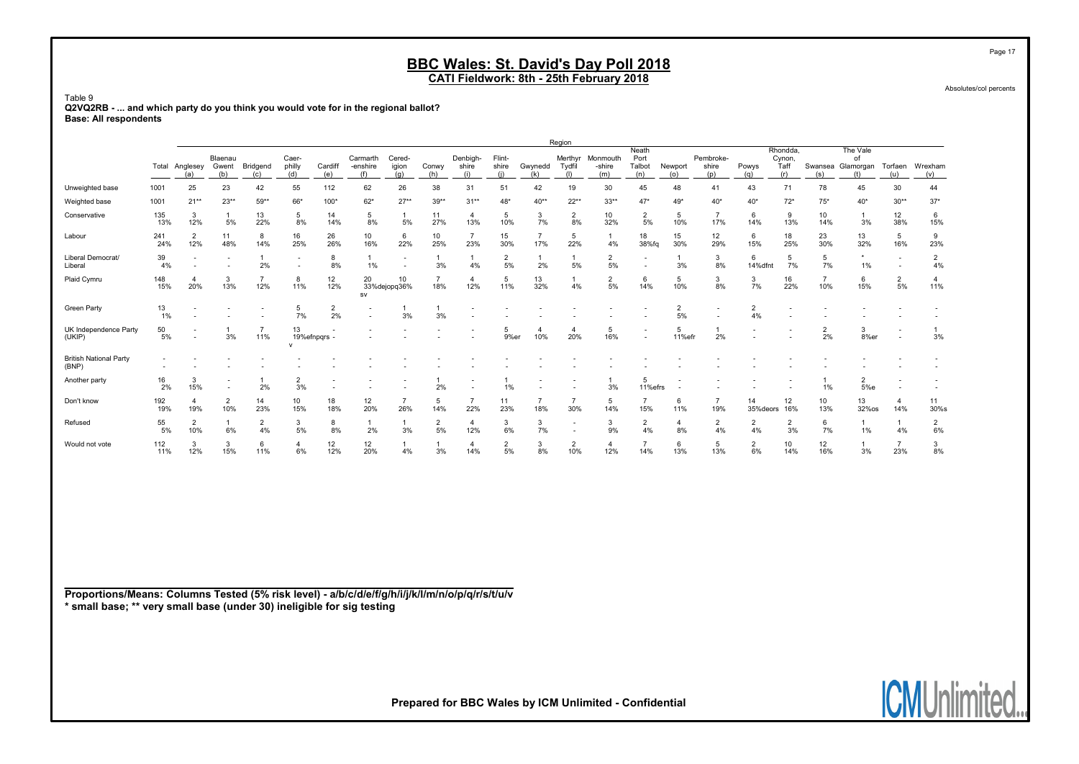CATI Fieldwork: 8th - 25th February 2018

Table 9 Q2VQ2RB - ... and which party do you think you would vote for in the regional ballot? Base: All respondents

|                                                                                                 |            |                       |                                            |                       |                          |                 |                             |                          |                       |                          |                        |                       | Region                   |                           |                                |                      |                           |                          |                                   |                        |                                            |                          |                          |
|-------------------------------------------------------------------------------------------------|------------|-----------------------|--------------------------------------------|-----------------------|--------------------------|-----------------|-----------------------------|--------------------------|-----------------------|--------------------------|------------------------|-----------------------|--------------------------|---------------------------|--------------------------------|----------------------|---------------------------|--------------------------|-----------------------------------|------------------------|--------------------------------------------|--------------------------|--------------------------|
|                                                                                                 | Total      | Anglesey<br>(a)       | Blaenau<br>Gwent<br>(b)                    | Bridgend<br>(c)       | Caer-<br>philly<br>(d)   | Cardiff<br>(e)  | Carmarth<br>-enshire<br>(f) | Cered-<br>igion<br>(q)   | Conwy<br>(h)          | Denbigh-<br>shire<br>(i) | Flint-<br>shire<br>(i) | Gwynedd<br>(k)        | Merthyr<br>Tydfil<br>(1) | Monmouth<br>-shire<br>(m) | Neath<br>Port<br>Talbot<br>(n) | Newport<br>(o)       | Pembroke-<br>shire<br>(p) | Powys<br>(q)             | Rhondda,<br>Cynon,<br>Taff<br>(r) | (s)                    | The Vale<br>of<br>Swansea Glamorgan<br>(t) | Torfaen<br>(u)           | Wrexham<br>(v)           |
| Unweighted base                                                                                 | 1001       | 25                    | 23                                         | 42                    | 55                       | 112             | 62                          | 26                       | 38                    | 31                       | 51                     | 42                    | 19                       | 30                        | 45                             | 48                   | 41                        | 43                       | 71                                | 78                     | 45                                         | $30\,$                   | 44                       |
| Weighted base                                                                                   | 1001       | $21**$                | $23**$                                     | $59**$                | 66*                      | $100*$          | $62*$                       | $27**$                   | $39**$                | $31**$                   | $48*$                  | 40**                  | $22**$                   | $33**$                    | $47*$                          | $49*$                | $40*$                     | $40*$                    | $72*$                             | $75*$                  | $40*$                                      | $30**$                   | $37*$                    |
| Conservative                                                                                    | 135<br>13% | 3<br>12%              | $\mathbf{1}$<br>5%                         | 13<br>22%             | 5<br>$8\%$               | 14<br>14%       | 5<br>8%                     | 1<br>5%                  | 11<br>27%             | $\overline{4}$<br>13%    | 5<br>10%               | 3<br>7%               | $\overline{2}$<br>8%     | 10<br>32%                 | $\overline{2}$<br>5%           | 5<br>10%             | $\overline{7}$<br>17%     | 6<br>14%                 | 9<br>13%                          | 10 <sup>1</sup><br>14% | $\mathbf{1}$<br>3%                         | 12<br>38%                | 6<br>15%                 |
| Labour                                                                                          | 241<br>24% | $\overline{2}$<br>12% | 11<br>48%                                  | 8<br>14%              | 16<br>25%                | 26<br>26%       | 10<br>16%                   | 6<br>22%                 | 10<br>25%             | $\overline{7}$<br>23%    | 15<br>30%              | $\overline{7}$<br>17% | 5<br>22%                 | $\mathbf{1}$<br>4%        | 18<br>38%fq                    | 15<br>30%            | 12<br>29%                 | 6<br>15%                 | 18<br>25%                         | 23<br>30%              | 13<br>32%                                  | 5<br>16%                 | 9<br>23%                 |
| Liberal Democrat/<br>Liberal                                                                    | 39<br>4%   | ÷                     |                                            | 1<br>2%               | $\overline{\phantom{a}}$ | 8<br>8%         | 1<br>1%                     | $\overline{\phantom{a}}$ | -1<br>3%              | $\overline{1}$<br>4%     | $\overline{2}$<br>5%   | $\mathbf{1}$<br>2%    | $\mathbf{1}$<br>5%       | $\overline{2}$<br>5%      |                                | -1<br>3%             | 3<br>8%                   | 6<br>14%dfnt             | 5<br>7%                           | 5<br>7%                | 1%                                         | $\overline{\phantom{a}}$ | $\overline{2}$<br>4%     |
| Plaid Cymru                                                                                     | 148<br>15% | $\overline{4}$<br>20% | 3<br>13%                                   | $\overline{7}$<br>12% | 8<br>11%                 | 12<br>12%       | 20<br>sv                    | 10<br>33%dejopq36%       | $\overline{7}$<br>18% | $\overline{4}$<br>12%    | 5<br>11%               | 13<br>32%             | $\mathbf{1}$<br>4%       | $\overline{2}$<br>5%      | 6<br>14%                       | 5<br>10%             | 3<br>8%                   | 3<br>7%                  | 16<br>22%                         | $\overline{7}$<br>10%  | 6<br>15%                                   | $\overline{2}$<br>$5\%$  | $\overline{4}$<br>11%    |
| <b>Green Party</b>                                                                              | 13<br>1%   |                       |                                            |                       | 5<br>7%                  | $\frac{2}{2\%}$ |                             | 3%                       | $\mathbf{1}$<br>3%    |                          |                        |                       |                          |                           |                                | $\frac{2}{5\%}$      | $\overline{\phantom{a}}$  | $\overline{2}$<br>4%     |                                   |                        |                                            |                          | $\overline{\phantom{a}}$ |
| UK Independence Party<br>(UKIP)                                                                 | 50<br>5%   |                       | 1<br>3%                                    | $\overline{7}$<br>11% | 13<br>$\mathsf{v}$       | 19%efnpqrs -    |                             |                          |                       | $\overline{\phantom{a}}$ | 5<br>9%er              | $\overline{4}$<br>10% | $\overline{4}$<br>20%    | 5<br>16%                  |                                | -5<br>11%efr         | $\mathbf{1}$<br>2%        | $\overline{\phantom{a}}$ |                                   | $\overline{2}$<br>2%   | 3<br>8%er                                  |                          | $\overline{1}$<br>3%     |
| <b>British National Party</b><br>(BNP)                                                          |            |                       |                                            |                       |                          |                 |                             |                          |                       |                          |                        |                       |                          |                           |                                |                      |                           |                          |                                   |                        |                                            |                          | $\overline{\phantom{a}}$ |
| Another party                                                                                   | 16<br>2%   | 3<br>15%              | $\overline{\phantom{a}}$<br>$\overline{a}$ | $\mathbf{1}$<br>2%    | $\overline{2}$<br>3%     |                 |                             |                          | 1<br>2%               |                          | 1<br>1%                |                       |                          | $\overline{1}$<br>3%      | 5<br>11%efrs                   |                      |                           |                          |                                   | -1<br>$1\%$            | $\overline{2}$<br>5%e                      |                          |                          |
| Don't know                                                                                      | 192<br>19% | 4<br>19%              | $\overline{2}$<br>10%                      | 14<br>23%             | 10<br>15%                | 18<br>18%       | 12<br>20%                   | $\overline{7}$<br>26%    | 5<br>14%              | $\overline{7}$<br>22%    | 11<br>23%              | $\overline{7}$<br>18% | $\overline{7}$<br>30%    | 5<br>14%                  | $\overline{7}$<br>15%          | 6<br>11%             | $\overline{7}$<br>19%     | 14<br>35% deors          | 12<br>16%                         | 10 <sup>1</sup><br>13% | 13<br>32%os                                | 4<br>14%                 | 11<br>30%s               |
| Refused                                                                                         | 55<br>5%   | $\overline{2}$<br>10% | $\mathbf{1}$<br>6%                         | $\overline{2}$<br>4%  | 3<br>5%                  | 8<br>8%         | 1<br>2%                     | 1<br>3%                  | $\frac{2}{5\%}$       | $\overline{4}$<br>12%    | 3<br>6%                | 3<br>7%               | $\overline{\phantom{a}}$ | 3<br>9%                   | $\overline{2}$<br>4%           | $\overline{4}$<br>8% | $\overline{2}$<br>4%      | $\overline{2}$<br>4%     | $\overline{2}$<br>3%              | 6<br>7%                | 1<br>1%                                    | $\mathbf{1}$<br>4%       | $\overline{2}$<br>6%     |
| Would not vote                                                                                  | 112<br>11% | 3<br>12%              | 3<br>15%                                   | 6<br>11%              | $\overline{4}$<br>6%     | 12<br>12%       | 12<br>20%                   | 1<br>4%                  | 1<br>3%               | $\overline{4}$<br>14%    | $\overline{2}$<br>5%   | 3<br>8%               | $\overline{2}$<br>10%    | $\overline{4}$<br>12%     | $\overline{7}$<br>14%          | 6<br>13%             | 5<br>13%                  | $\overline{2}$<br>6%     | 10<br>14%                         | 12<br>16%              | $\mathbf{1}$<br>3%                         | $\overline{7}$<br>23%    | 3<br>8%                  |
|                                                                                                 |            |                       |                                            |                       |                          |                 |                             |                          |                       |                          |                        |                       |                          |                           |                                |                      |                           |                          |                                   |                        |                                            |                          |                          |
|                                                                                                 |            |                       |                                            |                       |                          |                 |                             |                          |                       |                          |                        |                       |                          |                           |                                |                      |                           |                          |                                   |                        |                                            |                          |                          |
|                                                                                                 |            |                       |                                            |                       |                          |                 |                             |                          |                       |                          |                        |                       |                          |                           |                                |                      |                           |                          |                                   |                        |                                            |                          |                          |
|                                                                                                 |            |                       |                                            |                       |                          |                 |                             |                          |                       |                          |                        |                       |                          |                           |                                |                      |                           |                          |                                   |                        |                                            |                          |                          |
| Proportions/Means: Columns Tested (5% risk level) - a/b/c/d/e/f/g/h/i/j/k/l/m/n/o/p/q/r/s/t/u/v |            |                       |                                            |                       |                          |                 |                             |                          |                       |                          |                        |                       |                          |                           |                                |                      |                           |                          |                                   |                        |                                            |                          |                          |
| * small base; ** very small base (under 30) ineligible for sig testing                          |            |                       |                                            |                       |                          |                 |                             |                          |                       |                          |                        |                       |                          |                           |                                |                      |                           |                          |                                   |                        |                                            |                          |                          |

Prepared for BBC Wales by ICM Unlimited - Confidential

Page 17

Absolutes/col percents

**ICMUnlir** ited..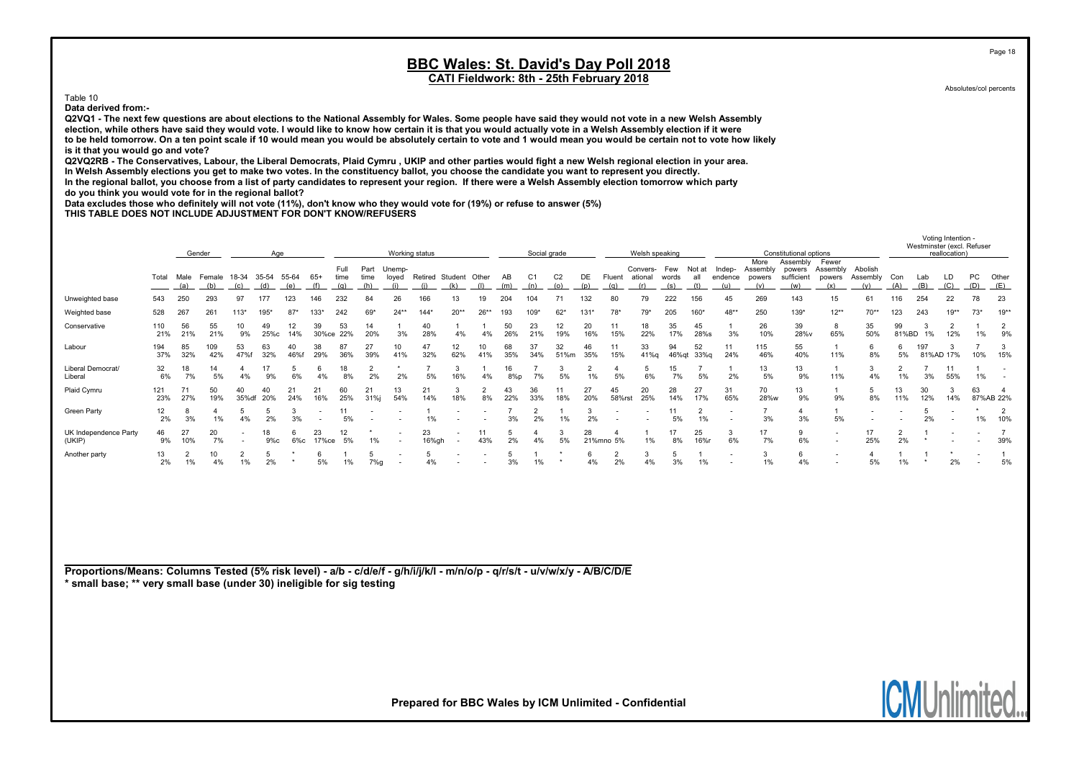Table 10

Data derived from:-

Q2VQ1 - The next few questions are about elections to the National Assembly for Wales. Some people have said they would not vote in a new Welsh Assembly election, while others have said they would vote. I would like to know how certain it is that you would actually vote in a Welsh Assembly election if it were to be held tomorrow. On a ten point scale if 10 would mean you would be absolutely certain to vote and 1 would mean you would be certain not to vote how likely is it that you would go and vote?

Q2VQ2RB - The Conservatives, Labour, the Liberal Democrats, Plaid Cymru , UKIP and other parties would fight a new Welsh regional election in your area. In Welsh Assembly elections you get to make two votes. In the constituency ballot, you choose the candidate you want to represent you directly. In the regional ballot, you choose from a list of party candidates to represent your region. If there were a Welsh Assembly election tomorrow which party do you think you would vote for in the regional ballot?

Data excludes those who definitely will not vote (11%), don't know who they would vote for (19%) or refuse to answer (5%)

THIS TABLE DOES NOT INCLUDE ADJUSTMENT FOR DON'T KNOW/REFUSERS

|                                                                                                                             |                                                                          |           | Gender               |                          | Age        |             |              |                     |                      |                          | Working status               |                          |           |           | Social grade          |                       |                      |                             | Welsh speaking                        |              |                      |                                 |                         | Constitutional options                  |                                                      |                            |             |            | reallocation)         | Westminster (excl. Refuser |                             |
|-----------------------------------------------------------------------------------------------------------------------------|--------------------------------------------------------------------------|-----------|----------------------|--------------------------|------------|-------------|--------------|---------------------|----------------------|--------------------------|------------------------------|--------------------------|-----------|-----------|-----------------------|-----------------------|----------------------|-----------------------------|---------------------------------------|--------------|----------------------|---------------------------------|-------------------------|-----------------------------------------|------------------------------------------------------|----------------------------|-------------|------------|-----------------------|----------------------------|-----------------------------|
|                                                                                                                             | Female 18-34 35-54<br>55-64<br>Total<br>Male<br>(a)<br>(b)<br>(c)<br>(d) |           |                      |                          |            |             | $65+$<br>(f) | Full<br>time<br>(q) | Part<br>time<br>(h)  | Unemp-<br>loyed<br>(i)   | Retired Student Other<br>(i) | (k)                      | (1)       | AB<br>(m) | C <sub>1</sub><br>(n) | C <sub>2</sub><br>(o) | DE<br>(p)            | (q)                         | Convers- Few<br>Fluent ational<br>(r) | words<br>(s) | Not at<br>all<br>(t) | Indep-<br>endence powers<br>(u) | More<br>Assembly<br>(v) | Assembly<br>powers<br>sufficient<br>(w) | Fewer<br>Assembly<br>powers<br>(x)                   | Abolish<br>Assembly<br>(v) | Con<br>(A)  | Lab<br>(B) | LD<br>(C)             | PC<br>(D)                  | Other<br>(E)                |
| Unweighted base                                                                                                             | 543                                                                      | 250       | 293                  | 97                       | 177        | 123         | 146          | 232                 | 84                   | 26                       | 166                          | 13                       | 19        | 204       | 104                   | 71                    | 132                  | 80                          | 79                                    | 222          | 156                  | 45                              | 269                     | 143                                     | 15                                                   | 61                         | 116         | 254        | 22                    | 78                         | 23                          |
| Weighted base                                                                                                               | 528                                                                      | 267       | 261                  | $113*$                   | 195        | $87*$       | 133*         | 242                 | 69                   | $24**$                   | 144'                         | $20**$                   | $26**$    | 193       | 109*                  | $62*$                 | $131*$               | 78*                         | $79*$                                 | 205          | 160                  | $48**$                          | 250                     | 139*                                    | $12**$                                               | $70**$                     | 123         | 243        | $19***$               | $73*$                      | $19^{**}$                   |
| Conservative                                                                                                                | 110<br>21%                                                               | 56<br>21% | 55<br>21%            | 10<br>9%                 | 49<br>25%с | 12<br>14%   | 39<br>30%ce  | 53<br>22%           | 14<br>20%            | 3%                       | 40<br>28%                    | $\mathbf{1}$<br>4%       | -1<br>4%  | 50<br>26% | 23<br>21%             | 12<br>19%             | 20<br>16%            | 11<br>15%                   | 18<br>22%                             | 35<br>17%    | 45<br>28%s           | 3%                              | 26<br>10%               | 39<br>28%v                              | 8<br>65%                                             | 35<br>50%                  | 99<br>81%BD | 3<br>1%    | $\overline{a}$<br>12% | 1%                         | $\frac{2}{9%}$              |
| Labour                                                                                                                      | 194<br>37%                                                               | 85<br>32% | 109<br>42%           | 53<br>47%f               | 63<br>32%  | 40<br>46%f  | 38<br>29%    | 87<br>36%           | 27<br>39%            | 10<br>41%                | 47<br>32%                    | 12<br>62%                | 10<br>41% | 68<br>35% | 37<br>34%             | 32<br>51%m            | 46<br>35%            | 11<br>15%                   | 33<br>41%g                            | 94<br>46%qt  | 52<br>33%g           | 11<br>24%                       | 115<br>46%              | 55<br>40%                               | $\mathbf{1}$<br>11%                                  | 6<br>8%                    | 6<br>5%     | 197        | 3<br>81%AD 17%        | 10%                        | 3<br>15%                    |
| Liberal Democrat/<br>Liberal                                                                                                | 32<br>6%                                                                 | 18<br>7%  | 14<br>5%             | $\overline{4}$<br>4%     | 17<br>9%   | 5<br>6%     | 6<br>4%      | 18<br>8%            | $\overline{2}$<br>2% | 2%                       | 5%                           | 3<br>16%                 | -1<br>4%  | 16<br>8%p | 7%                    | 3<br>5%               | $\overline{2}$<br>1% | 4<br>5%                     | 5<br>6%                               | 15<br>7%     | 5%                   | 2%                              | 13<br>5%                | 13<br>9%                                | -1<br>11%                                            | 3<br>4%                    | 2<br>1%     | 3%         | 11<br>55%             | 1%                         | $\sim$                      |
| Plaid Cymru                                                                                                                 | 121<br>23%                                                               | 71<br>27% | 50<br>19%            | 40<br>35%df              | 40<br>20%  | 21<br>24%   | 21<br>16%    | 60<br>25%           | 21<br>31%j           | 13<br>54%                | 21<br>14%                    | 3<br>18%                 | 2<br>8%   | 43<br>22% | 36<br>33%             | 11<br>18%             | 27<br>20%            | 45<br>58%rst                | 20<br>25%                             | 28<br>14%    | 27<br>17%            | 31<br>65%                       | 70<br>28%w              | 13<br>9%                                | $\mathbf{1}$<br>9%                                   | 5<br>8%                    | 13<br>11%   | 30<br>12%  | 3<br>14%              | 63                         | $\overline{4}$<br>87%AB 22% |
| Green Party                                                                                                                 | 12<br>2%                                                                 | 8<br>3%   | $\overline{4}$<br>1% | 5<br>4%                  | 5<br>2%    | 3<br>3%     |              | 11<br>5%            |                      |                          | 1%                           |                          |           | 3%        | $\overline{2}$<br>2%  | 1%                    | 3<br>2%              |                             |                                       | 11<br>5%     | 2<br>1%              | $\overline{\phantom{a}}$        | $\overline{7}$<br>3%    | $\overline{4}$<br>3%                    | $\mathbf{1}$<br>5%                                   |                            |             | 5<br>2%    |                       | 1%                         | $\overline{2}$<br>10%       |
| UK Independence Party<br>(UKIP)                                                                                             | 46<br>9%                                                                 | 27<br>10% | 20<br>7%             | $\overline{\phantom{a}}$ | 18<br>9%c  | 6<br>$6\%c$ | 23<br>17%ce  | 12<br>5%            | 1%                   | $\overline{\phantom{a}}$ | 23<br>16%gh                  | $\overline{\phantom{a}}$ | 11<br>43% | 5<br>2%   | 4%                    | 3<br>5%               | 28                   | $\overline{4}$<br>21%mno 5% | $\mathbf{1}$<br>1%                    | 17<br>8%     | 25<br>16%r           | 3<br>6%                         | 17<br>7%                | 9<br>6%                                 | $\overline{\phantom{a}}$<br>$\overline{\phantom{a}}$ | 17<br>25%                  | 2<br>2%     | $^\star$   |                       |                            | $\overline{7}$<br>39%       |
| Another party                                                                                                               | 13<br>2%                                                                 | 2<br>1%   | 10<br>4%             | $\overline{2}$<br>1%     | 5<br>2%    |             | 5%           | 1%                  | 5<br>7%g             | $\overline{\phantom{a}}$ | 4%                           |                          |           | 5<br>3%   | 1%                    |                       | 6<br>4%              | $\overline{2}$<br>2%        | 3<br>4%                               | 5<br>3%      | $\mathbf{1}$<br>1%   | $\overline{\phantom{a}}$        | 3<br>1%                 | 6<br>4%                                 | $\overline{\phantom{a}}$                             | $\overline{4}$<br>5%       | $1\%$       | $\star$    | 2%                    |                            | $\overline{1}$<br>5%        |
|                                                                                                                             |                                                                          |           |                      |                          |            |             |              |                     |                      |                          |                              |                          |           |           |                       |                       |                      |                             |                                       |              |                      |                                 |                         |                                         |                                                      |                            |             |            |                       |                            |                             |
|                                                                                                                             |                                                                          |           |                      |                          |            |             |              |                     |                      |                          |                              |                          |           |           |                       |                       |                      |                             |                                       |              |                      |                                 |                         |                                         |                                                      |                            |             |            |                       |                            |                             |
|                                                                                                                             |                                                                          |           |                      |                          |            |             |              |                     |                      |                          |                              |                          |           |           |                       |                       |                      |                             |                                       |              |                      |                                 |                         |                                         |                                                      |                            |             |            |                       |                            |                             |
| Proportions/Means: Columns Tested (5% risk level) - a/b - c/d/e/f - g/h/i/j/k/l - m/n/o/p - q/r/s/t - u/v/w/x/y - A/B/C/D/E |                                                                          |           |                      |                          |            |             |              |                     |                      |                          |                              |                          |           |           |                       |                       |                      |                             |                                       |              |                      |                                 |                         |                                         |                                                      |                            |             |            |                       |                            |                             |
| * small base; ** very small base (under 30) ineligible for sig testing                                                      |                                                                          |           |                      |                          |            |             |              |                     |                      |                          |                              |                          |           |           |                       |                       |                      |                             |                                       |              |                      |                                 |                         |                                         |                                                      |                            |             |            |                       |                            |                             |
|                                                                                                                             |                                                                          |           |                      |                          |            |             |              |                     |                      |                          |                              |                          |           |           |                       |                       |                      |                             |                                       |              |                      |                                 |                         |                                         |                                                      |                            |             |            |                       |                            |                             |
|                                                                                                                             |                                                                          |           |                      |                          |            |             |              |                     |                      |                          |                              |                          |           |           |                       |                       |                      |                             |                                       |              |                      |                                 |                         |                                         |                                                      |                            |             |            |                       |                            |                             |
|                                                                                                                             |                                                                          |           |                      |                          |            |             |              |                     |                      |                          |                              |                          |           |           |                       |                       |                      |                             |                                       |              |                      |                                 |                         |                                         |                                                      |                            |             |            |                       |                            |                             |

Page 18

Absolutes/col percents

Voting Intention -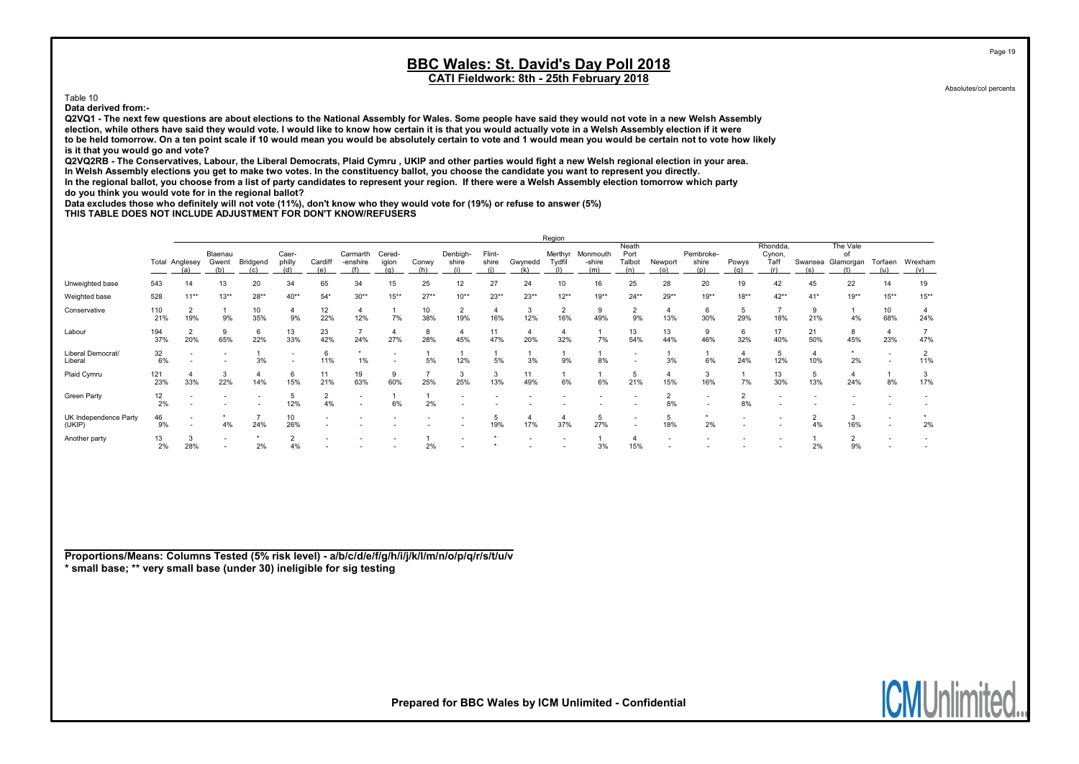Table 10

Data derived from:-

Q2VQ1 - The next few questions are about elections to the National Assembly for Wales. Some people have said they would not vote in a new Welsh Assembly election, while others have said they would vote. I would like to know how certain it is that you would actually vote in a Welsh Assembly election if it were to be held tomorrow. On a ten point scale if 10 would mean you would be absolutely certain to vote and 1 would mean you would be certain not to vote how likely is it that you would go and vote?

Q2VQ2RB - The Conservatives, Labour, the Liberal Democrats, Plaid Cymru , UKIP and other parties would fight a new Welsh regional election in your area. In Welsh Assembly elections you get to make two votes. In the constituency ballot, you choose the candidate you want to represent you directly. In the regional ballot, you choose from a list of party candidates to represent your region. If there were a Welsh Assembly election tomorrow which party

do you think you would vote for in the regional ballot?

Data excludes those who definitely will not vote (11%), don't know who they would vote for (19%) or refuse to answer (5%)

THIS TABLE DOES NOT INCLUDE ADJUSTMENT FOR DON'T KNOW/REFUSERS

|                                 |            |                       |                          |           |                 |           |                      |                 |           |                          |                 |           | Region            |                    |                          |           |                    |                      |                            |           |                             |           |          |
|---------------------------------|------------|-----------------------|--------------------------|-----------|-----------------|-----------|----------------------|-----------------|-----------|--------------------------|-----------------|-----------|-------------------|--------------------|--------------------------|-----------|--------------------|----------------------|----------------------------|-----------|-----------------------------|-----------|----------|
|                                 |            | <b>Total Anglesey</b> | Blaenau<br>Gwent         | Bridgend  | Caer-<br>philly | Cardiff   | Carmarth<br>-enshire | Cered-<br>igion | Conwy     | Denbigh-<br>shire        | Flint-<br>shire | Gwynedd   | Merthyr<br>Tydfil | Monmouth<br>-shire | Neath<br>Port<br>Talbot  | Newport   | Pembroke-<br>shire | Powys                | Rhondda,<br>Cynon,<br>Taff | Swansea   | The Vale<br>of<br>Glamorgan | Torfaen   | Wrexham  |
|                                 |            | (a)                   | (b)                      |           |                 | (e)       |                      | (a)             | (h)       |                          |                 | (k)       |                   | (m)                | (n)                      | (၀)       | (p)                | (a)                  |                            | (s)       |                             | (u)       | (v)      |
| Unweighted base                 | 543        | 14                    | 13                       | 20        | 34              | 65        | 34                   | 15              | 25        | 12                       | 27              | 24        | 10                | 16                 | 25                       | 28        | 20                 | 19                   | 42                         | 45        | 22                          | 14        | 19       |
| Weighted base                   | 528        | $11**$                | $13**$                   | $28**$    | $40**$          | $54*$     | $30**$               | $15***$         | $27**$    | $10^{**}$                | $23**$          | $23**$    | $12***$           | $19**$             | $24**$                   | $29**$    | $19**$             | $18**$               | $42**$                     | $41*$     | $19**$                      | $15***$   | $15***$  |
| Conservative                    | 110<br>21% | 19%                   | 9%                       | 10<br>35% | 9%              | 12<br>22% | 12%                  | 7%              | 10<br>38% | $\overline{2}$<br>19%    | 4<br>16%        | 3<br>12%  | 16%               | 9<br>49%           | 9%                       | 13%       | 6<br>30%           | 5<br>29%             | 18%                        | 9<br>21%  | 4%                          | 10<br>68% | 24%      |
| Labour                          | 194<br>37% | 20%                   | 9<br>65%                 | 6<br>22%  | 13<br>33%       | 23<br>42% | 24%                  | 27%             | 8<br>28%  | -4<br>45%                | 11<br>47%       | 20%       | 32%               | 7%                 | 13<br>54%                | 13<br>44% | 46%                | 6<br>32%             | 17<br>40%                  | 21<br>50% | 8<br>45%                    | 23%       | 47%      |
| Liberal Democrat/<br>Liberal    | 32<br>6%   |                       |                          | 3%        |                 | 11%       | 1%                   |                 | 5%        | 12%                      | 5%              | 3%        | 9%                | 8%                 |                          | 3%        | 6%                 | 4<br>24%             | 12%                        | 10%       | 2%                          |           | 11%      |
| Plaid Cymru                     | 121<br>23% | 33%                   | 3<br>22%                 | 14%       | 15%             | 11<br>21% | 19<br>63%            | 9<br>60%        | 25%       | 3<br>25%                 | 3<br>13%        | 11<br>49% | 6%                | 6%                 | 21%                      | 15%       | 3<br>16%           | 7%                   | 13<br>30%                  | 5<br>13%  | 4<br>24%                    | 8%        | 3<br>17% |
| Green Party                     | 12<br>2%   |                       |                          |           | 12%             | 4%        | $\sim$               | 6%              | 2%        |                          |                 |           |                   |                    |                          | 8%        |                    | $\overline{2}$<br>8% |                            |           |                             |           |          |
| UK Independence Party<br>(UKIP) | 46<br>9%   |                       | 4%                       | 24%       | 10<br>26%       |           |                      |                 |           |                          | 19%             | 17%       | 37%               | 5<br>27%           | $\overline{\phantom{0}}$ | 5<br>18%  | 2%                 |                      |                            | 4%        | 3<br>16%                    |           | 2%       |
| Another party                   | 13<br>2%   | 3<br>28%              | $\overline{\phantom{a}}$ | 2%        | 4%              |           |                      |                 | 2%        | $\overline{\phantom{a}}$ |                 |           |                   | 3%                 | 15%                      |           |                    |                      |                            | 2%        | $\overline{2}$<br>9%        |           |          |

Proportions/Means: Columns Tested (5% risk level) - a/b/c/d/e/f/g/h/i/j/k/l/m/n/o/p/q/r/s/t/u/v \* small base; \*\* very small base (under 30) ineligible for sig testing

Prepared for BBC Wales by ICM Unlimited - Confidential

Page 19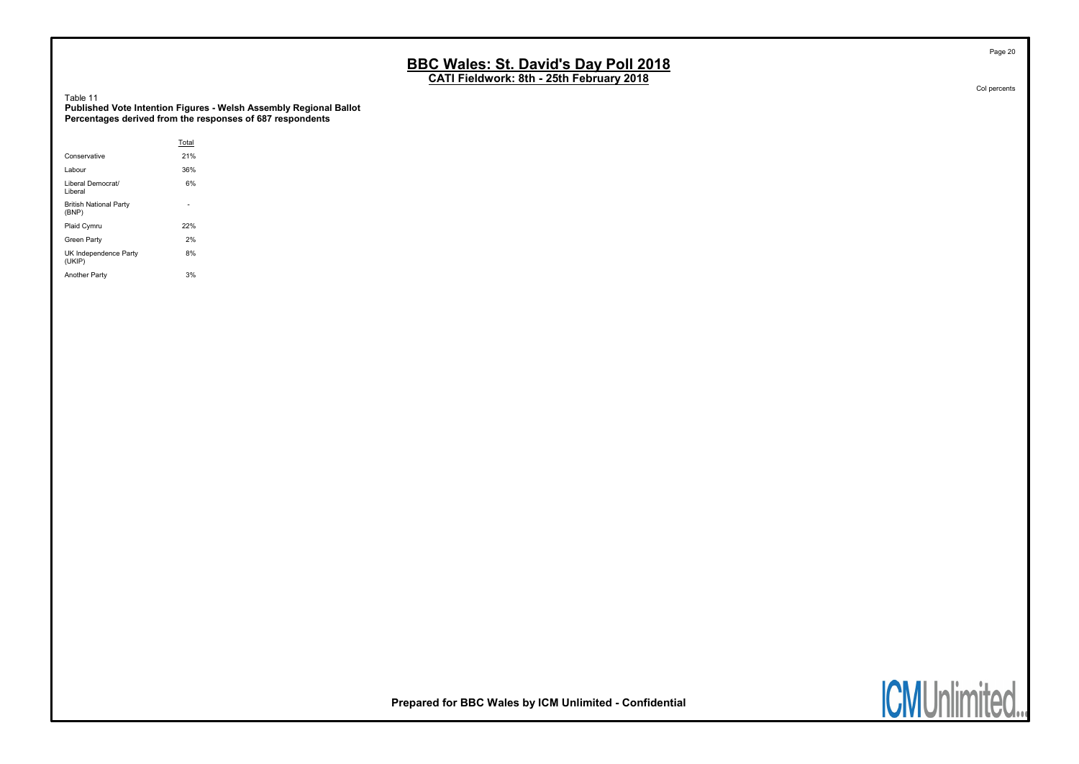CATI Fieldwork: 8th - 25th February 2018

Table 11

Published Vote Intention Figures - Welsh Assembly Regional Ballot Percentages derived from the responses of 687 respondents

|                                        | Total |  |
|----------------------------------------|-------|--|
| Conservative                           | 21%   |  |
| Labour                                 | 36%   |  |
| Liberal Democrat/<br>Liberal           | 6%    |  |
| <b>British National Party</b><br>(BNP) |       |  |
| Plaid Cymru                            | 22%   |  |
| Green Party                            | 2%    |  |
| UK Independence Party<br>(UKIP)        | 8%    |  |
| <b>Another Party</b>                   | 3%    |  |



Prepared for BBC Wales by ICM Unlimited - Confidential



Page 20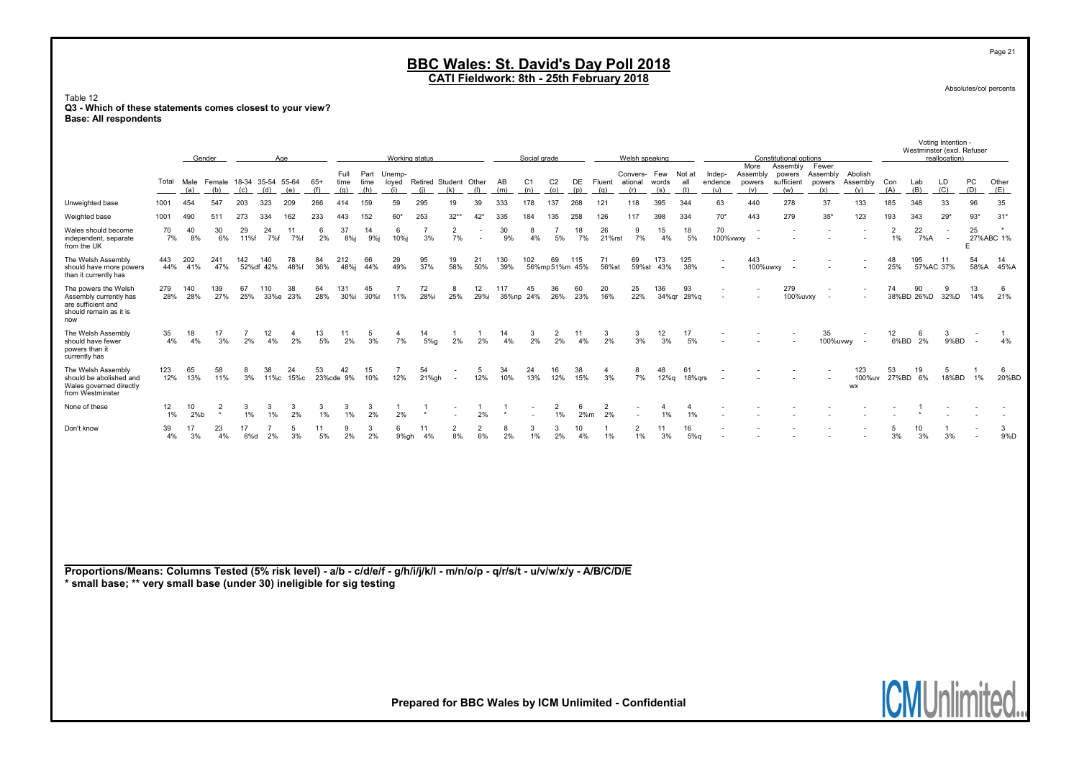CATI Fieldwork: 8th - 25th February 2018

Table 12 Q3 - Which of these statements comes closest to your view? Base: All respondents

|                                                                                                                                                                                                       |            |            | Gender                               |                      |                  | Age                  |              |                     |                     | Working status         |                              |                          |                          |                           | Social grade             |                       |                      |                      | Welsh speaking                     |                         |                      |                                    |                                   | Constitutional options                  |                                    |                            |                         |                  | voung memon -<br>Westminster (excl. Refuser<br>reallocation) |                          |              |
|-------------------------------------------------------------------------------------------------------------------------------------------------------------------------------------------------------|------------|------------|--------------------------------------|----------------------|------------------|----------------------|--------------|---------------------|---------------------|------------------------|------------------------------|--------------------------|--------------------------|---------------------------|--------------------------|-----------------------|----------------------|----------------------|------------------------------------|-------------------------|----------------------|------------------------------------|-----------------------------------|-----------------------------------------|------------------------------------|----------------------------|-------------------------|------------------|--------------------------------------------------------------|--------------------------|--------------|
|                                                                                                                                                                                                       | Total      | (a)        | Male Female 18-34 35-54 55-64<br>(b) | (c)                  | (d)              | (e)                  | $65+$<br>(f) | Full<br>time<br>(q) | Part<br>time<br>(h) | Unemp-<br>loyed<br>(i) | Retired Student Other<br>(i) | (k)                      | (1)                      | AB<br>(m)                 | C <sub>1</sub><br>(n)    | C <sub>2</sub><br>(o) | DE<br>(p)            | Fluent<br>(q)        | Convers-<br>ational<br>(r)         | Few<br>words<br>(s)     | Not at<br>all<br>(t) | Indep-<br>endence<br>(u)           | More<br>Assembly<br>powers<br>(v) | Assembly<br>powers<br>sufficient<br>(w) | Fewer<br>Assembly<br>powers<br>(x) | Abolish<br>Assembly<br>(v) | Con<br>(A)              | Lab<br>(B)       | LD<br>(C)                                                    | PC<br>(D)                | Other<br>(E) |
| Unweighted base                                                                                                                                                                                       | 1001       | 454        | 547                                  | 203                  | 323              | 209                  | 266          | 414                 | 159                 | 59                     | 295                          | 19                       | 39                       | 333                       | 178                      | 137                   | 268                  | 121                  | 118                                | 395                     | 344                  | 63                                 | 440                               | 278                                     | 37                                 | 133                        | 185                     | 348              | 33                                                           | 96                       | 35           |
| Weighted base                                                                                                                                                                                         | 1001       | 490        | 511                                  | 273                  | 334              | 162                  | 233          | 443                 | 152                 | $60*$                  | 253                          | $32**$                   | 42'                      | 335                       | 184                      | 135                   | 258                  | 126                  | 117                                | 398                     | 334                  | $70*$                              | 443                               | 279                                     | $35*$                              | 123                        | 193                     | 343              | $29*$                                                        | $93*$                    | $31*$        |
| Wales should become<br>independent, separate<br>from the UK                                                                                                                                           | 70<br>7%   | 40<br>8%   | 30<br>6%                             | 29<br>11%f           | 24<br>7%f        | 11<br>7%f            | 6<br>2%      | 37<br>$8%$ j        | 14<br>9%i           | -6<br>10%i             | $\overline{7}$<br>3%         | $\overline{2}$<br>7%     | $\overline{\phantom{a}}$ | 30<br>9%                  | 8<br>4%                  | $\overline{7}$<br>5%  | 18<br>7%             | 26<br>21%rst         | 9<br>7%                            | 15<br>4%                | 18<br>5%             | 70                                 | 100%vwxy                          |                                         |                                    |                            | $\overline{2}$<br>$1\%$ | 22<br>7%A        | $\overline{\phantom{a}}$<br>$\sim$                           | 25<br>27%ABC 1%<br>E     |              |
| The Welsh Assembly<br>should have more powers<br>than it currently has                                                                                                                                | 443<br>44% | 202<br>41% | 241<br>47%                           | 142                  | 140<br>52%df 42% | 78<br>48%f           | 84<br>36%    | 212<br>48%j         | 66<br>44%           | 29<br>49%              | 95<br>37%                    | 19<br>58%                | 21<br>50%                | 130<br>39%                | 102                      | 69                    | 115<br>56%mp51%m 45% | 71<br>56%st          | 69<br>59%st                        | 173<br>43%              | 125<br>38%           | $\overline{\phantom{a}}$<br>$\sim$ | 443<br>100%uwxy                   |                                         |                                    |                            | 48<br>25%               | 195<br>57%AC 37% | 11                                                           | 54<br>58%A               | 14<br>45%A   |
| The powers the Welsh<br>Assembly currently has<br>are sufficient and<br>should remain as it is<br>now                                                                                                 | 279<br>28% | 140<br>28% | 139<br>27%                           | 67<br>25%            | 110              | 38<br>33%e 23%       | 64<br>28%    | 131<br>30%i         | 45<br>30%i          | $\overline{7}$<br>11%  | 72<br>28%i                   | 8<br>25%                 | 12<br>29%i               | 117                       | 45<br>35%np 24%          | 36<br>26%             | 60<br>23%            | 20<br>16%            | 25<br>22%                          | 136                     | 93<br>34%gr 28%g     |                                    |                                   | 279<br>100%uvxy                         |                                    |                            | 74                      | 90<br>38%BD 26%D | 9<br>32%D                                                    | 13<br>14%                | 6<br>21%     |
| The Welsh Assembly<br>should have fewer<br>powers than it<br>currently has                                                                                                                            | 35<br>4%   | 18<br>4%   | 17<br>3%                             | $\overline{7}$<br>2% | 12<br>4%         | $\overline{4}$<br>2% | 13<br>5%     | 11<br>2%            | 5<br>3%             | 4<br>7%                | 14<br>5%g                    | -1<br>2%                 | $\mathbf{1}$<br>2%       | 14<br>4%                  | 3<br>2%                  | 2<br>2%               | 11<br>4%             | 3<br>2%              | 3<br>3%                            | 12<br>3%                | 17<br>5%             |                                    |                                   |                                         | 35<br>100%uvwy                     | $\overline{\phantom{a}}$   | 12<br>6%BD              | 6<br>2%          | 3<br>9%BD                                                    | $\overline{\phantom{a}}$ | 4%           |
| The Welsh Assembly<br>should be abolished and<br>Wales governed directly<br>from Westminster                                                                                                          | 123<br>12% | 65<br>13%  | 58<br>11%                            | 8<br>3%              | 38               | 24<br>11%c 15%c      | 53           | 42<br>23%cde 9%     | 15<br>10%           | -7<br>12%              | 54<br>21%gh                  | $\sim$                   | 5<br>12%                 | 34<br>10%                 | 24<br>13%                | 16<br>12%             | 38<br>15%            | $\overline{4}$<br>3% | 8<br>7%                            | 48<br>12%q              | 61<br>18%grs         |                                    |                                   |                                         |                                    | 123<br>100%uv<br>WX        | 53                      | 19<br>27%BD 6%   | 5<br>18%BD                                                   | 1%                       | 6<br>20%BD   |
| None of these                                                                                                                                                                                         | 12<br>1%   | 10<br>2%b  | $\overline{2}$<br>$^\star$           | 3<br>1%              | -3<br>1%         | 3<br>2%              | 3<br>1%      | 3<br>1%             | 3<br>2%             | 2%                     | $\mathbf{1}$<br>$^\star$     | $\overline{\phantom{a}}$ | $\mathbf{1}$<br>2%       | $\overline{1}$<br>$\star$ | $\overline{\phantom{a}}$ | $\overline{2}$<br>1%  | 6<br>2%m             | $\overline{2}$<br>2% | $\overline{\phantom{a}}$<br>$\sim$ | $\overline{4}$<br>$1\%$ | $\overline{4}$<br>1% |                                    |                                   |                                         |                                    |                            |                         |                  |                                                              |                          |              |
| Don't know                                                                                                                                                                                            | 39<br>4%   | 17<br>3%   | 23<br>4%                             | 17<br>6%d            | 2%               | 5<br>3%              | 11<br>5%     | -9<br>2%            | 3<br>2%             | -6<br>9%gh             | 11<br>4%                     | $\overline{2}$<br>8%     | $\overline{2}$<br>6%     | 8<br>2%                   | 3<br>1%                  | $\mathbf{3}$<br>2%    | 10<br>4%             | -1<br>1%             | $\overline{2}$<br>1%               | 11<br>3%                | 16<br>5%q            |                                    |                                   |                                         |                                    |                            | -5<br>3%                | 10<br>3%         | -1<br>3%                                                     |                          | 3<br>9%D     |
| Proportions/Means: Columns Tested (5% risk level) - a/b - c/d/e/f - g/h/i/j/k/l - m/n/o/p - q/r/s/t - u/v/w/x/y - A/B/C/D/E<br>* small base; ** very small base (under 30) ineligible for sig testing |            |            |                                      |                      |                  |                      |              |                     |                     |                        |                              |                          |                          |                           |                          |                       |                      |                      |                                    |                         |                      |                                    |                                   |                                         |                                    |                            |                         |                  |                                                              |                          |              |

Prepared for BBC Wales by ICM Unlimited - Confidential

Absolutes/col percents

Page 21

Voting Intention -

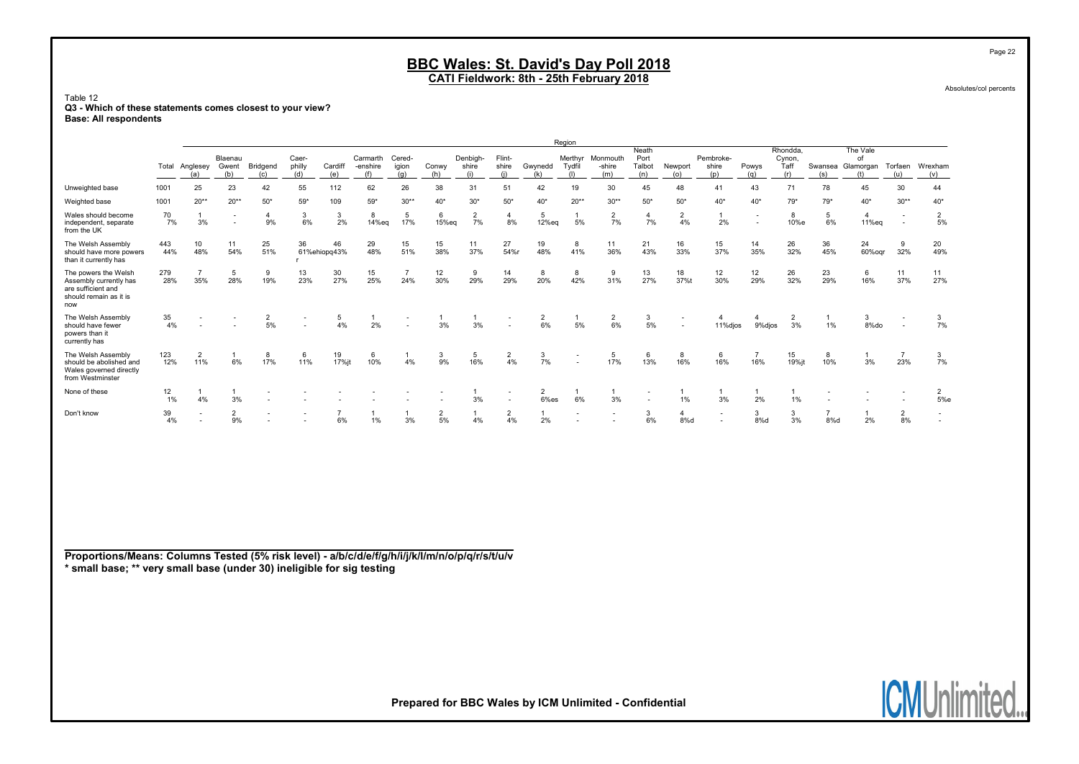CATI Fieldwork: 8th - 25th February 2018

Table 12 Q3 - Which of these statements comes closest to your view? Base: All respondents

|                                                                                                       |            |                       |                          |                          |                          |                    |                             |                        |                      |                          |                          |                        | Region           |                           |                                |                                |                           |                          |                                   |                       |                                     |                                                      |                          |
|-------------------------------------------------------------------------------------------------------|------------|-----------------------|--------------------------|--------------------------|--------------------------|--------------------|-----------------------------|------------------------|----------------------|--------------------------|--------------------------|------------------------|------------------|---------------------------|--------------------------------|--------------------------------|---------------------------|--------------------------|-----------------------------------|-----------------------|-------------------------------------|------------------------------------------------------|--------------------------|
|                                                                                                       | Total      | Anglesey<br>(a)       | Blaenau<br>Gwent<br>(b)  | Bridgend<br>(c)          | Caer-<br>philly<br>(d)   | Cardiff<br>(e)     | Carmarth<br>-enshire<br>(f) | Cered-<br>igion<br>(a) | Conwy<br>(h)         | Denbigh-<br>shire<br>(i) | Flint-<br>shire<br>(i)   | Gwynedd<br>(k)         | Merthyr<br>Tvdfi | Monmouth<br>-shire<br>(m) | Neath<br>Port<br>Talbot<br>(n) | Newport<br>(o)                 | Pembroke-<br>shire<br>(p) | Powys<br>(a)             | Rhondda,<br>Cynon.<br>Taff<br>(r) | (s)                   | The Vale<br>of<br>Swansea Glamorgan | Torfaen<br>(u)                                       | Wrexham<br>(v)           |
| Unweighted base                                                                                       | 1001       | 25                    | 23                       | 42                       | 55                       | 112                | 62                          | 26                     | 38                   | 31                       | 51                       | 42                     | 19               | 30                        | 45                             | 48                             | 41                        | 43                       | 71                                | 78                    | 45                                  | 30                                                   | 44                       |
| Weighted base                                                                                         | 1001       | $20**$                | $20**$                   | $50*$                    | $59*$                    | 109                | $59*$                       | $30**$                 | $40*$                | $30*$                    | $50*$                    | $40*$                  | $20**$           | $30**$                    | $50*$                          | $50*$                          | $40*$                     | $40*$                    | $79*$                             | $79*$                 | $40*$                               | $30**$                                               | $40*$                    |
| Wales should become<br>independent, separate<br>from the UK                                           | 70<br>7%   | 3%                    | $\overline{\phantom{a}}$ | 4<br>9%                  | 3<br>6%                  | 2%                 | 8<br>14%eq                  | 5<br>17%               | 15%eq                | $\overline{2}$<br>7%     | 8%                       | 5<br>12%eq             | 5%               | $\overline{2}$<br>7%      | $\overline{a}$<br>7%           | $\overline{2}$<br>4%           | 2%                        | $\overline{\phantom{a}}$ | 8<br>10%e                         | 5<br>6%               | 11%eg                               | $\overline{\phantom{a}}$<br>$\overline{\phantom{a}}$ | $\overline{2}$<br>5%     |
| The Welsh Assembly<br>should have more powers<br>than it currently has                                | 443<br>44% | 10<br>48%             | 11<br>54%                | 25<br>51%                | 36                       | 46<br>61%ehiopq43% | 29<br>48%                   | 15<br>51%              | 15<br>38%            | 11<br>37%                | 27<br>54%r               | 19<br>48%              | 8<br>41%         | 11<br>36%                 | 21<br>43%                      | 16<br>33%                      | 15<br>37%                 | 14<br>35%                | 26<br>32%                         | 36<br>45%             | 24<br>60%ogr                        | 9<br>32%                                             | 20<br>49%                |
| The powers the Welsh<br>Assembly currently has<br>are sufficient and<br>should remain as it is<br>now | 279<br>28% | 35%                   | 5<br>28%                 | 9<br>19%                 | 13<br>23%                | 30<br>27%          | 15<br>25%                   | 24%                    | 12<br>30%            | 9<br>29%                 | 14<br>29%                | 8<br>20%               | 8<br>42%         | 9<br>31%                  | 13<br>27%                      | 18<br>37%t                     | 12<br>30%                 | 12<br>29%                | 26<br>32%                         | 23<br>29%             | 16%                                 | 11<br>37%                                            | 11<br>27%                |
| The Welsh Assembly<br>should have fewer<br>powers than it<br>currently has                            | 35<br>4%   |                       |                          | $\overline{2}$<br>5%     | $\sim$                   | 5                  | 2%                          |                        | 3%                   | 3%                       |                          | 2<br>6%                | 5%               | $\overline{2}$<br>6%      | 3<br>5%                        |                                | 11% dios                  | 9%dios                   | 3%                                | 1%                    | 8%do                                |                                                      | 7%                       |
| The Welsh Assembly<br>should be abolished and<br>Wales governed directly<br>from Westminster          | 123<br>12% | $\overline{2}$<br>11% | 6%                       | 8<br>17%                 | 6<br>11%                 | 19<br>17% jt       | 6<br>10%                    | 4%                     | 3<br>9%              | 5<br>16%                 | $\overline{2}$<br>4%     | 3<br>7%                |                  | 5<br>17%                  | 13%                            | 8<br>16%                       | 6<br>16%                  | $\overline{7}$<br>16%    | 15<br>19%jt                       | 8<br>10%              | 3%                                  | 23%                                                  | 3<br>7%                  |
| None of these                                                                                         | 12<br>1%   | 4%                    | 3%                       |                          |                          |                    |                             |                        |                      | 3%                       | $\overline{\phantom{a}}$ | $\overline{2}$<br>6%es | 6%               | 3%                        |                                | 1%                             | 3%                        | 2%                       | 1%                                |                       |                                     |                                                      | $\overline{2}$<br>5%e    |
| Don't know                                                                                            | 39<br>4%   |                       | $\overline{2}$<br>9%     | $\overline{\phantom{a}}$ | $\overline{\phantom{a}}$ | 6%                 | 1%                          | 3%                     | $\overline{2}$<br>5% | 4%                       | $\overline{2}$<br>4%     | 2%                     |                  | $\overline{\phantom{a}}$  | 3<br>6%                        | $\overline{\mathbf{4}}$<br>8%d | $\overline{\phantom{a}}$  | 3<br>8%d                 | 3<br>3%                           | $\overline{ }$<br>8%d | 2%                                  | $\overline{2}$<br>8%                                 | $\overline{\phantom{a}}$ |

Proportions/Means: Columns Tested (5% risk level) - a/b/c/d/e/f/g/h/i/j/k/l/m/n/o/p/q/r/s/t/u/v \* small base; \*\* very small base (under 30) ineligible for sig testing

Absolutes/col percents

Page 22

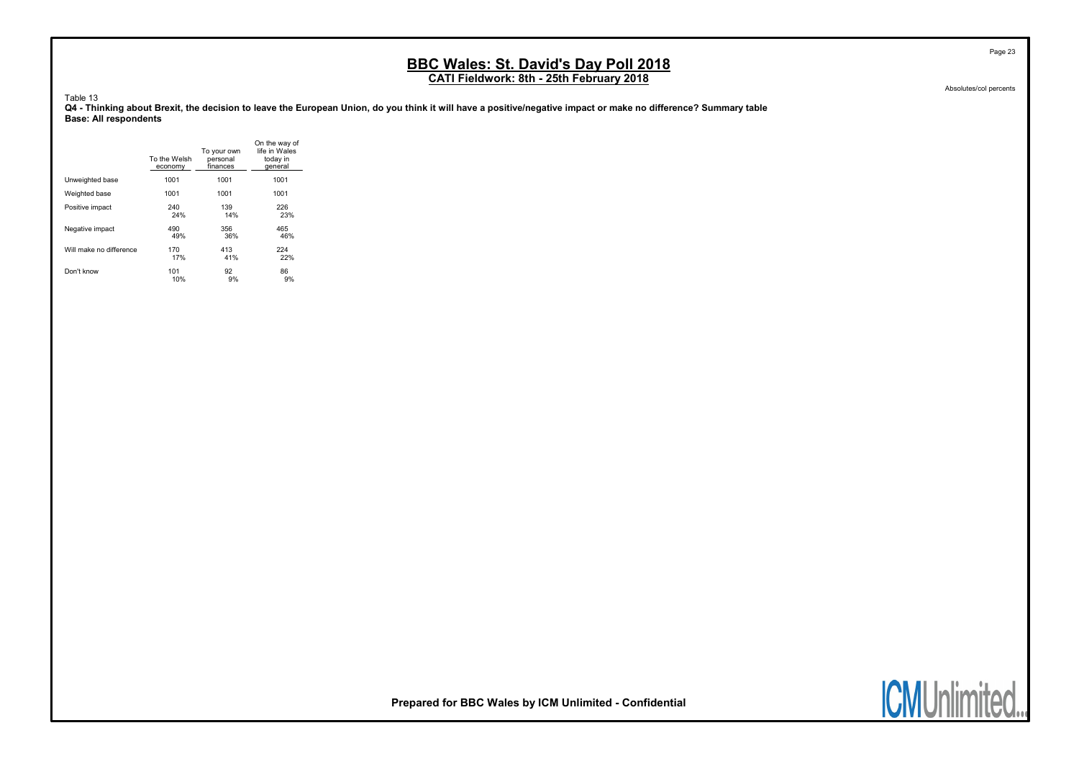Absolutes/col percents

Page 23

Table 13

Q4 - Thinking about Brexit, the decision to leave the European Union, do you think it will have a positive/negative impact or make no difference? Summary table Base: All respondents

|                         | To the Welsh<br>economy | To your own<br>personal<br>finances | On the way of<br>life in Wales<br>today in<br>deneral |
|-------------------------|-------------------------|-------------------------------------|-------------------------------------------------------|
| Unweighted base         | 1001                    | 1001                                | 1001                                                  |
| Weighted base           | 1001                    | 1001                                | 1001                                                  |
| Positive impact         | 240                     | 139                                 | 226                                                   |
|                         | 24%                     | 14%                                 | 23%                                                   |
| Negative impact         | 490                     | 356                                 | 465                                                   |
|                         | 49%                     | 36%                                 | 46%                                                   |
| Will make no difference | 170                     | 413                                 | 224                                                   |
|                         | 17%                     | 41%                                 | 22%                                                   |
| Don't know              | 101                     | 92                                  | 86                                                    |
|                         | 10%                     | 9%                                  | 9%                                                    |



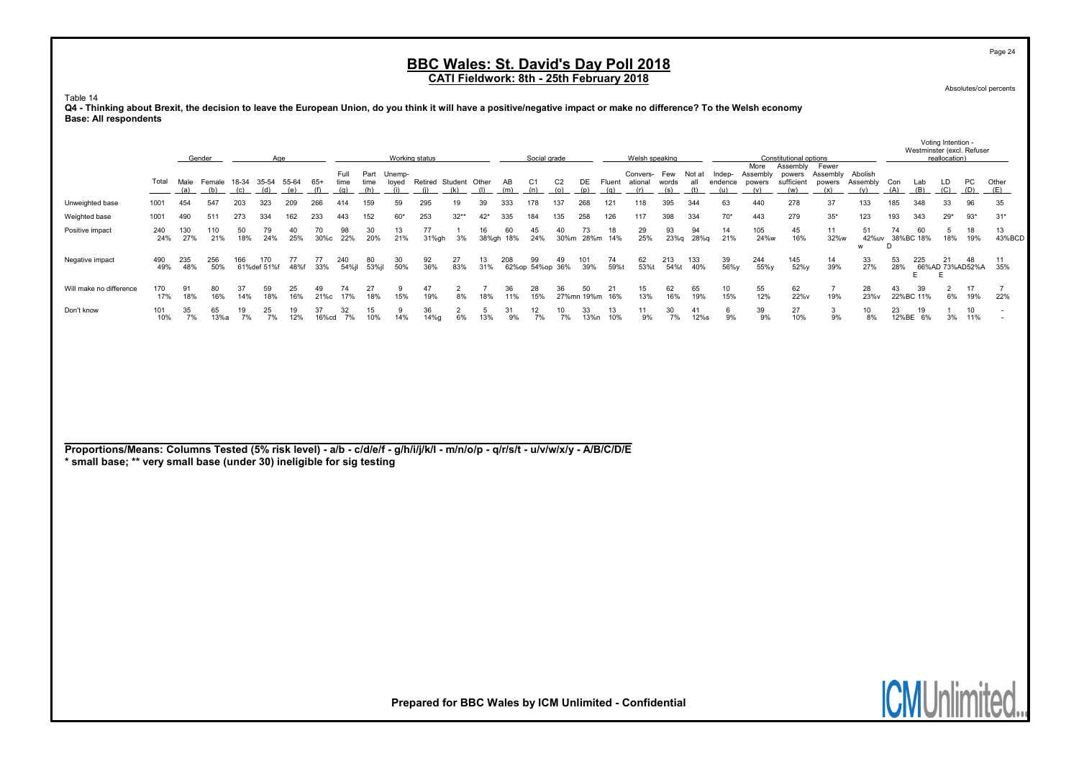Absolutes/col percents

Page 24

Voting Intention -

#### Table 14

Q4 - Thinking about Brexit, the decision to leave the European Union, do you think it will have a positive/negative impact or make no difference? To the Welsh economy Base: All respondents

|                         |            |             |               |           |                      |              |            |              |                     |                 | Working status  |           |             |           | Social grade            |                       |                  |               |                         |              |            |                   |                           | Constitutional options |                               |                            |             | Westminster (excl. Refuser |                 |                  |              |
|-------------------------|------------|-------------|---------------|-----------|----------------------|--------------|------------|--------------|---------------------|-----------------|-----------------|-----------|-------------|-----------|-------------------------|-----------------------|------------------|---------------|-------------------------|--------------|------------|-------------------|---------------------------|------------------------|-------------------------------|----------------------------|-------------|----------------------------|-----------------|------------------|--------------|
|                         |            |             | Gender        |           | Age                  |              |            |              |                     |                 |                 |           |             |           |                         |                       |                  |               | Welsh speaking          |              |            |                   | More                      | Assembly               | Fewer                         |                            |             |                            | reallocation)   |                  |              |
|                         | Total      | Male<br>(a) | Female<br>(b) | 18-34     | 35-54<br>(d)         | 55-64<br>(e) | 65+        | Full<br>time | Part<br>time<br>(h) | Unemp-<br>loved | Retired Student | (k)       | Other       | AB<br>(m) | C1<br>(n)               | C <sub>2</sub><br>(0) | DE<br>(p)        | Fluent<br>(a) | Convers- Few<br>ational | words<br>(s) | Not at     | Indep-<br>endence | Assembly<br>powers<br>(v) | powers<br>(w)          | Assembly<br>sufficient powers | Abolish<br>Assembly<br>(v) | Con<br>(A)  | Lab<br>(B)                 | LD              | <b>PC</b><br>(D) | Other<br>(E) |
| Unweighted base         | 1001       | 454         | 547           | 203       | 323                  | 209          | 266        | 414          | 159                 | 59              | 295             |           | 39          | 333       | 178                     | 137                   | 268              | 121           | 118                     | 395          | 344        | 63                | 440                       | 278                    | 37                            | 133                        | 185         | 348                        | 33              | 96               | 35           |
| Weighted base           | 1001       | 490         | 511           | 273       | 334                  | 162          | 233        | 443          | 152                 | $60*$           | 253             | $32**$    | $42*$       | 335       | 184                     | 135                   | 258              | 126           | 117                     | 398          | 334        | $70*$             | 443                       | 279                    | $35*$                         | 123                        | 193         | 343                        | $29*$           | $93*$            | $31*$        |
| Positive impact         | 240<br>24% | 130<br>27%  | 110<br>21%    | 50<br>18% | 79<br>24%            | 40<br>25%    | 70<br>30%с | 98<br>22%    | 30<br>20%           | 13<br>21%       | 77<br>31%gh     | 3%        | 16<br>38%gh | 60<br>18% | 45<br>24%               | 30%m                  | 73<br>28%m       | 18<br>14%     | 29<br>25%               | 93<br>23%g   | 94<br>28%g | 14<br>21%         | 105<br>24%w               | 45<br>16%              | 11<br>32%w                    | 51<br>42%uv<br>W           | 74          | 60<br>38%BC 18%            | 18%             | 18<br>19%        | 13<br>43%BCD |
| Negative impact         | 490<br>49% | 235<br>48%  | 256<br>50%    | 166       | 170<br>61% def 51% f | 48%          | 33%        | 240<br>54%il | 80<br>53%il         | 30<br>50%       | 92<br>36%       | 27<br>83% | 13.<br>31%  | 208       | 99<br>62% op 54% op 36% |                       | 101<br>39%       | 74<br>59%     | 62<br>53%t              | 213<br>54%t  | 133<br>40% | 39<br>56%v        | 244<br>55%y               | 145<br>52%y            | 14<br>39%                     | 33<br>27%                  | 53<br>28%   | 225<br>Е.                  | 66%AD 73%AD52%A | 48               | 35%          |
| Will make no difference | 170<br>17% | 18%         | 80<br>16%     | 14%       | 59<br>18%            | 25<br>16%    | 21%c       | 74<br>17%    | 27<br>18%           | 15%             | 47<br>19%       | 8%        | 18%         | 36<br>11% | 28<br>15%               | 36                    | 50<br>27%mn 19%m | 16%           | 15<br>13%               | 62<br>16%    | 65<br>19%  | 10<br>15%         | 55<br>12%                 | 62<br>22%v             | 19%                           | 28<br>23%v                 | 43          | 39<br>22%BC 11%            | 6%              | 17<br>19%        | 22%          |
| Don't know              | 101<br>10% | 35<br>7%    | 65<br>13%a    | 19<br>7%  | 25<br>7%             | 19<br>12%    | 16%cd      | 32<br>7%     | 15<br>10%           | 14%             | 36<br>14%q      | 6%        | 13%         | 9%        | 12<br>7%                | 10<br>7%              | 33<br>13%n       | 13<br>10%     | 11<br>9%                | 30<br>7%     | 41<br>12%s | 9%                | 39<br>9%                  | 27<br>10%              | 9%                            | 10<br>8%                   | 23<br>12%BE | 19<br>6%                   | 3%              | 10<br>11%        |              |

Proportions/Means: Columns Tested (5% risk level) - a/b - c/d/e/f - g/h/i/j/k/l - m/n/o/p - q/r/s/t - u/v/w/x/y - A/B/C/D/E \* small base; \*\* very small base (under 30) ineligible for sig testing

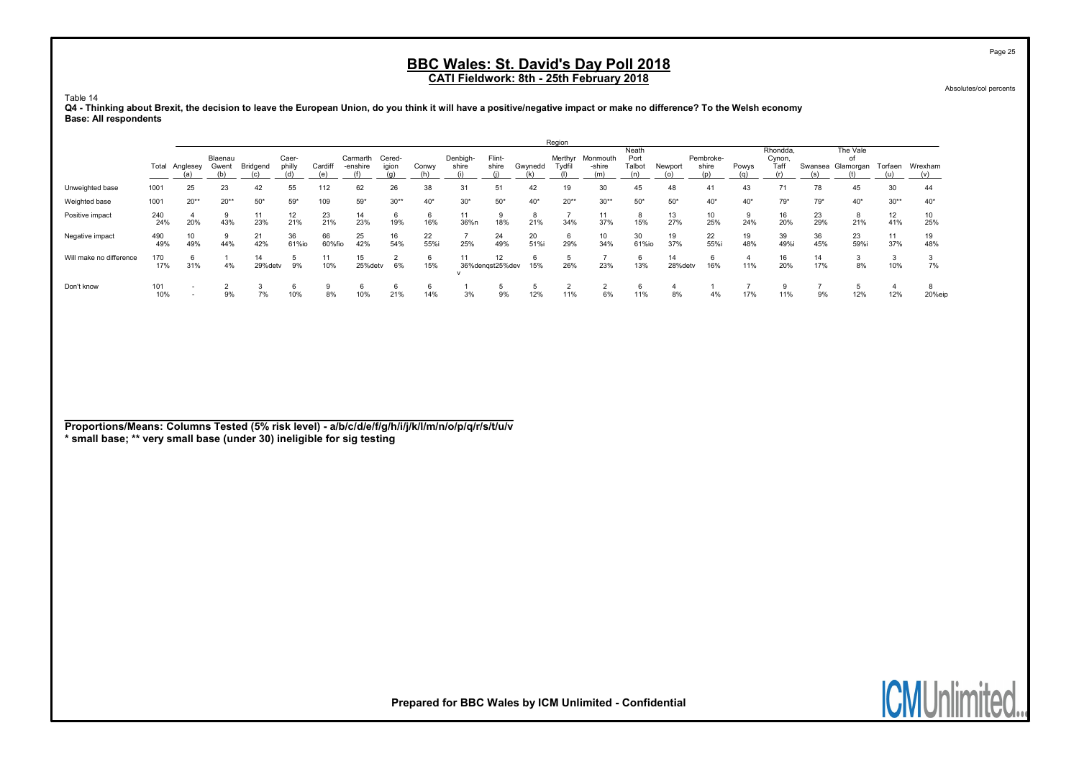Absolutes/col percents

Page 25

Table 14

#### Q4 - Thinking about Brexit, the decision to leave the European Union, do you think it will have a positive/negative impact or make no difference? To the Welsh economy Base: All respondents

|                         |            |                     |                  |               |                 |               |                      |                 |            |                   |                       |            | Region            |                           |                         |               |                           |           |                            |           |                             |           |                |
|-------------------------|------------|---------------------|------------------|---------------|-----------------|---------------|----------------------|-----------------|------------|-------------------|-----------------------|------------|-------------------|---------------------------|-------------------------|---------------|---------------------------|-----------|----------------------------|-----------|-----------------------------|-----------|----------------|
|                         | Total      | Anglesey            | Blaenau<br>Gwent | Bridgend      | Caer-<br>philly | Cardiff<br>(e | Carmarth<br>-enshire | Cered-<br>igion | Conwy      | Denbigh-<br>shire | Flint-<br>shire       | Gwynedd    | Merthyr<br>Tydfil | Monmouth<br>-shire<br>(m) | Neath<br>Port<br>Talbot | Newport       | Pembroke-<br>shire<br>(p) | Powys     | Rhondda.<br>Cynon,<br>Taff | Swansea   | The Vale<br>οi<br>Glamorgan | Torfaen   | Wrexham<br>(v) |
| Unweighted base         | 1001       | 25                  | 23               | 42            | 55              | 112           | 62                   | 26              | 38         | 31                | 51                    | 42         | 19                | 30                        | 45                      | 48            | 41                        | 43        |                            | 78        | 45                          | 30        | 44             |
| Weighted base           | 1001       | $20**$              | $20**$           | $50*$         | $59*$           | 109           | $59*$                | $30**$          | $40*$      | $30*$             | $50*$                 | $40*$      | $20**$            | $30**$                    | $50*$                   | $50*$         | $40*$                     | $40*$     | $79*$                      | $79*$     | $40*$                       | $30**$    | $40*$          |
| Positive impact         | 240<br>24% | 20%                 | 9<br>43%         | 11<br>23%     | 12<br>21%       | 23<br>21%     | 14<br>23%            | 6<br>19%        | 6<br>16%   | 11<br>36%n        | 18%                   | 21%        | 34%               | 37%                       | 8<br>15%                | 13<br>27%     | 10<br>25%                 | 24%       | 16<br>20%                  | 23<br>29% | 8<br>21%                    | 12<br>41% | 10<br>25%      |
| Negative impact         | 490<br>49% | 10<br>49%           | 9<br>44%         | 21<br>42%     | 36<br>61%io     | 66<br>60%fio  | 25<br>42%            | 16<br>54%       | 22<br>55%i | 25%               | 24<br>49%             | 20<br>51%i | 6<br>29%          | 10<br>34%                 | 30<br>61%io             | 19<br>37%     | 22<br>55%i                | 19<br>48% | 39<br>49%                  | 36<br>45% | 23<br>59%i                  | 11<br>37% | 19<br>48%      |
| Will make no difference | 170<br>17% | <sub>t</sub><br>31% | 4%               | 14<br>29%detv | 9%              | 10%           | 15<br>25%detv        | 6%              | 6<br>15%   |                   | 12<br>36%dengst25%dev | 15%        | 26%               | 23%                       | 6<br>13%                | 14<br>28%detv | 16%                       | 11%       | 16<br>20%                  | 14<br>17% | 8%                          | 10%       | 7%             |
| Don't know              | 101<br>10% |                     | 9%               | 7%            | 10%             | 8%            | 10%                  | b<br>21%        | 6<br>14%   | 3%                | 9%                    | 12%        | 11%               | 6%                        | 11%                     | 8%            | 4%                        | 17%       | 11%                        | 9%        | 12%                         | 12%       | 20%eip         |

Proportions/Means: Columns Tested (5% risk level) - a/b/c/d/e/f/g/h/i/j/k/l/m/n/o/p/q/r/s/t/u/v \* small base; \*\* very small base (under 30) ineligible for sig testing

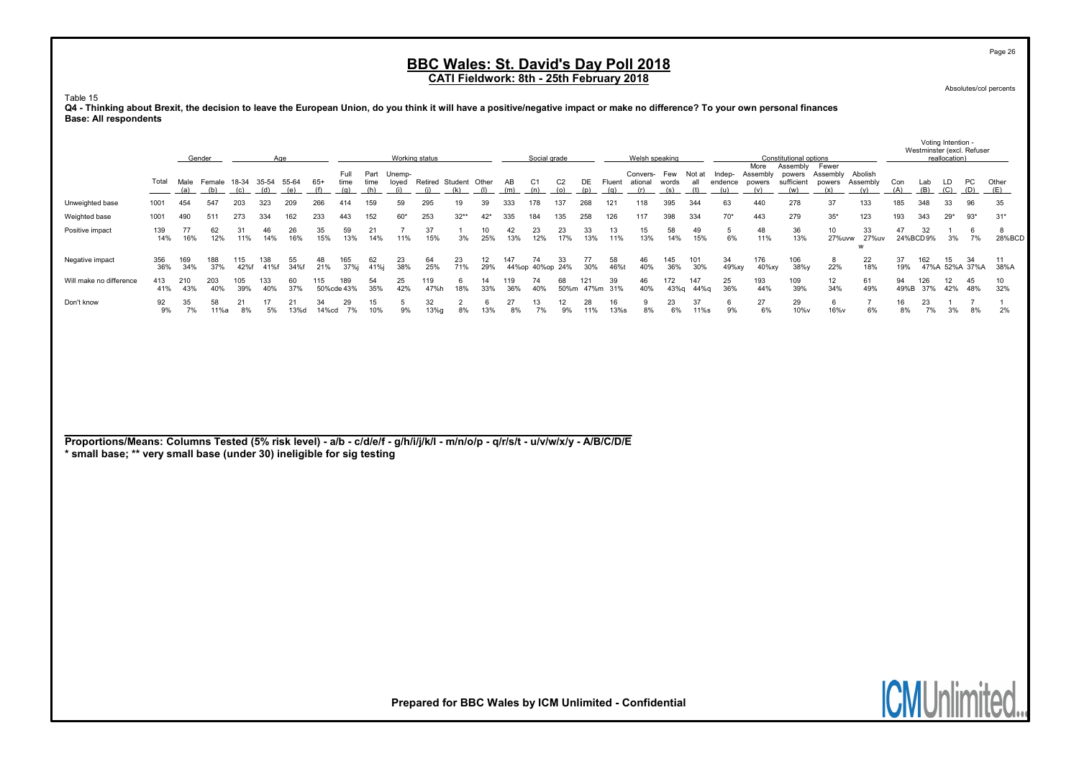Absolutes/col percents

Page 26

#### Table 15

Q4 - Thinking about Brexit, the decision to leave the European Union, do you think it will have a positive/negative impact or make no difference? To your own personal finances Base: All respondents

|                                                                                                                                                                                                       |            |             | Gender                          |             |             | Age        |              |                     |                            |           | Working status                     |                      |           |            | Social grade          |                       |           |                          | Welsh speaking             |              |             |                          |                                   | Constitutional options                  |                                    |                            |            | Westminster (excl. Refuser | Voting Intention -<br>reallocation) |                      |                    |
|-------------------------------------------------------------------------------------------------------------------------------------------------------------------------------------------------------|------------|-------------|---------------------------------|-------------|-------------|------------|--------------|---------------------|----------------------------|-----------|------------------------------------|----------------------|-----------|------------|-----------------------|-----------------------|-----------|--------------------------|----------------------------|--------------|-------------|--------------------------|-----------------------------------|-----------------------------------------|------------------------------------|----------------------------|------------|----------------------------|-------------------------------------|----------------------|--------------------|
|                                                                                                                                                                                                       | Total      | Male<br>(a) | Female 18-34 35-54 55-64<br>(b) | (c)         | (d)         | (e)        | $65+$<br>(f) | Full<br>time<br>(q) | Part Unemp-<br>time<br>(h) | (i)       | loyed Retired Student Other<br>(i) | (k)                  | (1)       | AB<br>(m)  | C1<br>(n)             | C <sub>2</sub><br>(o) | (p)       | DE Fluent ational<br>(q) | Convers- Few Not at<br>(r) | words<br>(s) | all<br>(t)  | Indep-<br>endence<br>(u) | More<br>Assembly<br>powers<br>(v) | Assembly<br>powers<br>sufficient<br>(w) | Fewer<br>Assembly<br>powers<br>(x) | Abolish<br>Assembly<br>(y) | Con<br>(A) | Lab<br>(B)                 | LD<br>(C)                           | PC<br>(D)            | Other<br>(E)       |
| Unweighted base                                                                                                                                                                                       | 1001       | 454         | 547                             | 203         | 323         | 209        | 266          | 414                 | 159                        | 59        | 295                                | 19                   | 39        | 333        | 178                   | 137                   | 268       | 121                      | 118                        | 395          | 344         | 63                       | 440                               | 278                                     | 37                                 | 133                        | 185        | 348                        | 33                                  | 96                   | 35                 |
| Weighted base                                                                                                                                                                                         | 1001       | 490         | 511                             | 273         | 334         | 162        | 233          | 443                 | 152                        | $60*$     | 253                                | $32**$               | $42*$     | 335        | 184                   | 135                   | 258       | 126                      | 117                        | 398          | 334         | $70*$                    | 443                               | 279                                     | $35*$                              | 123                        | 193        | 343                        | $29*$                               | $93*$                | $31*$              |
| Positive impact                                                                                                                                                                                       | 139<br>14% | 77<br>16%   | 62<br>12%                       | 31<br>11%   | 46<br>14%   | 26<br>16%  | 35<br>15%    | 59<br>13%           | 21<br>14%                  | 11%       | 37<br>15%                          | $\mathbf{1}$<br>3%   | 10<br>25% | 42<br>13%  | 23<br>12%             | 23<br>17%             | 33<br>13% | 13<br>11%                | 15<br>13%                  | 58<br>14%    | 49<br>15%   | 5<br>6%                  | 48<br>11%                         | 36<br>13%                               | 10<br>27%uvw                       | 33<br>27%uv<br>W           | 47         | 32<br>24%BCD9%             | $\mathbf{1}$<br>3%                  | 6<br>7%              | 8<br>28%BCD        |
| Negative impact                                                                                                                                                                                       | 356<br>36% | 169<br>34%  | 188<br>37%                      | 115<br>42%f | 138<br>41%f | 55<br>34%f | 48<br>21%    | 165<br>37%j         | 62<br>41%j                 | 23<br>38% | 64<br>25%                          | 23<br>71%            | 12<br>29% | 147        | 74<br>44%op 40%op 24% | 33                    | 77<br>30% | 58<br>46%t               | 46<br>40%                  | 145<br>36%   | 101<br>30%  | 34<br>49%xy              | 176<br>40%xy                      | 106<br>38%y                             | 8<br>22%                           | 22<br>18%                  | 37<br>19%  | 162                        | 15<br>47%A 52%A 37%A                | 34                   | 11<br>38%A         |
| Will make no difference                                                                                                                                                                               | 413<br>41% | 210<br>43%  | 203<br>40%                      | 105<br>39%  | 133<br>40%  | 60<br>37%  | 115          | 189<br>50%cde 43%   | 54<br>35%                  | 25<br>42% | 119<br>47%h                        | 6<br>18%             | 14<br>33% | 119<br>36% | 74<br>40%             | 68                    | 121       | 39<br>50%m 47%m 31%      | 46<br>40%                  | 172<br>43%g  | 147<br>44%g | 25<br>36%                | 193<br>44%                        | 109<br>39%                              | 12<br>34%                          | 61<br>49%                  | 94<br>49%B | 126<br>37%                 | 12<br>42%                           | 45<br>48%            | 10<br>32%          |
| Don't know                                                                                                                                                                                            | 92<br>9%   | 35<br>7%    | 58<br>11%a                      | 21<br>8%    | 17<br>5%    | 21<br>13%d | 34<br>14%cd  | 29<br>7%            | 15<br>10%                  | 5<br>9%   | 32<br>13%g                         | $\overline{2}$<br>8% | -6<br>13% | 27<br>8%   | 13<br>7%              | 12<br>9%              | 28<br>11% | 16<br>13%s               | 9<br>8%                    | 23<br>6%     | 37<br>11%s  | 6<br>9%                  | 27<br>6%                          | 29<br>10%v                              | 6<br>16%v                          | $\overline{7}$<br>6%       | 16<br>8%   | 23<br>7%                   | $\overline{1}$<br>3%                | $\overline{7}$<br>8% | $\mathbf{1}$<br>2% |
| Proportions/Means: Columns Tested (5% risk level) - a/b - c/d/e/f - g/h/i/j/k/l - m/n/o/p - q/r/s/t - u/v/w/x/y - A/B/C/D/E<br>* small base; ** very small base (under 30) ineligible for sig testing |            |             |                                 |             |             |            |              |                     |                            |           |                                    |                      |           |            |                       |                       |           |                          |                            |              |             |                          |                                   |                                         |                                    |                            |            |                            |                                     |                      |                    |

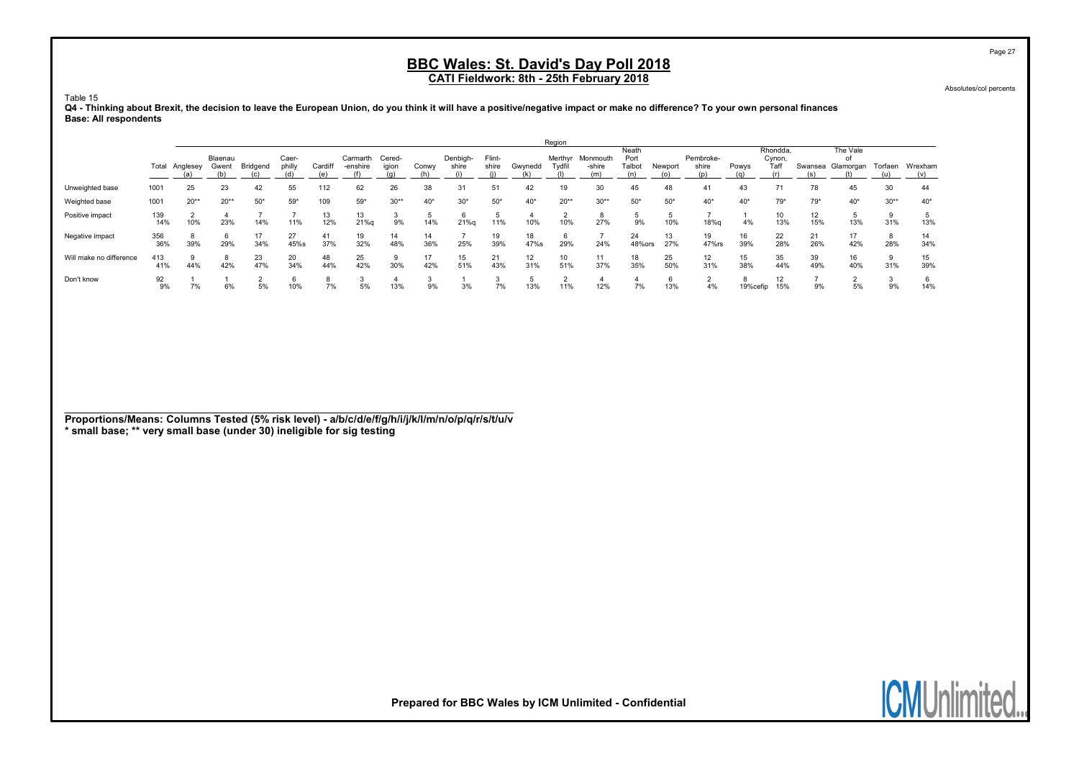Absolutes/col percents

Page 27

Table 15

#### Q4 - Thinking about Brexit, the decision to leave the European Union, do you think it will have a positive/negative impact or make no difference? To your own personal finances Base: All respondents

|                         |       |          |         |          |        |         |          |        |       |          |        |         | Region  |          |        |         |           |          |          |         |           |         |         |
|-------------------------|-------|----------|---------|----------|--------|---------|----------|--------|-------|----------|--------|---------|---------|----------|--------|---------|-----------|----------|----------|---------|-----------|---------|---------|
|                         |       |          |         |          |        |         |          |        |       |          |        |         |         |          | Neath  |         |           |          | Rhondda. |         | The Vale  |         |         |
|                         |       |          | Blaenau |          | Caer-  |         | Carmarth | Cered- |       | Denbigh- | Flint- |         | Merthyr | Monmouth | Port   |         | Pembroke- |          | Cynon,   |         | of        |         |         |
|                         | Total | Anglesey | Gwent   | Bridgend | philly | Cardiff | -enshire | igion  | Conwy | shire    | shire  | Gwynedd | Tvdfil  | -shire   | Talbot | Newport | shire     | Powys    | Taff     | Swansea | Glamorgan | Torfaen | Wrexham |
|                         |       |          |         |          |        |         |          |        |       |          |        |         |         |          |        |         |           |          |          |         |           |         |         |
| Unweighted base         | 1001  | 25       | 23      | 42       | 55     | 112     | 62       | 26     | 38    |          |        | 42      | 19      | 30       | 45     | 48      | 41        | 43       |          | 78      | 45        | 30      | 44      |
| Weighted base           | 1001  | $20**$   | $20**$  | $50*$    | $59*$  | 109     | $59*$    | $30**$ | $40*$ | $30*$    | $50*$  | $40*$   | $20**$  | $30**$   | $50*$  | $50*$   | $40*$     | $40*$    | $79*$    | $79*$   | $40*$     | $30**$  | $40*$   |
| Positive impact         | 139   |          |         |          |        | 13      | 13       |        |       | 6        |        |         |         |          |        |         |           |          |          | 12      |           | 9       |         |
|                         | 14%   | 10%      | 23%     | 14%      | 11%    | 12%     | 21%g     | 9%     | 14%   | 21%g     | 11%    | 10%     | 10%     | 27%      | 9%     | 10%     | 18%g      | 4%       | 13%      | 15%     | 13%       | 31%     | 13%     |
| Negative impact         | 356   |          | 6       | 17       | 27     | 41      | 19       | 14     | 14    |          | 19     | 18      |         |          | 24     | 13      | 19        | 16       | 22       | 21      | 17        | 8       | 14      |
|                         | 36%   | 39%      | 29%     | 34%      | 45%s   | 37%     | 32%      | 48%    | 36%   | 25%      | 39%    | 47%s    | 29%     | 24%      | 48%ors | 27%     | 47%rs     | 39%      | 28%      | 26%     | 42%       | 28%     | 34%     |
| Will make no difference | 413   |          | 8       | 23       | 20     | 48      | 25       |        |       | 15       | 21     | 12      | 10      | 11       | 18     | 25      | 12        | 15       | 35       | 39      | 16        | 9       | 15      |
|                         | 41%   | 44%      | 42%     | 47%      | 34%    | 44%     | 42%      | 30%    | 42%   | 51%      | 43%    | 31%     | 51%     | 37%      | 35%    | 50%     | 31%       | 38%      | 44%      | 49%     | 40%       | 31%     | 39%     |
| Don't know              | 92    |          |         |          |        |         |          |        |       |          |        |         |         |          |        |         |           | ŏ        | 12       |         |           |         |         |
|                         | 9%    | 7%       | 6%      | 5%       | 10%    | 7%      | 5%       | 13%    | 9%    | 3%       | 7%     | 13%     | 11%     | 12%      | 7%     | 13%     | 4%        | 19%cefip | 15%      | 9%      | 5%        | 9%      | 14%     |

Proportions/Means: Columns Tested (5% risk level) - a/b/c/d/e/f/g/h/i/j/k/l/m/n/o/p/q/r/s/t/u/v \* small base; \*\* very small base (under 30) ineligible for sig testing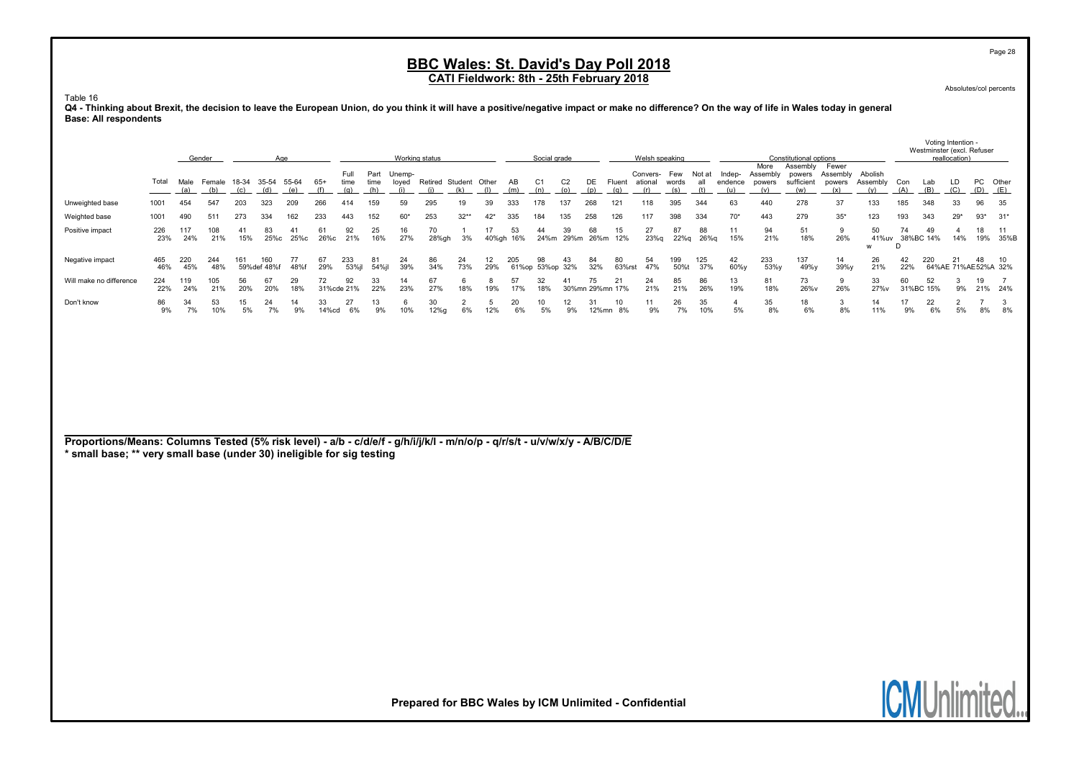Absolutes/col percents

Page 28

#### Table 16

Q4 - Thinking about Brexit, the decision to leave the European Union, do you think it will have a positive/negative impact or make no difference? On the way of life in Wales today in general Base: All respondents

|                                                                                                                                                                                                       |            |             | Gender        |           |                          | Age        |              |                     |                     |                        | Working status               |                      |             |           | Social grade          |                       |           |                          | Welsh speaking  |                     |                      |                          |                                   | Constitutional options                  |                                    |                            |            | Westminster (excl. Refuser | Voting Intention -<br>reallocation) |                           |                |
|-------------------------------------------------------------------------------------------------------------------------------------------------------------------------------------------------------|------------|-------------|---------------|-----------|--------------------------|------------|--------------|---------------------|---------------------|------------------------|------------------------------|----------------------|-------------|-----------|-----------------------|-----------------------|-----------|--------------------------|-----------------|---------------------|----------------------|--------------------------|-----------------------------------|-----------------------------------------|------------------------------------|----------------------------|------------|----------------------------|-------------------------------------|---------------------------|----------------|
|                                                                                                                                                                                                       | Total      | Male<br>(a) | Female<br>(b) | (c)       | 18-34 35-54 55-64<br>(d) | (e)        | $65+$<br>(f) | Full<br>time<br>(q) | Part<br>time<br>(h) | Unemp-<br>loyed<br>(i) | Retired Student Other<br>(i) | (k)                  | (1)         | AB<br>(m) | C <sub>1</sub><br>(n) | C <sub>2</sub><br>(o) | (p)       | DE Fluent ational<br>(q) | Convers-<br>(r) | Few<br>words<br>(s) | Not at<br>all<br>(t) | Indep-<br>endence<br>(u) | More<br>Assembly<br>powers<br>(v) | Assembly<br>powers<br>sufficient<br>(w) | Fewer<br>Assembly<br>powers<br>(x) | Abolish<br>Assembly<br>(v) | Con<br>(A) | Lab<br>(B)                 | LD<br>(C)                           | PC<br>(D)                 | Other<br>(E)   |
| Unweighted base                                                                                                                                                                                       | 1001       | 454         | 547           | 203       | 323                      | 209        | 266          | 414                 | 159                 | 59                     | 295                          | 19                   | 39          | 333       | 178                   | 137                   | 268       | 121                      | 118             | 395                 | 344                  | 63                       | 440                               | 278                                     | 37                                 | 133                        | 185        | 348                        | 33                                  | 96                        | 35             |
| Weighted base                                                                                                                                                                                         | 1001       | 490         | 511           | 273       | 334                      | 162        | 233          | 443                 | 152                 | $60*$                  | 253                          | $32**$               | $42*$       | 335       | 184                   | 135                   | 258       | 126                      | 117             | 398                 | 334                  | $70*$                    | 443                               | 279                                     | $35*$                              | 123                        | 193        | 343                        | $29*$                               | $93*$                     | $31*$          |
| Positive impact                                                                                                                                                                                       | 226<br>23% | 117<br>24%  | 108<br>21%    | 41<br>15% | 83<br>25%с               | 41<br>25%с | 61<br>26%с   | 92<br>21%           | 25<br>16%           | 16<br>27%              | 70<br>28%gh                  | -1<br>3%             | 17<br>40%gh | 53<br>16% | 44<br>24%m            | 39<br>29%m            | 68        | 15<br>26%m 12%           | 27<br>23%q      | 87<br>22%g          | 88<br>26%g           | 11<br>15%                | 94<br>21%                         | 51<br>18%                               | 9<br>26%                           | 50<br>41%uv<br>w           | 74<br>D    | 49<br>38%BC 14%            | $\overline{4}$<br>14%               | 18<br>19%                 | 11<br>35%B     |
| Negative impact                                                                                                                                                                                       | 465<br>46% | 220<br>45%  | 244<br>48%    | 161       | 160<br>59%def 48%f       | 77<br>48%f | 67<br>29%    | 233<br>53%jl        | 81<br>54%jl         | 24<br>39%              | 86<br>34%                    | 24<br>73%            | 12<br>29%   | 205       | 98<br>61%op 53%op 32% | 43                    | 84<br>32% | 80<br>63%rst             | 54<br>47%       | 199<br>50%t         | 125<br>37%           | 42<br>60%y               | 233<br>53%y                       | 137<br>49%y                             | 14<br>39%y                         | 26<br>21%                  | 42<br>22%  | 220                        | 21                                  | 48<br>64%AE 71%AE52%A 32% | 10             |
| Will make no difference                                                                                                                                                                               | 224<br>22% | 119<br>24%  | 105<br>21%    | 56<br>20% | 67<br>20%                | 29<br>18%  | 72           | 92<br>31%cde 21%    | 33<br>22%           | 14<br>23%              | 67<br>27%                    | 6<br>18%             | 8<br>19%    | 57<br>17% | 32<br>18%             | 41                    | 75        | 21<br>30%mn 29%mn 17%    | 24<br>21%       | 85<br>21%           | 86<br>26%            | 13<br>19%                | 81<br>18%                         | 73<br>26%v                              | 9<br>26%                           | 33<br>27%v                 | 60         | 52<br>31%BC 15%            | 3<br>9%                             | 19<br>21% 24%             | $\overline{7}$ |
| Don't know                                                                                                                                                                                            | 86<br>9%   | 34<br>7%    | 53<br>10%     | 15<br>5%  | 24<br>7%                 | 14<br>9%   | 33<br>14%cd  | 27<br>6%            | 13<br>9%            | 6<br>10%               | 30<br>12%g                   | $\overline{2}$<br>6% | 5<br>12%    | 20<br>6%  | 10<br>5%              | 12<br>9%              | 31        | 10<br>12%mn 8%           | 11<br>9%        | 26<br>7%            | 35<br>10%            | $\overline{4}$<br>5%     | 35<br>8%                          | 18<br>6%                                | 3<br>8%                            | 14<br>11%                  | 17<br>9%   | 22<br>6%                   | $\overline{2}$<br>5%                | -7<br>8%                  | 3<br>8%        |
| Proportions/Means: Columns Tested (5% risk level) - a/b - c/d/e/f - g/h/i/j/k/l - m/n/o/p - q/r/s/t - u/v/w/x/y - A/B/C/D/E<br>* small base; ** very small base (under 30) ineligible for sig testing |            |             |               |           |                          |            |              |                     |                     |                        |                              |                      |             |           |                       |                       |           |                          |                 |                     |                      |                          |                                   |                                         |                                    |                            |            |                            |                                     |                           |                |
|                                                                                                                                                                                                       |            |             |               |           |                          |            |              |                     |                     |                        |                              |                      |             |           |                       |                       |           |                          |                 |                     |                      |                          |                                   |                                         |                                    |                            |            |                            |                                     |                           |                |

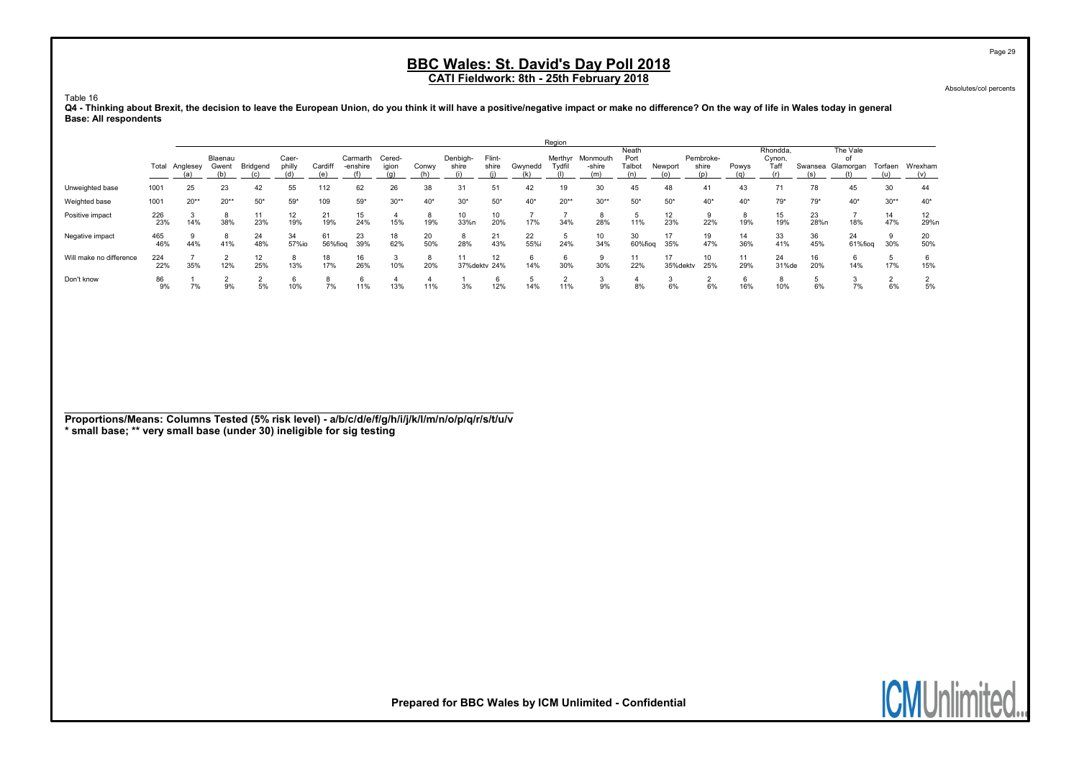Absolutes/col percents

Page 29

Table 16

Q4 - Thinking about Brexit, the decision to leave the European Union, do you think it will have a positive/negative impact or make no difference? On the way of life in Wales today in general Base: All respondents

|                         |       |          |         |          |        |         |          |        |       |               |        |         | Region |                  |         |          |           |       |          |         |           |         |         |
|-------------------------|-------|----------|---------|----------|--------|---------|----------|--------|-------|---------------|--------|---------|--------|------------------|---------|----------|-----------|-------|----------|---------|-----------|---------|---------|
|                         |       |          |         |          |        |         |          |        |       |               |        |         |        |                  | Neath   |          |           |       | Rhondda. |         | The Vale  |         |         |
|                         |       |          | Blaenau |          | Caer-  |         | Carmarth | Cered- |       | Denbigh-      | Flint- |         |        | Merthyr Monmouth | Port    |          | Pembroke- |       | Cynon,   |         | οf        |         |         |
|                         | Total | Anglesey | Gwent   | Bridgend | philly | Cardiff | -enshire | igion  | Conwy | shire         | shire  | Gwynedd | Tvdfil | -shire           | Talbot  | Newport  | shire     | Powys | Taff     | Swansea | Glamorgan | Torfaen | Wrexham |
|                         |       |          |         |          |        | (e)     |          |        |       |               |        |         |        | (m)              |         |          |           |       |          |         |           |         |         |
| Unweighted base         | 1001  | 25       | 23      | 42       | 55     | 112     | 62       | 26     | 38    |               |        | 42      | 19     | 30               | 45      | 48       | 41        | 43    |          | 78      | 45        | 30      | 44      |
| Weighted base           | 1001  | $20**$   | $20**$  | $50*$    | $59*$  | 109     | $59*$    | $30**$ | $40*$ | $30*$         | $50*$  | $40*$   | $20**$ | $30**$           | $50*$   | $50*$    | $40*$     | $40*$ | $79*$    | $79*$   | $40*$     | $30**$  | $40*$   |
| Positive impact         | 226   |          |         |          |        | 21      | 15       |        | 8     | 10            |        |         |        |                  |         | 12       |           | ŏ     | 15       | 23      |           | 14      | 12      |
|                         | 23%   | 14%      | 38%     | 23%      | 19%    | 19%     | 24%      | 15%    | 19%   | 33%n          | 20%    | 17%     | 34%    | 28%              | 11%     | 23%      | 22%       | 19%   | 19%      | 28%n    | 18%       | 47%     | 29%n    |
| Negative impact         | 465   |          |         | 24       | 34     | 61      | 23       | 18     | 20    | 8             | 21     | 22      |        |                  | 30      | 17       | 19        | 14    | 33       | 36      | 24        |         | 20      |
|                         | 46%   | 44%      | 41%     | 48%      | 57%io  | 56%fiog | 39%      | 62%    | 50%   | 28%           | 43%    | 55%i    | 24%    | 34%              | 60%fiog | 35%      | 47%       | 36%   | 41%      | 45%     | 61%fiog   | 30%     | 50%     |
| Will make no difference | 224   |          |         | 12       |        | 18      | 16       | J.     | 8     |               | 12     |         |        |                  | 11      | 17       | 10        | 11    | 24       | 16      |           |         |         |
|                         | 22%   | 35%      | 12%     | 25%      | 13%    | 17%     | 26%      | 10%    | 20%   | 37% dekty 24% |        | 14%     | 30%    | 30%              | 22%     | 35%dektv | 25%       | 29%   | 31%de    | 20%     | 14%       | 17%     | 15%     |
| Don't know              | 86    |          |         |          |        |         | 6        |        |       |               |        |         |        |                  |         |          |           | O     |          |         |           |         |         |
|                         | 9%    | 7%       | 9%      | 5%       | 10%    | 7%      | 11%      | 13%    | 11%   | 3%            | 12%    | 14%     | 11%    | 9%               | 8%      | 6%       | 6%        | 16%   | 10%      | 6%      | 7%        | 6%      | 5%      |

Proportions/Means: Columns Tested (5% risk level) - a/b/c/d/e/f/g/h/i/j/k/l/m/n/o/p/q/r/s/t/u/v \* small base; \*\* very small base (under 30) ineligible for sig testing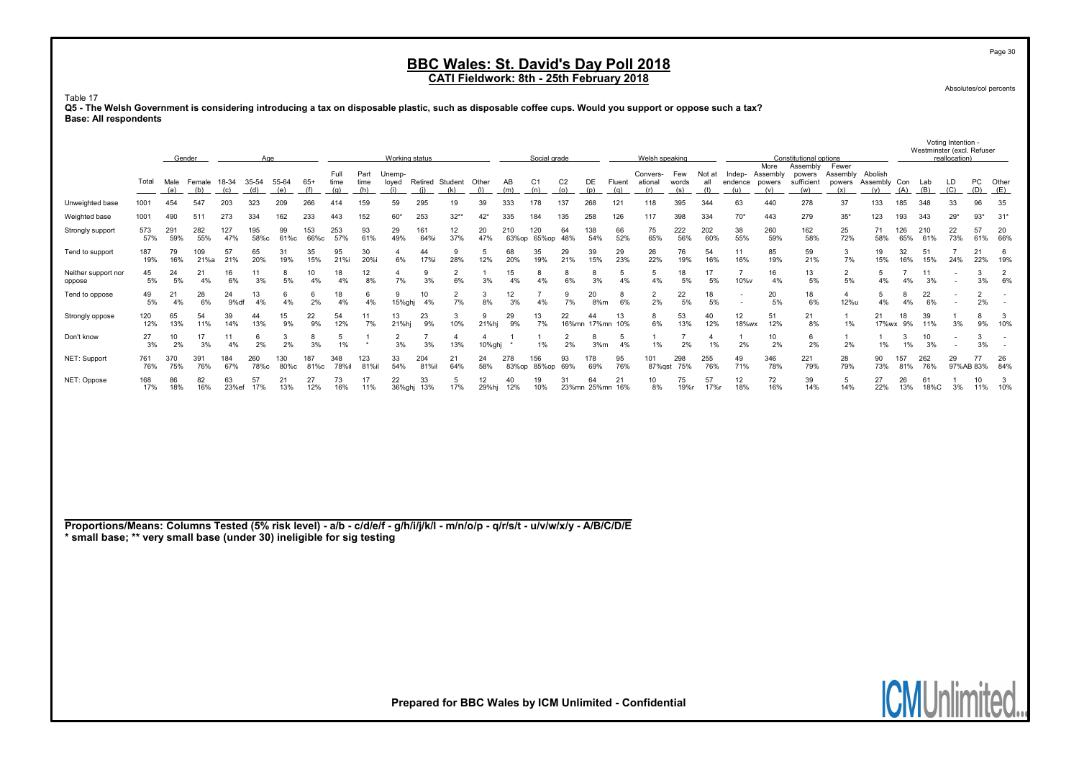Absolutes/col percents

Voting Intention -

#### Table 17

Q5 - The Welsh Government is considering introducing a tax on disposable plastic, such as disposable coffee cups. Would you support or oppose such a tax? Base: All respondents

|                                                                                                                                                                                                       |            |             | Gender        |              | Age          |              |              |                     |                     | Working status         |                  |                        |              |              | Social grade          |                       |                       |               | Welsh speaking             |                     |                      |                                                      |                                          | Constitutional options                  |                                            |                     |                      |            | Westminster (excl. Refuser<br>reallocation) |                      |                          |
|-------------------------------------------------------------------------------------------------------------------------------------------------------------------------------------------------------|------------|-------------|---------------|--------------|--------------|--------------|--------------|---------------------|---------------------|------------------------|------------------|------------------------|--------------|--------------|-----------------------|-----------------------|-----------------------|---------------|----------------------------|---------------------|----------------------|------------------------------------------------------|------------------------------------------|-----------------------------------------|--------------------------------------------|---------------------|----------------------|------------|---------------------------------------------|----------------------|--------------------------|
|                                                                                                                                                                                                       | Total      | Male<br>(a) | Female<br>(b) | 18-34<br>(c) | 35-54<br>(d) | 55-64<br>(e) | $65+$<br>(f) | Full<br>time<br>(q) | Part<br>time<br>(h) | Unemp-<br>loyed<br>(i) | (i)              | Retired Student<br>(k) | Other<br>(1) | AB<br>(m)    | C <sub>1</sub><br>(n) | C <sub>2</sub><br>(o) | DE<br>(p)             | Fluent<br>(q) | Convers-<br>ational<br>(r) | Few<br>words<br>(s) | Not at<br>all<br>(t) | endence<br>(u)                                       | More<br>Indep- Assembly<br>powers<br>(v) | Assembly<br>powers<br>sufficient<br>(w) | Fewer<br>Assembly Abolish<br>powers<br>(x) | Assembly Con<br>(v) | (A)                  | Lab<br>(B) | LD<br>(C)                                   | PC<br>(D)            | Other<br>(E)             |
| Unweighted base                                                                                                                                                                                       | 1001       | 454         | 547           | 203          | 323          | 209          | 266          | 414                 | 159                 | 59                     | 295              | 19                     | 39           | 333          | 178                   | 137                   | 268                   | 121           | 118                        | 395                 | 344                  | 63                                                   | 440                                      | 278                                     | 37                                         | 133                 | 185                  | 348        | 33                                          | 96                   | 35                       |
| Weighted base                                                                                                                                                                                         | 1001       | 490         | 511           | 273          | 334          | 162          | 233          | 443                 | 152                 | 60'                    | 253              | $32**$                 | $42*$        | 335          | 184                   | 135                   | 258                   | 126           | 117                        | 398                 | 334                  | $70*$                                                | 443                                      | 279                                     | $35*$                                      | 123                 | 193                  | 343        | $29*$                                       | $93*$                | $31*$                    |
| Strongly support                                                                                                                                                                                      | 573<br>57% | 291<br>59%  | 282<br>55%    | 127<br>47%   | 195<br>58%с  | 99<br>61%c   | 153<br>66%c  | 253<br>57%          | 93<br>61%           | 29<br>49%              | 161<br>64%i      | 12<br>37%              | 20<br>47%    | 210<br>63%op | 120<br>65%op 48%      | 64                    | 138<br>54%            | 66<br>52%     | 75<br>65%                  | 222<br>56%          | 202<br>60%           | 38<br>55%                                            | 260<br>59%                               | 162<br>58%                              | 25<br>72%                                  | 71<br>58%           | 126<br>65%           | 210<br>61% | 22<br>73%                                   | 57<br>61%            | 20<br>66%                |
| Tend to support                                                                                                                                                                                       | 187<br>19% | 79<br>16%   | 109<br>21%a   | 57<br>21%    | 65<br>20%    | 31<br>19%    | 35<br>15%    | 95<br>21%i          | 30<br>20%i          | -4<br>6%               | 44<br>17%i       | 9<br>28%               | 5<br>12%     | 68<br>20%    | 35<br>19%             | 29<br>21%             | 39<br>15%             | 29<br>23%     | 26<br>22%                  | 76<br>19%           | 54<br>16%            | 11<br>16%                                            | 85<br>19%                                | 59<br>21%                               | 3<br>7%                                    | 19<br>15%           | 32<br>16%            | 51<br>15%  | $\overline{7}$<br>24%                       | 21<br>22%            | 6<br>19%                 |
| Neither support nor<br>oppose                                                                                                                                                                         | 45<br>5%   | 24<br>5%    | 21<br>4%      | 16<br>6%     | 11<br>3%     | 8<br>5%      | 10<br>4%     | 18<br>4%            | 12<br>8%            | 4<br>7%                | 9<br>3%          | $\overline{2}$<br>6%   | 3%           | 15<br>4%     | 8<br>4%               | 8<br>6%               | 8<br>3%               | 5<br>4%       | 5<br>4%                    | 18<br>5%            | 17<br>5%             | $\overline{7}$<br>10%v                               | 16<br>4%                                 | 13<br>5%                                | $\overline{2}$<br>5%                       | 5<br>4%             | $\overline{7}$<br>4% | 11<br>3%   |                                             | 3<br>3%              | $\overline{2}$<br>6%     |
| Tend to oppose                                                                                                                                                                                        | 49<br>5%   | 21<br>4%    | 28<br>6%      | 24<br>9%df   | 13<br>4%     | 6<br>4%      | 6<br>2%      | 18<br>4%            | 6<br>4%             | 9<br>15%ghj            | 10<br>4%         | $\overline{2}$<br>7%   | 3<br>8%      | 12<br>3%     | 4%                    | 9<br>7%               | 20<br>8%m             | 8<br>6%       | $\overline{2}$<br>2%       | 22<br>5%            | 18<br>5%             | $\overline{\phantom{a}}$<br>$\overline{\phantom{a}}$ | 20<br>5%                                 | 18<br>6%                                | $\overline{4}$<br>12%u                     | 5<br>4%             | 8<br>4%              | 22<br>6%   | $\overline{\phantom{a}}$                    | $\overline{2}$<br>2% | $\overline{\phantom{a}}$ |
| Strongly oppose                                                                                                                                                                                       | 120<br>12% | 65<br>13%   | 54<br>11%     | 39<br>14%    | 44<br>13%    | 15<br>9%     | 22<br>9%     | 54<br>12%           | 11<br>7%            | 13<br>21%hj            | 23<br>9%         | 3<br>10%               | 9<br>21%hj   | 29<br>9%     | 13<br>7%              | 22                    | 44<br>16%mn 17%mn 10% | 13            | 8<br>6%                    | 53<br>13%           | 40<br>12%            | 12<br>18%wx                                          | 51<br>12%                                | 21<br>8%                                | $\mathbf{1}$<br>1%                         | 21<br>17%wx         | 18<br>9%             | 39<br>11%  | 3%                                          | 8<br>9%              | -3<br>10%                |
| Don't know                                                                                                                                                                                            | 27<br>3%   | 10<br>2%    | 17<br>3%      | 11<br>4%     | 6<br>2%      | 3<br>2%      | 8<br>3%      | 5<br>1%             |                     | 2<br>3%                | 3%               | $\overline{4}$<br>13%  | 10%ghj       |              | 1%                    | 2<br>2%               | 8<br>3%m              | 5<br>4%       | 1%                         | 2%                  | 4<br>1%              | 2%                                                   | 10<br>2%                                 | 6<br>2%                                 | -1<br>2%                                   | -1<br>1%            | 3<br>1%              | 10<br>3%   |                                             | 3%                   | $\sim$                   |
| NET: Support                                                                                                                                                                                          | 761<br>76% | 370<br>75%  | 391<br>76%    | 184<br>67%   | 260<br>78%с  | 130<br>80%c  | 187<br>81%c  | 348<br>78%il        | 123<br>81%il        | 33<br>54%              | 204<br>81%il     | 21<br>64%              | 24<br>58%    | 278<br>83%op | 156<br>85%op 69%      | 93                    | 178<br>69%            | 95<br>76%     | 101                        | 298<br>87%gst 75%   | 255<br>76%           | 49<br>71%                                            | 346<br>78%                               | 221<br>79%                              | 28<br>79%                                  | 90<br>73%           | 157<br>81%           | 262<br>76% | 29                                          | 77<br>97%AB 83%      | 26<br>84%                |
| NET: Oppose                                                                                                                                                                                           | 168<br>17% | 86<br>18%   | 82<br>16%     | 63<br>23%ef  | 57<br>17%    | 21<br>13%    | 27<br>12%    | 73<br>16%           | 17<br>11%           | 22                     | 33<br>36%ghj 13% | 5<br>17%               | 12<br>29%hj  | 40<br>12%    | 19<br>10%             | 31                    | 64<br>23%mn 25%mn 16% | 21            | 10<br>8%                   | 75<br>19%r          | 57<br>17%r           | 12<br>18%                                            | 72<br>16%                                | 39<br>14%                               | 5<br>14%                                   | 27<br>22%           | 26<br>13%            | 61<br>18%C | 1<br>3%                                     | 10<br>11%            | $\mathbf{3}$<br>10%      |
|                                                                                                                                                                                                       |            |             |               |              |              |              |              |                     |                     |                        |                  |                        |              |              |                       |                       |                       |               |                            |                     |                      |                                                      |                                          |                                         |                                            |                     |                      |            |                                             |                      |                          |
|                                                                                                                                                                                                       |            |             |               |              |              |              |              |                     |                     |                        |                  |                        |              |              |                       |                       |                       |               |                            |                     |                      |                                                      |                                          |                                         |                                            |                     |                      |            |                                             |                      |                          |
|                                                                                                                                                                                                       |            |             |               |              |              |              |              |                     |                     |                        |                  |                        |              |              |                       |                       |                       |               |                            |                     |                      |                                                      |                                          |                                         |                                            |                     |                      |            |                                             |                      |                          |
|                                                                                                                                                                                                       |            |             |               |              |              |              |              |                     |                     |                        |                  |                        |              |              |                       |                       |                       |               |                            |                     |                      |                                                      |                                          |                                         |                                            |                     |                      |            |                                             |                      |                          |
|                                                                                                                                                                                                       |            |             |               |              |              |              |              |                     |                     |                        |                  |                        |              |              |                       |                       |                       |               |                            |                     |                      |                                                      |                                          |                                         |                                            |                     |                      |            |                                             |                      |                          |
|                                                                                                                                                                                                       |            |             |               |              |              |              |              |                     |                     |                        |                  |                        |              |              |                       |                       |                       |               |                            |                     |                      |                                                      |                                          |                                         |                                            |                     |                      |            |                                             |                      |                          |
| Proportions/Means: Columns Tested (5% risk level) - a/b - c/d/e/f - g/h/i/j/k/l - m/n/o/p - q/r/s/t - u/v/w/x/y - A/B/C/D/E<br>* small base; ** very small base (under 30) ineligible for sig testing |            |             |               |              |              |              |              |                     |                     |                        |                  |                        |              |              |                       |                       |                       |               |                            |                     |                      |                                                      |                                          |                                         |                                            |                     |                      |            |                                             |                      |                          |
|                                                                                                                                                                                                       |            |             |               |              |              |              |              |                     |                     |                        |                  |                        |              |              |                       |                       |                       |               |                            |                     |                      |                                                      |                                          |                                         |                                            |                     |                      |            |                                             |                      |                          |
|                                                                                                                                                                                                       |            |             |               |              |              |              |              |                     |                     |                        |                  |                        |              |              |                       |                       |                       |               |                            |                     |                      |                                                      |                                          |                                         |                                            |                     |                      |            |                                             |                      |                          |

Prepared for BBC Wales by ICM Unlimited - Confidential



Page 30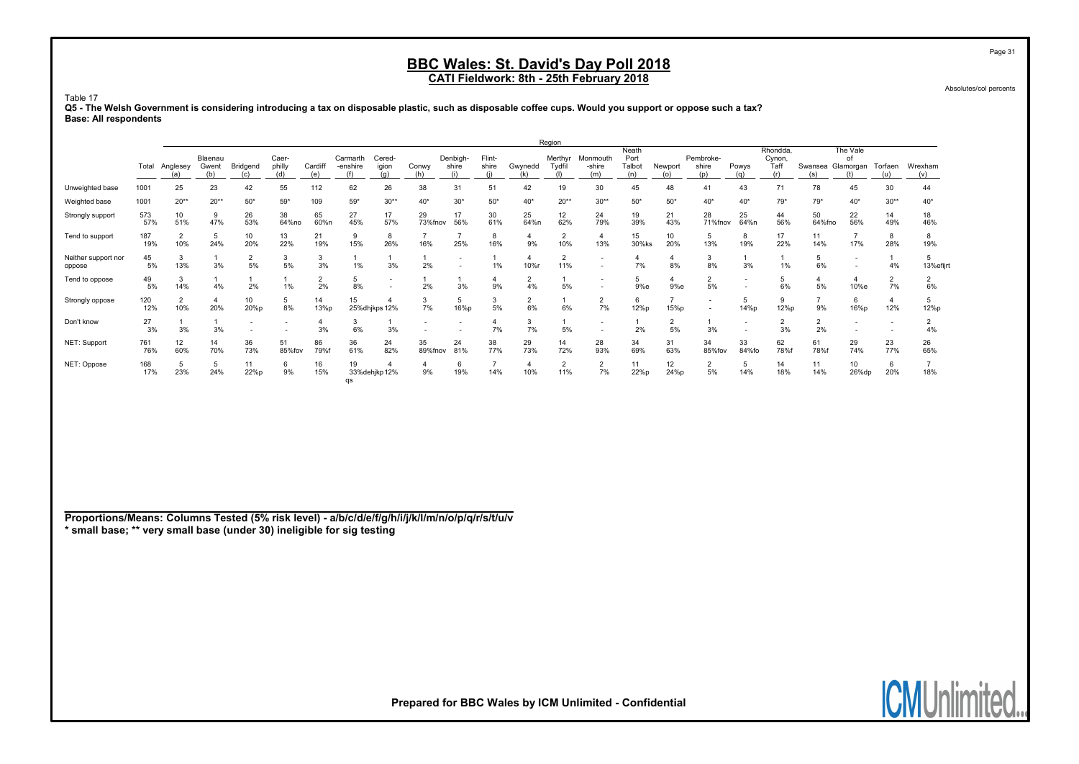Absolutes/col percents

#### Table 17

Q5 - The Welsh Government is considering introducing a tax on disposable plastic, such as disposable coffee cups. Would you support or oppose such a tax? Base: All respondents

|                               |            |                        |                         |                      |                        |                |                      |                        |               |                          |                 |            | Region                |                           |                                |                      |                           |              |                                   |                          |                |                |                |
|-------------------------------|------------|------------------------|-------------------------|----------------------|------------------------|----------------|----------------------|------------------------|---------------|--------------------------|-----------------|------------|-----------------------|---------------------------|--------------------------------|----------------------|---------------------------|--------------|-----------------------------------|--------------------------|----------------|----------------|----------------|
|                               |            | Total Anglesey<br>(a)  | Blaenau<br>Gwent<br>(b) | Bridgend<br>(c)      | Caer-<br>philly<br>(d) | Cardiff<br>(e) | Carmarth<br>-enshire | Cered-<br>igion<br>(a) | Conwy<br>(h)  | Denbigh-<br>shire<br>(i) | Flint-<br>shire | Gwynedd    | Merthyr<br>Tvdfil     | Monmouth<br>-shire<br>(m) | Neath<br>Port<br>Talbot<br>(n) | Newport<br>(o)       | Pembroke-<br>shire<br>(p) | Powys<br>(a) | Rhondda,<br>Cynon,<br>Taff<br>(r) | Swansea Glamorgan<br>(s) | The Vale<br>οf | Torfaen<br>(u) | Wrexham<br>(v) |
| Unweighted base               | 1001       | 25                     | 23                      | 42                   | 55                     | 112            | 62                   | 26                     | 38            | 31                       | 51              | 42         | 19                    | 30                        | 45                             | 48                   | 41                        | 43           | 71                                | 78                       | 45             | 30             | 44             |
| Weighted base                 | 1001       | $20**$                 | $20**$                  | $50*$                | $59*$                  | 109            | $59*$                | $30**$                 | $40*$         | $30*$                    | $50*$           | $40*$      | $20**$                | $30**$                    | $50*$                          | $50*$                | $40*$                     | $40*$        | 79*                               | $79*$                    | $40*$          | $30**$         | $40*$          |
| Strongly support              | 573<br>57% | 10 <sup>1</sup><br>51% | 9<br>47%                | 26<br>53%            | 38<br>64%no            | 65<br>60%n     | 27<br>45%            | 17<br>57%              | 29<br>73%fnov | 17<br>56%                | 30<br>61%       | 25<br>64%n | 12<br>62%             | 24<br>79%                 | 19<br>39%                      | 21<br>43%            | 28<br>71%fnov             | 25<br>64%n   | 44<br>56%                         | 50<br>64%fno             | 22<br>56%      | 14<br>49%      | 18<br>46%      |
| Tend to support               | 187<br>19% | $\overline{2}$<br>10%  | 5<br>24%                | 10<br>20%            | 13<br>22%              | 21<br>19%      | 15%                  | 8<br>26%               | 16%           | 25%                      | 8<br>16%        | 9%         | $\overline{2}$<br>10% | $\overline{4}$<br>13%     | 15<br>30%ks                    | 10<br>20%            | 5<br>13%                  | 8<br>19%     | 17<br>22%                         | 11<br>14%                | 17%            | 8<br>28%       | 8<br>19%       |
| Neither support nor<br>oppose | 45<br>5%   | 3<br>13%               | 3%                      | $\overline{2}$<br>5% | 5%                     | 3<br>3%        |                      | 3%                     | 2%            |                          | 1%              | 10%r       | $\overline{2}$<br>11% |                           | 4<br>7%                        | 8%                   | 3<br>8%                   | 3%           | 1%                                | 5<br>6%                  |                | 4%             | 13%efijrt      |
| Tend to oppose                | 49<br>5%   | 3<br>14%               | 4%                      | 2%                   | 1%                     | 2<br>2%        | 8%                   |                        | 2%            | 3%                       | 9%              | 2<br>4%    | 5%                    |                           | 5<br>9%e                       | 9%e                  | $\overline{2}$<br>5%      |              | 5<br>6%                           | 5%                       | 10%e           | 2<br>7%        | 6%             |
| Strongly oppose               | 120<br>12% | $\overline{2}$<br>10%  | $\overline{4}$<br>20%   | 10<br>20%p           | 5<br>8%                | 14<br>13%p     | 15                   | 25%dhjkps 12%          | 3<br>7%       | 5<br>16%p                | 3<br>5%         | 2<br>6%    | 6%                    | 2<br>7%                   | 6<br>12%p                      | 15%p                 | $\overline{\phantom{a}}$  | 5<br>14%p    | 9<br>12%p                         | 9%                       | 6<br>16%p      | 4<br>12%       | 12%p           |
| Don't know                    | 27<br>3%   | 3%                     | 3%                      | -                    |                        | 3%             | 6%                   | 3%                     |               |                          | 7%              | 3<br>7%    | 5%                    |                           | 2%                             | $\overline{2}$<br>5% | 3%                        |              | $\overline{2}$<br>3%              | $\overline{2}$<br>2%     |                |                | 4%             |
| NET: Support                  | 761<br>76% | 12<br>60%              | 14<br>70%               | 36<br>73%            | 51<br>85%fov           | 86<br>79%f     | 36<br>61%            | 24<br>82%              | 35<br>89%fnov | 24<br>81%                | 38<br>77%       | 29<br>73%  | 14<br>72%             | 28<br>93%                 | 34<br>69%                      | 31<br>63%            | 34<br>85%fov              | 33<br>84%fo  | 62<br>78%                         | 61<br>78%f               | 29<br>74%      | 23<br>77%      | 26<br>65%      |
| NET: Oppose                   | 168<br>17% | 5<br>23%               | 5<br>24%                | 11<br>22%p           | 6<br>9%                | 16<br>15%      | 19<br>qs             | 33% dehjkp 12%         | 9%            | 6<br>19%                 | 14%             | 10%        | $\overline{2}$<br>11% | $\overline{2}$<br>7%      | 11<br>22%p                     | 12<br>24%p           | $\overline{2}$<br>5%      | 5<br>14%     | 14<br>18%                         | 11<br>14%                | 10<br>26%dp    | 6<br>20%       | 18%            |

Proportions/Means: Columns Tested (5% risk level) - a/b/c/d/e/f/g/h/i/j/k/l/m/n/o/p/q/r/s/t/u/v \* small base; \*\* very small base (under 30) ineligible for sig testing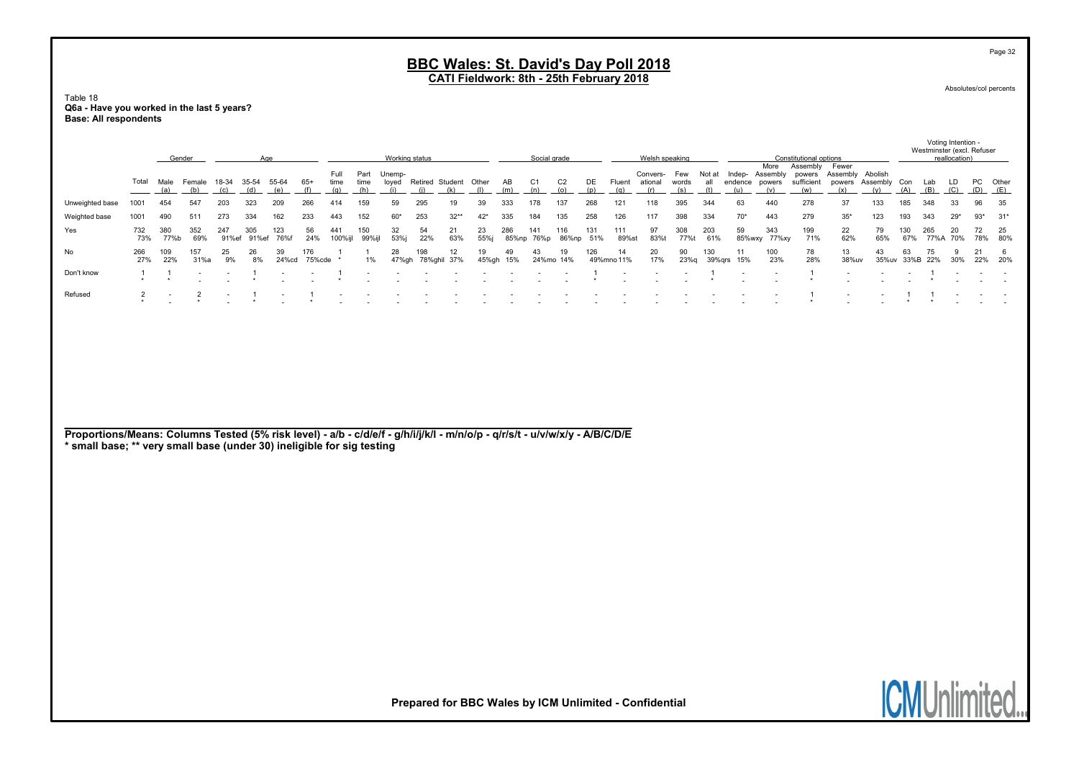Table 18 Q6a - Have you worked in the last 5 years? Base: All respondents

|                                                                                                                                                                                                       |                | Gender     |               |            |            | Age         |               |              |              | Working status  |                          |                       |             |                 | Social grade   |                 |            |                  | Welsh speaking                                         |              |               |                |                         | Constitutional options           |                             |                     |                      | Westminster (excl. Refuser | reallocation)                  |             |                        |
|-------------------------------------------------------------------------------------------------------------------------------------------------------------------------------------------------------|----------------|------------|---------------|------------|------------|-------------|---------------|--------------|--------------|-----------------|--------------------------|-----------------------|-------------|-----------------|----------------|-----------------|------------|------------------|--------------------------------------------------------|--------------|---------------|----------------|-------------------------|----------------------------------|-----------------------------|---------------------|----------------------|----------------------------|--------------------------------|-------------|------------------------|
|                                                                                                                                                                                                       | Total          | Male       | Female        | 18-34      | 35-54      | 55-64       | $65+$         | Full<br>time | Part<br>time | Unemp-<br>loyed |                          | Retired Student Other |             | AB              | C <sub>1</sub> | C <sub>2</sub>  | DE         | Fluent           | Convers-<br>ational                                    | Few<br>words | Not at<br>all | endence powers | More<br>Indep- Assembly | Assembly<br>powers<br>sufficient | Fewer<br>Assembly<br>powers | Abolish<br>Assembly | Con                  | Lab                        | $\frac{\text{LD}}{\text{(C)}}$ | PC          | Other                  |
|                                                                                                                                                                                                       |                | (a)        | (b)           | (c)        | (d)        | (e)         | (f)           | (g)          | (h)          | (i)             | (i)                      | (k)                   | (1)         | (m)             | (n)            | (0)             | (p)        | (q)              | (r)                                                    | (s)          | (t)           | (u)            | (v)                     | (w)                              | (x)                         | (y)                 | (A)                  | (B)                        |                                | (D)         | (E)                    |
| Unweighted base                                                                                                                                                                                       | 1001<br>1001   | 454<br>490 | 547<br>511    | 203<br>273 | 323<br>334 | 209<br>162  | 266<br>233    | 414<br>443   | 159<br>152   | 59<br>$60*$     | 295<br>253               | 19<br>$32**$          | 39<br>$42*$ | 333<br>335      | 178<br>184     | 137<br>135      | 268<br>258 | 121<br>126       | 118<br>117                                             | 395<br>398   | 344<br>334    | 63<br>$70*$    | 440<br>443              | 278<br>279                       | 37<br>$35*$                 | 133<br>123          | 185<br>193           | 348<br>343                 | 33<br>$29*$                    | 96<br>$93*$ | 35<br>$31*$            |
| Weighted base<br>Yes                                                                                                                                                                                  | 732            | 380        | 352           | 247        | 305        | 123         | 56            | 441          | 150          | 32              | 54                       | 21                    | 23          | 286             | 141            | 116             | 131        | 111              | 97                                                     | 308          | 203           | 59             | 343                     | 199                              | 22                          | 79                  | 130                  | 265                        | 20                             | 72          | 25                     |
|                                                                                                                                                                                                       | 73%            | 77%b       | 69%           | 91%ef      | 91%ef      | 76%f        | 24%           | 100%ijl      | 99%ijl       | 53%j            | 22%                      | 63%                   | 55%j        |                 | 85%np 76%p     | 86%np           | 51%        | 89%st            | 83%t                                                   | 77%t         | 61%           | 85%wxy         | 77%xy                   | 71%                              | 62%                         | 65%                 | 67%                  | 77%A                       | 70%                            | 78%         | 80%                    |
| No                                                                                                                                                                                                    | 266<br>27%     | 109<br>22% | 157<br>31%a   | 25<br>9%   | 26<br>8%   | 39<br>24%cd | 176<br>75%cde |              | 1%           | 28              | 198<br>47%gh 78%ghil 37% | 12                    | 19          | 49<br>45%gh 15% | 43             | 19<br>24%mo 14% | 126        | 14<br>49%mno 11% | 20<br>17%                                              | 90<br>23%g   | 130<br>39%qrs | 11<br>15%      | 100<br>23%              | 78<br>28%                        | 13<br>38%uv                 | 43                  | 63<br>35%uv 33%B 22% | 75                         | 9<br>30%                       | 21<br>22%   | $6\phantom{1}6$<br>20% |
| Don't know                                                                                                                                                                                            | $\overline{1}$ |            |               |            |            |             |               |              |              |                 |                          |                       |             |                 |                |                 |            |                  |                                                        |              |               |                |                         | $\mathbf{1}$<br>$\star$          |                             |                     |                      |                            |                                |             |                        |
| Refused                                                                                                                                                                                               | $\frac{2}{x}$  |            | $\frac{2}{x}$ |            |            |             |               |              |              |                 |                          |                       |             |                 |                |                 |            |                  |                                                        |              |               |                |                         |                                  |                             |                     |                      |                            |                                |             |                        |
| Proportions/Means: Columns Tested (5% risk level) - a/b - c/d/e/f - g/h/i/j/k/l - m/n/o/p - q/r/s/t - u/v/w/x/y - A/B/C/D/E<br>* small base; ** very small base (under 30) ineligible for sig testing |                |            |               |            |            |             |               |              |              |                 |                          |                       |             |                 |                |                 |            |                  | Prepared for BBC Wales by ICM Unlimited - Confidential |              |               |                |                         |                                  |                             |                     |                      |                            |                                |             | <b>ICMUnlimited.</b>   |

Page 32

Absolutes/col percents

Voting Intention -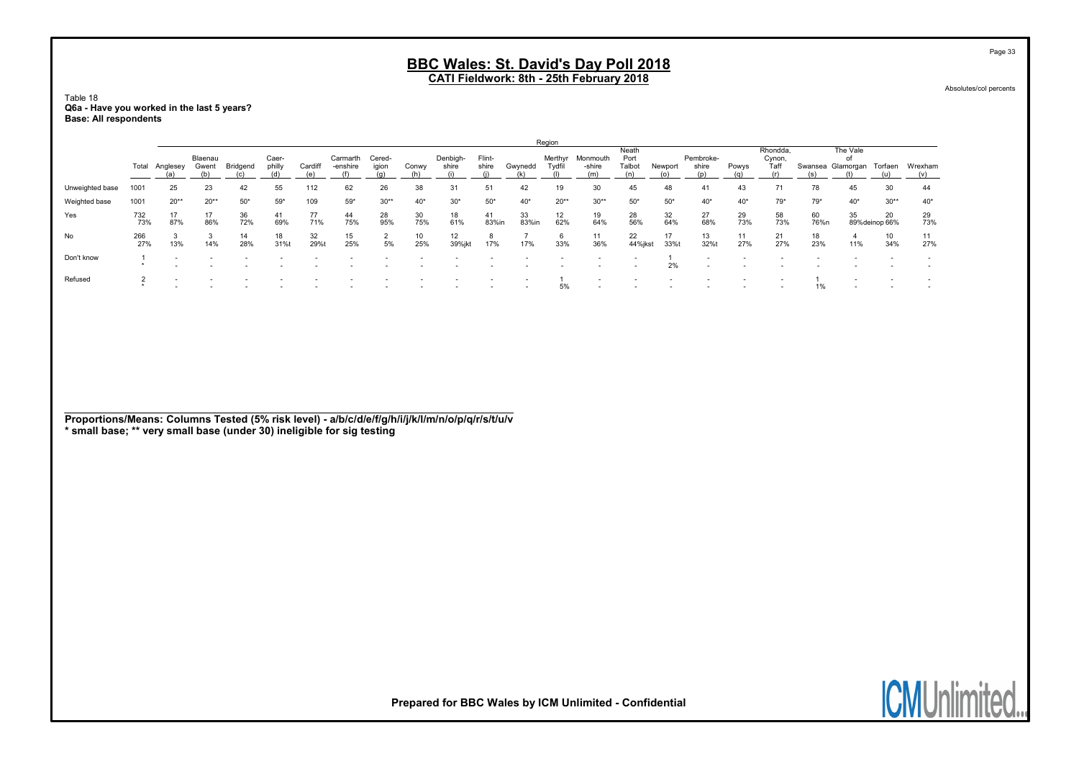Table 18 Q6a - Have you worked in the last 5 years? Base: All respondents

|                 |            |          |                  |                 |                 |            |                      |                 |           |                   |                 |             | Region    |                            |                         |           |                           |           |                            |            |                             |                      |           |
|-----------------|------------|----------|------------------|-----------------|-----------------|------------|----------------------|-----------------|-----------|-------------------|-----------------|-------------|-----------|----------------------------|-------------------------|-----------|---------------------------|-----------|----------------------------|------------|-----------------------------|----------------------|-----------|
|                 | Total      | Anglesey | Blaenau<br>Gwent | <b>Bridgend</b> | Caer-<br>philly | Cardiff    | Carmarth<br>-enshire | Cered-<br>igion | Conwy     | Denbigh-<br>shire | Flint-<br>shire | Gwynedd     | Tvdfil    | Merthyr Monmouth<br>-shire | Neath<br>Port<br>Talbot | Newport   | Pembroke-<br>shire<br>(n) | Powys     | Rhondda.<br>Cynon,<br>Taff | Swansea    | The Vale<br>0f<br>Glamorgan | Torfaen              | Wrexham   |
| Unweighted base | 1001       | 25       | 23               | 42              | 55              | 112        | 62                   | 26              | 38        | 31                | 51              | 42          | 19        | 30                         | 45                      | 48        | 41                        | 43        |                            | 78         | 45                          | 30                   | 44        |
| Weighted base   | 1001       | $20**$   | $20**$           | $50*$           | $59*$           | 109        | $59*$                | $30**$          | $40*$     | $30*$             | $50*$           | $40*$       | $20**$    | $30**$                     | $50*$                   | $50*$     | $40*$                     | $40*$     | $79*$                      | $79*$      | $40*$                       | $30**$               | $40*$     |
| Yes             | 732<br>73% | 87%      | 17<br>86%        | 36<br>72%       | 41<br>69%       | 77<br>71%  | 44<br>75%            | 28<br>95%       | 30<br>75% | 18<br>61%         | 41<br>83%in     | 33<br>83%in | 12<br>62% | 19<br>64%                  | 28<br>56%               | 32<br>64% | 27<br>68%                 | 29<br>73% | 58<br>73%                  | 60<br>76%n | 35                          | 20<br>89% deinop 66% | 29<br>73% |
| No              | 266<br>27% | 13%      | 14%              | 14<br>28%       | 18<br>31%t      | 32<br>29%t | 15<br>25%            | 5%              | 10<br>25% | 12<br>39%jkt      | 8<br>17%        | 17%         | ь<br>33%  | 11<br>36%                  | 22<br>44%jkst           | 17<br>33% | 13<br>32%                 | 11<br>27% | 21<br>27%                  | 18<br>23%  | 11%                         | 10<br>34%            | 11<br>27% |
| Don't know      |            |          |                  |                 |                 |            |                      |                 |           |                   |                 |             |           |                            |                         | 2%        |                           |           |                            |            |                             |                      |           |
| Refused         |            |          |                  |                 |                 |            |                      |                 |           |                   |                 |             | 5%        |                            |                         |           |                           |           |                            | 1%         |                             |                      |           |

**ICMUni** 

Page 33

Proportions/Means: Columns Tested (5% risk level) - a/b/c/d/e/f/g/h/i/j/k/l/m/n/o/p/q/r/s/t/u/v \* small base; \*\* very small base (under 30) ineligible for sig testing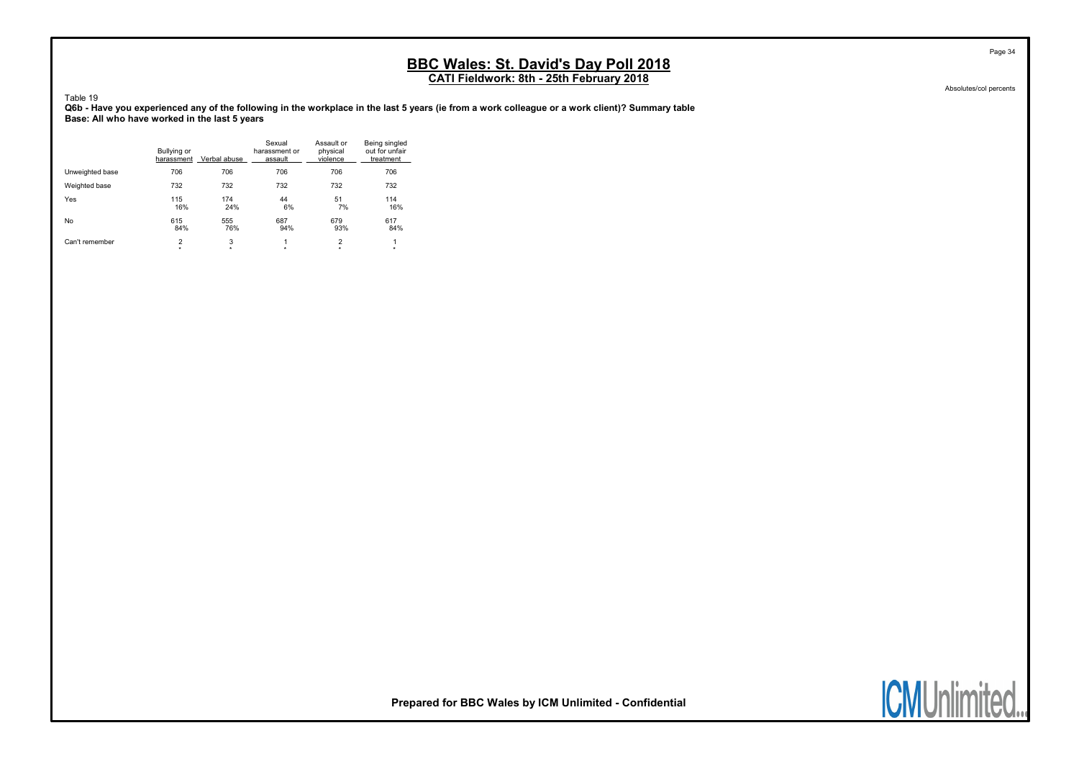CATI Fieldwork: 8th - 25th February 2018

Table 19 Q6b - Have you experienced any of the following in the workplace in the last 5 years (ie from a work colleague or a work client)? Summary table Base: All who have worked in the last 5 years

|                 | Bullying or<br>harassment | Verbal abuse | Sexual<br>harassment or<br>assault | Assault or<br>physical<br>violence | Being singled<br>out for unfair<br>treatment |
|-----------------|---------------------------|--------------|------------------------------------|------------------------------------|----------------------------------------------|
| Unweighted base | 706                       | 706          | 706                                | 706                                | 706                                          |
| Weighted base   | 732                       | 732          | 732                                | 732                                | 732                                          |
| Yes             | 115                       | 174          | 44                                 | 51                                 | 114                                          |
|                 | 16%                       | 24%          | 6%                                 | 7%                                 | 16%                                          |
| No              | 615                       | 555          | 687                                | 679                                | 617                                          |
|                 | 84%                       | 76%          | 94%                                | 93%                                | 84%                                          |
| Can't remember  | 2                         | 3            | 1                                  | $\overline{2}$                     | 1                                            |
|                 | $\star$                   | $\star$      | $\star$                            | $\star$                            | $\star$                                      |

Absolutes/col percents



Prepared for BBC Wales by ICM Unlimited - Confidential

Page 34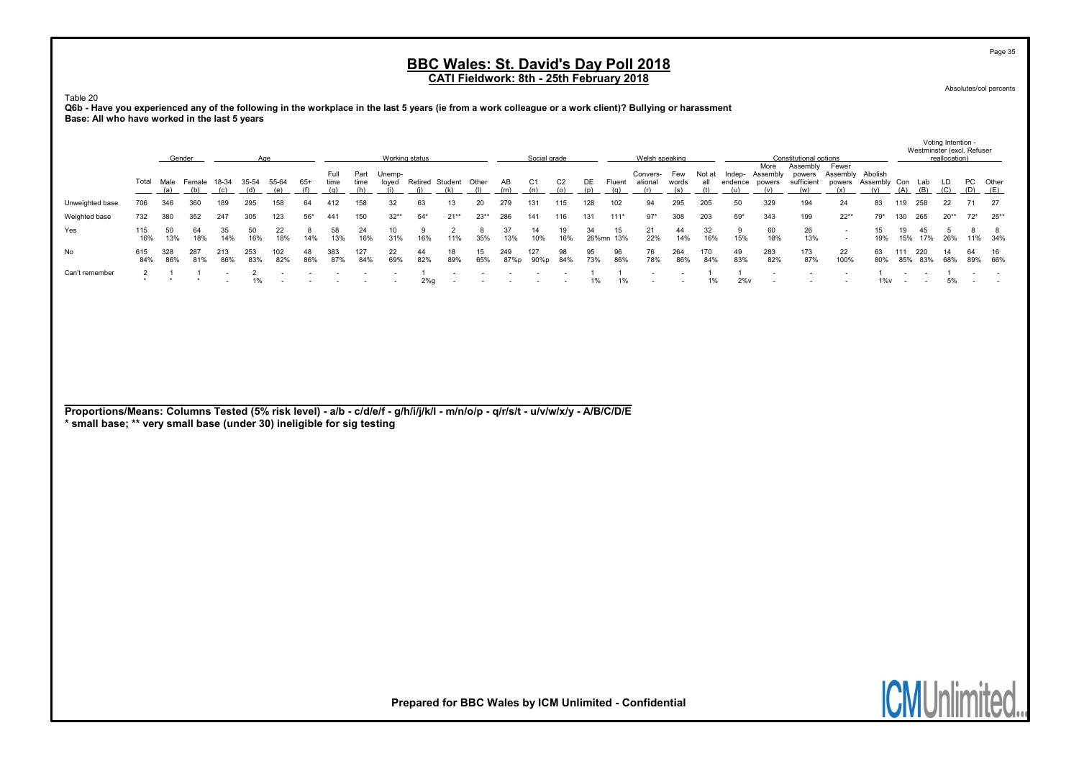Absolutes/col percents

Page 35

Voting Intention -

Table 20

Q6b - Have you experienced any of the following in the workplace in the last 5 years (ie from a work colleague or a work client)? Bullying or harassment Base: All who have worked in the last 5 years

|                 |            |            | Gender     |            |            |              |           |              |              | Working status  |           |                        |           |             | Social grade |           |           |           | Welsh speaking      |              |               |                   |                            | Constitutional options           |                                            |                     |            | Westminster (excl. Refuser | reallocation) |                 |           |
|-----------------|------------|------------|------------|------------|------------|--------------|-----------|--------------|--------------|-----------------|-----------|------------------------|-----------|-------------|--------------|-----------|-----------|-----------|---------------------|--------------|---------------|-------------------|----------------------------|----------------------------------|--------------------------------------------|---------------------|------------|----------------------------|---------------|-----------------|-----------|
|                 | Total      | Male       | Female     | 18-34      | 35-54      | 55-64<br>(e) | $65+$     | Full<br>time | Part<br>time | Unemp-<br>loved |           | Retired Student<br>(k) | Other     | AB<br>(m)   | C1<br>(n)    | C2<br>(o) | DE.       | Fluent    | Convers-<br>ational | Few<br>words | Not at<br>all | Indep-<br>endence | More<br>Assembly<br>powers | Assembly<br>powers<br>sufficient | Fewer<br>Assembly Abolish<br>powers<br>(x) | Assembly Con<br>(y) | (A)        | Lab<br>(B)                 | LD.<br>(C)    | PC Other<br>(D) | (E)       |
| Unweighted base | 706        | 346        | 360        |            | 295        | 158          | 64        | 412          | 158          | 32              | 63        |                        | 20        | 279         | 131          | 115       | 128       | 102       | 94                  | 295          | 205           | 50                | 329                        | 194                              | 24                                         | 83                  | 119        | 258                        | 22            |                 | 27        |
| Weighted base   | 732        | 380        | 352        | 247        | 305        | 123          | $56*$     | 441          | 150          | $32**$          | $54*$     | $21**$                 | $23**$    | 286         | 141          | 116       | 131       | $111*$    | $97*$               | 308          | 203           | $59*$             | 343                        | 199                              | $22**$                                     | 79*                 | 130        | 265                        | $20**$        | $72^*$          | $25**$    |
| Yes             | 115<br>16% | 13%        | 18%        | 14%        | 50<br>16%  | 22<br>18%    | 14%       | 13%          | 16%          | 31%             | 16%       | 11%                    | 35%       | 13%         | 10%          | 16%       | 26%mn     | 15<br>13% | 21<br>22%           | 44<br>14%    | 16%           | 15%               | 60<br>18%                  | 26<br>13%                        | $\sim$                                     | 19%                 | 15%        | 45<br>17%                  | 26%           |                 | 11% 34%   |
| No              | 615<br>84% | 328<br>86% | 287<br>81% | 213<br>86% | 253<br>83% | 102<br>82%   | 48<br>86% | 383<br>87%   | 127<br>84%   | 22<br>69%       | 44<br>82% | 18.<br>89%             | 15<br>65% | 249<br>87%p | 127<br>90%p  | 98<br>84% | 95<br>73% | 96<br>86% | 76<br>78%           | 264<br>86%   | 170<br>84%    | 49<br>83%         | 283<br>82%                 | 173<br>87%                       | 22<br>100%                                 | 63<br>80%           | 111<br>85% | 220<br>83%                 | 14<br>68%     | 64<br>89%       | 16<br>66% |
| Can't remember  |            |            |            |            |            |              |           |              |              |                 | 2%        |                        |           |             |              |           | 1%        | 1%        |                     |              | 1%            | $2\%$ v           |                            |                                  |                                            | $1\%$ v             |            |                            | 5%            |                 |           |

Proportions/Means: Columns Tested (5% risk level) - a/b - c/d/e/f - g/h/i/j/k/l - m/n/o/p - q/r/s/t - u/v/w/x/y - A/B/C/D/E

\* small base; \*\* very small base (under 30) ineligible for sig testing

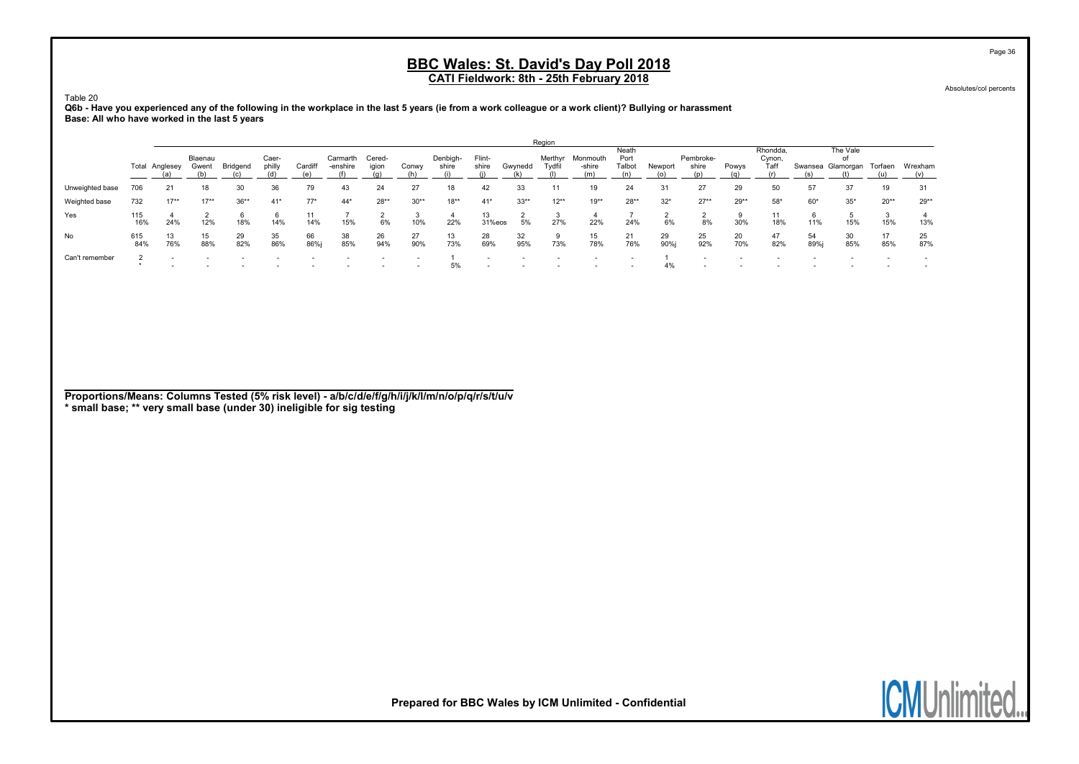Absolutes/col percents

Table 20 Q6b - Have you experienced any of the following in the workplace in the last 5 years (ie from a work colleague or a work client)? Bullying or harassment Base: All who have worked in the last 5 years

|                 |            |           |                  |           |                 |            |                      |                          |                          |                   |                          |           | Region            |                    |                         |            |                           |           |                            |            |                                     |           |           |
|-----------------|------------|-----------|------------------|-----------|-----------------|------------|----------------------|--------------------------|--------------------------|-------------------|--------------------------|-----------|-------------------|--------------------|-------------------------|------------|---------------------------|-----------|----------------------------|------------|-------------------------------------|-----------|-----------|
|                 | Total      | Anglesey  | Blaenau<br>Gwent | Bridgend  | Caer-<br>philly | Cardiff    | Carmarth<br>-enshire | Cered-<br>igion          | Conwy                    | Denbigh-<br>shire | Flint-<br>shire          | Gwynedd   | Merthyr<br>Tydfil | Monmouth<br>-shire | Neath<br>Port<br>Talbot | Newport    | Pembroke-<br>shire<br>(n) | Powys     | Rhondda.<br>Cynon,<br>Taff |            | The Vale<br>of<br>Swansea Glamorgan | Torfaen   | Wrexham   |
| Unweighted base | 706        | 21        | 18               | 30        | 36              | 79         | 43                   | 24                       | 27                       | 18                | 42                       | 33        |                   | 19                 | 24                      | 31         | 27                        | 29        | 50                         | 57         | 37                                  | 19        | 31        |
| Weighted base   | 732        | $17**$    | $17**$           | $36**$    | $41*$           | $77*$      | $44*$                | $28**$                   | $30**$                   | $18**$            | $41*$                    | $33**$    | $12**$            | $19**$             | $28**$                  | $32*$      | $27**$                    | $29**$    | $58*$                      | $60*$      | $35*$                               | $20**$    | $29**$    |
| Yes             | 115<br>16% | 24%       | 12%              | 18%       | 14%             | 11<br>14%  | 15%                  | 6%                       | 10%                      | 22%               | 13<br>31%eos             | 5%        | ۰J<br>27%         | 22%                | 24%                     | 6%         | 8%                        | 30%       | 11<br>18%                  | b<br>11%   | 15%                                 | 3<br>15%  | 13%       |
| No              | 615<br>84% | 13<br>76% | 15<br>88%        | 29<br>82% | 35<br>86%       | 66<br>86%i | 38<br>85%            | 26<br>94%                | 27<br>90%                | 13<br>73%         | 28<br>69%                | 32<br>95% | 9<br>73%          | 15<br>78%          | 21<br>76%               | 29<br>90%i | 25<br>92%                 | 20<br>70% | 47<br>82%                  | 54<br>89%i | 30<br>85%                           | 17<br>85% | 25<br>87% |
| Can't remember  |            | $\sim$    |                  |           |                 |            |                      | $\overline{\phantom{0}}$ | $\overline{\phantom{a}}$ | 5%                | $\overline{\phantom{0}}$ |           |                   | $\sim$             |                         | 4%         |                           |           |                            |            |                                     |           |           |

Proportions/Means: Columns Tested (5% risk level) - a/b/c/d/e/f/g/h/i/j/k/l/m/n/o/p/q/r/s/t/u/v \* small base; \*\* very small base (under 30) ineligible for sig testing

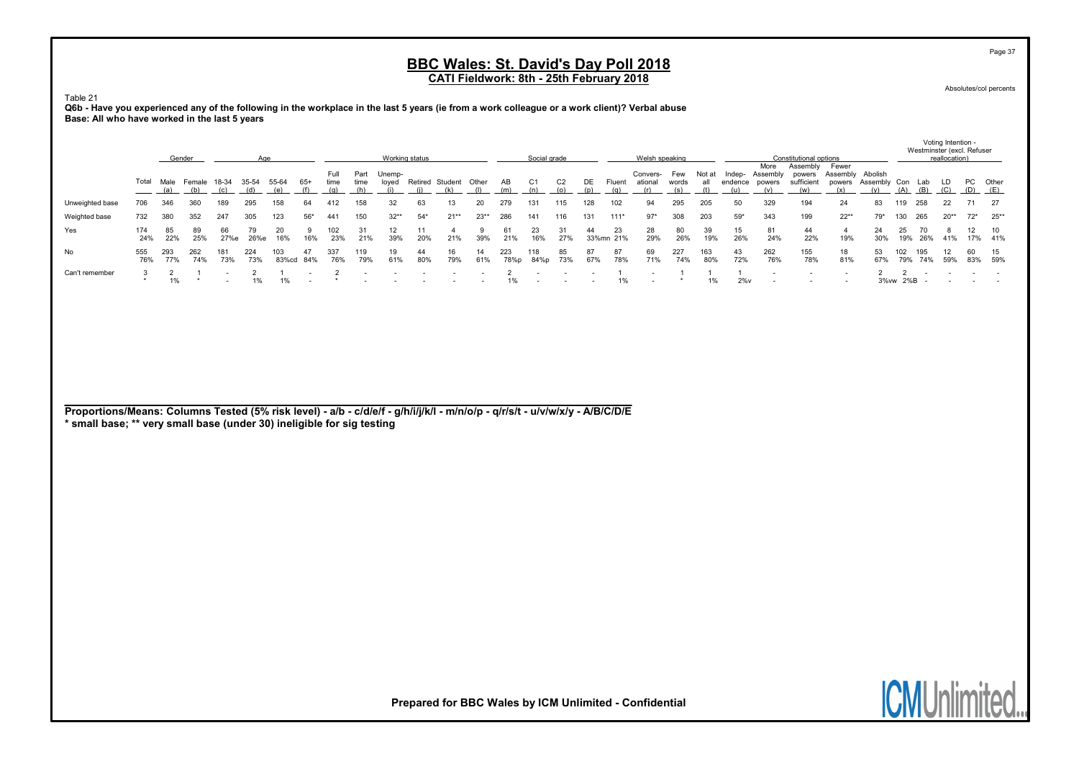Absolutes/col percents

Page 37

Voting Intention -

Table 21 Q6b - Have you experienced any of the following in the workplace in the last 5 years (ie from a work colleague or a work client)? Verbal abuse Base: All who have worked in the last 5 years

|                 |            | Gender             |               |            | Age          |              |       |              |              | Working status  |           |                       |           |             | Social grade |                       |           |                 | Welsh speaking             |                     |            |                   |                            | Constitutional options                  |                                     |                         |            |                   | Westminster (excl. Refuser<br>reallocation) |                 |           |
|-----------------|------------|--------------------|---------------|------------|--------------|--------------|-------|--------------|--------------|-----------------|-----------|-----------------------|-----------|-------------|--------------|-----------------------|-----------|-----------------|----------------------------|---------------------|------------|-------------------|----------------------------|-----------------------------------------|-------------------------------------|-------------------------|------------|-------------------|---------------------------------------------|-----------------|-----------|
|                 | Total      | Male<br><u>(a)</u> | Female<br>(b) | 18-34      | 35-54<br>(d) | 55-64        | $65+$ | Full<br>time | Part<br>time | Unemp-<br>loved |           | Retired Student Other |           | AB<br>(m)   | C1<br>(n)    | C <sub>2</sub><br>(n) | DE<br>(n) | Fluent<br>(q)   | Convers-<br>ational<br>(r) | Few<br>words<br>(s) | Not at     | Indep-<br>endence | More<br>Assembly<br>powers | Assembly<br>powers<br>sufficient<br>(w) | Fewer<br>Assembly Abolish<br>powers | Assembly Con Lab<br>(y) |            | $(A)$ $(B)$ $(C)$ | LD.                                         | PC Other<br>(D) | (E)       |
| Unweighted base | 706        | 346                |               | 189        | 295          | 158          | 64    | 412          |              |                 | 63        |                       | 20        | 279         | 131          | 115                   | 128       | 102             | 94                         | 295                 | 205        |                   | 329                        | 194                                     | 24                                  | 83                      | 119        | 258               | 22                                          |                 | - 27      |
| Weighted base   | 732        | 380                | 352           | 247        | 305          | 123          | $56*$ | 441          | 150          | $32**$          | $54*$     | $21**$                | $23**$    | 286         | 141          | 116                   | 131       | 111'            | $97*$                      | 308                 | 203        | $59*$             | 343                        | 199                                     | $22**$                              | 79*                     | 130        | 265               | $20**$                                      | $72^*$          | $25**$    |
| Yes             | 174<br>24% | 85<br>22%          | 89<br>25%     | 66<br>27%e | 79<br>26%e   | 20<br>16%    | 16%   | 23%          | 21%          | 12<br>39%       | 20%       | 21%                   | 39%       | 61<br>21%   | 23<br>16%    | 27%                   | 44        | 23<br>33%mn 21% | 28<br>29%                  | 80<br>26%           | 39<br>19%  | 15<br>26%         | 81<br>24%                  | 44<br>22%                               | 19%                                 | 24<br>30%               | 25<br>19%  | 26%               | 41%                                         |                 | 10<br>41% |
| No              | 555<br>76% | 293<br>77%         | 262<br>74%    | 73%        | 224<br>73%   | 103<br>83%cd | 84%   | 337<br>76%   | 119<br>79%   | 19<br>61%       | 44<br>80% | 16<br>79%             | 14<br>61% | 223<br>78%p | 118<br>84%p  | 85<br>73%             | 87<br>67% | 78%             | 69<br>71%                  | 227<br>74%          | 163<br>80% | 43<br>72%         | 262<br>76%                 | 155<br>78%                              | 18<br>81%                           | 53<br>67%               | 102<br>79% | 195<br>74%        | 59%                                         | 60<br>83%       | 59%       |
| Can't remember  |            | 1%                 |               |            | 1%           |              |       |              |              |                 |           |                       |           | 1%          |              |                       |           | 1%              |                            |                     | 1%         | $2\%$ v           |                            |                                         |                                     |                         | 3%vw 2%B   |                   |                                             |                 |           |

Proportions/Means: Columns Tested (5% risk level) - a/b - c/d/e/f - g/h/i/j/k/l - m/n/o/p - q/r/s/t - u/v/w/x/y - A/B/C/D/E

\* small base; \*\* very small base (under 30) ineligible for sig testing

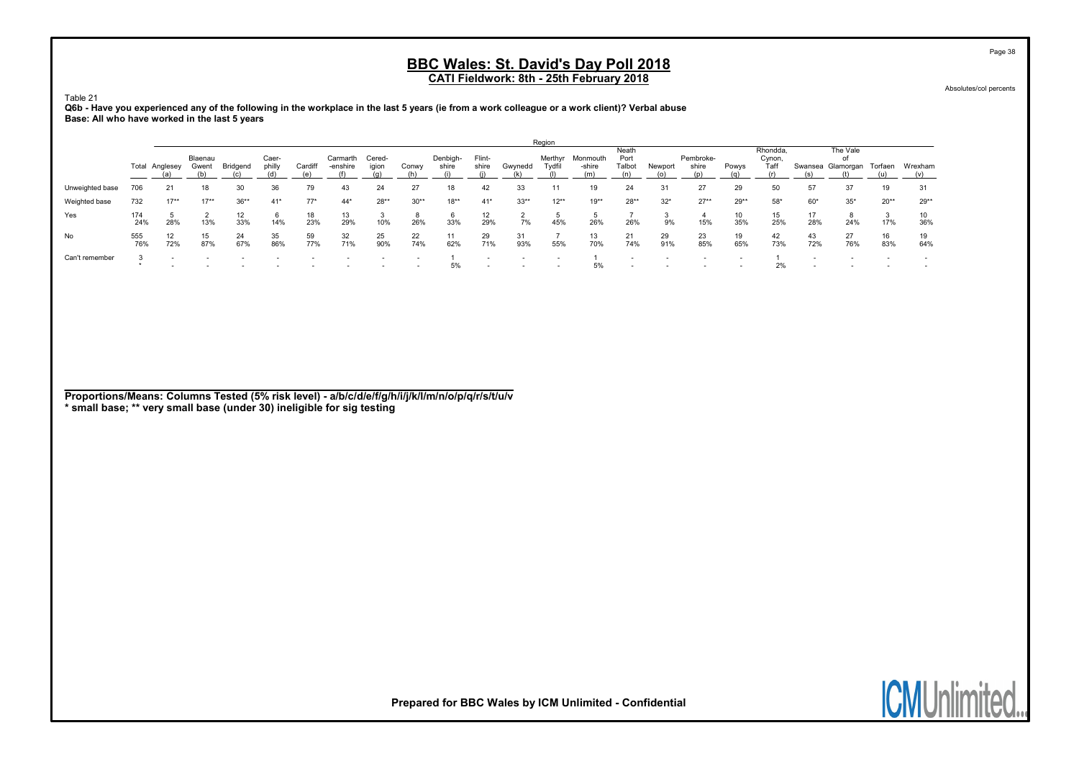Absolutes/col percents

Page 38

Table 21 Q6b - Have you experienced any of the following in the workplace in the last 5 years (ie from a work colleague or a work client)? Verbal abuse Base: All who have worked in the last 5 years

|                 |            |                       |           |           |           |           |           |                          |           |           |                          |           | Region   |           |               |           |           |           |                    |           |                   |           |           |
|-----------------|------------|-----------------------|-----------|-----------|-----------|-----------|-----------|--------------------------|-----------|-----------|--------------------------|-----------|----------|-----------|---------------|-----------|-----------|-----------|--------------------|-----------|-------------------|-----------|-----------|
|                 |            |                       | Blaenau   |           | Caer-     |           | Carmarth  | Cered-                   |           | Denbigh-  | Flint-                   |           | Merthyr  | Monmouth  | Neath<br>Port |           | Pembroke- |           | Rhondda.<br>Cynon, |           | The Vale<br>оf    |           |           |
|                 |            | <b>Total Anglesey</b> | Gwent     | Bridgend  | philly    | Cardifl   | -enshire  | igion                    | Conwy     | shire     | shire                    | Gwynedd   | Tvdfil   | -shire    | Talbot        | Newport   | shire     | Powys     | Taff               |           | Swansea Glamorgan | Torfaen   | Wrexham   |
|                 |            |                       |           |           |           |           |           |                          |           |           |                          |           |          |           |               |           |           |           |                    |           |                   |           |           |
| Unweighted base | 706        | 21                    | 18        | 30        | 36        | 79        | 43        | 24                       | 27        | 18        | 42                       |           |          |           | 24            | 31        | 27        | 29        | 50                 | 57        | 37                | 19        | 31        |
| Weighted base   | 732        | $17**$                | $17**$    | $36**$    | $41*$     | $77*$     | $44*$     | $28**$                   | $30**$    | $18**$    | $41*$                    | $33**$    | $12**$   | $19**$    | $28**$        | $32*$     | $27**$    | $29**$    | $58*$              | $60*$     | $35*$             | $20**$    | $29**$    |
| Yes             | 174<br>24% | 28%                   | 13%       | 12<br>33% | 6<br>14%  | 18<br>23% | 13<br>29% | 10%                      | 8<br>26%  | 33%       | 12<br>29%                | 7%        | ь<br>45% | 26%       | 26%           | 9%        | 15%       | 10<br>35% | 15<br>25%          | 17<br>28% | 24%               | 3<br>17%  | 10<br>36% |
| No              | 555<br>76% | 12<br>72%             | 15<br>87% | 24<br>67% | 35<br>86% | 59<br>77% | 32<br>71% | 25<br>90%                | 22<br>74% | 11<br>62% | 29<br>71%                | 31<br>93% | 55%      | 13<br>70% | 21<br>74%     | 29<br>91% | 23<br>85% | 19<br>65% | 42<br>73%          | 43<br>72% | 27<br>76%         | 16<br>83% | 19<br>64% |
| Can't remember  |            |                       |           |           |           |           |           | $\overline{\phantom{0}}$ |           | 5%        | $\overline{\phantom{a}}$ |           |          | 5%        |               |           |           |           | 2%                 | $\sim$    |                   |           |           |

Proportions/Means: Columns Tested (5% risk level) - a/b/c/d/e/f/g/h/i/j/k/l/m/n/o/p/q/r/s/t/u/v \* small base; \*\* very small base (under 30) ineligible for sig testing

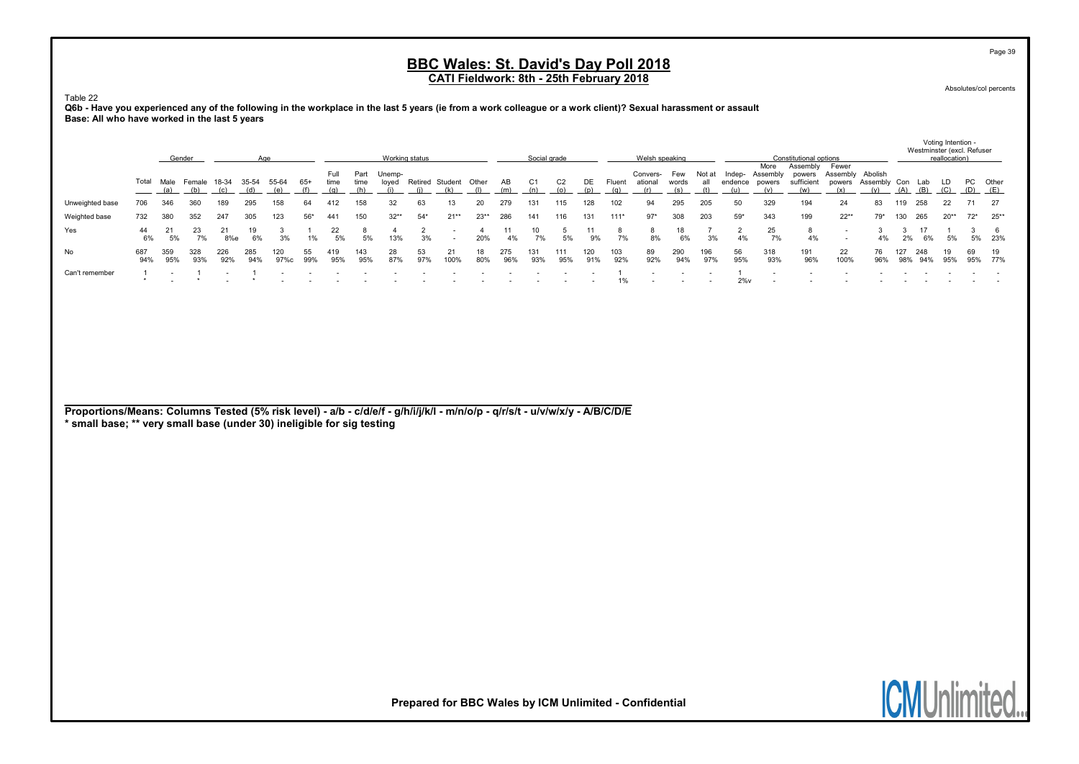Absolutes/col percents

Page 39

Voting Intention -

Table 22

Q6b - Have you experienced any of the following in the workplace in the last 5 years (ie from a work colleague or a work client)? Sexual harassment or assault Base: All who have worked in the last 5 years

|                 |            | Gender     |            |            |            |             |           |              |              | Working status  |           |         |           |            | Social grade |            |            |            | Welsh speaking      |              |            |                   |                            | Constitutional options           |                                     |              |            | Westminster (excl. Refuser | reallocation) |           |           |
|-----------------|------------|------------|------------|------------|------------|-------------|-----------|--------------|--------------|-----------------|-----------|---------|-----------|------------|--------------|------------|------------|------------|---------------------|--------------|------------|-------------------|----------------------------|----------------------------------|-------------------------------------|--------------|------------|----------------------------|---------------|-----------|-----------|
|                 | Total      | Male       | Female     | 18-34      |            |             | $65+$     | Full<br>time | Part<br>time | Unemp-<br>loved | Retired   | Student | Other     | ΑВ<br>(m)  | C1           |            |            | Fluent     | Convers-<br>ational | Few<br>words | Not at     | Indep-<br>endence | More<br>Assemblv<br>powers | Assembly<br>powers<br>sufficient | Fewer<br>Assembly Abolish<br>powers | Assembly Con |            | Lab<br>(B)                 |               | PC .      | Other     |
| Unweighted base | 706        | 346        | 360        | 189        | 295        | 158         | 64        | 412          | 158          | 32              | 63        |         | 20        | 279        | 131          | 115        | 128        | 102        | 94                  | 295          | 205        | 50                | 329                        | 194                              | 24                                  | 83           | 119        | 258                        | 22            |           | - 27      |
| Weighted base   | 732        | 380        | 352        | 247        | 305        | 123         | $56*$     | 441          | 150          | $32**$          | $54*$     | $21**$  | $23**$    | 286        | 141          | 116        | 131        | $111*$     | $97*$               | 308          | 203        | $59*$             | 343                        | 199                              | $22**$                              | 79*          | 130        | 265                        | $20**$        | $72*$     | $25***$   |
| Yes             | 44<br>6%   | 5%         | 7%         | 8%e        | 6%         | 3%          | 1%        | 22<br>5%     | 5%           | 13%             | 3%        |         | 20%       | 4%         | 7%           | 5%         | 9%         | 7%         | 8%                  | 18<br>6%     | 3%         | 4%                | 25<br>7%                   | 4%                               |                                     | 4%           | 2%         | 6%                         | 5%            |           | 23%       |
| No              | 687<br>94% | 359<br>95% | 328<br>93% | 226<br>92% | 285<br>94% | 120<br>97%c | 55<br>99% | 419<br>95%   | 143<br>95%   | 28<br>87%       | 53<br>97% | 100%    | 18<br>80% | 275<br>96% | 131<br>93%   | 111<br>95% | 120<br>91% | 103<br>92% | 89<br>92%           | 290<br>94%   | 196<br>97% | 56<br>95%         | 318<br>93%                 | 191<br>96%                       | 22<br>100%                          | 96%          | 127<br>98% | 248                        | 19<br>95%     | 69<br>95% | 19<br>77% |
| Can't remember  |            |            |            |            |            |             |           |              |              |                 |           |         |           |            |              |            |            | 1%         |                     |              |            | $2\%$ v           |                            |                                  |                                     |              |            |                            |               |           |           |

| Proportions/Means: Columns Tested (5% risk level) - a/b - c/d/e/f - g/h/i/j/k/l - m/n/o/p - q/r/s/t - u/v/w/x/y - A/B/C/D/E |  |
|-----------------------------------------------------------------------------------------------------------------------------|--|
|-----------------------------------------------------------------------------------------------------------------------------|--|

\* small base; \*\* very small base (under 30) ineligible for sig testing

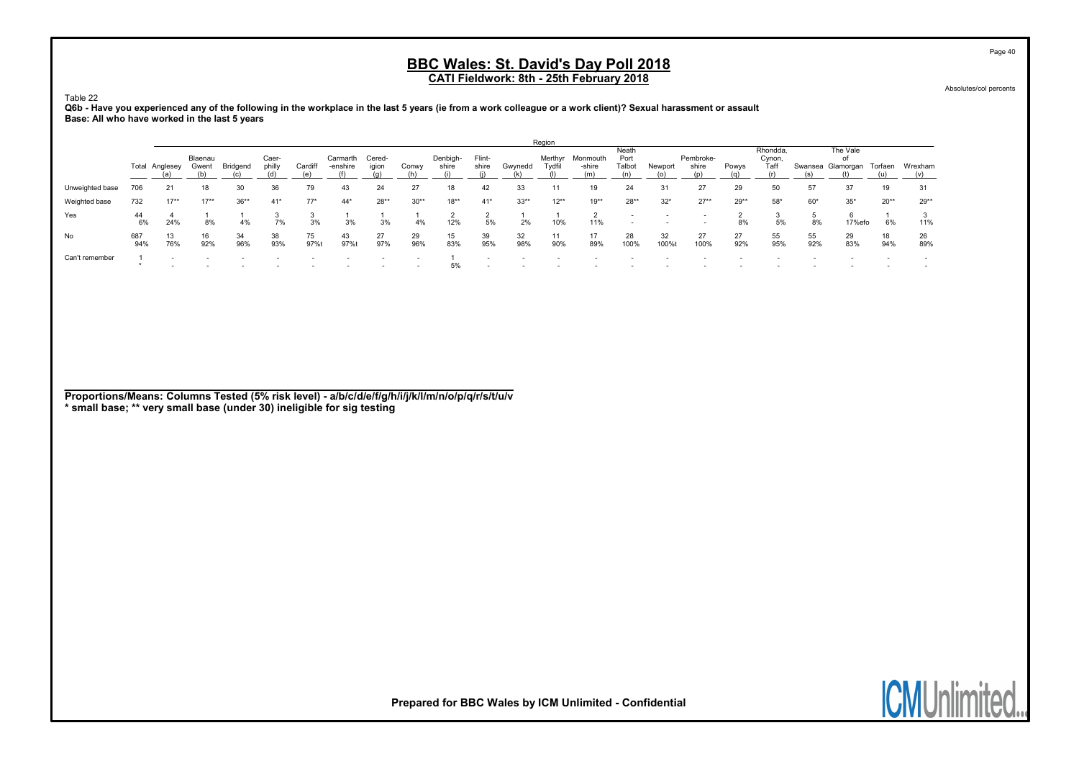Absolutes/col percents

Page 40

Table 22 Q6b - Have you experienced any of the following in the workplace in the last 5 years (ie from a work colleague or a work client)? Sexual harassment or assault Base: All who have worked in the last 5 years

|                 |            |                |                  |           |                 |            |                      |                          |                          |                   |                          |           | Region    |                            |                                                      |             |                           |           |                            |           |                                             |           |           |
|-----------------|------------|----------------|------------------|-----------|-----------------|------------|----------------------|--------------------------|--------------------------|-------------------|--------------------------|-----------|-----------|----------------------------|------------------------------------------------------|-------------|---------------------------|-----------|----------------------------|-----------|---------------------------------------------|-----------|-----------|
|                 |            | Total Anglesey | Blaenau<br>Gwent | Bridgend  | Caer-<br>philly | Cardiff    | Carmarth<br>-enshire | Cered-<br>igion          | Conwy                    | Denbigh-<br>shire | Flint-<br>shire          | Gwynedd   | Tydfil    | Merthyr Monmouth<br>-shire | Neath<br>Port<br>Talbot                              | Newport     | Pembroke-<br>shire<br>(n) | Powys     | Rhondda.<br>Cynon,<br>Taff |           | The Vale<br>of<br>Swansea Glamorgan Torfaen |           | Wrexham   |
| Unweighted base | 706        | 21             | 18               | 30        | 36              | 79         | 43                   | 24                       | 27                       | 18                | 42                       | 33        | 11        | 19                         | 24                                                   | 31          | 27                        | 29        | 50                         | 57        | 37                                          | 19        | 31        |
| Weighted base   | 732        | $17**$         | $17**$           | $36**$    | $41*$           | $77*$      | $44*$                | $28**$                   | $30**$                   | $18**$            | $41*$                    | $33**$    | $12**$    | $19**$                     | $28**$                                               | $32*$       | $27**$                    | $29**$    | $58*$                      | $60*$     | $35*$                                       | $20**$    | $29**$    |
| Yes             | 44<br>6%   | 24%            | 8%               | 4%        | 7%              | 3%         | 3%                   | 3%                       | 4%                       | 12%               | 5%                       | 2%        | 10%       | 11%                        | $\overline{\phantom{a}}$<br>$\overline{\phantom{a}}$ |             |                           | 8%        | 5%                         | 8%        | 17%efo                                      | 6%        | 11%       |
| No              | 687<br>94% | 13<br>76%      | 16<br>92%        | 34<br>96% | 38<br>93%       | 75<br>97%t | 43<br>97%t           | 27<br>97%                | 29<br>96%                | 15<br>83%         | 39<br>95%                | 32<br>98% | 11<br>90% | 17<br>89%                  | 28<br>100%                                           | 32<br>100%t | 27<br>100%                | 27<br>92% | 55<br>95%                  | 55<br>92% | 29<br>83%                                   | 18<br>94% | 26<br>89% |
| Can't remember  |            |                |                  |           |                 |            |                      | $\overline{\phantom{0}}$ | $\overline{\phantom{a}}$ | 5%                | $\overline{\phantom{a}}$ |           |           |                            |                                                      |             |                           |           |                            |           |                                             |           |           |

Proportions/Means: Columns Tested (5% risk level) - a/b/c/d/e/f/g/h/i/j/k/l/m/n/o/p/q/r/s/t/u/v \* small base; \*\* very small base (under 30) ineligible for sig testing

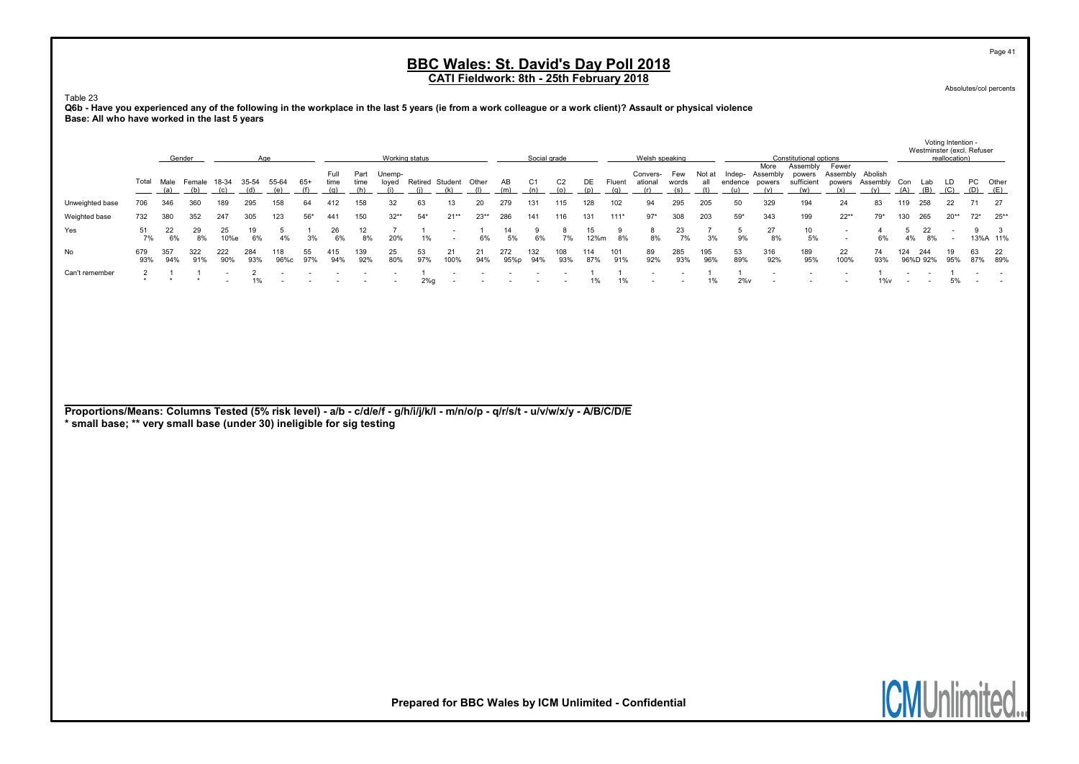Absolutes/col percents

Page 41

Voting Intention -

Table 23

Q6b - Have you experienced any of the following in the workplace in the last 5 years (ie from a work colleague or a work client)? Assault or physical violence Base: All who have worked in the last 5 years

|                 |            |            | Gender             |            |              |             |           |              |            | Working status       |           |                              |           |              | Social grade |            |            |               | Welsh speaking                 |            |            |                                 |                            | Constitutional options                  |                           |                            |     | Westminster (excl. Refuser | reallocation) |                         |          |
|-----------------|------------|------------|--------------------|------------|--------------|-------------|-----------|--------------|------------|----------------------|-----------|------------------------------|-----------|--------------|--------------|------------|------------|---------------|--------------------------------|------------|------------|---------------------------------|----------------------------|-----------------------------------------|---------------------------|----------------------------|-----|----------------------------|---------------|-------------------------|----------|
|                 | Total      | (a)        | Male Female<br>(b) | 18-34      | 35-54<br>(d) | 55-64       | $65+$     | Full<br>time | time       | Part Unemp-<br>loved |           | Retired Student Other<br>(k) |           | AB<br>(m)    | C1<br>(n)    | C2<br>(o)  | DE<br>(p)  | Fluent<br>(a) | Convers- Few<br>ational<br>(r) | words      | all        | Not at Indep-<br>endence<br>(u) | More<br>Assembly<br>powers | Assembly<br>powers<br>sufficient<br>(w) | Fewer<br>Assembly Abolish | powers Assembly Con<br>(y) | (A) | Lab<br>$(B)$ $(C)$         | LD            | PC Other<br>$(D)$ $(E)$ |          |
| Unweighted base | 706        | 346        |                    | 189        | 295          | 58          | 64        |              |            |                      | 63        |                              | 20        | 279          | 131          | 115        | 128        | 102           | 94                             | 295        | 205        | 50                              | 329                        | 194                                     | 24                        | 83                         | 119 | 258                        | 22            |                         | -27      |
| Weighted base   | 732        | 380        | 352                | 247        | 305          | 123         | $56*$     | 441          | 150        | $32**$               | $54*$     | $21**$                       | $23**$    | 286          | 141          | 116        | 131        | $111*$        | $97*$                          | 308        | 203        | $59*$                           | 343                        | 199                                     | $22**$                    | 79*                        | 130 | 265                        | $20^{**}$     | $72^*$ 25**             |          |
| Yes             | 7%         | 22<br>6%   | 29<br>8%           | 25<br>10%e | 6%           |             | 3%        | 26<br>6%     | 8%         | 20%                  | 1%        |                              | 6%        | 14<br>5%     | 6%           | 7%         | 15<br>12%m | 8%            | 8%                             | 23<br>7%   | 3%         | 9%                              | 27<br>8%                   | 10 <sup>1</sup><br>5%                   |                           | 6%                         | 4%  | 22<br>8%                   |               |                         | 13%A 11% |
| No              | 679<br>93% | 357<br>94% | 322<br>91%         | 222<br>90% | 284<br>93%   | 118<br>96%c | 55<br>97% | 415<br>94%   | 139<br>92% | 25<br>80%            | 53<br>97% | 21<br>100%                   | 21<br>94% | 272.<br>95%p | 132<br>94%   | 108<br>93% | 114<br>87% | 101<br>91%    | 89<br>92%                      | 285<br>93% | 195<br>96% | 53<br>89%                       | 316<br>92%                 | 189<br>95%                              | 22<br>100%                | 74<br>93%                  | 124 | 244<br>96%D 92%            | 19<br>95%     | 87% 89%                 | 22       |
| Can't remember  |            |            |                    |            | 1%           |             |           |              |            | $\sim$               | $2\%$ g   |                              |           |              |              |            |            | 1%            |                                |            | 1%         | $2\%$ v                         |                            |                                         |                           | $1\%$ v                    |     |                            | 5%            |                         |          |

Proportions/Means: Columns Tested (5% risk level) - a/b - c/d/e/f - g/h/i/j/k/l - m/n/o/p - q/r/s/t - u/v/w/x/y - A/B/C/D/E

\* small base; \*\* very small base (under 30) ineligible for sig testing

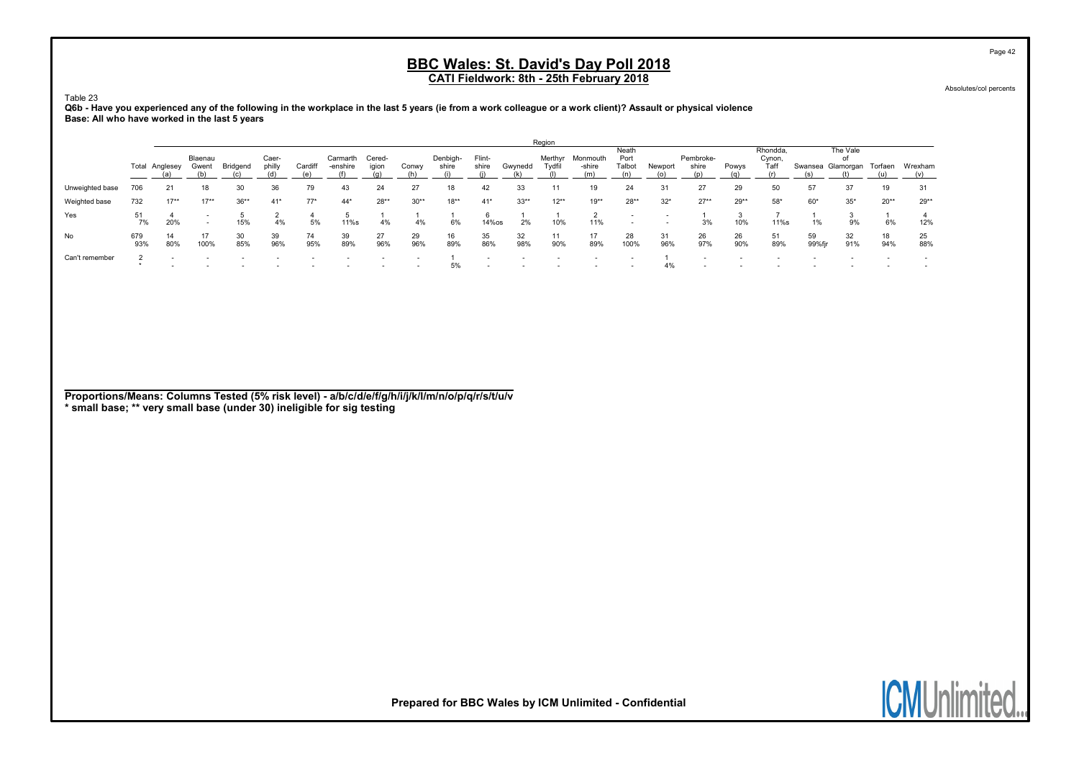Absolutes/col percents

Page 42

#### Table 23 Q6b - Have you experienced any of the following in the workplace in the last 5 years (ie from a work colleague or a work client)? Assault or physical violence Base: All who have worked in the last 5 years

|                 |            |           |                                                      |           |                 |           |                      |                 |                          |                   |                          |           | Region            |                    |                                                      |           |                           |           |                            |              |                             |           |           |
|-----------------|------------|-----------|------------------------------------------------------|-----------|-----------------|-----------|----------------------|-----------------|--------------------------|-------------------|--------------------------|-----------|-------------------|--------------------|------------------------------------------------------|-----------|---------------------------|-----------|----------------------------|--------------|-----------------------------|-----------|-----------|
|                 | Total      | Anglesey  | Blaenau<br>Gwent                                     | Bridgend  | Caer-<br>philly | Cardiff   | Carmarth<br>-enshire | Cered-<br>igion | Conwy                    | Denbigh-<br>shire | Flint-<br>shire          | Gwynedd   | Merthyr<br>Tydfil | Monmouth<br>-shire | Neath<br>Port<br>Talbot                              | Newport   | Pembroke-<br>shire<br>(p) | Powys     | Rhondda.<br>Cynon,<br>Taff | Swansea      | The Vale<br>οf<br>Glamorgan | Torfaen   | Wrexham   |
| Unweighted base | 706        | 21        | 18                                                   | 30        | 36              | 79        | 43                   | 24              | 27                       | 18                | 42                       | 33        |                   | 19                 | 24                                                   | 31        | 27                        | 29        | 50                         | 57           | 37                          | 19        | 31        |
| Weighted base   | 732        | $17**$    | $17**$                                               | $36**$    | $41*$           | $77*$     | $44*$                | $28**$          | $30**$                   | $18**$            | $41*$                    | $33**$    | $12**$            | $19**$             | $28**$                                               | $32*$     | $27**$                    | $29**$    | $58*$                      | $60*$        | $35*$                       | $20**$    | $29**$    |
| Yes             | 51<br>7%   | 20%       | $\overline{\phantom{a}}$<br>$\overline{\phantom{a}}$ | 15%       | 4%              | 5%        | 11%s                 | 4%              | 4%                       | 6%                | 14%os                    | 2%        | 10%               | 11%                | $\overline{\phantom{a}}$<br>$\overline{\phantom{a}}$ |           | 3%                        | 10%       | 11%s                       | 1%           | 9%                          | 6%        | 12%       |
| No              | 679<br>93% | 14<br>80% | 17<br>100%                                           | 30<br>85% | 39<br>96%       | 74<br>95% | 39<br>89%            | 27<br>96%       | 29<br>96%                | 16<br>89%         | 35<br>86%                | 32<br>98% | 11<br>90%         | 17<br>89%          | 28<br>100%                                           | 31<br>96% | 26<br>97%                 | 26<br>90% | 51<br>89%                  | 59<br>99%fir | 32<br>91%                   | 18<br>94% | 25<br>88% |
| Can't remember  |            |           |                                                      |           |                 |           |                      | $\sim$          | $\overline{\phantom{a}}$ | 5%                | $\overline{\phantom{a}}$ |           |                   | $\sim$             | $\overline{\phantom{a}}$                             | 4%        |                           |           |                            |              |                             |           |           |

Proportions/Means: Columns Tested (5% risk level) - a/b/c/d/e/f/g/h/i/j/k/l/m/n/o/p/q/r/s/t/u/v \* small base; \*\* very small base (under 30) ineligible for sig testing

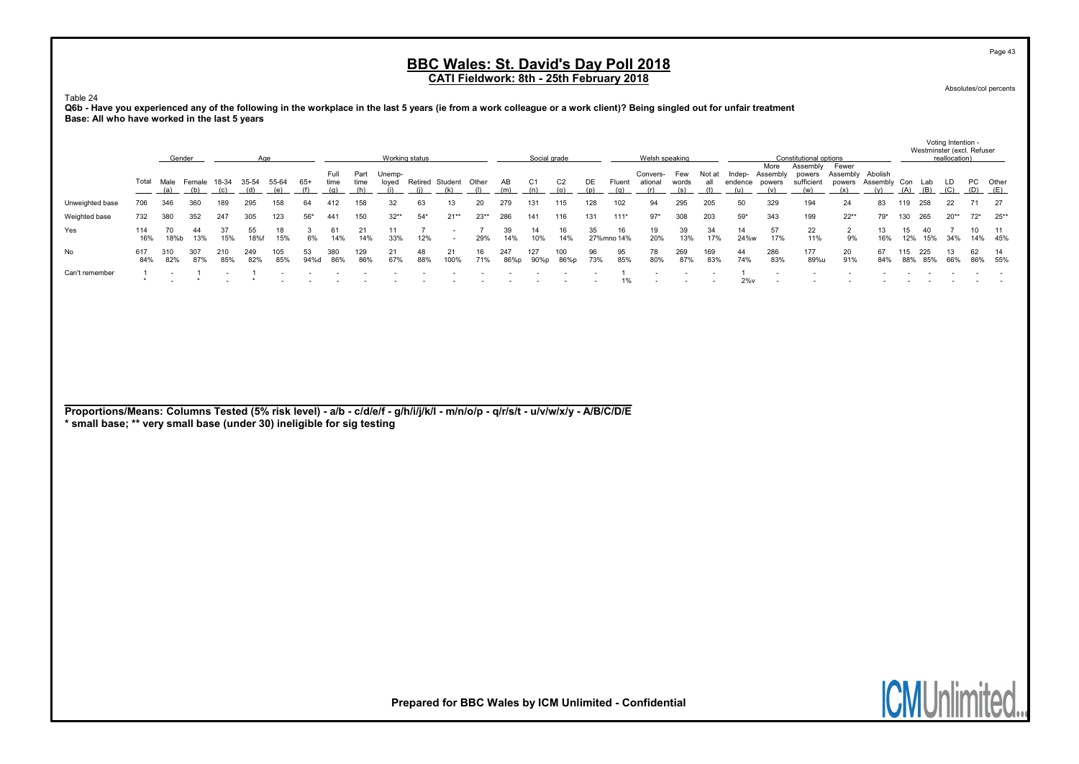Absolutes/col percents

Page 43

Voting Intention -

Table 24

Q6b - Have you experienced any of the following in the workplace in the last 5 years (ie from a work colleague or a work client)? Being singled out for unfair treatment Base: All who have worked in the last 5 years

|                 |            | Gender      |            |       |            |            |            |              |              | Working status  |           |                       |        |             | Social grade |                |           |                  | Welsh speaking             |              |            |                |                         | Constitutional options                  |                                                             |           |     | Westminster (excl. Refuser | reallocation) |          |                   |
|-----------------|------------|-------------|------------|-------|------------|------------|------------|--------------|--------------|-----------------|-----------|-----------------------|--------|-------------|--------------|----------------|-----------|------------------|----------------------------|--------------|------------|----------------|-------------------------|-----------------------------------------|-------------------------------------------------------------|-----------|-----|----------------------------|---------------|----------|-------------------|
|                 | Total      | Male Female |            | 18-34 | 35-54      | 55-64      | 65+        | Full<br>time | Part<br>time | Unemp-<br>loved |           | Retired Student Other |        | AB<br>(m)   | C1<br>(n)    | C <sub>2</sub> | DE<br>(p) | Fluent<br>(g)    | Convers-<br>ational<br>(r) | Few<br>words | Not at     | endence powers | More<br>Indep- Assembly | Assembly<br>powers<br>sufficient<br>(w) | Fewer<br>Assembly Abolish<br>powers Assembly Con Lab<br>(x) |           |     |                            | LD.           | PC Other | ___ <u>___(E)</u> |
| Unweighted base | 706        | 346         | 360        |       | 295        | 158        | 64         | 412          |              |                 | 63        |                       |        | 279         | 131          | 115            | 128       | 102              | 94                         | 295          | 205        |                | 329                     | 194                                     | 24                                                          | 83        |     | 258                        | 22.           |          | - 27              |
| Weighted base   | 732        | 380         | 352        | 247   | 305        | 123        | $56*$      | 441          | 150          | $32**$          | $54*$     | $21**$                | $23**$ | 286         | 141          | 116            | 131       | $111*$           | $97*$                      | 308          | 203        | $59*$          | 343                     | 199                                     | $22**$                                                      | 79*       | 130 | 265                        | $20**$        |          | $72^*$ 25**       |
| Yes             | 114<br>16% | 18%b        | -44<br>13% | 15%   | 55<br>18%f | 18<br>15%  | 6%         | 14%          | 14%          | 33%             | 12%       |                       | 29%    | 39<br>14%   | 14<br>10%    | 14%            | 35        | 16<br>27%mno 14% | 19<br>20%                  | 39<br>13%    | 34<br>17%  | 14<br>24%w     | 57<br>17%               | 22<br>11%                               | 9%                                                          | 16%       | 12% | 40<br>15%                  | 34%           |          | - 11<br>14% 45%   |
| No              | 617<br>84% | 310<br>82%  | 307<br>87% | 85%   | 249<br>82% | 105<br>85% | 53<br>94%d | 380<br>86%   | 129<br>86%   | 67%             | 48<br>88% | 21<br>100%            | 71%    | 247<br>86%p | 127<br>90%p  | 100<br>86%p    | 96<br>73% | 95<br>85%        | 78<br>80%                  | 269<br>87%   | 169<br>83% | 44<br>74%      | 286<br>83%              | 177<br>89%u                             | 20<br>91%                                                   | 67<br>84% | 88% | 225<br>85%                 | 66%           |          | - 14<br>86% 55%   |
| Can't remember  |            |             |            |       |            |            |            |              |              |                 |           |                       |        |             |              |                |           |                  |                            |              |            | $2\%$ v        |                         |                                         |                                                             |           |     |                            |               |          |                   |

Proportions/Means: Columns Tested (5% risk level) - a/b - c/d/e/f - g/h/i/j/k/l - m/n/o/p - q/r/s/t - u/v/w/x/y - A/B/C/D/E

\* small base; \*\* very small base (under 30) ineligible for sig testing

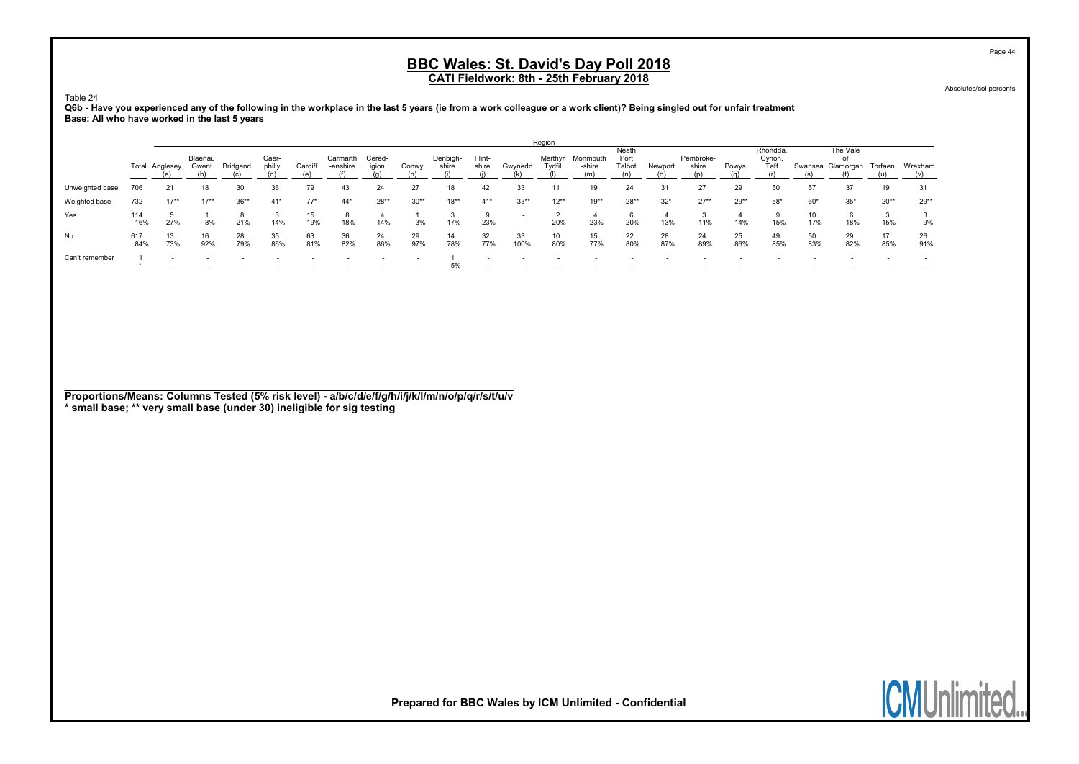Absolutes/col percents

Table 24

#### Q6b - Have you experienced any of the following in the workplace in the last 5 years (ie from a work colleague or a work client)? Being singled out for unfair treatment Base: All who have worked in the last 5 years

|                 |            |                |                  |           |                 |           |                      |                 |           |                   |                 |                                                      | Region            |                    |                         |           |                    |           |                            |           |                                             |           |           |
|-----------------|------------|----------------|------------------|-----------|-----------------|-----------|----------------------|-----------------|-----------|-------------------|-----------------|------------------------------------------------------|-------------------|--------------------|-------------------------|-----------|--------------------|-----------|----------------------------|-----------|---------------------------------------------|-----------|-----------|
|                 |            | Total Anglesey | Blaenau<br>Gwent | Bridgend  | Caer-<br>philly | Cardiff   | Carmarth<br>-enshire | Cered-<br>igion | Conwy     | Denbigh-<br>shire | Flint-<br>shire | Gwynedd                                              | Merthyr<br>Tydfil | Monmouth<br>-shire | Neath<br>Port<br>Talbot | Newport   | Pembroke-<br>shire | Powys     | Rhondda.<br>Cynon,<br>Taff |           | The Vale<br>оf<br>Swansea Glamorgan Torfaen |           | Wrexham   |
| Unweighted base | 706        | 21             | 18               | 30        | 36              | 79        | 43                   | 24              | 27        | 18                | 42              | 33                                                   |                   | 19                 | 24                      | 31        | 27                 | 29        | 50                         | 57        | 37                                          | 19        | 31        |
| Weighted base   | 732        | $17**$         | $17**$           | $36**$    | $41*$           | $77*$     | $44*$                | $28**$          | $30**$    | $18**$            | $41*$           | $33**$                                               | $12**$            | $19**$             | $28**$                  | $32*$     | $27**$             | $29**$    | $58*$                      | $60*$     | $35*$                                       | $20**$    | $29**$    |
| Yes             | 114<br>16% | 27%            | 8%               | 21%       | 6<br>14%        | 15<br>19% | 18%                  | 14%             | 3%        | 17%               | 23%             | $\overline{\phantom{a}}$<br>$\overline{\phantom{a}}$ | 20%               | 23%                | 6<br>20%                | 13%       | 11%                | 14%       | 15%                        | 10<br>17% | 6<br>18%                                    | 15%       | 9%        |
| No              | 617<br>84% | 13<br>73%      | 16<br>92%        | 28<br>79% | 35<br>86%       | 63<br>81% | 36<br>82%            | 24<br>86%       | 29<br>97% | 14<br>78%         | 32<br>77%       | 33<br>100%                                           | 10<br>80%         | 15<br>77%          | 22<br>80%               | 28<br>87% | 24<br>89%          | 25<br>86% | 49<br>85%                  | 50<br>83% | 29<br>82%                                   | 17<br>85% | 26<br>91% |
| Can't remember  |            |                |                  |           |                 |           |                      |                 |           | 5%                |                 |                                                      |                   |                    |                         |           |                    |           |                            |           |                                             |           |           |

Proportions/Means: Columns Tested (5% risk level) - a/b/c/d/e/f/g/h/i/j/k/l/m/n/o/p/q/r/s/t/u/v \* small base; \*\* very small base (under 30) ineligible for sig testing

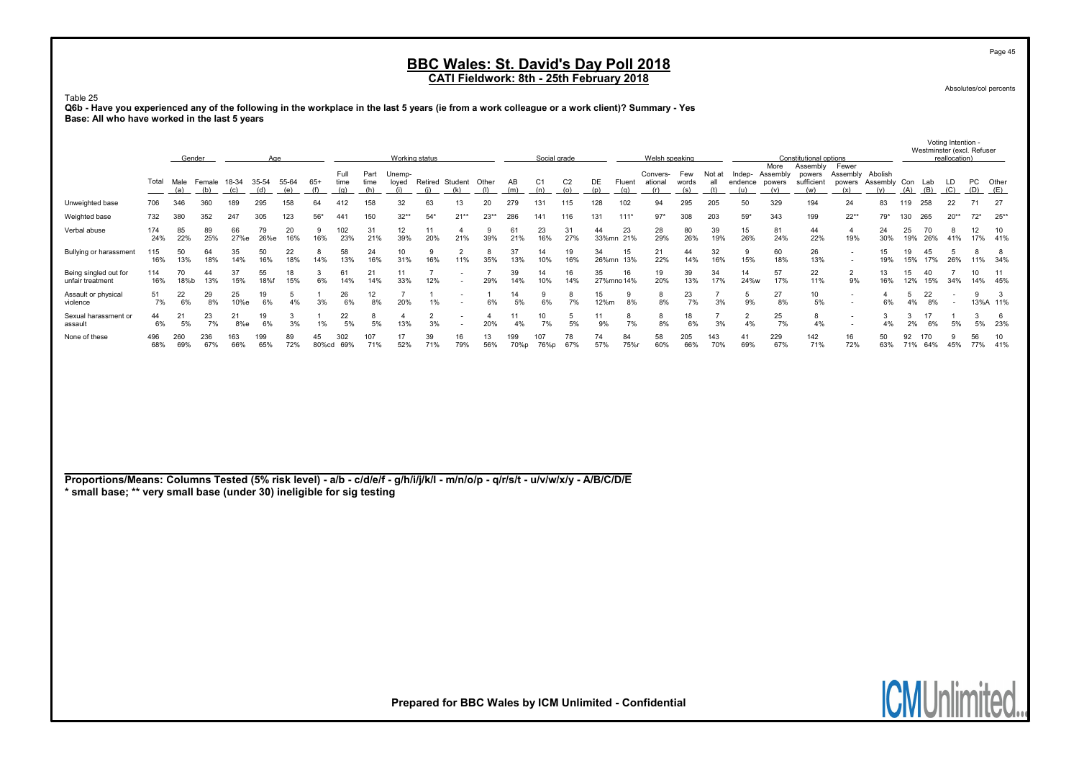Absolutes/col percents

Page 45

Voting Intention -

Table 25 Q6b - Have you experienced any of the following in the workplace in the last 5 years (ie from a work colleague or a work client)? Summary - Yes Base: All who have worked in the last 5 years

|                                           |            | Gender      |               |              | Age          |              |             |                     |              | Working status         |           |                        |           |            | Social grade |                |             |                  | Welsh speaking             |                     |               |            |                                           | Constitutional options                  |                                                      |                                |           |            | reallocation)            | Westminster (excl. Refuser |              |
|-------------------------------------------|------------|-------------|---------------|--------------|--------------|--------------|-------------|---------------------|--------------|------------------------|-----------|------------------------|-----------|------------|--------------|----------------|-------------|------------------|----------------------------|---------------------|---------------|------------|-------------------------------------------|-----------------------------------------|------------------------------------------------------|--------------------------------|-----------|------------|--------------------------|----------------------------|--------------|
|                                           | Total      | Male<br>(a) | Female<br>(b) | 18-34<br>(c) | 35-54<br>(d) | 55-64<br>(e) | 65+         | Full<br>time<br>(q) | Part<br>time | Unemp-<br>loved<br>(i) |           | Retired Student<br>(k) | Other     | AB<br>(m)  | C.           | C <sub>2</sub> | DE<br>(p)   | Fluent<br>(q)    | Convers-<br>ational<br>(r) | Few<br>words<br>(s) | Not at<br>all | Indep-     | More<br>Assembly<br>endence powers<br>(v) | Assembly<br>powers<br>sufficient<br>(w) | Fewer<br>Assembly<br>powers<br>(x)                   | Abolish<br>Assembly Con<br>(v) | (A)       | Lab<br>(B) | LD<br>(C)                | PC                         | Other<br>(E) |
| Unweighted base                           | 706        | 346         | 360           | 189          | 295          | 158          | 64          |                     | 158          | 32                     | 63        | 13                     | 20        | 279        | 131          | 115            | 128         | 102              | 94                         | 295                 | 205           | 50         | 329                                       | 194                                     | 24                                                   | 83                             | 119       | 258        | 22                       |                            | 27           |
| Weighted base                             | 732        | 380         | 352           | 247          | 305          | 123          | $56*$       | 441                 | 150          | $32**$                 | $54*$     | $21**$                 | $23**$    | 286        | 141          | 116            | 131         | $111*$           | $97*$                      | 308                 | 203           | $59*$      | 343                                       | 199                                     | $22**$                                               | $79*$                          | 130       | 265        | $20**$                   | $72*$                      | $25**$       |
| Verbal abuse                              | 174<br>24% | 85<br>22%   | 89<br>25%     | 66<br>27%e   | 79<br>26%e   | 20<br>16%    | 16%         | 102<br>23%          | 31<br>21%    | 12<br>39%              | 20%       | 21%                    | 39%       | 61<br>21%  | 23<br>16%    | 31<br>27%      | 44<br>33%mn | 23<br>21%        | 28<br>29%                  | 80<br>26%           | 39<br>19%     | 15<br>26%  | 81<br>24%                                 | 44<br>22%                               | 19%                                                  | 24<br>30%                      | 25<br>19% | 26%        | 41%                      | 17%                        | 41%          |
| Bullying or harassment                    | 115<br>16% | 50<br>13%   | 64<br>18%     | 35<br>14%    | 16%          | 22<br>18%    | 8<br>14%    | 58<br>13%           | 24<br>16%    | 10<br>31%              | 16%       | 11%                    | 35%       | 37<br>13%  | 14<br>10%    | 19<br>16%      | 34<br>26%mn | 15<br>13%        | 21<br>22%                  | 44<br>14%           | 32<br>16%     | 15%        | 60<br>18%                                 | 26<br>13%                               | $\overline{\phantom{a}}$<br>$\overline{\phantom{a}}$ | 19%                            | 15%       | 45<br>17%  | 26%                      | 11% 34%                    |              |
| Being singled out for<br>unfair treatment | 114<br>16% | 70<br>18%b  | 44<br>13%     | 37<br>15%    | 55<br>18%    | 15%          | 6%          | 61<br>14%           | 21<br>14%    | 33%                    | 12%       |                        | 29%       | 39<br>14%  | 14<br>10%    | 16<br>14%      | 35          | 16<br>27%mno 14% | 19<br>20%                  | 39<br>13%           | 34<br>17%     | 14<br>24%w | 57<br>17%                                 | 22<br>11%                               | 9%                                                   | 16%                            | 15<br>12% | 40<br>15%  | 34%                      | 14%                        | 11<br>45%    |
| Assault or physical<br>violence           | 51<br>7%   | 22<br>6%    | 29<br>8%      | 25<br>10%e   | 6%           | 4%           | 3%          | 26<br>6%            | 12<br>8%     | 20%                    | 1%        |                        | 6%        | 14<br>5%   | 6%           | ö<br>7%        | 15<br>12%m  | 8%               | 8%                         | 23<br>7%            | 3%            | 9%         | 27<br>8%                                  | 10<br>5%                                | $\sim$                                               | 6%                             | 4%        | 22<br>8%   | $\overline{\phantom{a}}$ |                            | 13%A 11%     |
| Sexual harassment or<br>assault           | 44<br>6%   | 21<br>5%    | 23<br>7%      | 8%e          | 6%           | 3%           |             | 22<br>5%            | 5%           | 13%                    | 3%        |                        | 20%       | 4%         | 10<br>7%     | 5%             | 11<br>9%    | 8<br>7%          | 8%                         | 18<br>6%            | 3%            | 4%         | 25<br>7%                                  | 8<br>4%                                 | $\overline{\phantom{a}}$<br>$\sim$                   | 4%                             | 2%        | 17<br>6%   | 5%                       | 5%                         | 23%          |
| None of these                             | 496<br>68% | 260<br>69%  | 236<br>67%    | 163<br>66%   | 199<br>65%   | 72%          | 45<br>80%cd | 302<br>69%          | 107<br>71%   | 52%                    | 39<br>71% | 16<br>79%              | 13<br>56% | 99<br>70%p | 107<br>76%p  | 78<br>67%      | 74<br>57%   | 84<br>75%r       | 58<br>60%                  | 205<br>66%          | 143<br>70%    | 41<br>69%  | 229<br>67%                                | 142<br>71%                              | 16<br>72%                                            | 50<br>63%                      | 92<br>71% | 170<br>64% | 45%                      | 56<br>77%                  | 41%          |

Proportions/Means: Columns Tested (5% risk level) - a/b - c/d/e/f - g/h/i/j/k/l - m/n/o/p - q/r/s/t - u/v/w/x/y - A/B/C/D/E \* small base; \*\* very small base (under 30) ineligible for sig testing

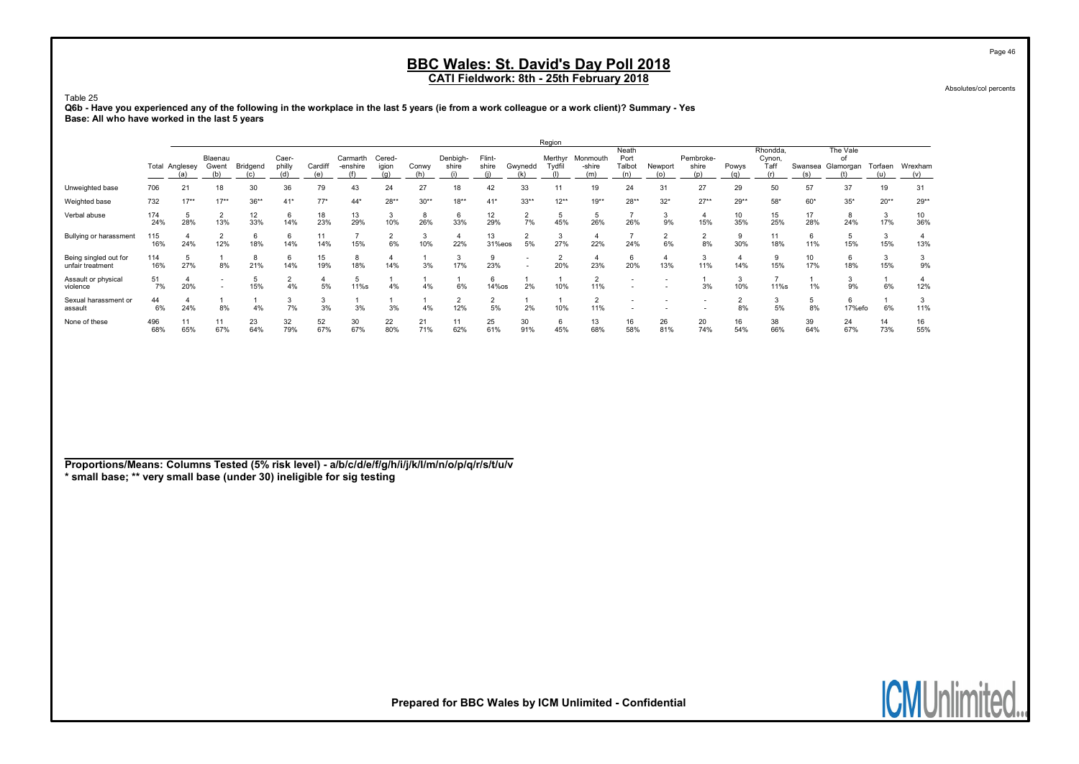Absolutes/col percents

#### Table 25 Q6b - Have you experienced any of the following in the workplace in the last 5 years (ie from a work colleague or a work client)? Summary - Yes Base: All who have worked in the last 5 years

|                                           |            |                       |                          |           |                 |                |                      |                 |           |                   |                 |           | Region   |                                   |                                |           |                           |           |                            |                        |                             |           |                |
|-------------------------------------------|------------|-----------------------|--------------------------|-----------|-----------------|----------------|----------------------|-----------------|-----------|-------------------|-----------------|-----------|----------|-----------------------------------|--------------------------------|-----------|---------------------------|-----------|----------------------------|------------------------|-----------------------------|-----------|----------------|
|                                           |            | <b>Total Anglesey</b> | Blaenau<br>Gwent         | Bridgend  | Caer-<br>philly | Cardiff<br>(e) | Carmarth<br>-enshire | Cered-<br>igion | Conwy     | Denbigh-<br>shire | Flint-<br>shire | Gwynedd   | Tydfil   | Merthyr Monmouth<br>-shire<br>(m) | Neath<br>Port<br>Talbot<br>(n) | Newport   | Pembroke-<br>shire<br>(p) | Powys     | Rhondda,<br>Cynon,<br>Taff | Swansea                | The Vale<br>of<br>Glamorgan | Torfaen   | Wrexham<br>(v) |
| Unweighted base                           | 706        | 21                    | 18                       | 30        | 36              | 79             | 43                   | 24              | 27        | 18                | 42              | 33        | 11       | 19                                | 24                             | 31        | 27                        | 29        | 50                         | 57                     | 37                          | 19        | 31             |
| Weighted base                             | 732        | $17**$                | $17**$                   | $36**$    | $41*$           | $77*$          | $44*$                | $28**$          | $30**$    | $18**$            | $41*$           | $33**$    | $12**$   | $19**$                            | $28**$                         | $32*$     | $27**$                    | $29**$    | 58*                        | $60*$                  | $35*$                       | $20**$    | $29**$         |
| Verbal abuse                              | 174<br>24% | 28%                   | 13%                      | 12<br>33% | 6<br>14%        | 18<br>23%      | 13<br>29%            | 3<br>10%        | 8<br>26%  | 6<br>33%          | 12<br>29%       | 7%        | 45%      | 26%                               | 26%                            | 9%        | 15%                       | 10<br>35% | 15<br>25%                  | 17<br>28%              | 8<br>24%                    | 3<br>17%  | 10<br>36%      |
| Bullying or harassment                    | 115<br>16% | 24%                   | 12%                      | 6<br>18%  | 6<br>14%        | 11<br>14%      | 15%                  | 6%              | 3<br>10%  | 22%               | 13<br>31%eos    | 5%        | 3<br>27% | 22%                               | 24%                            | 6%        | 8%                        | 30%       | 11<br>18%                  | 6<br>11%               | 15%                         | 3<br>15%  | 13%            |
| Being singled out for<br>unfair treatment | 114<br>16% | 27%                   | 8%                       | 8<br>21%  | 6<br>14%        | 15<br>19%      | 8<br>18%             | 4<br>14%        | 3%        | 17%               | 23%             |           | 20%      | 23%                               | 6<br>20%                       | 13%       | 11%                       | 14%       | 15%                        | 10 <sup>1</sup><br>17% | 6<br>18%                    | 3<br>15%  | 9%             |
| Assault or physical<br>violence           | 51<br>7%   | 20%                   | $\overline{\phantom{a}}$ | 15%       | 4%              | 4<br>5%        | 11%s                 | 4%              | 4%        | 6%                | 6<br>14%os      | 2%        | 10%      | 11%                               |                                |           | 3%                        | 10%       | 11%s                       | 1%                     | 9%                          | 6%        | 12%            |
| Sexual harassment or<br>assault           | 44<br>6%   | 24%                   | 8%                       | 4%        | 7%              | 3<br>3%        | 3%                   | 3%              | 4%        | 12%               | 5%              | 2%        | 10%      | 11%                               |                                |           |                           | 8%        | 5%                         | 5<br>8%                | 6<br>17%efo                 | 6%        | 11%            |
| None of these                             | 496<br>68% | 11<br>65%             | 11<br>67%                | 23<br>64% | 32<br>79%       | 52<br>67%      | 30<br>67%            | 22<br>80%       | 21<br>71% | 11<br>62%         | 25<br>61%       | 30<br>91% | 6<br>45% | 13<br>68%                         | 16<br>58%                      | 26<br>81% | 20<br>74%                 | 16<br>54% | 38<br>66%                  | 39<br>64%              | 24<br>67%                   | 14<br>73% | 16<br>55%      |

Proportions/Means: Columns Tested (5% risk level) - a/b/c/d/e/f/g/h/i/j/k/l/m/n/o/p/q/r/s/t/u/v \* small base; \*\* very small base (under 30) ineligible for sig testing

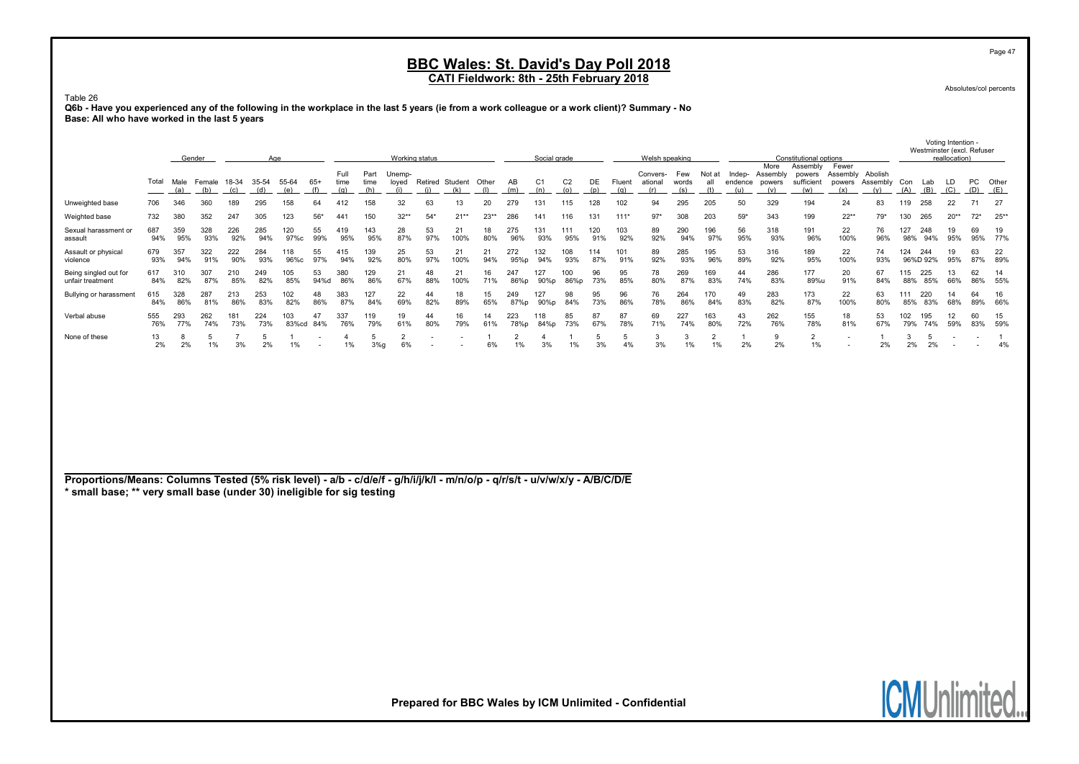Absolutes/col percents

Voting Intention -

**ICMUni** 

Table 26 Q6b - Have you experienced any of the following in the workplace in the last 5 years (ie from a work colleague or a work client)? Summary - No Base: All who have worked in the last 5 years

|                                                                                                                                                                                                       |            |            | Gender                         |                      | Age        |              |                          |                      |                     | Working status         |                              |            |           |                      | Social grade          |                       |            |               | Welsh speaking             |                     |                      |                          |                                   | Constitutional options                  |                                            |                      |            | Westminster (excl. Refuser | reallocation)            |           |                      |
|-------------------------------------------------------------------------------------------------------------------------------------------------------------------------------------------------------|------------|------------|--------------------------------|----------------------|------------|--------------|--------------------------|----------------------|---------------------|------------------------|------------------------------|------------|-----------|----------------------|-----------------------|-----------------------|------------|---------------|----------------------------|---------------------|----------------------|--------------------------|-----------------------------------|-----------------------------------------|--------------------------------------------|----------------------|------------|----------------------------|--------------------------|-----------|----------------------|
|                                                                                                                                                                                                       | Total      | (a)        | Male Female 18-34 35-54<br>(b) | (c)                  | (d)        | 55-64<br>(e) | $65+$<br>(f)             | Full<br>time<br>(q)  | Part<br>time<br>(h) | Unemp-<br>loyed<br>(i) | Retired Student Other<br>(i) | (k)        | (1)       | AB<br>(m)            | C <sub>1</sub><br>(n) | C <sub>2</sub><br>(o) | DE<br>(p)  | Fluent<br>(q) | Convers-<br>ational<br>(r) | Few<br>words<br>(s) | Not at<br>all<br>(t) | Indep-<br>endence<br>(u) | More<br>Assembly<br>powers<br>(v) | Assembly<br>powers<br>sufficient<br>(w) | Fewer<br>Assembly Abolish<br>powers<br>(x) | Assembly<br>(v)      | Con<br>(A) | Lab<br>(B)                 | LD<br>(C)                | PC<br>(D) | Other<br>(E)         |
| Unweighted base                                                                                                                                                                                       | 706        | 346        | 360                            | 189                  | 295        | 158          | 64                       | 412                  | 158                 | 32                     | 63                           | 13         | 20        | 279                  | 131                   | 115                   | 128        | 102           | 94                         | 295                 | 205                  | 50                       | 329                               | 194                                     | 24                                         | 83                   | 119        | 258                        | 22                       | 71        | 27                   |
| Weighted base                                                                                                                                                                                         | 732        | 380        | 352                            | 247                  | 305        | 123          | $56*$                    | 44 <sup>1</sup>      | 150                 | $32**$                 | $54*$                        | $21**$     | $23**$    | 286                  | 141                   | 116                   | 131        | $111*$        | $97*$                      | 308                 | 203                  | $59*$                    | 343                               | 199                                     | $22**$                                     | 79*                  | 130        | 265                        | $20**$                   | $72*$     | $25**$               |
| Sexual harassment or<br>assault                                                                                                                                                                       | 687<br>94% | 359<br>95% | 328<br>93%                     | 226<br>92%           | 285<br>94% | 120<br>97%c  | 55<br>99%                | 419<br>95%           | 143<br>95%          | 28<br>87%              | 53<br>97%                    | 21<br>100% | 18<br>80% | 275<br>96%           | 131<br>93%            | 111<br>95%            | 120<br>91% | 103<br>92%    | 89<br>92%                  | 290<br>94%          | 196<br>97%           | 56<br>95%                | 318<br>93%                        | 191<br>96%                              | 22<br>100%                                 | 76<br>96%            | 127<br>98% | 248<br>94%                 | 19<br>95%                | 69<br>95% | 19<br>77%            |
| Assault or physical<br>violence                                                                                                                                                                       | 679<br>93% | 357<br>94% | 322<br>91%                     | 222<br>90%           | 284<br>93% | 118<br>96%c  | 55<br>97%                | 415<br>94%           | 139<br>92%          | 25<br>80%              | 53<br>97%                    | 21<br>100% | 21<br>94% | 272<br>95%p          | 132<br>94%            | 108<br>93%            | 114<br>87% | 101<br>91%    | 89<br>92%                  | 285<br>93%          | 195<br>96%           | 53<br>89%                | 316<br>92%                        | 189<br>95%                              | 22<br>100%                                 | 74<br>93%            | 124        | 244<br>96%D 92%            | 19<br>95%                | 63<br>87% | 22<br>89%            |
| Being singled out for<br>unfair treatment                                                                                                                                                             | 617<br>84% | 310<br>82% | 307<br>87%                     | 210<br>85%           | 249<br>82% | 105<br>85%   | 53<br>94%d               | 380<br>86%           | 129<br>86%          | 21<br>67%              | 48<br>88%                    | 21<br>100% | 16<br>71% | 247<br>86%p          | 127<br>90%p           | 100<br>86%p           | 96<br>73%  | 95<br>85%     | 78<br>80%                  | 269<br>87%          | 169<br>83%           | 44<br>74%                | 286<br>83%                        | 177<br>89%u                             | 20<br>91%                                  | 67<br>84%            | 115<br>88% | 225<br>85%                 | 13<br>66%                | 62<br>86% | 14<br>55%            |
| Bullying or harassment                                                                                                                                                                                | 615<br>84% | 328<br>86% | 287<br>81%                     | 213<br>86%           | 253<br>83% | 102<br>82%   | 48<br>86%                | 383<br>87%           | 127<br>84%          | 22<br>69%              | 44<br>82%                    | 18<br>89%  | 15<br>65% | 249<br>87%p          | 127<br>90%p           | 98<br>84%             | 95<br>73%  | 96<br>86%     | 76<br>78%                  | 264<br>86%          | 170<br>84%           | 49<br>83%                | 283<br>82%                        | 173<br>87%                              | 22<br>100%                                 | 63<br>80%            | 111        | 220<br>85% 83%             | 14<br>68%                | 64<br>89% | 16<br>66%            |
| Verbal abuse                                                                                                                                                                                          | 555<br>76% | 293<br>77% | 262<br>74%                     | 181<br>73%           | 224<br>73% | 103<br>83%cd | 47<br>84%                | 337<br>76%           | 119<br>79%          | 19<br>61%              | 44<br>80%                    | 16<br>79%  | 14<br>61% | 223<br>78%p          | 118<br>84%p           | 85<br>73%             | 87<br>67%  | 87<br>78%     | 69<br>71%                  | 227<br>74%          | 163<br>80%           | 43<br>72%                | 262<br>76%                        | 155<br>78%                              | 18<br>81%                                  | 53<br>67%            | 102<br>79% | 195<br>74%                 | 12<br>59%                | 60<br>83% | 15<br>59%            |
| None of these                                                                                                                                                                                         | 13<br>2%   | 8<br>2%    | 5<br>1%                        | $\overline{7}$<br>3% | 5<br>2%    | -1<br>1%     | $\overline{\phantom{a}}$ | $\overline{4}$<br>1% | -5<br>3%g           | $\overline{2}$<br>6%   | $\overline{\phantom{0}}$     |            | 6%        | $\overline{2}$<br>1% | 4<br>3%               | -1<br>1%              | 5<br>3%    | 5<br>4%       | 3<br>3%                    | 3<br>1%             | $\overline{2}$<br>1% | $\overline{1}$<br>2%     | 9<br>2%                           | $\overline{2}$<br>$1\%$                 | $\overline{\phantom{a}}$                   | $\overline{1}$<br>2% | 3<br>2%    | 5<br>2%                    | $\overline{\phantom{a}}$ |           | $\overline{1}$<br>4% |
| Proportions/Means: Columns Tested (5% risk level) - a/b - c/d/e/f - g/h/i/j/k/l - m/n/o/p - q/r/s/t - u/v/w/x/y - A/B/C/D/E<br>* small base; ** very small base (under 30) ineligible for sig testing |            |            |                                |                      |            |              |                          |                      |                     |                        |                              |            |           |                      |                       |                       |            |               |                            |                     |                      |                          |                                   |                                         |                                            |                      |            |                            |                          |           |                      |

Page 47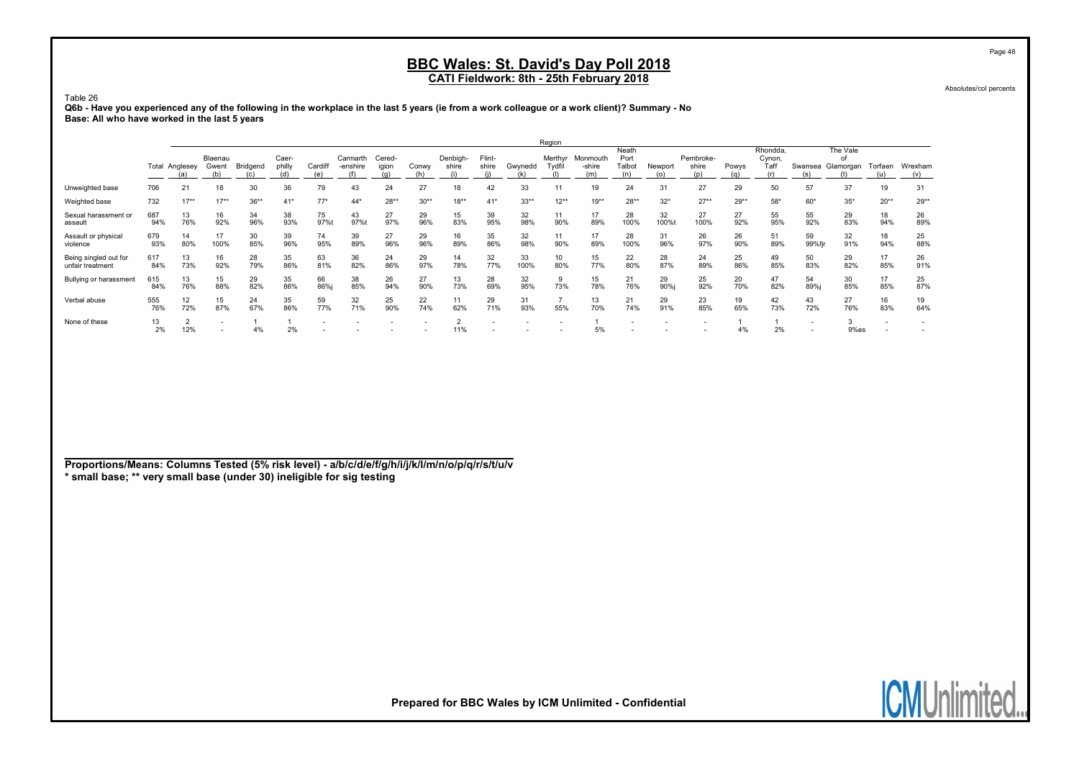Absolutes/col percents

Table 26 Q6b - Have you experienced any of the following in the workplace in the last 5 years (ie from a work colleague or a work client)? Summary - No Base: All who have worked in the last 5 years

|                                           |            |                        |                         |           |                 |                          |                      |                 |           |                   |                 |            | Region            |                           |                                |                |                           |              |                                   |                          |                             |                          |                |
|-------------------------------------------|------------|------------------------|-------------------------|-----------|-----------------|--------------------------|----------------------|-----------------|-----------|-------------------|-----------------|------------|-------------------|---------------------------|--------------------------------|----------------|---------------------------|--------------|-----------------------------------|--------------------------|-----------------------------|--------------------------|----------------|
|                                           |            | <b>Total Anglesey</b>  | Blaenau<br>Gwent<br>(b) | Bridgend  | Caer-<br>philly | Cardif<br>(e)            | Carmarth<br>-enshire | Cered-<br>igion | Conwy     | Denbigh-<br>shire | Flint-<br>shire | Gwynedd    | Merthyr<br>Tydfil | Monmouth<br>-shire<br>(m) | Neath<br>Port<br>Talbot<br>(n) | Newport<br>(0) | Pembroke-<br>shire<br>(n) | Powys<br>(a) | Rhondda.<br>Cynon,<br>Taff<br>(r) | Swansea<br>(s)           | The Vale<br>of<br>Glamorgan | Torfaen<br>(u)           | Wrexham<br>(v) |
| Unweighted base                           | 706        | 21                     | 18                      | 30        | 36              | 79                       | 43                   | 24              | 27        | 18                | 42              | 33         | 11                | 19                        | 24                             | 31             | 27                        | 29           | 50                                | 57                       | 37                          | 19                       | 31             |
| Weighted base                             | 732        | $17**$                 | $17**$                  | $36**$    | $41*$           | $77*$                    | $44*$                | $28**$          | $30**$    | $18**$            | $41*$           | $33**$     | $12***$           | $19***$                   | $28**$                         | $32*$          | $27**$                    | $29**$       | $58*$                             | $60*$                    | $35*$                       | $20**$                   | $29**$         |
| Sexual harassment or<br>assault           | 687<br>94% | 13<br>76%              | 16<br>92%               | 34<br>96% | 38<br>93%       | 75<br>97%t               | 43<br>97%t           | 27<br>97%       | 29<br>96% | 15<br>83%         | 39<br>95%       | 32<br>98%  | 11<br>90%         | 17<br>89%                 | 28<br>100%                     | 32<br>100%t    | 27<br>100%                | 27<br>92%    | 55<br>95%                         | 55<br>92%                | 29<br>83%                   | 18<br>94%                | 26<br>89%      |
| Assault or physical<br>violence           | 679<br>93% | 14<br>80%              | 17<br>100%              | 30<br>85% | 39<br>96%       | 74<br>95%                | 39<br>89%            | 27<br>96%       | 29<br>96% | 16<br>89%         | 35<br>86%       | 32<br>98%  | 11<br>90%         | 17<br>89%                 | 28<br>100%                     | 31<br>96%      | 26<br>97%                 | 26<br>90%    | 51<br>89%                         | 59<br>99%fjr             | 32<br>91%                   | 18<br>94%                | 25<br>88%      |
| Being singled out for<br>unfair treatment | 617<br>84% | 13<br>73%              | 16<br>92%               | 28<br>79% | 35<br>86%       | 63<br>81%                | 36<br>82%            | 24<br>86%       | 29<br>97% | 14<br>78%         | 32<br>77%       | 33<br>100% | 10<br>80%         | 15<br>77%                 | 22<br>80%                      | 28<br>87%      | 24<br>89%                 | 25<br>86%    | 49<br>85%                         | 50<br>83%                | 29<br>82%                   | 17<br>85%                | 26<br>91%      |
| Bullying or harassment                    | 615<br>84% | 13<br>76%              | 15<br>88%               | 29<br>82% | 35<br>86%       | 66<br>86%                | 38<br>85%            | 26<br>94%       | 27<br>90% | 13<br>73%         | 28<br>69%       | 32<br>95%  | 9<br>73%          | 15<br>78%                 | 21<br>76%                      | 29<br>90%i     | 25<br>92%                 | 20<br>70%    | 47<br>82%                         | 54<br>89%i               | 30<br>85%                   | 17<br>85%                | 25<br>87%      |
| Verbal abuse                              | 555<br>76% | 12 <sup>°</sup><br>72% | 15<br>87%               | 24<br>67% | 35<br>86%       | 59<br>77%                | 32<br>71%            | 25<br>90%       | 22<br>74% | 11<br>62%         | 29<br>71%       | 31<br>93%  | 55%               | 13<br>70%                 | 21<br>74%                      | 29<br>91%      | 23<br>85%                 | 19<br>65%    | 42<br>73%                         | 43<br>72%                | 27<br>76%                   | 16<br>83%                | 19<br>64%      |
| None of these                             | 13<br>2%   | ∠<br>12%               |                         | 4%        | 2%              | $\overline{\phantom{0}}$ |                      |                 |           | 11%               |                 |            |                   | 5%                        |                                |                |                           | 4%           | 2%                                | $\overline{\phantom{a}}$ | 9%es                        | $\overline{\phantom{a}}$ |                |

Proportions/Means: Columns Tested (5% risk level) - a/b/c/d/e/f/g/h/i/j/k/l/m/n/o/p/q/r/s/t/u/v \* small base; \*\* very small base (under 30) ineligible for sig testing

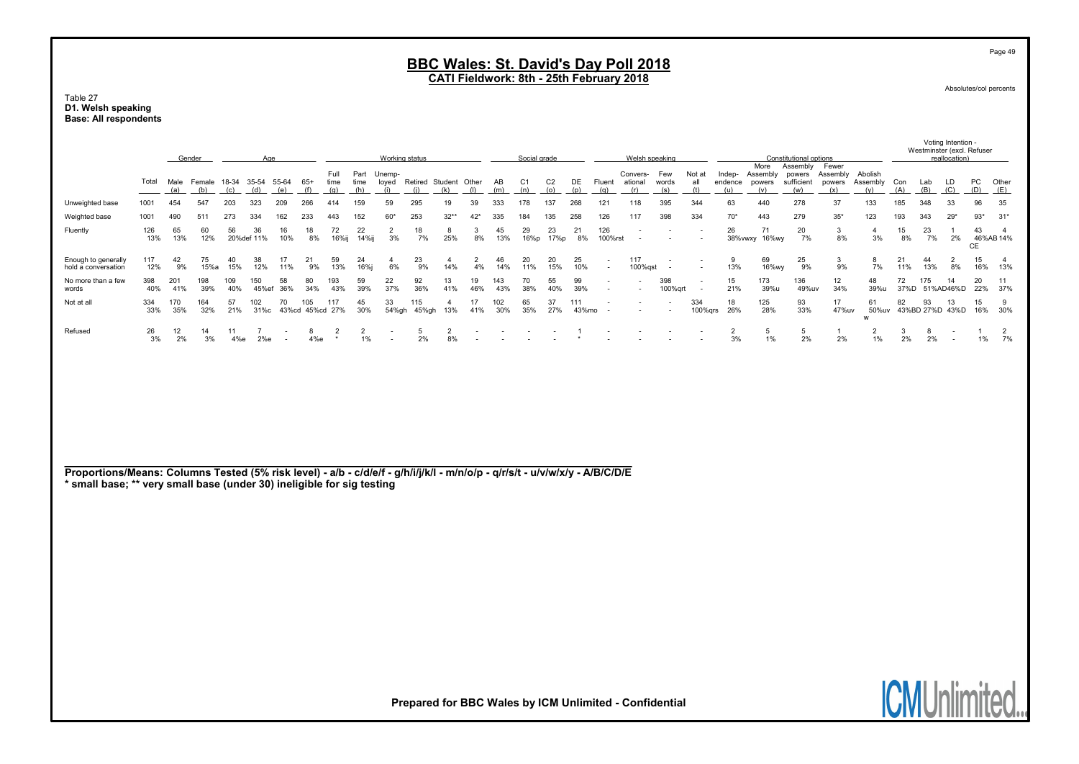#### Table 27 D1. Welsh speaking Base: All respondents

|                                                                                                                                                                                                       |            |             | Gender        |            | Age                      |                                    |              |                           |                      | Working status           |                                    |                       |                      |            | Social grade          |                       |              |                                    |                                | Welsh speaking           |                                                      |                          |                                   | Constitutional options                  |                                    |                            |            |            | Voting Intention -<br>Westminster (excl. Refuser<br>reallocation) |           |                       |
|-------------------------------------------------------------------------------------------------------------------------------------------------------------------------------------------------------|------------|-------------|---------------|------------|--------------------------|------------------------------------|--------------|---------------------------|----------------------|--------------------------|------------------------------------|-----------------------|----------------------|------------|-----------------------|-----------------------|--------------|------------------------------------|--------------------------------|--------------------------|------------------------------------------------------|--------------------------|-----------------------------------|-----------------------------------------|------------------------------------|----------------------------|------------|------------|-------------------------------------------------------------------|-----------|-----------------------|
|                                                                                                                                                                                                       | Total      | Male<br>(a) | Female<br>(b) | (c)        | 18-34 35-54 55-64<br>(d) | (e)                                | $65+$<br>(f) | Full<br>time<br>(q)       | Part<br>time<br>(h)  | Unemp-<br>(i)            | loyed Retired Student Other<br>(i) | (k)                   | (1)                  | AB<br>(m)  | C <sub>1</sub><br>(n) | C <sub>2</sub><br>(o) | DE<br>(p)    | Fluent<br>(q)                      | Convers- Few<br>ational<br>(r) | words<br>(s)             | Not at<br>all<br>(t)                                 | Indep-<br>endence<br>(u) | More<br>Assembly<br>powers<br>(v) | Assembly<br>powers<br>sufficient<br>(w) | Fewer<br>Assembly<br>powers<br>(x) | Abolish<br>Assembly<br>(v) | Con<br>(A) | Lab<br>(B) | LD<br>(C)                                                         | PC<br>(D) | Other<br>(E)          |
| Unweighted base                                                                                                                                                                                       | 1001       | 454         | 547           | 203        | 323                      | 209                                | 266          | 414                       | 159                  | 59                       | 295                                | 19                    | 39                   | 333        | 178                   | 137                   | 268          | 121                                | 118                            | 395                      | 344                                                  | 63                       | 440                               | 278                                     | 37                                 | 133                        | 185        | 348        | 33                                                                | 96        | 35                    |
| Weighted base                                                                                                                                                                                         | 1001       | 490         | 511           | 273        | 334                      | 162                                | 233          | 443                       | 152                  | $60*$                    | 253                                | $32**$                | $42*$                | 335        | 184                   | 135                   | 258          | 126                                | 117                            | 398                      | 334                                                  | $70*$                    | 443                               | 279                                     | $35*$                              | 123                        | 193        | 343        | $29*$                                                             | $93*$     | $31*$                 |
| Fluently                                                                                                                                                                                              | 126<br>13% | 65<br>13%   | 60<br>12%     | 56         | 36<br>20% def 11%        | 16<br>10%                          | 18<br>8%     | 72<br>16%ij               | 22<br>14%ij          | $\overline{2}$<br>3%     | 18<br>7%                           | 8<br>25%              | 3<br>8%              | 45<br>13%  | 29<br>16%p            | 23<br>17%p            | 21<br>8%     | 126<br>100%rst                     |                                |                          |                                                      | 26                       | 71<br>38%vwxy 16%wy               | 20<br>7%                                | 3<br>8%                            | $\overline{4}$<br>3%       | 15<br>8%   | 23<br>7%   | $\mathbf{1}$<br>2%                                                | 43<br>CE  | -4<br>46%AB 14%       |
| Enough to generally<br>hold a conversation                                                                                                                                                            | 117<br>12% | 42<br>9%    | 75<br>15%a    | 40<br>15%  | 38<br>12%                | 17<br>11%                          | 21<br>9%     | 59<br>13%                 | 24<br>16%j           | $\overline{a}$<br>6%     | 23<br>9%                           | $\overline{4}$<br>14% | $\overline{2}$<br>4% | 46<br>14%  | 20<br>11%             | 20<br>15%             | 25<br>10%    | $\overline{\phantom{a}}$<br>$\sim$ | 117<br>100%gst                 | $\overline{\phantom{a}}$ | $\overline{\phantom{a}}$                             | 9<br>13%                 | 69<br>16%wy                       | 25<br>9%                                | 3<br>9%                            | 8<br>7%                    | 21<br>11%  | 44<br>13%  | $\overline{2}$<br>8%                                              | 15<br>16% | $\overline{4}$<br>13% |
| No more than a few<br>words                                                                                                                                                                           | 398<br>40% | 201<br>41%  | 198<br>39%    | 109<br>40% | 150<br>45%ef             | 58<br>36%                          | 80<br>34%    | 193<br>43%                | 59<br>39%            | 22<br>37%                | 92<br>36%                          | 13<br>41%             | 19<br>46%            | 143<br>43% | 70<br>38%             | 55<br>40%             | 99<br>39%    |                                    |                                | 398<br>100% grt          | $\overline{\phantom{a}}$<br>$\overline{\phantom{a}}$ | 15<br>21%                | 173<br>39%u                       | 136<br>49%uv                            | 12<br>34%                          | 48<br>39%u                 | 72         | 175        | 14<br>37%D 51%AD46%D                                              | 20<br>22% | 11<br>37%             |
| Not at all                                                                                                                                                                                            | 334<br>33% | 170<br>35%  | 164<br>32%    | 57<br>21%  | 102                      | 70<br>31%c 43%cd 45%cd 27%         | 105          | 117                       | 45<br>30%            | 33                       | 115<br>54%gh 45%gh                 | $\overline{4}$<br>13% | 17<br>41%            | 102<br>30% | 65<br>35%             | 37<br>27%             | 111<br>43%mo | $\overline{\phantom{a}}$           |                                |                          | 334<br>$100%$ grs                                    | 18<br>26%                | 125<br>28%                        | 93<br>33%                               | 17<br>47%uv                        | 61<br>50%uv<br>w           | 82         | 93         | 13<br>43%BD 27%D 43%D                                             | 15<br>16% | 9<br>30%              |
| Refused                                                                                                                                                                                               | 26<br>3%   | 12<br>2%    | 14<br>3%      | 11<br>4%e  | $\overline{7}$<br>2%e    | $\overline{\phantom{a}}$<br>$\sim$ | 8<br>4%e     | $\overline{2}$<br>$\star$ | $\overline{2}$<br>1% | $\overline{\phantom{a}}$ | 5<br>2%                            | $\overline{2}$<br>8%  |                      |            |                       |                       | -1           |                                    |                                |                          |                                                      | $\overline{2}$<br>3%     | 5<br>1%                           | 5<br>2%                                 | $\overline{1}$<br>2%               | $\overline{2}$<br>1%       | -3<br>2%   | -8<br>2%   | $\overline{\phantom{a}}$<br>$\overline{\phantom{a}}$              | -1<br>1%  | $\overline{2}$<br>7%  |
| Proportions/Means: Columns Tested (5% risk level) - a/b - c/d/e/f - g/h/i/j/k/l - m/n/o/p - q/r/s/t - u/v/w/x/y - A/B/C/D/E<br>* small base; ** very small base (under 30) ineligible for sig testing |            |             |               |            |                          |                                    |              |                           |                      |                          |                                    |                       |                      |            |                       |                       |              |                                    |                                |                          |                                                      |                          |                                   |                                         |                                    |                            |            |            |                                                                   |           |                       |

**ICMUnlimited.** 

Prepared for BBC Wales by ICM Unlimited - Confidential

Page 49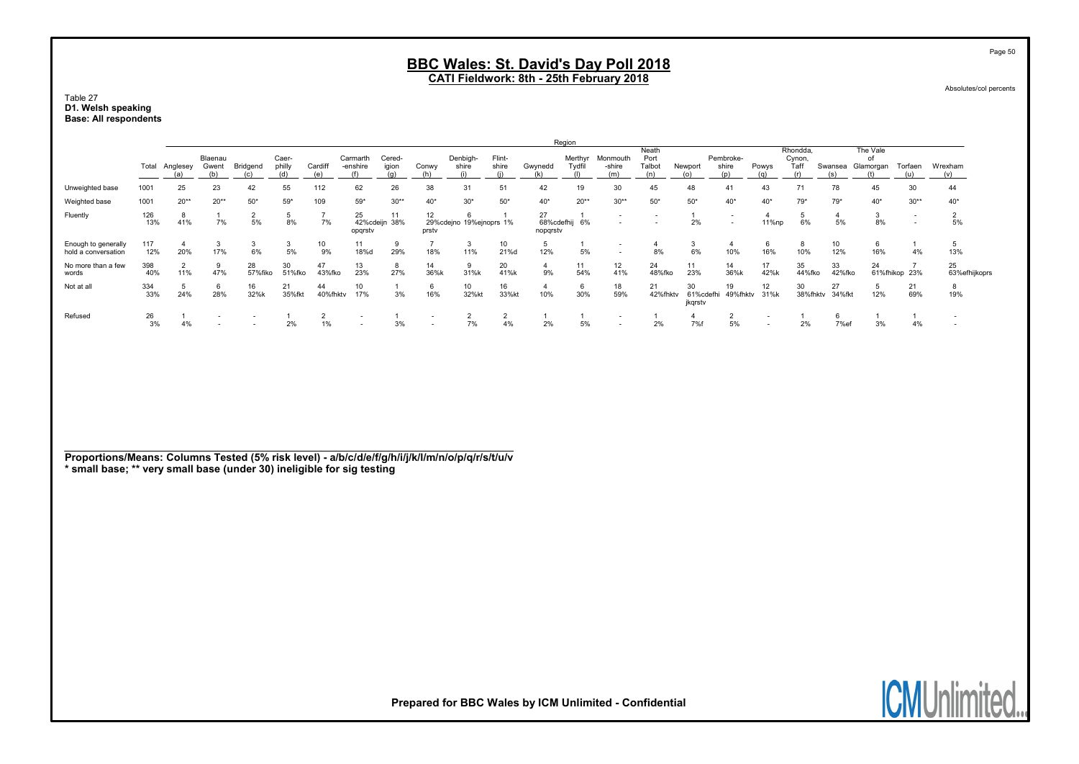Table 27 D1. Welsh speaking Base: All respondents

|                                            |            |                       |                         |               |                 |                |                      |                     |             |                         |                 |                              | Region            |                                                      |                         |                            |                    |                                                      |                            |              |                             |                          |                          |
|--------------------------------------------|------------|-----------------------|-------------------------|---------------|-----------------|----------------|----------------------|---------------------|-------------|-------------------------|-----------------|------------------------------|-------------------|------------------------------------------------------|-------------------------|----------------------------|--------------------|------------------------------------------------------|----------------------------|--------------|-----------------------------|--------------------------|--------------------------|
|                                            | Total      | Anglesey              | Blaenau<br>Gwent<br>(b) | Bridgend      | Caer-<br>philly | Cardif         | Carmarth<br>-enshire | Cered-<br>igion     | Conwy       | Denbigh-<br>shire       | Flint-<br>shire | Gwynedd                      | Merthyr<br>Tvdfil | Monmouth<br>-shire<br>(m)                            | Neath<br>Port<br>Talbot | Newport                    | Pembroke-<br>shire | Powys                                                | Rhondda.<br>Cynon,<br>Taff | Swansea      | The Vale<br>O1<br>Glamorgan | Torfaen                  | Wrexham<br>(v)           |
| Unweighted base                            | 1001       | 25                    | 23                      | 42            | 55              | 112            | 62                   | 26                  | 38          | 31                      | 51              | 42                           | 19                | 30                                                   | 45                      | 48                         | 41                 | 43                                                   | 71                         | 78           | 45                          | 30                       | 44                       |
| Weighted base                              | 1001       | $20**$                | $20**$                  | $50*$         | $59*$           | 109            | $59*$                | $30**$              | $40*$       | $30*$                   | $50*$           | $40*$                        | $20**$            | $30**$                                               | $50*$                   | $50*$                      | $40*$              | $40*$                                                | $79*$                      | $79*$        | $40*$                       | $30**$                   | $40*$                    |
| Fluently                                   | 126<br>13% | 8<br>41%              | 7%                      | 5%            | 8%              | 7%             | 25<br>opqrstv        | 11<br>42%cdeijn 38% | 12<br>prsty | 29%cdejno 19%ejnoprs 1% |                 | 27<br>68%cdefhij<br>nopgrstv | 6%                | $\overline{\phantom{0}}$                             |                         | 2%                         | $\sim$             | 11%np                                                | 6%                         | 5%           | 8%                          | $\overline{\phantom{a}}$ | 5%                       |
| Enough to generally<br>hold a conversation | 117<br>12% | 20%                   | 17%                     | 6%            | 5%              | 10<br>9%       | 11<br>18%d           | 29%                 | 18%         | 11%                     | 10<br>21%d      | 12%                          | 5%                | $\overline{\phantom{a}}$<br>$\overline{\phantom{a}}$ | 8%                      | 6%                         | 10%                | 16%                                                  | -8<br>10%                  | 12%          | 16%                         | 4%                       | 13%                      |
| No more than a few<br>words                | 398<br>40% | $\overline{2}$<br>11% | 47%                     | 28<br>57%fiko | 30<br>51%fko    | 47<br>43%fko   | 13<br>23%            | 8<br>27%            | 14<br>36%k  | <b>q</b><br>31%k        | 20<br>41%k      | 9%                           | 11<br>54%         | 12<br>41%                                            | 24<br>48%fko            | 11<br>23%                  | 14<br>36%k         | 17<br>42%k                                           | 35<br>44%fko               | 33<br>42%fko | 24                          | 61%fhikop 23%            | 25<br>63%efhijkoprs      |
| Not at all                                 | 334<br>33% | 24%                   | 6<br>28%                | 16<br>32%k    | 21<br>35%fkt    | 44<br>40%fhktv | 10<br>17%            | 3%                  | 16%         | 10<br>32%kt             | 16<br>33%kf     | 10%                          | 6<br>30%          | 18<br>59%                                            | 21<br>42%fhktv          | 30<br>61%cdefhi<br>jkqrstv | 19<br>49%fhktv     | 12<br>31%k                                           | 30<br>38%fhktv             | 27<br>34%fkt | 12%                         | 21<br>69%                | 8<br>19%                 |
| Refused                                    | 26<br>3%   | 4%                    |                         |               | 2%              | 1%             |                      | 3%                  |             | 7%                      | 4%              | 2%                           | 5%                | $\overline{\phantom{a}}$                             | 2%                      | 7%1                        | 5%                 | $\overline{\phantom{a}}$<br>$\overline{\phantom{a}}$ | 2%                         | $7%$ et      | 3%                          | 4%                       | $\overline{\phantom{a}}$ |

Proportions/Means: Columns Tested (5% risk level) - a/b/c/d/e/f/g/h/i/j/k/l/m/n/o/p/q/r/s/t/u/v \* small base; \*\* very small base (under 30) ineligible for sig testing



Prepared for BBC Wales by ICM Unlimited - Confidential

Page 50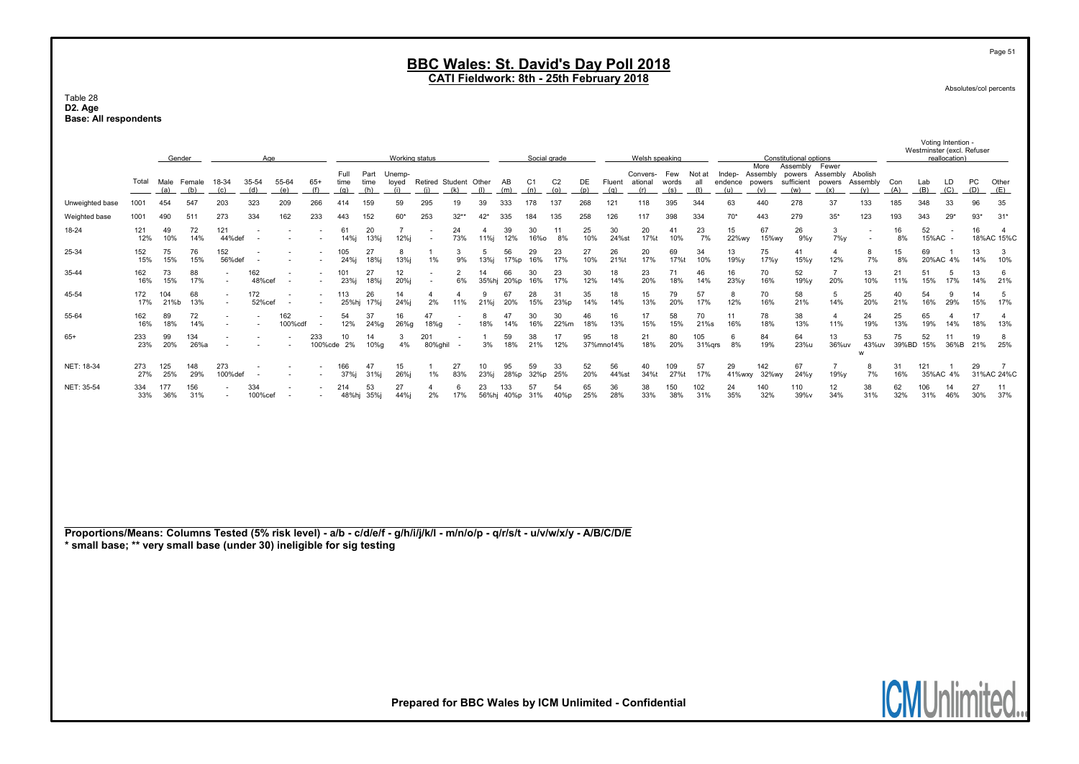#### Table 28 D2. Age Base: All respondents

|                 | Gender<br>Age |             |               |                                                      |                          |                |                                                      |                     |              | Working status   |                        |                          |             |             | Social grade      |                       |           |                 | Welsh speaking      |                     |               |                   |                                   | Constitutional options                  |                                            |                          |             |              | Westminster (excl. Refuser<br>reallocation) |           |                     |
|-----------------|---------------|-------------|---------------|------------------------------------------------------|--------------------------|----------------|------------------------------------------------------|---------------------|--------------|------------------|------------------------|--------------------------|-------------|-------------|-------------------|-----------------------|-----------|-----------------|---------------------|---------------------|---------------|-------------------|-----------------------------------|-----------------------------------------|--------------------------------------------|--------------------------|-------------|--------------|---------------------------------------------|-----------|---------------------|
|                 | Total         | Male<br>(a) | Female<br>(b) | 18-34                                                | 35-54                    | 55-64          | $65+$                                                | Full<br>time<br>(q) | Part<br>time | Unemp-<br>loved  | <b>Retired Student</b> | (k)                      | Other       | AB<br>(m)   | C <sub>1</sub>    | C <sub>2</sub><br>(0) | DE<br>(p) | Fluent          | Convers-<br>ational | Few<br>words<br>(s) | Not at<br>al  | Indep-<br>endence | More<br>Assembly<br>powers<br>(v) | Assembly<br>powers<br>sufficient<br>(w) | Fewer<br>Assembly Abolish<br>powers<br>(x) | Assembly                 | Con         | Lab<br>(B)   | LD<br>(C)                                   | PC<br>(D) | Other<br>(E)        |
| Unweighted base | 1001          |             | 547           | 203                                                  | 323                      | 209            | 266                                                  |                     | 159          | 59               | 295                    |                          |             | 333         |                   |                       | 268       |                 | 118                 | 395                 | 344           | 63                | 44 <sub>C</sub>                   | 278                                     | 37                                         | 133                      | 185         | 348          | 33                                          | 96        | 35                  |
| Weighted base   | 1001          | 490         | 511           | 273                                                  | 334                      | 162            | 233                                                  | 443                 | 152          | $60*$            | 253                    | $32**$                   | 42*         | 335         |                   | 135                   | 258       | 126             | 117                 | 398                 | 334           | $70*$             | 443                               | 279                                     | $35*$                                      | 123                      | 193         | 343          | $29*$                                       | $93*$     | $31*$               |
| 18-24           | 121<br>12%    | 49<br>10%   | 72<br>14%     | 121<br>44%def                                        |                          |                |                                                      | 61<br>14%i          | 20<br>13%    | 12%i             |                        | 24<br>73%                | 11%i        | 39<br>12%   | 30<br><b>16%o</b> | 8%                    | 25<br>10% | 30<br>24%st     | 20<br>17%t          | 41<br>10%           | 23<br>7%      | 15<br>22%wy       | 67<br>15%wy                       | 26<br>$9\%$ y                           | 3<br>$7\%$                                 | $\overline{\phantom{a}}$ | 16<br>8%    | 52<br>15%AC  |                                             | 16        | 4<br>18%AC 15%C     |
| 25-34           | 152<br>15%    | 75<br>15%   | 76<br>15%     | 152<br>56%def                                        |                          |                |                                                      | 105<br>24%j         | 27<br>18%    | 8<br>13%i        | 1%                     | 9%                       | 13%i        | 56<br>17%p  | 29<br>16%         | 23<br>17%             | 27<br>10% | 26<br>21%       | 20<br>17%           | 69<br>17%t          | 34<br>10%     | 13<br>19%y        | 75<br>17%y                        | 41<br>15%y                              | 4<br>12%                                   | 8<br>7%                  | 15<br>8%    | 69<br>20%AC  | 4%                                          | 13<br>14% | 3<br>10%            |
| 35-44           | 162<br>16%    | 73<br>15%   | 88<br>17%     | $\overline{\phantom{a}}$                             | 162<br>48%cef            |                | $\overline{\phantom{a}}$                             | 23%i                | 27<br>18%    | 12<br>20%i       |                        | $\overline{2}$<br>6%     | 35%hj       | 66<br>20%p  | 30<br>16%         | 23<br>17%             | 30<br>12% | 18<br>14%       | 23<br>20%           | 71<br>18%           | 46<br>14%     | 16<br>23%y        | 70<br>16%                         | 52<br>19%y                              | 20%                                        | 13<br>10%                | 21<br>11%   | 51<br>15%    | 5<br>17%                                    | 13<br>14% | 6<br>21%            |
| 45-54           | 172<br>17%    | 104<br>21%b | 68<br>13%     | $\overline{\phantom{0}}$                             | 172<br>52%cef            |                | $\overline{\phantom{a}}$<br>$\overline{\phantom{a}}$ | 113<br>25%hj        | 26<br>17%    | 14<br>24%i       | 2%                     | 11%                      | 21%         | 67<br>20%   | 28<br>15%         | 31<br>23%p            | 35<br>14% | 18<br>14%       | 15<br>13%           | 79<br>20%           | 57            | 8<br>12%          | 70<br>16%                         | 58<br>21%                               | 5<br>14%                                   | 25<br>20%                | 40<br>21%   | 54<br>16%    | 29%                                         | 15%       | $\mathbf{b}$<br>17% |
| 55-64           | 162<br>16%    | 89<br>18%   | 72<br>14%     | $\overline{\phantom{a}}$                             | $\overline{\phantom{a}}$ | 162<br>100%cdf | $\overline{\phantom{a}}$                             | 54<br>12%           | 37<br>24%g   | 16<br>26%g       | 47<br>18%a             | $\overline{\phantom{a}}$ | 8<br>18%    | 47<br>14%   | 30<br>16%         | 30<br>22%m            | 46<br>18% | 16<br>13%       | 17<br>15%           | 58<br>15%           | 70<br>21%s    | 11<br>16%         | 78<br>18%                         | 38<br>13%                               | $\overline{4}$<br>11%                      | 24<br>19%                | 25<br>13%   | 65<br>19%    | 14%                                         | 17<br>18% | 13%                 |
| $65+$           | 233<br>23%    | 99<br>20%   | 134<br>26%a   | $\overline{\phantom{a}}$                             | $\overline{\phantom{a}}$ |                | 233<br>100%cde                                       | 10<br>2%            | 14<br>10%g   | 3<br>4%          | 201<br>80%ghil         |                          | 3%          | 59<br>18%   | 38<br>21%         | 17<br>12%             | 95        | 18<br>37%mno14% | 21<br>18%           | 80<br>20%           | 105<br>31%grs | 6<br>8%           | 84<br>19%                         | 64<br>23%u                              | 13<br>36%uv                                | 53<br>43%uv              | 75<br>39%BD | 52<br>15%    | 36%B                                        | 19<br>21% | 25%                 |
| NET: 18-34      | 273<br>27%    | 125<br>25%  | 148<br>29%    | 273<br>100%def                                       |                          |                |                                                      | 166<br>37%          | 47<br>31%    | 15<br><b>26%</b> | 1%                     | 27<br>83%                | 10          | 95<br>28%p  | 59<br>32%p        | 33<br>25%             | 52<br>20% | 56<br>44%s      | 40<br>34%t          | 109<br>27%t         | 57            | 29<br>41%wxv      | 142<br>32%wy                      | 67<br>24%v                              | 19%y                                       | 8<br>7%                  | 31<br>16%   | 121<br>35%AC | 4%                                          | 29        | 31%AC 24%C          |
| NET: 35-54      | 334<br>33%    | 177<br>36%  | 156<br>31%    | $\overline{\phantom{a}}$<br>$\overline{\phantom{a}}$ | 334<br>100%cef           |                | $\overline{\phantom{a}}$                             | 214<br>48%hj        | 53<br>35%    | 27<br>44%j       | 2%                     | о<br>17%                 | 23<br>56%hj | 133<br>40%p | 57<br>31%         | 54<br>40%p            | 65<br>25% | 36<br>28%       | 38<br>33%           | 150<br>38%          | 102<br>31%    | 24<br>35%         | 140<br>32%                        | 110<br>39%v                             | 12<br>34%                                  | 38<br>31%                | 62<br>32%   | 106<br>31%   | 14<br>46%                                   | 27<br>30% | 11<br>37%           |

Proportions/Means: Columns Tested (5% risk level) - a/b - c/d/e/f - g/h/i/j/k/l - m/n/o/p - q/r/s/t - u/v/w/x/y - A/B/C/D/E \* small base; \*\* very small base (under 30) ineligible for sig testing



Prepared for BBC Wales by ICM Unlimited - Confidential

Page 51

Absolutes/col percents

Voting Intention -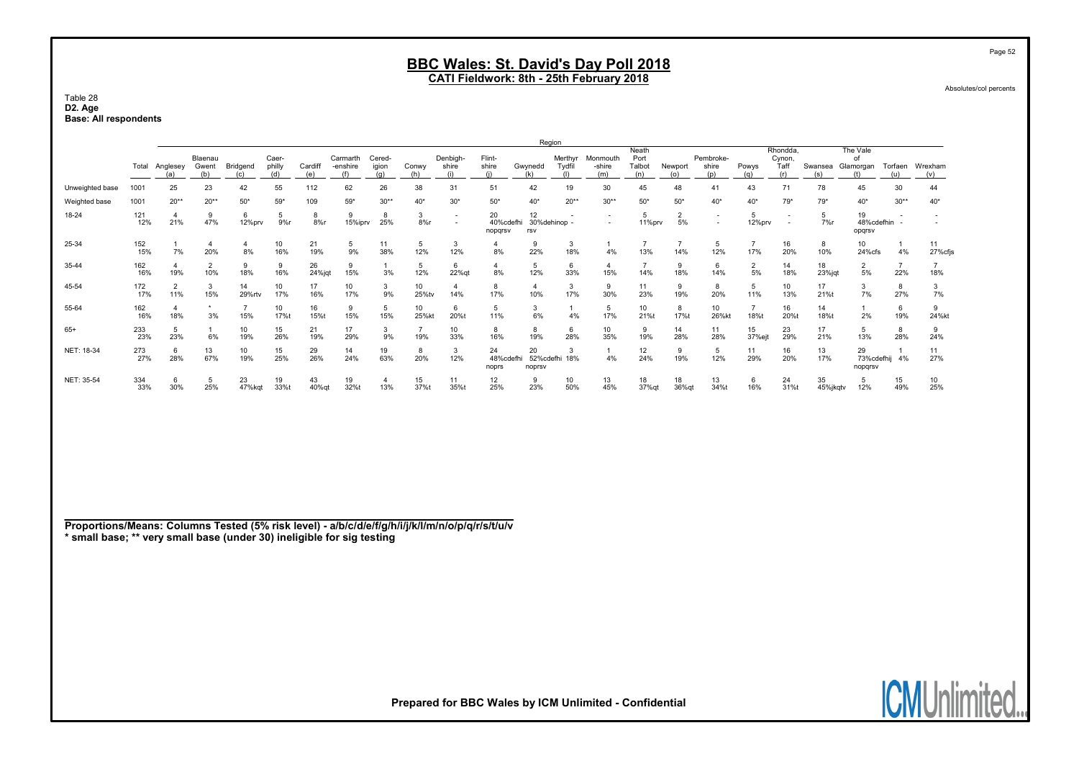CATI Fieldwork: 8th - 25th February 2018

Table 28 D2. Age Base: All respondents

|                 |                  |                       |                         |              |                          |                |                             |                 |                       |                          |                            | Region                    |                          |                           |                                |                |                           |                            |                                   |                |                             |                       |                |
|-----------------|------------------|-----------------------|-------------------------|--------------|--------------------------|----------------|-----------------------------|-----------------|-----------------------|--------------------------|----------------------------|---------------------------|--------------------------|---------------------------|--------------------------------|----------------|---------------------------|----------------------------|-----------------------------------|----------------|-----------------------------|-----------------------|----------------|
|                 | Total            | Anglesey<br>(a)       | Blaenau<br>Gwent<br>(b) | Bridgend     | Caer-<br>philly<br>(d)   | Cardiff<br>(e) | Carmarth<br>-enshire<br>(f) | Cered-<br>igion | Conwy<br>(h)          | Denbigh-<br>shire<br>(i) | Flint-<br>shire            | Gwynedd<br>(k)            | Merthyr<br>Tydfil<br>(1) | Monmouth<br>-shire<br>(m) | Neath<br>Port<br>Talbot<br>(n) | Newport<br>(0) | Pembroke-<br>shire<br>(p) | Powys<br>(a)               | Rhondda.<br>Cynon,<br>Taff<br>(r) | Swansea<br>(s) | The Vale<br>of<br>Glamorgan | Torfaen<br>(u)        | Wrexham<br>(v) |
| Unweighted base | 100 <sup>1</sup> | 25                    | 23                      | 42           | 55                       | 112            | 62                          | 26              | 38                    | 31                       | 51                         | 42                        | 19                       | 30                        | 45                             | 48             | 41                        | 43                         | 71                                | 78             | 45                          | 30                    | 44             |
| Weighted base   | 1001             | $20**$                | $20**$                  | $50*$        | $59*$                    | 109            | $59*$                       | $30**$          | 40*                   | $30*$                    | $50*$                      | $40*$                     | $20**$                   | $30**$                    | $50*$                          | $50*$          | $40*$                     | $40*$                      | $79*$                             | $79*$          | $40*$                       | $30**$                | $40*$          |
| 18-24           | 121<br>12%       | 21%                   | 9<br>47%                | 6<br>12%prv  | 5<br>9%r                 | 8<br>$8%$ r    | 9<br>15%iprv                | 8<br>25%        | 3<br>8%r              | $\overline{\phantom{a}}$ | 20<br>40%cdefhi<br>nopgrsv | 12<br>30%dehinop -<br>rsv |                          | $\overline{\phantom{a}}$  | 11%prv                         | 5%             | $\overline{\phantom{a}}$  | 12%prv                     | $\overline{\phantom{a}}$          | 7%             | 19<br>48%cdefhin<br>opgrsv  |                       |                |
| 25-34           | 152<br>15%       | 7%                    | 20%                     | 8%           | 10<br>16%                | 21<br>19%      | 5<br>9%                     | 11<br>38%       | 5<br>12%              | 3<br>12%                 | 8%                         | 9<br>22%                  | 3<br>18%                 | 4%                        | 13%                            | 14%            | 5<br>12%                  | 17%                        | 16<br>20%                         | 8<br>10%       | 10<br>24%cfs                | 4%                    | 11<br>27%cfjs  |
| 35-44           | 162<br>16%       | 19%                   | $\overline{2}$<br>10%   | 9<br>18%     | 9<br>16%                 | 26<br>24%jqt   | 9<br>15%                    | 3%              | 5<br>12%              | 6<br>22%qt               | $\overline{4}$<br>8%       | 5<br>12%                  | 6<br>33%                 | 15%                       | 14%                            | 18%            | 14%                       | 2<br>5%                    | 14<br>18%                         | 18<br>23%jqt   | $\overline{2}$<br>5%        | $\overline{7}$<br>22% | 18%            |
| 45-54           | 172<br>17%       | $\overline{2}$<br>11% | 3<br>15%                | 14<br>29%rtv | 10<br>17%                | 17<br>16%      | 10<br>17%                   | 3<br>9%         | 10<br>25%tv           | 14%                      | 8<br>17%                   | $\overline{4}$<br>10%     | 3<br>17%                 | 9<br>30%                  | 11<br>23%                      | 19%            | 8<br>20%                  | 5<br>11%                   | 10<br>13%                         | 17<br>21%t     | 3<br>7%                     | 8<br>27%              | 3<br>7%        |
| 55-64           | 162<br>16%       | 18%                   | 3%                      | 15%          | 10 <sup>10</sup><br>17%t | 16<br>15%t     | 9<br>15%                    | 5<br>15%        | 10<br>25%kt           | 6<br>20%t                | 5<br>11%                   | 3<br>6%                   | 4%                       | 5<br>17%                  | 10<br>21%t                     | 8<br>17%t      | 10<br>26%kt               | 18%t                       | 16<br>20%t                        | 14<br>18%t     | 2%                          | 6<br>19%              | 9<br>24%kt     |
| $65+$           | 233<br>23%       | 5<br>23%              | 6%                      | 10<br>19%    | 15<br>26%                | 21<br>19%      | 17<br>29%                   | 3<br>9%         | $\overline{7}$<br>19% | 10<br>33%                | 8<br>16%                   | 8<br>19%                  | 6<br>28%                 | 10<br>35%                 | 9<br>19%                       | 14<br>28%      | 11<br>28%                 | 15 <sub>15</sub><br>37%ejt | 23<br>29%                         | 17<br>21%      | 5<br>13%                    | 8<br>28%              | 9<br>24%       |
| NET: 18-34      | 273<br>27%       | 6<br>28%              | 13<br>67%               | 10<br>19%    | 15<br>25%                | 29<br>26%      | 14<br>24%                   | 19<br>63%       | 8<br>20%              | 3<br>12%                 | 24<br>48%cdefhi<br>noprs   | 20<br>52%cdefhi<br>noprsv | 3<br>18%                 | 4%                        | 12<br>24%                      | 19%            | 5<br>12%                  | 11<br>29%                  | 16<br>20%                         | 13<br>17%      | 29<br>73%cdefhij<br>nopgrsv | 4%                    | 11<br>27%      |
| NET: 35-54      | 334<br>33%       | 6<br>30%              | 5<br>25%                | 23<br>47%kgt | 19<br>33%t               | 43<br>40% qt   | 19<br>32%t                  | 13%             | 15<br>37%t            | 11<br>35%                | 12<br>25%                  | 9<br>23%                  | 10<br>50%                | 13<br>45%                 | 18<br>37%qt                    | 18<br>36%qt    | 13<br>34%t                | 6<br>16%                   | 24<br>31%t                        | 35<br>45%jkqtv | 5<br>12%                    | 15<br>49%             | 10<br>25%      |

Proportions/Means: Columns Tested (5% risk level) - a/b/c/d/e/f/g/h/i/j/k/l/m/n/o/p/q/r/s/t/u/v \* small base; \*\* very small base (under 30) ineligible for sig testing

Page 52

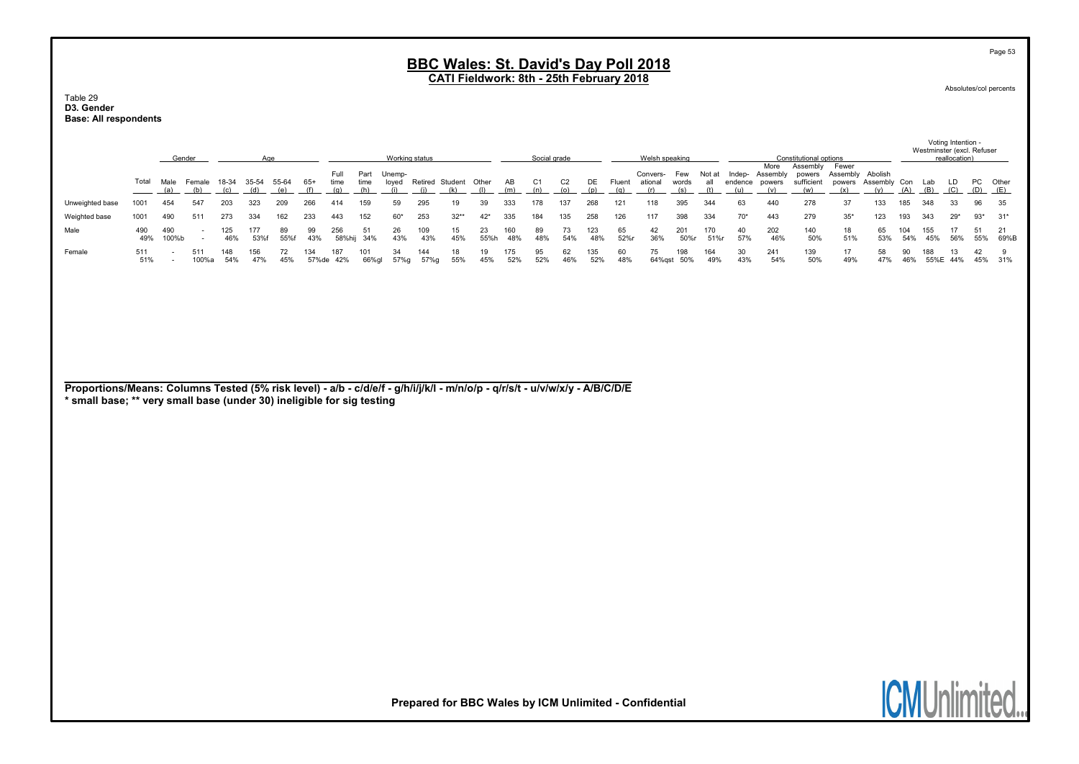CATI Fieldwork: 8th - 25th February 2018

#### Table 29 D3. Gender Base: All respondents

|                                                                                                                                                                                                       |            | Gender                   |                                                      |              | Age          |              |              |                     |                     | Working status         |             |                              |            |            | Social grade          |                       |            |               | Welsh speaking             |                     |             |                |                                                 | Constitutional options                  |                                    |                                |            |            | Voting Intention -<br>Westminster (excl. Refuser<br>reallocation) |           |              |
|-------------------------------------------------------------------------------------------------------------------------------------------------------------------------------------------------------|------------|--------------------------|------------------------------------------------------|--------------|--------------|--------------|--------------|---------------------|---------------------|------------------------|-------------|------------------------------|------------|------------|-----------------------|-----------------------|------------|---------------|----------------------------|---------------------|-------------|----------------|-------------------------------------------------|-----------------------------------------|------------------------------------|--------------------------------|------------|------------|-------------------------------------------------------------------|-----------|--------------|
|                                                                                                                                                                                                       | Total      | Male<br>(a)              | Female<br>(b)                                        | 18-34<br>(c) | 35-54<br>(d) | 55-64<br>(e) | $65+$<br>(f) | Full<br>time<br>(q) | Part<br>time<br>(h) | Unemp-<br>loyed<br>(i) | (i)         | Retired Student Other<br>(k) | (1)        | AB<br>(m)  | C <sub>1</sub><br>(n) | C <sub>2</sub><br>(o) | DE<br>(p)  | Fluent<br>(q) | Convers-<br>ational<br>(r) | Few<br>words<br>(s) | all<br>(t)  | endence<br>(u) | More<br>Not at Indep- Assembly<br>powers<br>(v) | Assembly<br>powers<br>sufficient<br>(w) | Fewer<br>Assembly<br>powers<br>(x) | Abolish<br>Assembly Con<br>(v) | (A)        | Lab<br>(B) | LD<br>(C)                                                         | PC<br>(D) | Other<br>(E) |
| Unweighted base                                                                                                                                                                                       | 1001       | 454                      | 547                                                  | 203          | 323          | 209          | 266          | 414                 | 159                 | 59                     | 295         | 19                           | 39         | 333        | 178                   | 137                   | 268        | 121           | 118                        | 395                 | 344         | 63             | 440                                             | 278                                     | 37                                 | 133                            | 185        | 348        | 33                                                                | 96        | 35           |
| Weighted base                                                                                                                                                                                         | 1001       | 490                      | 511                                                  | 273          | 334          | 162          | 233          | 443                 | 152                 | $60*$                  | 253         | $32**$                       | $42*$      | 335        | 184                   | 135                   | 258        | 126           | 117                        | 398                 | 334         | $70*$          | 443                                             | 279                                     | $35*$                              | 123                            | 193        | 343        | $29*$                                                             | $93*$     | $31*$        |
| Male                                                                                                                                                                                                  | 490<br>49% | 490<br>100%b             | $\overline{\phantom{a}}$<br>$\overline{\phantom{a}}$ | 125<br>46%   | 177<br>53%f  | 89<br>55%f   | 99<br>43%    | 256<br>58%hij       | 51<br>34%           | 26<br>43%              | 109<br>43%  | 15<br>45%                    | 23<br>55%h | 160<br>48% | 89<br>48%             | 73<br>54%             | 123<br>48% | 65<br>52%r    | 42<br>36%                  | 201<br>50%r         | 170<br>51%r | 40<br>57%      | 202<br>46%                                      | 140<br>50%                              | 18<br>51%                          | 65<br>53%                      | 104<br>54% | 155<br>45% | 17<br>56%                                                         | 51<br>55% | 21<br>69%B   |
| Female                                                                                                                                                                                                | 511<br>51% | $\overline{a}$<br>$\sim$ | 511<br>100%a                                         | 148<br>54%   | 156<br>47%   | 72<br>45%    | 134          | 187<br>57%de 42%    | 101<br>66%gl        | 34<br>57%g             | 144<br>57%g | 18<br>55%                    | 19<br>45%  | 175<br>52% | 95<br>52%             | 62<br>46%             | 135<br>52% | 60<br>48%     | 75<br>64%gst 50%           | 198                 | 164<br>49%  | 30<br>43%      | 241<br>54%                                      | 139<br>50%                              | 17<br>49%                          | 58<br>47%                      | 90<br>46%  | 188        | 13<br>55%E 44%                                                    | 42<br>45% | 9<br>31%     |
| Proportions/Means: Columns Tested (5% risk level) - a/b - c/d/e/f - g/h/i/j/k/l - m/n/o/p - q/r/s/t - u/v/w/x/y - A/B/C/D/E<br>* small base; ** very small base (under 30) ineligible for sig testing |            |                          |                                                      |              |              |              |              |                     |                     |                        |             |                              |            |            |                       |                       |            |               |                            |                     |             |                |                                                 |                                         |                                    |                                |            |            |                                                                   |           |              |

Prepared for BBC Wales by ICM Unlimited - Confidential

Page 53

Absolutes/col percents

**ICMUnlimited.**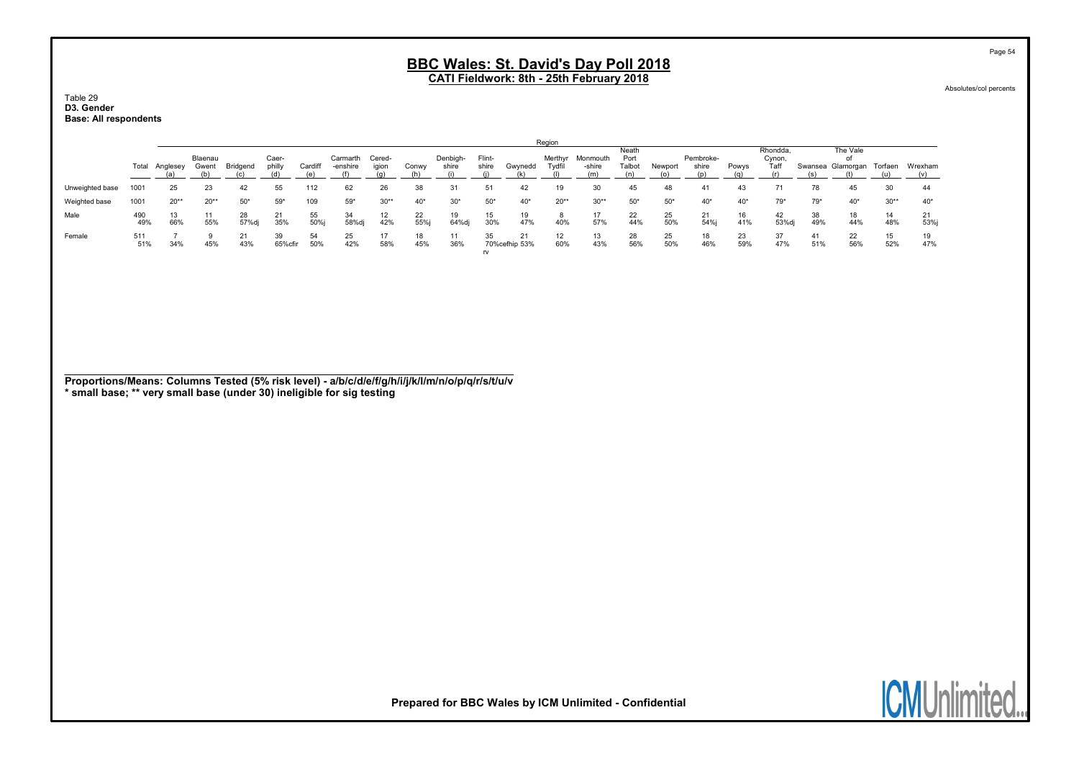Table 29 D3. Gender Base: All respondents

|                 |            |          |                       |             |                 |            |                      |                 |           |                   |                 |                      | Region            |                    |                         |           |                    |           |                            |           |                       |           |            |
|-----------------|------------|----------|-----------------------|-------------|-----------------|------------|----------------------|-----------------|-----------|-------------------|-----------------|----------------------|-------------------|--------------------|-------------------------|-----------|--------------------|-----------|----------------------------|-----------|-----------------------|-----------|------------|
|                 | Total      | Anglesey | Blaenau<br>Gwent      | Bridgend    | Caer-<br>philly | Cardiff    | Carmarth<br>-enshire | Cered-<br>igion | Conwy     | Denbigh-<br>shire | Flint-<br>shire | Gwynedd              | Merthyr<br>Tydfil | Monmouth<br>-shire | Neath<br>Port<br>Talbot | Newport   | Pembroke-<br>shire | Powys     | Rhondda,<br>Cynon,<br>Taff | Swansea   | The Vale<br>Glamorgan | Torfaen   | Wrexham    |
| Unweighted base | 1001       | 25       | 23                    | 42          | 55              | 112        | 62                   | 26              | 38        |                   |                 | 42                   | 19                | 30                 | 45                      | 48        | 41                 | 43        | 71                         | 78        | 45                    | 30        |            |
| Weighted base   | 1001       | $20**$   | $20**$                | $50*$       | $59*$           | 109        | 59*                  | $30**$          | $40*$     | $30*$             | $50*$           | $40*$                | $20**$            | $30**$             | $50*$                   | $50*$     | $40*$              | $40*$     | $79*$                      | $79*$     | $40*$                 | $30**$    | $40*$      |
| Male            | 490<br>49% | 66%      | 1 <sup>1</sup><br>55% | 28<br>57%dj | 21<br>35%       | 55<br>50%i | 34<br>58%dj          | 42%             | 22<br>55% | 19<br>64%dj       | 15<br>30%       | 19<br>47%            | 40%               | 57%                | 22<br>44%               | 25<br>50% | 21<br>54%j         | 16<br>41% | 42<br>53%dj                | 38<br>49% | 18<br>44%             | 14<br>48% | 21<br>53%i |
| Female          | 511<br>51% | 34%      | 9<br>45%              | 21<br>43%   | 39<br>65%cfir   | 54<br>50%  | 25<br>42%            | 17<br>58%       | 18<br>45% | 36%               | 35<br>rv        | 21<br>70% cefhip 53% | 12<br>60%         | 13<br>43%          | 28<br>56%               | 25<br>50% | 18<br>46%          | 23<br>59% | 37<br>47%                  | 41<br>51% | 22<br>56%             | 15<br>52% | 19<br>47%  |

Proportions/Means: Columns Tested (5% risk level) - a/b/c/d/e/f/g/h/i/j/k/l/m/n/o/p/q/r/s/t/u/v \* small base; \*\* very small base (under 30) ineligible for sig testing



Prepared for BBC Wales by ICM Unlimited - Confidential

Page 54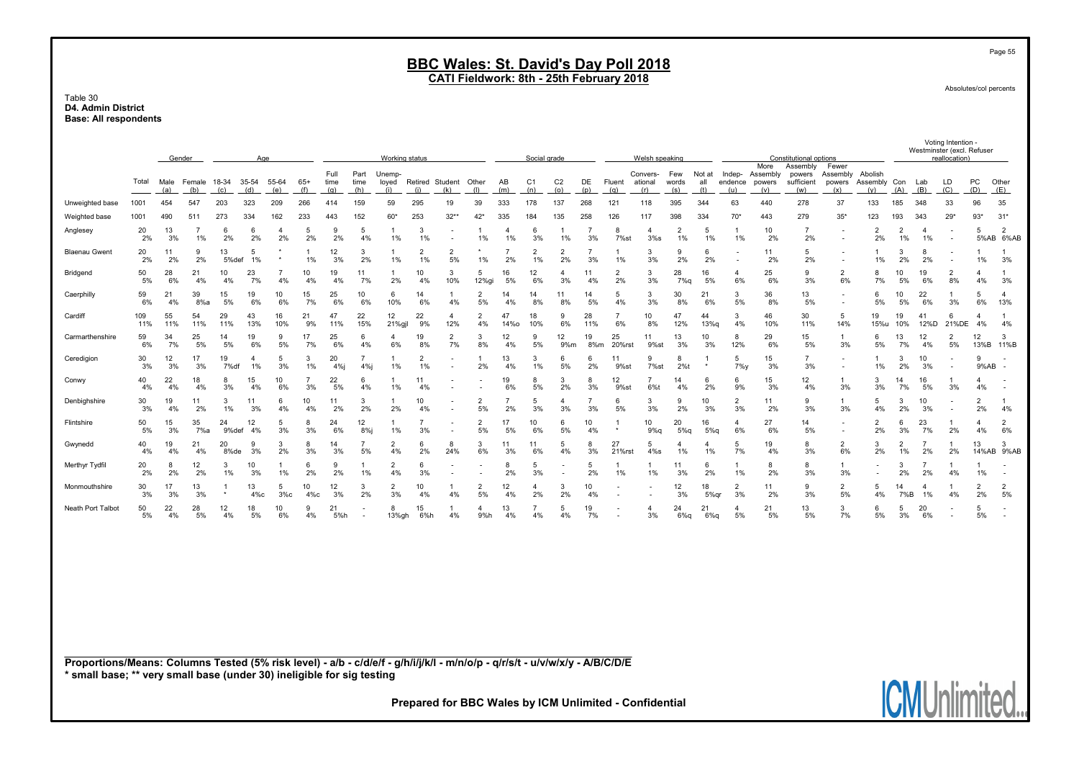#### Table 30 D4. Admin District Base: All respondents

|                                                                                                                             |            |             | Gender               |              |              | Age                  |                      |                     |                                                      | Working status         |                        |                          |                      |                      | Social grade          |                       |                      |                          | Welsh speaking             |                      |                      |                                                      |                                   | Constitutional options                  |                                                      |                                |                      |                      | Voting Intention -<br>Westminster (excl. Refuser<br>reallocation) |                      |                             |
|-----------------------------------------------------------------------------------------------------------------------------|------------|-------------|----------------------|--------------|--------------|----------------------|----------------------|---------------------|------------------------------------------------------|------------------------|------------------------|--------------------------|----------------------|----------------------|-----------------------|-----------------------|----------------------|--------------------------|----------------------------|----------------------|----------------------|------------------------------------------------------|-----------------------------------|-----------------------------------------|------------------------------------------------------|--------------------------------|----------------------|----------------------|-------------------------------------------------------------------|----------------------|-----------------------------|
|                                                                                                                             | Total      | Male<br>(a) | Female<br>(b)        | 18-34<br>(c) | 35-54<br>(d) | 55-64<br>(e)         | $65+$<br>(f)         | Full<br>time<br>(q) | Part<br>time<br>(h)                                  | Unemp-<br>loyed<br>(i) | Retired Student<br>(i) | (k)                      | Other<br>(1)         | AB<br>(m)            | C <sub>1</sub><br>(n) | C <sub>2</sub><br>(o) | DE<br>(p)            | Fluent<br>(q)            | Convers-<br>ational<br>(r) | Few<br>words<br>(s)  | Not at<br>all<br>(t) | Indep-<br>endence<br>(u)                             | More<br>Assembly<br>powers<br>(v) | Assembly<br>powers<br>sufficient<br>(w) | Fewer<br>Assembly<br>powers<br>(x)                   | Abolish<br>Assembly Con<br>(y) | (A)                  | Lab<br>(B)           | LD<br>(C)                                                         | PC<br>(D)            | Other<br>(E)                |
| Unweighted base                                                                                                             | 1001       | 454         | 547                  | 203          | 323          | 209                  | 266                  | 414                 | 159                                                  | 59                     | 295                    | 19                       | 39                   | 333                  | 178                   | 137                   | 268                  | 121                      | 118                        | 395                  | 344                  | 63                                                   | 440                               | 278                                     | 37                                                   | 133                            | 185                  | 348                  | 33                                                                | 96                   | 35                          |
| Weighted base                                                                                                               | 1001       | 490         | 511                  | 273          | 334          | 162                  | 233                  | 443                 | 152                                                  | 60*                    | 253                    | $32**$                   | $42*$                | 335                  | 184                   | 135                   | 258                  | 126                      | 117                        | 398                  | 334                  | $70*$                                                | 443                               | 279                                     | $35*$                                                | 123                            | 193                  | 343                  | $29*$                                                             | $93*$                | $31*$                       |
| Anglesey                                                                                                                    | 20<br>2%   | 13<br>3%    | $\overline{7}$<br>1% | 6<br>2%      | 6<br>2%      | $\overline{a}$<br>2% | 5<br>2%              | $\mathbf{Q}$<br>2%  | 5<br>4%                                              | $\overline{1}$<br>1%   | 3<br>1%                | $\overline{\phantom{a}}$ | -1<br>1%             | $\overline{4}$<br>1% | -6<br>3%              | $\overline{1}$<br>1%  | $\overline{7}$<br>3% | 8<br>7%st                | $\overline{4}$<br>3%s      | $\overline{2}$<br>1% | 5<br>1%              | $\overline{1}$<br>1%                                 | 10<br>2%                          | $\overline{7}$<br>2%                    | $\overline{\phantom{a}}$<br>$\ddot{\phantom{0}}$     | $\overline{2}$<br>2%           | $\overline{2}$<br>1% | $\overline{4}$<br>1% | $\overline{\phantom{a}}$                                          | 5                    | $\overline{2}$<br>5%AB 6%AB |
| <b>Blaenau Gwent</b>                                                                                                        | 20<br>2%   | 11<br>2%    | 9<br>2%              | 13<br>5%def  | 5<br>1%      |                      | $\overline{1}$<br>1% | 12<br>3%            | 3<br>2%                                              | -1<br>1%               | $\overline{2}$<br>1%   | $\overline{2}$<br>5%     | $\star$<br>1%        | $\overline{7}$<br>2% | $\overline{2}$<br>1%  | $\overline{2}$<br>2%  | $\overline{7}$<br>3% | 1<br>1%                  | 3<br>3%                    | 9<br>2%              | 6<br>2%              | $\overline{\phantom{a}}$<br>$\overline{\phantom{a}}$ | 11<br>2%                          | 5<br>2%                                 | $\overline{\phantom{a}}$<br>$\overline{\phantom{a}}$ | $\overline{1}$<br>1%           | 3<br>2%              | 8<br>2%              | $\overline{\phantom{a}}$                                          | $\overline{1}$<br>1% | $\overline{1}$<br>3%        |
| Bridgend                                                                                                                    | 50<br>5%   | 28<br>6%    | 21<br>4%             | 10<br>4%     | 23<br>7%     | $\overline{7}$<br>4% | 10<br>4%             | 19<br>4%            | 11<br>7%                                             | -1<br>2%               | 10<br>4%               | 3<br>10%                 | 5<br>12%gi           | 16<br>5%             | 12<br>6%              | $\overline{4}$<br>3%  | 11<br>4%             | $\overline{2}$<br>2%     | 3<br>3%                    | 28<br>7%q            | 16<br>5%             | $\overline{4}$<br>6%                                 | 25<br>6%                          | 9<br>3%                                 | $\overline{2}$<br>6%                                 | 8<br>7%                        | 10<br>5%             | 19<br>6%             | $\overline{2}$<br>8%                                              | $\overline{a}$<br>4% | $\mathbf{1}$<br>3%          |
| Caerphilly                                                                                                                  | 59<br>6%   | 21<br>4%    | 39<br>8%a            | 15<br>5%     | 19<br>6%     | 10<br>6%             | 15<br>7%             | 25<br>6%            | 10<br>6%                                             | 6<br>10%               | 14<br>6%               | -1<br>4%                 | $\overline{2}$<br>5% | 14<br>4%             | 14<br>8%              | 11<br>8%              | 14<br>5%             | 5<br>4%                  | 3<br>3%                    | 30<br>8%             | 21<br>6%             | 3<br>5%                                              | 36<br>8%                          | 13<br>5%                                | $\overline{\phantom{a}}$<br>$\overline{\phantom{a}}$ | 6<br>5%                        | 10<br>5%             | 22<br>6%             | $\mathbf{1}$<br>3%                                                | 5<br>6%              | $\overline{a}$<br>13%       |
| Cardiff                                                                                                                     | 109<br>11% | 55<br>11%   | 54<br>11%            | 29<br>11%    | 43<br>13%    | 16<br>10%            | 21<br>9%             | 47<br>11%           | 22<br>15%                                            | 12<br>21%gjl           | 22<br>9%               | 4<br>12%                 | $\overline{2}$<br>4% | 47<br><b>14%o</b>    | 18<br>10%             | 9<br>6%               | 28<br>11%            | $\overline{7}$<br>6%     | 10<br>8%                   | 47<br>12%            | 44<br>13%g           | 3<br>4%                                              | 46<br>10%                         | 30<br>11%                               | 5<br>14%                                             | 19<br>15%u                     | 19<br>10%            | 41<br>12%D           | 6<br>21%DE                                                        | $\overline{4}$<br>4% | 4%                          |
| Carmarthenshire                                                                                                             | 59<br>6%   | 34<br>7%    | 25<br>5%             | 14<br>5%     | 19<br>6%     | 9<br>5%              | 17<br>7%             | 25<br>6%            | 6<br>4%                                              | 4<br>6%                | 19<br>8%               | $\overline{2}$<br>7%     | 3<br>8%              | 12<br>4%             | 9<br>5%               | 12<br>9%m             | 19<br>8%m            | 25<br>20%rst             | 11<br>9%st                 | 13<br>3%             | 10<br>3%             | 8<br>12%                                             | 29<br>6%                          | 15<br>5%                                | $\mathbf{1}$<br>3%                                   | 6<br>5%                        | 13<br>7%             | 12<br>4%             | $\overline{2}$<br>5%                                              | 12                   | 3<br>13%B 11%B              |
| Ceredigion                                                                                                                  | 30<br>3%   | 12<br>3%    | 17<br>3%             | 19<br>7%df   | 4<br>1%      | 5<br>3%              | 3<br>1%              | 20<br>4%j           | $\overline{7}$<br>4%j                                | 1%                     | $\overline{2}$<br>1%   | $\overline{\phantom{a}}$ | -1<br>2%             | 13<br>4%             | 3<br>1%               | 6<br>5%               | 6<br>2%              | 11<br>9%st               | 9<br>7%st                  | 8<br>2%t             | $\star$              | 5<br>$7\%$                                           | 15<br>3%                          | -7<br>3%                                | $\overline{\phantom{a}}$<br>$\overline{\phantom{a}}$ | -1<br>1%                       | 3<br>2%              | 10<br>3%             | $\sim$                                                            | 9<br>9%AB            | $\overline{\phantom{a}}$    |
| Conwy                                                                                                                       | 40<br>4%   | 22<br>4%    | 18<br>4%             | 8<br>3%      | 15<br>4%     | 10<br>6%             | $\overline{7}$<br>3% | 22<br>5%            | 6<br>4%                                              | 1%                     | 11<br>4%               | $\overline{\phantom{a}}$ |                      | 19<br>6%             | 8<br>5%               | 3<br>2%               | 8<br>3%              | 12<br>9%st               | $\overline{7}$<br>6%t      | 14<br>4%             | 6<br>2%              | 6<br>9%                                              | 15<br>3%                          | 12<br>4%                                | $\mathbf{1}$<br>3%                                   | 3<br>3%                        | 14<br>7%             | 16<br>5%             | $\mathbf{1}$<br>3%                                                | $\overline{4}$<br>4% | $\overline{\phantom{a}}$    |
| Denbighshire                                                                                                                | 30<br>3%   | 19<br>4%    | 11<br>2%             | 3<br>1%      | 11<br>3%     | 6<br>4%              | 10<br>4%             | 11<br>2%            | 3<br>2%                                              | 2%                     | 10<br>4%               |                          | $\overline{2}$<br>5% | $\overline{7}$<br>2% | -5<br>3%              | 4<br>3%               | $\overline{7}$<br>3% | 6<br>5%                  | 3<br>3%                    | 9<br>2%              | 10<br>3%             | $\overline{2}$<br>3%                                 | 11<br>2%                          | 9<br>3%                                 | 3%                                                   | -5<br>4%                       | 3<br>2%              | 10<br>3%             | $\overline{\phantom{a}}$                                          | $\overline{2}$<br>2% | 4%                          |
| Flintshire                                                                                                                  | 50<br>5%   | 15<br>3%    | 35<br>7%a            | 24<br>9%def  | 12<br>4%     | 5<br>3%              | 8<br>3%              | 24<br>6%            | 12<br>$8%$ j                                         | 1%                     | $\overline{7}$<br>3%   | $\overline{\phantom{a}}$ | $\overline{c}$<br>5% | 17<br>5%             | 10<br>6%              | 6<br>5%               | 10<br>4%             | 1<br>$^\star$            | 10<br>$9%$ a               | 20<br>5%q            | 16<br>5%q            | 4<br>6%                                              | 27<br>6%                          | 14<br>5%                                | $\overline{\phantom{a}}$<br>$\overline{\phantom{a}}$ | 2<br>2%                        | 6<br>3%              | 23<br>7%             | 2%                                                                | $\overline{4}$<br>4% | 2<br>6%                     |
| Gwynedd                                                                                                                     | 40<br>4%   | 19<br>4%    | 21<br>4%             | 20<br>8%de   | 9<br>3%      | 3<br>2%              | 8<br>3%              | 14<br>3%            | 5%                                                   | $\overline{2}$<br>4%   | 6<br>2%                | 8<br>24%                 | 3<br>6%              | 11<br>3%             | 11<br>6%              | 5<br>4%               | 8<br>3%              | 27<br>21%rst             | 5<br>$4\%s$                | 4<br>1%              | $\overline{a}$<br>1% | 5<br>7%                                              | 19<br>4%                          | -8<br>3%                                | $\overline{2}$<br>6%                                 | 3<br>2%                        | $\overline{2}$<br>1% | -7<br>2%             | 2%                                                                | 13                   | 3<br>14%AB 9%AB             |
| Merthyr Tydfil                                                                                                              | 20<br>2%   | 8<br>2%     | 12<br>2%             | 3<br>1%      | 10<br>3%     | 1%                   | 6<br>2%              | <b>q</b><br>2%      | 1%                                                   | $\overline{2}$<br>4%   | 6<br>3%                |                          |                      | 8<br>2%              | -5<br>3%              |                       | 5<br>2%              | -1<br>1%                 | 1%                         | 11<br>3%             | 6<br>2%              | 1<br>1%                                              | 8<br>2%                           | 8<br>3%                                 | 3%                                                   |                                | 3<br>2%              | 2%                   | 4%                                                                | $1\%$                |                             |
| Monmouthshire                                                                                                               | 30<br>3%   | 17<br>3%    | 13<br>3%             |              | 13<br>$4\%c$ | 5<br>$3\%c$          | 10<br>$4\%c$         | 12<br>3%            | 3<br>2%                                              | $\overline{2}$<br>3%   | 10<br>4%               | $\overline{1}$<br>4%     | 2<br>5%              | 12<br>4%             | $\overline{4}$<br>2%  | 3<br>2%               | 10<br>4%             | $\overline{\phantom{a}}$ |                            | 12<br>3%             | 18<br>5%qr           | $\overline{2}$<br>3%                                 | 11<br>2%                          | 9<br>3%                                 | $\overline{2}$<br>5%                                 | 5<br>4%                        | 14<br>7%B            | $\overline{4}$<br>1% | -1<br>4%                                                          | $\overline{2}$<br>2% | $\overline{2}$<br>5%        |
| Neath Port Talbot                                                                                                           | 50<br>5%   | 22<br>4%    | 28<br>5%             | 12<br>4%     | 18<br>5%     | 10<br>6%             | 9<br>4%              | 21<br>5%h           | $\overline{\phantom{a}}$<br>$\overline{\phantom{a}}$ | 8<br>13%gh             | 15<br>6%h              | $\overline{1}$<br>4%     | 4<br>9%h             | 13<br>4%             | 4%                    | 5<br>4%               | 19<br>7%             |                          | $\overline{a}$<br>3%       | 24<br>6%q            | 21<br>6%q            | $\overline{4}$<br>5%                                 | 21<br>5%                          | 13<br>5%                                | 3<br>7%                                              | 6<br>5%                        | 5<br>3%              | 20<br>6%             |                                                                   | 5<br>5%              | $\overline{\phantom{a}}$    |
|                                                                                                                             |            |             |                      |              |              |                      |                      |                     |                                                      |                        |                        |                          |                      |                      |                       |                       |                      |                          |                            |                      |                      |                                                      |                                   |                                         |                                                      |                                |                      |                      |                                                                   |                      |                             |
|                                                                                                                             |            |             |                      |              |              |                      |                      |                     |                                                      |                        |                        |                          |                      |                      |                       |                       |                      |                          |                            |                      |                      |                                                      |                                   |                                         |                                                      |                                |                      |                      |                                                                   |                      |                             |
|                                                                                                                             |            |             |                      |              |              |                      |                      |                     |                                                      |                        |                        |                          |                      |                      |                       |                       |                      |                          |                            |                      |                      |                                                      |                                   |                                         |                                                      |                                |                      |                      |                                                                   |                      |                             |
|                                                                                                                             |            |             |                      |              |              |                      |                      |                     |                                                      |                        |                        |                          |                      |                      |                       |                       |                      |                          |                            |                      |                      |                                                      |                                   |                                         |                                                      |                                |                      |                      |                                                                   |                      |                             |
|                                                                                                                             |            |             |                      |              |              |                      |                      |                     |                                                      |                        |                        |                          |                      |                      |                       |                       |                      |                          |                            |                      |                      |                                                      |                                   |                                         |                                                      |                                |                      |                      |                                                                   |                      |                             |
|                                                                                                                             |            |             |                      |              |              |                      |                      |                     |                                                      |                        |                        |                          |                      |                      |                       |                       |                      |                          |                            |                      |                      |                                                      |                                   |                                         |                                                      |                                |                      |                      |                                                                   |                      |                             |
| Proportions/Means: Columns Tested (5% risk level) - a/b - c/d/e/f - g/h/i/j/k/l - m/n/o/p - q/r/s/t - u/v/w/x/y - A/B/C/D/E |            |             |                      |              |              |                      |                      |                     |                                                      |                        |                        |                          |                      |                      |                       |                       |                      |                          |                            |                      |                      |                                                      |                                   |                                         |                                                      |                                |                      |                      |                                                                   |                      |                             |

\* small base; \*\* very small base (under 30) ineligible for sig testing

Prepared for BBC Wales by ICM Unlimited - Confidential

Page 55

Absolutes/col percents

**ICMUnli** 

**TAN**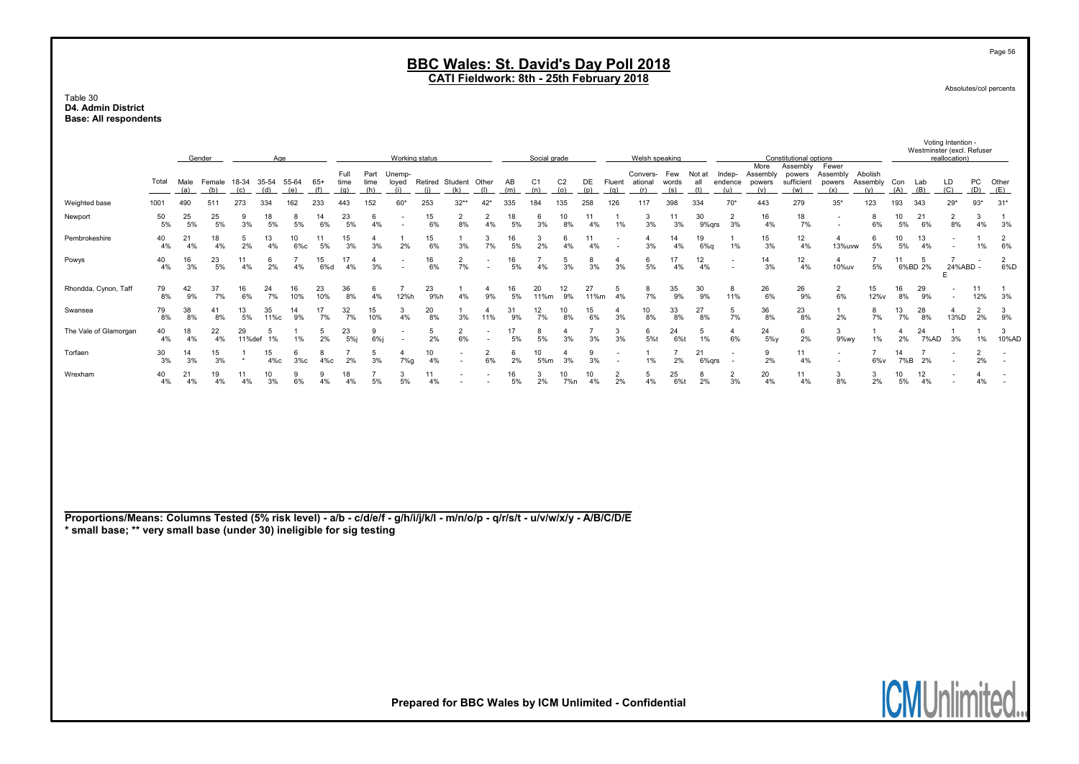#### Table 30 D4. Admin District Base: All respondents

|                                                                                                                                                                                                       |                                                               |          | Gender   |                | Age                       |              |              |                      |                      | Working status                                       |           |                              |                       |           | Social grade          |                           |            |                                                      | Welsh speaking                           |                      |                      |                                    |                                   | Constitutional options                  |                                    |                            |                      |                      | Voting Intention -<br>Westminster (excl. Refuser<br>reallocation) |                      |                          |
|-------------------------------------------------------------------------------------------------------------------------------------------------------------------------------------------------------|---------------------------------------------------------------|----------|----------|----------------|---------------------------|--------------|--------------|----------------------|----------------------|------------------------------------------------------|-----------|------------------------------|-----------------------|-----------|-----------------------|---------------------------|------------|------------------------------------------------------|------------------------------------------|----------------------|----------------------|------------------------------------|-----------------------------------|-----------------------------------------|------------------------------------|----------------------------|----------------------|----------------------|-------------------------------------------------------------------|----------------------|--------------------------|
|                                                                                                                                                                                                       | Total<br>Male<br>(a)<br>(b)<br>490<br>511<br>1001<br>25<br>50 |          |          |                | Female 18-34 35-54<br>(d) | 55-64<br>(e) | $65+$<br>(f) | Full<br>time<br>(q)  | Part<br>time<br>(h)  | Unemp-<br>loyed<br>(i)                               | (i)       | Retired Student Other<br>(k) | (1)                   | AB<br>(m) | C <sub>1</sub><br>(n) | C <sub>2</sub><br>$\circ$ | (p)        | (q)                                                  | Convers- Few<br>DE Fluent ational<br>(r) | words<br>(s)         | Not at<br>all<br>(t) | Indep-<br>endence<br>(u)           | More<br>Assembly<br>powers<br>(v) | Assembly<br>powers<br>sufficient<br>(w) | Fewer<br>Assembly<br>powers<br>(x) | Abolish<br>Assembly<br>(v) | Con<br>(A)           | Lab<br>(B)           | LD<br>(C)                                                         | PC<br>(D)            | Other<br>(E)             |
| Weighted base                                                                                                                                                                                         |                                                               |          |          |                | 334                       | 162          | 233          | 443                  | 152                  | 60*                                                  | 253       | $32**$                       | $42*$                 | 335       | 184                   | 135                       | 258        | 126                                                  | 117                                      | 398                  | 334                  | $70*$                              | 443                               | 279                                     | $35*$                              | 123                        | 193                  | 343                  | $29*$                                                             | $93*$                | $31*$                    |
| Newport                                                                                                                                                                                               | 5%                                                            | 5%       | 25<br>5% | 9<br>3%        | 18<br>5%                  | 8<br>5%      | 14<br>6%     | 23<br>5%             | 6<br>4%              |                                                      | 15<br>6%  | $\overline{2}$<br>8%         | $\overline{2}$<br>4%  | 18<br>5%  | 6<br>3%               | 10<br>8%                  | 11<br>4%   | 1%                                                   | 3<br>3%                                  | 11<br>3%             | 30<br>9%qrs          | $\overline{2}$<br>3%               | 16<br>4%                          | 18<br>7%                                | $\overline{\phantom{a}}$           | 8<br>6%                    | 10<br>5%             | 21<br>6%             | $\overline{2}$<br>$8\%$                                           | 3<br>4%              | 3%                       |
| Pembrokeshire                                                                                                                                                                                         | 40<br>4%                                                      | 21<br>4% | 18<br>4% | 5<br>2%        | 13<br>4%                  | 10<br>$6\%c$ | 11<br>5%     | 15<br>3%             | $\overline{4}$<br>3% | 1<br>2%                                              | 15<br>6%  | 3%                           | 3<br>7%               | 16<br>5%  | 3<br>2%               | 6<br>4%                   | 11<br>4%   | $\overline{\phantom{a}}$<br>$\sim$                   | $\overline{4}$<br>3%                     | 14<br>4%             | 19<br>6%q            | $\mathbf{1}$<br>1%                 | 15<br>3%                          | 12<br>4%                                | $\overline{4}$<br>13%uvw           | 6<br>5%                    | 10<br>5%             | 13<br>4%             | $\overline{\phantom{a}}$                                          | 1<br>1%              | $\overline{2}$<br>6%     |
| Powys                                                                                                                                                                                                 | 40<br>23<br>16<br>3%<br>4%<br>79<br>42                        |          |          |                | 6<br>2%                   | 4%           | 15<br>6%d    | 17<br>4%             | $\overline{4}$<br>3% |                                                      | 16<br>6%  | $\overline{2}$<br>7%         |                       | 16<br>5%  | -7<br>4%              | 5<br>3%                   | 8<br>3%    | $\overline{4}$<br>3%                                 | 6<br>5%                                  | 17<br>4%             | 12<br>4%             |                                    | 14<br>3%                          | 12<br>4%                                | $\overline{4}$<br>10%uv            | $\overline{7}$<br>$5\%$    | 11                   | 5<br>6%BD 2%         | $\overline{7}$<br>24%ABD -<br>E                                   |                      | $\overline{2}$<br>6%D    |
| Rhondda, Cynon, Taff                                                                                                                                                                                  | 8%                                                            | 9%       | 37<br>7% | 16<br>6%       | 24<br>7%                  | 16<br>10%    | 23<br>10%    | 36<br>8%             | 6<br>4%              | $\overline{7}$<br>12%h                               | 23<br>9%h | $\mathbf{1}$<br>4%           | $\overline{4}$<br>9%  | 16<br>5%  | 20<br>11%m            | 12<br>9%                  | 27<br>11%m | 5<br>4%                                              | 8<br>7%                                  | 35<br>9%             | 30<br>9%             | 8<br>11%                           | 26<br>6%                          | 26<br>9%                                | 2<br>6%                            | 15<br>12%v                 | 16<br>8%             | 29<br>9%             | $\overline{\phantom{a}}$                                          | 11<br>12%            | $\mathbf{1}$<br>3%       |
| Swansea                                                                                                                                                                                               | 79<br>8%                                                      | 38<br>8% | 41<br>8% | 13<br>5%       | 35<br>11%с                | 14<br>9%     | 17<br>7%     | 32<br>7%             | 15<br>10%            | $\mathbf{3}$<br>4%                                   | 20<br>8%  | $\mathbf{1}$<br>3%           | $\overline{4}$<br>11% | 31<br>9%  | 12<br>7%              | 10<br>8%                  | 15<br>6%   | $\overline{4}$<br>3%                                 | 10<br>8%                                 | 33<br>8%             | 27<br>8%             | 5<br>7%                            | 36<br>8%                          | 23<br>8%                                | $\mathbf{1}$<br>2%                 | 8<br>7%                    | 13<br>7%             | 28<br>8%             | $\overline{4}$<br>13%D                                            | $\overline{2}$<br>2% | 3<br>9%                  |
| The Vale of Glamorgan                                                                                                                                                                                 | 40<br>4%                                                      | 18<br>4% | 22<br>4% | 29<br>11%def   | 5<br>1%                   | -1<br>1%     | 5<br>2%      | 23<br>5%             | 9<br>6%              | $\overline{\phantom{a}}$<br>$\overline{\phantom{a}}$ | 5<br>2%   | $\overline{2}$<br>6%         |                       | 17<br>5%  | 8<br>5%               | $\overline{4}$<br>3%      | 3%         | 3<br>3%                                              | 6<br>5%t                                 | 24<br>6%t            | 5<br>1%              | $\overline{4}$<br>6%               | 24<br>$5\%y$                      | 6<br>2%                                 | 3<br>9%wy                          | $\mathbf{1}$<br>1%         | $\overline{4}$<br>2% | 24<br>7%AD           | $\overline{1}$<br>3%                                              | $\mathbf{1}$<br>1%   | $\mathbf{3}$<br>10%AD    |
| Torfaen                                                                                                                                                                                               | 30<br>3%                                                      | 14<br>3% | 15<br>3% | $\overline{1}$ | 15<br>$4\%c$              | 6<br>$3\%c$  | 8<br>$4\%c$  | $\overline{7}$<br>2% | 5<br>3%              | 4<br>7%g                                             | 10<br>4%  | $\overline{\phantom{a}}$     | $\overline{2}$<br>6%  | 6<br>2%   | 10<br>5%m             | $\overline{4}$<br>3%      | 9<br>3%    | $\overline{\phantom{a}}$<br>$\overline{\phantom{a}}$ | 1<br>1%                                  | $\overline{7}$<br>2% | 21<br>6%grs          | $\overline{\phantom{a}}$<br>$\sim$ | 9<br>2%                           | 11<br>4%                                | $\sim$<br>$\sim$                   | $\overline{7}$<br>6%v      | 14<br>7%B            | $\overline{7}$<br>2% | $\overline{\phantom{a}}$                                          | $\overline{2}$<br>2% |                          |
| Wrexham                                                                                                                                                                                               | 40<br>4%                                                      | 21<br>4% | 19<br>4% | 11<br>4%       | 10<br>3%                  | 9<br>6%      | 9<br>4%      | 18<br>4%             | $\overline{7}$<br>5% | 3<br>5%                                              | 11<br>4%  |                              |                       | 16<br>5%  | 3<br>2%               | 10<br>7%n                 | 10<br>4%   | $\overline{2}$<br>2%                                 | 5<br>4%                                  | 25<br>6%t            | 8<br>2%              | $\overline{2}$<br>3%               | 20<br>4%                          | 11<br>4%                                | 3<br>8%                            | 3<br>2%                    | 10<br>5%             | 12<br>4%             |                                                                   | $\overline{4}$<br>4% | $\overline{\phantom{a}}$ |
| Proportions/Means: Columns Tested (5% risk level) - a/b - c/d/e/f - g/h/i/j/k/l - m/n/o/p - q/r/s/t - u/v/w/x/y - A/B/C/D/E<br>* small base; ** very small base (under 30) ineligible for sig testing |                                                               |          |          |                |                           |              |              |                      |                      |                                                      |           |                              |                       |           |                       |                           |            |                                                      |                                          |                      |                      |                                    |                                   |                                         |                                    |                            |                      |                      |                                                                   |                      |                          |
|                                                                                                                                                                                                       |                                                               |          |          |                |                           |              |              |                      |                      |                                                      |           |                              |                       |           |                       |                           |            |                                                      |                                          |                      |                      |                                    |                                   |                                         |                                    |                            |                      |                      |                                                                   |                      |                          |

Page 56

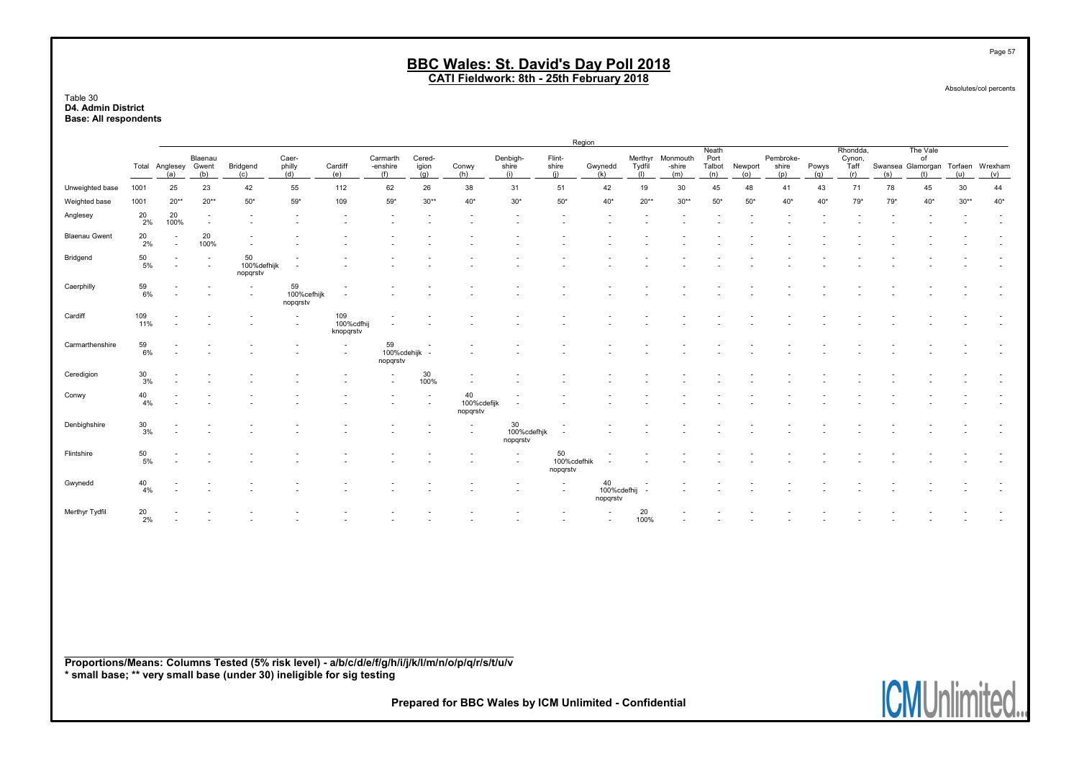Table 30 D4. Admin District Base: All respondents

|                      |              |                                                      |                          |                               |                               |                                                      |                               |                          |                                            |                                                      | Region                        |                               |                          |                           |                                |                |                           |              |                                   |     |                                                            |        |       |
|----------------------|--------------|------------------------------------------------------|--------------------------|-------------------------------|-------------------------------|------------------------------------------------------|-------------------------------|--------------------------|--------------------------------------------|------------------------------------------------------|-------------------------------|-------------------------------|--------------------------|---------------------------|--------------------------------|----------------|---------------------------|--------------|-----------------------------------|-----|------------------------------------------------------------|--------|-------|
|                      | Total        | Anglesey Gwent<br>(a)                                | Blaenau<br>(b)           | Bridgend<br>(c)               | Caer-<br>philly<br>(d)        | Cardiff<br>(e)                                       | Carmarth<br>-enshire<br>(f)   | Cered-<br>igion<br>(q)   | Conwy<br>(h)                               | Denbigh-<br>shire<br>(i)                             | Flint-<br>shire<br>(i)        | Gwynedd<br>(k)                | Merthyr<br>Tydfil<br>(1) | Monmouth<br>-shire<br>(m) | Neath<br>Port<br>Talbot<br>(n) | Newport<br>(o) | Pembroke-<br>shire<br>(p) | Powys<br>(q) | Rhondda,<br>Cynon,<br>Ťaff<br>(r) | (s) | The Vale<br>of<br>Swansea Glamorgan Torfaen Wrexham<br>(t) | (u)    | (v)   |
| Unweighted base      | 1001         | 25                                                   | 23                       | 42                            | 55                            | 112                                                  | 62                            | 26                       | 38                                         | 31                                                   | 51                            | 42                            | 19                       | 30                        | 45                             | 48             | 41                        | 43           | 71                                | 78  | 45                                                         | $30\,$ | 44    |
| Weighted base        | 1001         | $20**$                                               | $20**$                   | $50*$                         | $59*$                         | 109                                                  | $59*$                         | $30**$                   | $40*$                                      | $30*$                                                | $50*$                         | $40*$                         | $20**$                   | $30**$                    | $50*$                          | $50*$          | 40*                       | $40*$        | $79*$                             | 79* | $40*$                                                      | $30**$ | $40*$ |
| Anglesey             | 20<br>2%     | 20<br>100%                                           | $\overline{\phantom{a}}$ |                               | $\overline{\phantom{a}}$      | $\overline{\phantom{a}}$                             | $\overline{\phantom{a}}$      |                          | $\blacksquare$                             |                                                      |                               |                               |                          |                           |                                |                |                           |              |                                   |     |                                                            |        |       |
| <b>Blaenau Gwent</b> | 20<br>2%     | $\overline{\phantom{a}}$<br>$\overline{\phantom{a}}$ | 20<br>100%               |                               |                               |                                                      |                               |                          |                                            |                                                      |                               |                               |                          |                           |                                |                |                           |              |                                   |     |                                                            |        |       |
| Bridgend             | 50<br>5%     | $\overline{\phantom{a}}$                             |                          | 50<br>100%defhijk<br>nopqrstv | $\overline{\phantom{a}}$      |                                                      |                               |                          |                                            |                                                      |                               |                               |                          |                           |                                |                |                           |              |                                   |     |                                                            |        |       |
| Caerphilly           | 59<br>6%     |                                                      |                          | $\overline{\phantom{a}}$      | 59<br>100%cefhijk<br>nopqrstv | $\overline{\phantom{a}}$<br>$\overline{\phantom{a}}$ |                               |                          |                                            |                                                      |                               |                               |                          |                           |                                |                |                           |              |                                   |     |                                                            |        |       |
| Cardiff              | 109<br>11%   |                                                      |                          |                               | $\overline{\phantom{a}}$      | 109<br>100%cdfhij<br>knopqrstv                       | $\overline{\phantom{a}}$      |                          |                                            |                                                      |                               |                               |                          |                           |                                |                |                           |              |                                   |     |                                                            |        |       |
| Carmarthenshire      | 59<br>6%     | $\overline{\phantom{a}}$                             |                          |                               | <b>1</b>                      | $\overline{\phantom{a}}$<br>$\overline{\phantom{a}}$ | 59<br>100%cdehijk<br>nopqrstv |                          |                                            |                                                      |                               |                               |                          |                           |                                |                |                           |              |                                   |     |                                                            |        |       |
| Ceredigion           | $30\,$<br>3% |                                                      |                          |                               |                               |                                                      | $\blacksquare$                | 30<br>100%               |                                            |                                                      |                               |                               |                          |                           |                                |                |                           |              |                                   |     |                                                            |        |       |
| Conwy                | 40<br>4%     | $\overline{\phantom{0}}$                             |                          |                               |                               |                                                      |                               | $\overline{\phantom{a}}$ | 40<br>100%cdefijk<br>nopqrstv              | $\overline{\phantom{a}}$                             |                               |                               |                          |                           |                                |                |                           |              |                                   |     |                                                            |        |       |
| Denbighshire         | $30\,$<br>3% |                                                      |                          |                               |                               |                                                      |                               |                          | $\overline{\phantom{a}}$                   | 30<br>100%cdefhjk<br>nopqrstv                        | $\overline{\phantom{a}}$      |                               |                          |                           |                                |                |                           |              |                                   |     |                                                            |        |       |
| Flintshire           | 50<br>5%     |                                                      |                          |                               |                               |                                                      |                               |                          | $\overline{\phantom{a}}$<br>$\blacksquare$ | $\overline{\phantom{a}}$<br>$\overline{\phantom{a}}$ | 50<br>100%cdefhik<br>nopqrstv |                               |                          |                           |                                |                |                           |              |                                   |     |                                                            |        |       |
| Gwynedd              | 40<br>4%     |                                                      |                          |                               |                               |                                                      |                               |                          |                                            |                                                      | $\sim$                        | 40<br>100%cdefhij<br>nopqrstv |                          |                           |                                |                |                           |              |                                   |     |                                                            |        |       |
| Merthyr Tydfil       | $20\,$<br>2% | $\overline{\phantom{a}}$                             | $\sim$                   | $\overline{\phantom{a}}$      | $\overline{\phantom{a}}$      | $\overline{\phantom{a}}$                             | $\overline{\phantom{a}}$      | $\sim$                   | $\overline{\phantom{a}}$                   | $\overline{\phantom{a}}$                             | $\overline{\phantom{a}}$      | $\overline{\phantom{a}}$      | 20<br>100%               | $\overline{\phantom{a}}$  | $\overline{\phantom{a}}$       |                |                           |              |                                   |     |                                                            |        |       |

Proportions/Means: Columns Tested (5% risk level) - a/b/c/d/e/f/g/h/i/j/k/l/m/n/o/p/q/r/s/t/u/v \* small base; \*\* very small base (under 30) ineligible for sig testing

Prepared for BBC Wales by ICM Unlimited - Confidential



Page 57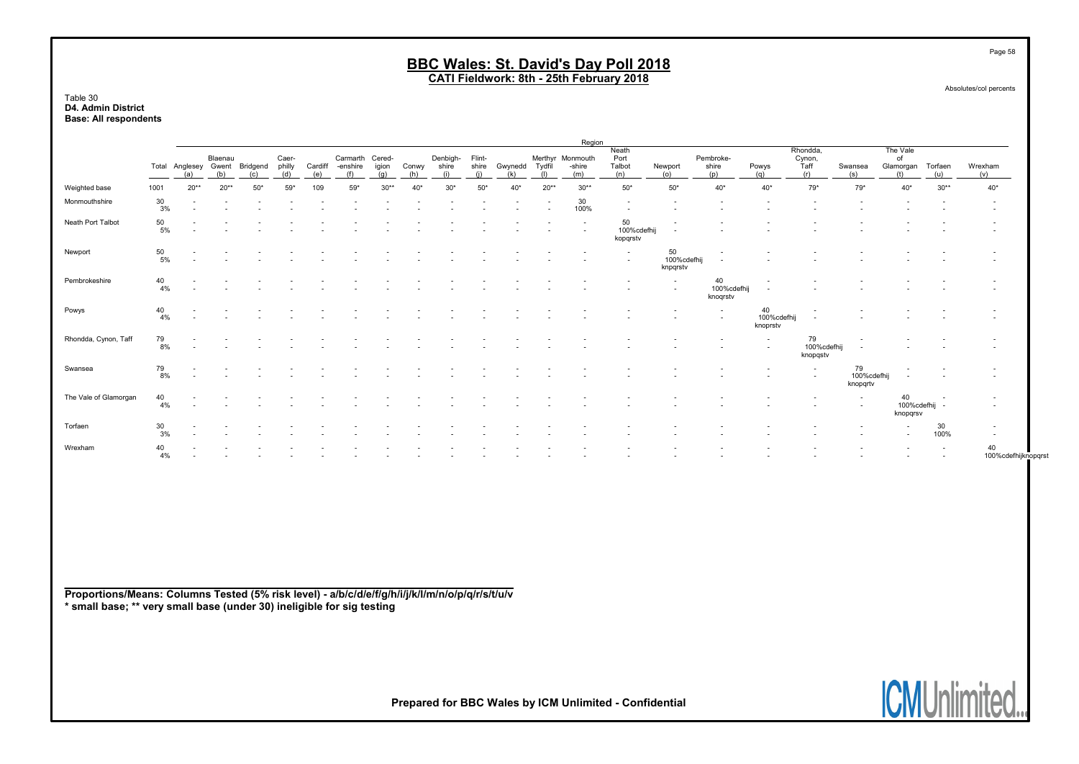Table 30 D4. Admin District Base: All respondents

|                       |          |                             |                |              |                        |                |                     |                        |              |                  |                        |                |                                                      | Region                            |                                |                             |                                                      |                                                      |                                   |                               |                               |                 |                                                      |
|-----------------------|----------|-----------------------------|----------------|--------------|------------------------|----------------|---------------------|------------------------|--------------|------------------|------------------------|----------------|------------------------------------------------------|-----------------------------------|--------------------------------|-----------------------------|------------------------------------------------------|------------------------------------------------------|-----------------------------------|-------------------------------|-------------------------------|-----------------|------------------------------------------------------|
|                       |          | Total Anglesey Gwent<br>(a) | Blaenau<br>(b) | Bridgend     | Caer-<br>philly<br>(d) | Cardiff<br>(e) | Carmart<br>-enshire | Cered-<br>igion<br>(a) | Conwy<br>(h) | Denbiah<br>shire | Flint-<br>shire<br>(i) | Gwynedd<br>(k) | Tydfil<br>(1)                                        | Merthyr Monmouth<br>-shire<br>(m) | Neath<br>Port<br>Talbot<br>(n) | Newport<br>(0)              | Pembroke-<br>shire<br>(n)                            | Powys<br>(a)                                         | Rhondda,<br>Cynon,<br>Ťaff<br>(r) | Swansea<br>(s)                | The Vale<br>οf<br>Glamorgan   | Torfaen<br>(11) | Wrexham<br>(v)                                       |
| Weighted base         | 1001     | $20**$                      | $20**$         | $50^{\circ}$ | 59'                    | 109            | $59*$               | $30**$                 | 40           | $30*$            | 50                     | 40*            | $20**$                                               | $30**$                            | $50*$                          | $50*$                       | $40*$                                                | $40*$                                                | $79*$                             | $79*$                         | $40*$                         | $30**$          | $40*$                                                |
| Monmouthshire         | 30<br>3% |                             |                |              |                        |                |                     |                        |              |                  |                        |                | $\overline{\phantom{a}}$<br>$\overline{\phantom{a}}$ | 30<br>100%                        |                                |                             |                                                      |                                                      |                                   |                               |                               |                 | <b>-</b><br>$\overline{\phantom{a}}$                 |
| Neath Port Talbot     | 50<br>5% |                             |                |              |                        |                |                     |                        |              |                  |                        |                |                                                      | $\sim$                            | 50<br>100%cdefhi<br>kopgrstv   |                             |                                                      |                                                      |                                   |                               |                               |                 |                                                      |
| Newport               | 50<br>5% |                             |                |              |                        |                |                     |                        |              |                  |                        |                |                                                      |                                   | $\overline{\phantom{a}}$       | 50<br>100%cdefh<br>knpqrstv | $\overline{\phantom{a}}$<br>$\overline{\phantom{a}}$ |                                                      |                                   |                               |                               |                 | $\overline{\phantom{a}}$<br>$\overline{\phantom{a}}$ |
| Pembrokeshire         | 40<br>4% |                             |                |              |                        |                |                     |                        |              |                  |                        |                |                                                      |                                   |                                |                             | 40<br>100%cdefhij<br>knogrstv                        |                                                      |                                   |                               |                               |                 | $\overline{\phantom{a}}$<br>$\overline{\phantom{a}}$ |
| Powys                 | 40<br>4% |                             |                |              |                        |                |                     |                        |              |                  |                        |                |                                                      |                                   |                                |                             | $\overline{\phantom{a}}$                             | 40<br>100%cdefhi<br>knoprstv                         | $\overline{\phantom{0}}$          |                               |                               |                 | <b>.</b>                                             |
| Rhondda, Cynon, Taff  | 79<br>8% |                             |                |              |                        |                |                     |                        |              |                  |                        |                |                                                      |                                   |                                |                             | $\overline{\phantom{a}}$                             | $\overline{\phantom{a}}$<br>$\overline{\phantom{a}}$ | 79<br>100%cdefhij<br>knopgstv     |                               |                               |                 | $\overline{\phantom{a}}$<br>$\overline{\phantom{a}}$ |
| Swansea               | 79<br>8% |                             |                |              |                        |                |                     |                        |              |                  |                        |                |                                                      |                                   |                                |                             |                                                      |                                                      | $\overline{\phantom{a}}$          | 79<br>100%cdefhij<br>knopgrtv | $\overline{\phantom{a}}$      |                 | $\overline{\phantom{a}}$<br>$\overline{\phantom{a}}$ |
| The Vale of Glamorgan | 40<br>4% |                             |                |              |                        |                |                     |                        |              |                  |                        |                |                                                      |                                   |                                |                             |                                                      |                                                      |                                   | $\overline{\phantom{a}}$      | 40<br>100%cdefhij<br>knopgrsv | $\sim$          | $\overline{\phantom{a}}$<br>$\overline{\phantom{a}}$ |
| Torfaen               | 30<br>3% |                             |                |              |                        |                |                     |                        |              |                  |                        |                |                                                      |                                   |                                |                             |                                                      |                                                      |                                   |                               | $\overline{\phantom{a}}$      | 30<br>100%      | $\overline{\phantom{a}}$<br>$\sim$                   |
| Wrexham               | 40<br>4% |                             |                |              |                        |                |                     |                        |              |                  |                        |                |                                                      |                                   |                                |                             |                                                      |                                                      |                                   |                               |                               |                 | 40<br>100%cdefhijknopqrst                            |

Proportions/Means: Columns Tested (5% risk level) - a/b/c/d/e/f/g/h/i/j/k/l/m/n/o/p/q/r/s/t/u/v \* small base; \*\* very small base (under 30) ineligible for sig testing

Prepared for BBC Wales by ICM Unlimited - Confidential

Page 58

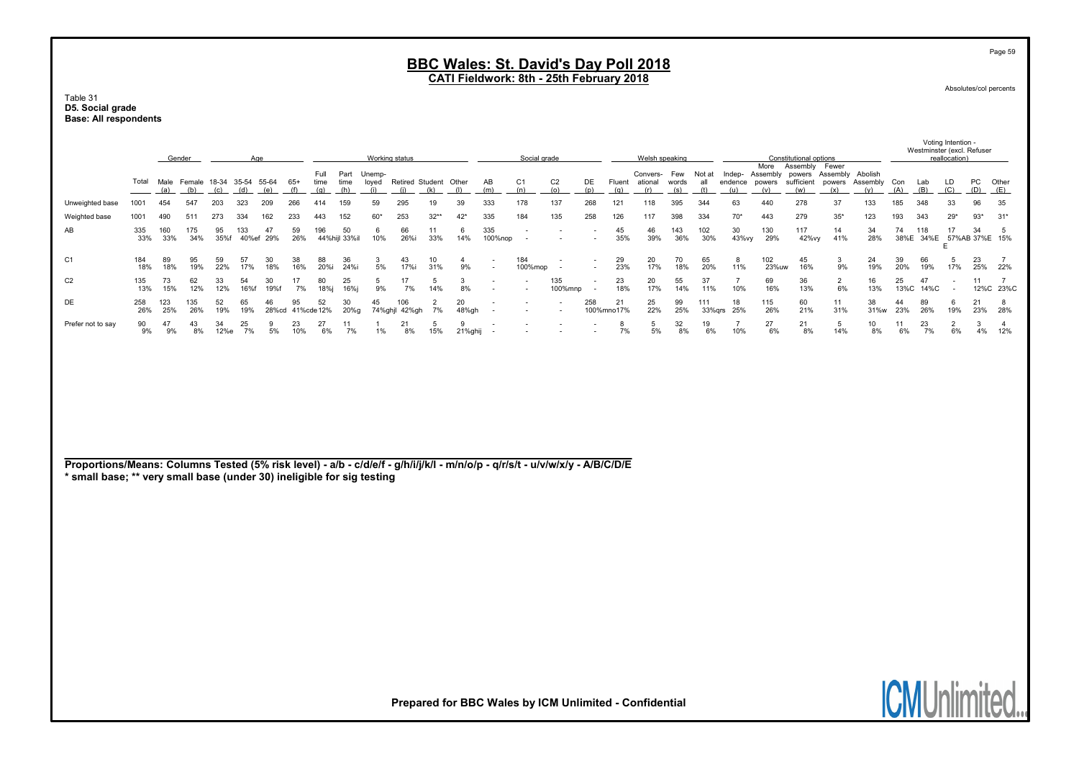#### Table 31 D5. Social grade Base: All respondents

|                                                                                                                                                                                                       |            | Gender     |                                      |            | Age          |             |                  |                     |                     | Working status         |                              |           |                      |                | Social grade          |                       |                                                      |                  | Welsh speaking             |                     |                      |                          |                       | Constitutional options                                    |                        |                            |            | Westminster (excl. Refuser | Voting Intention -<br>reallocation) |           |                             |
|-------------------------------------------------------------------------------------------------------------------------------------------------------------------------------------------------------|------------|------------|--------------------------------------|------------|--------------|-------------|------------------|---------------------|---------------------|------------------------|------------------------------|-----------|----------------------|----------------|-----------------------|-----------------------|------------------------------------------------------|------------------|----------------------------|---------------------|----------------------|--------------------------|-----------------------|-----------------------------------------------------------|------------------------|----------------------------|------------|----------------------------|-------------------------------------|-----------|-----------------------------|
|                                                                                                                                                                                                       | Total      | (a)        | Male Female 18-34 35-54 55-64<br>(b) | (c)        | (d)          | (e)         | $65+$<br>(f)     | Full<br>time<br>(q) | Part<br>time<br>(h) | Unemp-<br>loyed<br>(i) | Retired Student Other<br>(i) | (k)       | (1)                  | AB<br>(m)      | C <sub>1</sub><br>(n) | C <sub>2</sub><br>(o) | DE<br>(p)                                            | Fluent<br>(q)    | Convers-<br>ational<br>(r) | Few<br>words<br>(s) | Not at<br>all<br>(t) | Indep-<br>endence<br>(u) | More<br>powers<br>(v) | Assembly<br>Assembly powers Assembly<br>sufficient<br>(w) | Fewer<br>powers<br>(x) | Abolish<br>Assembly<br>(v) | Con<br>(A) | Lab<br>(B)                 | LD<br>(C)                           | PC<br>(D) | Other<br>(E)                |
| Unweighted base                                                                                                                                                                                       | 1001       | 454        | 547                                  | 203        | 323          | 209         | 266              | 414                 | 159                 | 59                     | 295                          | 19        | 39                   | 333            | 178                   | 137                   | 268                                                  | 121              | 118                        | 395                 | 344                  | 63                       | 440                   | 278                                                       | 37                     | 133                        | 185        | 348                        | 33                                  | 96        | 35                          |
| Weighted base                                                                                                                                                                                         | 1001       | 490        | 511                                  | 273        | 334          | 162         | 233              | 443                 | 152                 | 60'                    | 253                          | $32**$    | $42*$                | 335            | 184                   | 135                   | 258                                                  | 126              | 117                        | 398                 | 334                  | $70*$                    | 443                   | 279                                                       | $35*$                  | 123                        | 193        | 343                        | $29*$                               | $93*$     | $31*$                       |
| AB                                                                                                                                                                                                    | 335<br>33% | 160<br>33% | 175<br>34%                           | 95<br>35%f | 133<br>40%ef | 47<br>29%   | 59<br>26%        | 196                 | 50<br>44%hijl 33%il | 6<br>10%               | 66<br>26%i                   | 11<br>33% | 6<br>14%             | 335<br>100%nop |                       |                       | $\overline{\phantom{a}}$                             | 45<br>35%        | 46<br>39%                  | 143<br>36%          | 102<br>30%           | 30<br>43%vy              | 130<br>29%            | 117<br>42%vy                                              | 14<br>41%              | 34<br>28%                  | 74<br>38%E | 118                        | 17<br>34%E 57%AB 37%E 15%<br>E      | 34        | 5                           |
| C <sub>1</sub>                                                                                                                                                                                        | 184<br>18% | 89<br>18%  | 95<br>19%                            | 59<br>22%  | 57<br>17%    | 30<br>18%   | 38<br>16%        | 88<br>20%i          | 36<br>24%i          | 3<br>5%                | 43<br>17%i                   | 10<br>31% | $\overline{4}$<br>9% |                | 184<br>100%mop        | $\sim$                | $\overline{\phantom{a}}$<br>$\blacksquare$           | 29<br>23%        | 20<br>17%                  | 70<br>18%           | 65<br>20%            | 8<br>11%                 | 102<br>23%uw          | 45<br>16%                                                 | 3<br>9%                | 24<br>19%                  | 39<br>20%  | 66<br>19%                  | 5<br>17%                            | 23<br>25% | $\overline{7}$<br>22%       |
| C <sub>2</sub>                                                                                                                                                                                        | 135<br>13% | 73<br>15%  | 62<br>12%                            | 33<br>12%  | 54<br>16%f   | 30<br>19%f  | 17<br>7%         | 80<br>18%i          | 25<br>16%i          | 5<br>9%                | 17<br>7%                     | 5<br>14%  | 3<br>8%              |                |                       | 135<br>100%mnp        | $\overline{\phantom{a}}$<br>$\overline{\phantom{a}}$ | 23<br>18%        | 20<br>17%                  | 55<br>14%           | 37<br>11%            | $\overline{7}$<br>10%    | 69<br>16%             | 36<br>13%                                                 | $\overline{2}$<br>6%   | 16<br>13%                  | 25<br>13%C | 47<br>14%C                 |                                     | 11        | $\overline{7}$<br>12%C 23%C |
| DE                                                                                                                                                                                                    | 258<br>26% | 123<br>25% | 135<br>26%                           | 52<br>19%  | 65<br>19%    | 46<br>28%cd | 95<br>41%cde 12% | 52                  | 30<br>20%g          | 45                     | 106<br>74%ghjl 42%gh         | 2<br>7%   | 20<br>48%gh          |                |                       |                       | 258                                                  | 21<br>100%mno17% | 25<br>22%                  | 99<br>25%           | 111<br>33%grs        | 18<br>25%                | 115<br>26%            | 60<br>21%                                                 | 11<br>31%              | 38<br>31%w                 | 44<br>23%  | 89<br>26%                  | 6<br>19%                            | 21<br>23% | 8<br>28%                    |
| Prefer not to say                                                                                                                                                                                     | 90<br>9%   | 47<br>9%   | 43<br>8%                             | 34<br>12%e | 25<br>7%     | 5%          | 23<br>10%        | 27<br>6%            | 11<br>7%            | 1%                     | 21<br>8%                     | 5<br>15%  | 9<br>21%ghij         |                |                       |                       | $\blacksquare$                                       | 8<br>7%          | 5<br>5%                    | 32<br>8%            | 19<br>6%             | $\overline{7}$<br>10%    | 27<br>6%              | 21<br>8%                                                  | 5<br>14%               | 10<br>8%                   | 11<br>6%   | 23<br>7%                   | 2<br>6%                             | 3<br>4%   | $\overline{4}$<br>12%       |
| Proportions/Means: Columns Tested (5% risk level) - a/b - c/d/e/f - g/h/i/j/k/l - m/n/o/p - q/r/s/t - u/v/w/x/y - A/B/C/D/E<br>* small base; ** very small base (under 30) ineligible for sig testing |            |            |                                      |            |              |             |                  |                     |                     |                        |                              |           |                      |                |                       |                       |                                                      |                  |                            |                     |                      |                          |                       |                                                           |                        |                            |            |                            |                                     |           |                             |

Prepared for BBC Wales by ICM Unlimited - Confidential

Page 59

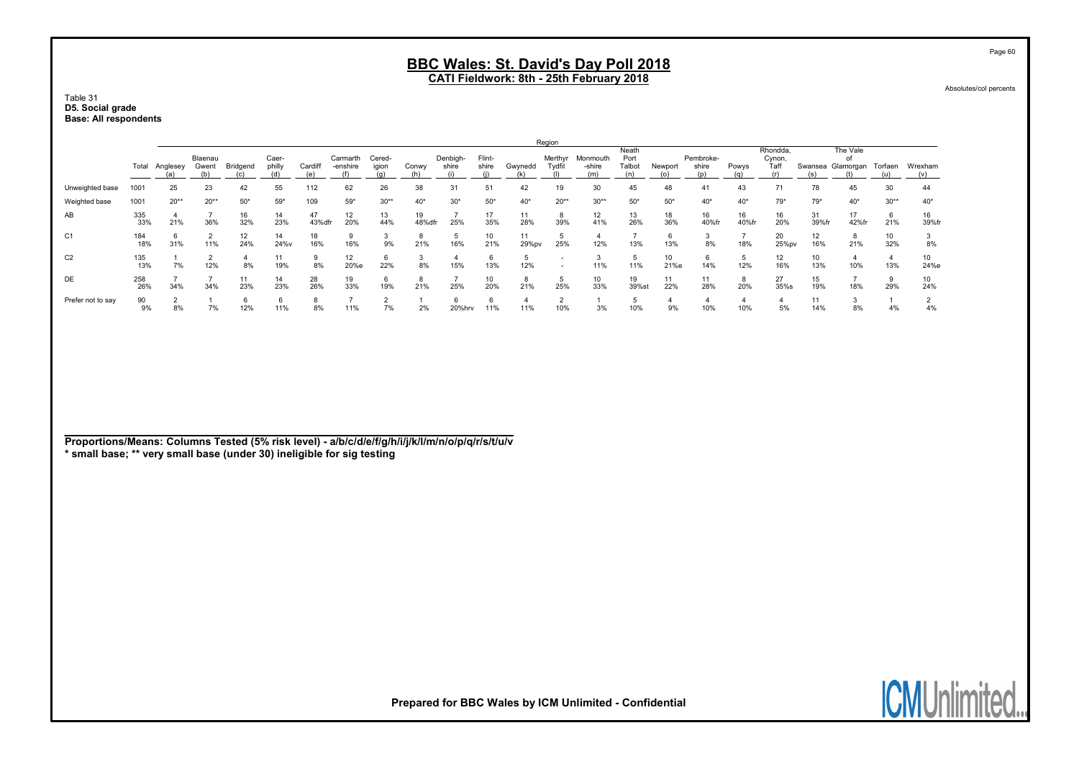Table 31 D5. Social grade Base: All respondents

|                   |            |          |                  |           |                 |              |                      |                 |              |                   |                 |             | Region           |                    |                                |            |                           |             |                            |                     |                             |           |             |
|-------------------|------------|----------|------------------|-----------|-----------------|--------------|----------------------|-----------------|--------------|-------------------|-----------------|-------------|------------------|--------------------|--------------------------------|------------|---------------------------|-------------|----------------------------|---------------------|-----------------------------|-----------|-------------|
|                   | Total      | Anglesey | Blaenau<br>Gwent | Bridgend  | Caer-<br>philly | Cardiff      | Carmarth<br>-enshire | Cered-<br>igion | Conwy        | Denbigh-<br>shire | Flint-<br>shire | Gwynedd     | Merthyr<br>Tydfi | Monmouth<br>-shire | Neath<br>Port<br>Talbot<br>(n) | Newport    | Pembroke-<br>shire<br>(n) | Powys       | Rhondda,<br>Cynon,<br>Taff | Swansea             | The Vale<br>of<br>Glamorgan | Torfaen   | Wrexham     |
| Unweighted base   | 1001       | 25       | 23               | 42        | 55              | 112          | 62                   | 26              | 38           | 31                | 51              | 42          | 19               | 30                 | 45                             | 48         | 41                        | 43          |                            | 78                  | 45                          | 30        | 44          |
| Weighted base     | 1001       | $20**$   | $20**$           | $50*$     | $59*$           | 109          | $59*$                | $30**$          | $40*$        | $30*$             | $50*$           | $40*$       | $20**$           | $30**$             | $50*$                          | $50*$      | $40*$                     | $40*$       | $79*$                      | 79*                 | $40*$                       | $30**$    | $40*$       |
| AB                | 335<br>33% | 21%      | 36%              | 16<br>32% | 14<br>23%       | 47<br>43%dfr | 12<br>20%            | 13<br>44%       | 19<br>48%dfr | 25%               | 17<br>35%       | 11<br>28%   | 8<br>39%         | 12<br>41%          | 13<br>26%                      | 18<br>36%  | 16<br>40%fr               | 16<br>40%fr | 16<br>20%                  | 31<br>39%fr         | 17<br>42%fr                 | 6<br>21%  | 16<br>39%fr |
| C <sub>1</sub>    | 184<br>18% | 31%      | 11%              | 12<br>24% | 14<br>24%v      | 18<br>16%    | 16%                  | 9%              | 8<br>21%     | 16%               | 10<br>21%       | 11<br>29%pv | 25%              | 12%                | 13%                            | 13%        | 8%                        | 18%         | 20<br>25%pv                | 12<br>16%           | 21%                         | 10<br>32% | 8%          |
| C <sub>2</sub>    | 135<br>13% | 7%       | 12%              | 8%        | 19%             | 8%           | 12<br>20%e           | 6<br>22%        | 8%           | 15%               | 13%             | 12%         | <b>.</b>         | 11%                | 11%                            | 10<br>21%e | 14%                       | 12%         | 12<br>16%                  | 10<br>13%           | 10%                         | 4<br>13%  | 10<br>24%e  |
| DE                | 258<br>26% | 34%      | 34%              | 11<br>23% | 14<br>23%       | 28<br>26%    | 19<br>33%            | 6<br>19%        | 8<br>21%     | 25%               | 10<br>20%       | 8<br>21%    | 5<br>25%         | 10<br>33%          | 19<br>39%st                    | 11<br>22%  | 11<br>28%                 | 8<br>20%    | 27<br>35%s                 | 15<br>19%           | 18%                         | 9<br>29%  | 10<br>24%   |
| Prefer not to say | 90<br>9%   | 8%       | 7%               | 12%       | 11%             | 8%           | 11%                  | 7%              | 2%           | 20%hrv            | 11%             | 11%         | $\sim$<br>10%    | 3%                 | 10%                            | 9%         | 10%                       | 10%         | 5%                         | $\mathbf{L}$<br>14% | 8%                          | 4%        | 4%          |

Proportions/Means: Columns Tested (5% risk level) - a/b/c/d/e/f/g/h/i/j/k/l/m/n/o/p/q/r/s/t/u/v \* small base; \*\* very small base (under 30) ineligible for sig testing

Absolutes/col percents

Page 60

**ICMUnli** ited.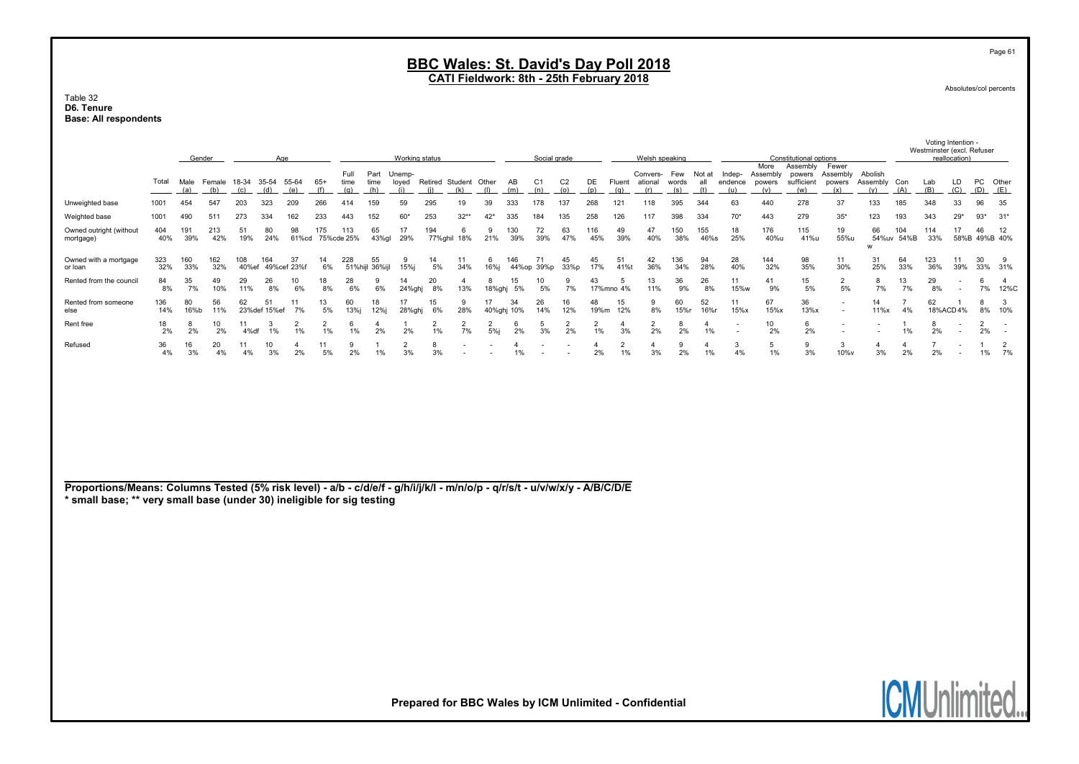#### Table 32 D6. Tenure Base: All respondents

|                                                                                                                                                                                                       |                                                                                                                        | Gender     |            |              | Working status       |                      |                      |                   |                        | Social grade         |                      |                              |                       | Welsh speaking       |                       |                       |                               |                      | Constitutional options                                 |                     |                      |                                                      | Westminster (excl. Refuser        | Voting Intention -<br>reallocation)     |                                                      |                            |                      |                      |                                            |                      |                          |
|-------------------------------------------------------------------------------------------------------------------------------------------------------------------------------------------------------|------------------------------------------------------------------------------------------------------------------------|------------|------------|--------------|----------------------|----------------------|----------------------|-------------------|------------------------|----------------------|----------------------|------------------------------|-----------------------|----------------------|-----------------------|-----------------------|-------------------------------|----------------------|--------------------------------------------------------|---------------------|----------------------|------------------------------------------------------|-----------------------------------|-----------------------------------------|------------------------------------------------------|----------------------------|----------------------|----------------------|--------------------------------------------|----------------------|--------------------------|
|                                                                                                                                                                                                       | Full<br>18-34 35-54 55-64<br>$65+$<br>time<br>Total<br>Male<br>Female<br>(a)<br>(b)<br>(c)<br>(d)<br>(e)<br>(f)<br>(q) |            |            |              |                      |                      |                      |                   |                        |                      | (i)                  | Retired Student Other<br>(k) | (1)                   | AB<br>(m)            | C <sub>1</sub><br>(n) | C <sub>2</sub><br>(0) | DE<br>(p)                     | Fluent<br>(q)        | Convers-<br>ational<br>(r)                             | Few<br>words<br>(s) | Not at<br>all<br>(t) | Indep-<br>endence<br>(u)                             | More<br>Assembly<br>powers<br>(v) | Assembly<br>powers<br>sufficient<br>(w) | Fewer<br>Assembly<br>powers<br>(x)                   | Abolish<br>Assembly<br>(y) | Con<br>(A)           | Lab<br>(B)           | LD<br>(C)                                  | PC Other<br>(D)      | (E)                      |
| Unweighted base                                                                                                                                                                                       | 1001                                                                                                                   | 454        | 547        | 203          | 323                  | 209                  | 266                  | 414               | (h)<br>159             | (i)<br>59            | 295                  | 19                           | 39                    | 333                  | 178                   | 137                   | 268                           | 121                  | 118                                                    | 395                 | 344                  | 63                                                   | 440                               | 278                                     | 37                                                   | 133                        | 185                  | 348                  | 33                                         | 96                   | 35                       |
| Weighted base                                                                                                                                                                                         | 1001                                                                                                                   | 490        | 511        | 273          | 334                  | 162                  | 233                  | 443               | 152                    | 60'                  | 253                  | $32**$                       | $42*$                 | 335                  | 184                   | 135                   | 258                           | 126                  | 117                                                    | 398                 | 334                  | $70*$                                                | 443                               | 279                                     | $35*$                                                | 123                        | 193                  | 343                  | $29*$                                      | $93*$                | $31*$                    |
| Owned outright (without<br>mortgage)                                                                                                                                                                  | 404<br>40%                                                                                                             | 191<br>39% | 213<br>42% | 51<br>19%    | 80<br>24%            | 98<br>61%cd          | 175                  | 113<br>75%cde 25% | 65<br>43%gl            | 17<br>29%            | 194                  | 6<br>77%ghil 18%             | 9<br>21%              | 130<br>39%           | 72<br>39%             | 63<br>47%             | 116<br>45%                    | 49<br>39%            | 47<br>40%                                              | 150<br>38%          | 155<br>46%s          | 18<br>25%                                            | 176<br>40%u                       | 115<br>41%u                             | 19<br>55%u                                           | 66<br>54%uv<br>W           | 104<br>54%B          | 114<br>33%           | 17                                         | 46<br>58%B 49%B 40%  | 12                       |
| Owned with a mortgage<br>or Ioan                                                                                                                                                                      | 323<br>32%                                                                                                             | 160<br>33% | 162<br>32% | 108<br>40%ef | 164                  | 37<br>49% cef 23% f  | 14<br>6%             | 228               | 55<br>51%hijl 36%ijl   | 9<br>15%j            | 14<br>5%             | 11<br>34%                    | 6<br>16%j             | 146                  | 71<br>44%op 39%p      | 45<br>33%p            | 45<br>17%                     | 51<br>41%t           | 42<br>36%                                              | 136<br>34%          | 94<br>28%            | 28<br>40%                                            | 144<br>32%                        | 98<br>35%                               | 11<br>30%                                            | 31<br>25%                  | 64<br>33%            | 123<br>36%           | 11<br>39%                                  | 30<br>33%            | 9<br>31%                 |
| Rented from the council                                                                                                                                                                               | 84<br>8%                                                                                                               | 35<br>7%   | 49<br>10%  | 29<br>11%    | 26<br>8%             | 10<br>6%             | 18<br>8%             | 28<br>6%          | 9<br>6%                | 14<br>24%ghj         | 20<br>8%             | $\overline{4}$<br>13%        | 8<br>18%ghj           | 15<br>5%             | 10<br>5%              | 9<br>7%               | 43                            | 5<br>17%mno 4%       | 13<br>11%                                              | 36<br>9%            | 26<br>8%             | 11<br>15%w                                           | 41<br>9%                          | 15<br>5%                                | $\overline{2}$<br>5%                                 | 8<br>7%                    | 13<br>7%             | 29<br>8%             | $\blacksquare$<br>$\overline{\phantom{a}}$ | 6<br>7%              | $\overline{4}$<br>12%C   |
| Rented from someone<br>else                                                                                                                                                                           | 136<br>14%                                                                                                             | 80<br>16%b | 56<br>11%  | 62           | 51<br>23% def 15% ef | 11<br>7%             | 13<br>5%             | 60<br>13%         | 18<br>12%j             | 17<br>28%ghj         | 15<br>6%             | 9<br>28%                     | 17                    | 34<br>40%ghj 10%     | 26<br>14%             | 16<br>12%             | 48<br>19%m                    | 15<br>12%            | 9<br>8%                                                | 60<br>15%r          | 52<br>16%r           | 11<br>15%x                                           | 67<br>15%x                        | 36<br>13%x                              | $\overline{\phantom{a}}$<br>$\overline{\phantom{a}}$ | 14<br>11%x                 | $\overline{7}$<br>4% | 62                   | 18%ACD4%                                   | 8<br>8%              | 3<br>10%                 |
| Rent free                                                                                                                                                                                             | 18<br>2%                                                                                                               | 8<br>2%    | 10<br>2%   | 11<br>4%df   | 3<br>1%              | $\overline{2}$<br>1% | $\overline{2}$<br>1% | 6<br>1%           | $\boldsymbol{A}$<br>2% | 1<br>$2\%$           | $\overline{2}$<br>1% | $\overline{2}$<br>7%         | $\overline{2}$<br>5%j | 6<br>2%              | 5<br>3%               | $\overline{2}$<br>2%  | $\overline{2}$<br>$1\%$       | $\overline{4}$<br>3% | $\overline{2}$<br>2%                                   | 8<br>2%             | $\overline{4}$<br>1% | $\overline{\phantom{a}}$<br>$\overline{\phantom{a}}$ | 10<br>2%                          | 6<br>2%                                 | $\overline{\phantom{a}}$                             | $\overline{\phantom{a}}$   | 1%                   | 8<br>2%              | $\overline{\phantom{a}}$                   | 2<br>2%              | $\overline{\phantom{a}}$ |
| Refused                                                                                                                                                                                               | 36<br>4%                                                                                                               | 16<br>3%   | 20<br>4%   | 11<br>4%     | 10<br>3%             | $\overline{4}$<br>2% | 11<br>5%             | 9<br>2%           | 1%                     | $\overline{2}$<br>3% | 8<br>3%              |                              |                       | $\overline{4}$<br>1% |                       |                       | $\overline{\mathbf{4}}$<br>2% | 2<br>1%              | $\overline{4}$<br>3%                                   | 9<br>2%             | 4<br>1%              | $\mathbf{3}$<br>4%                                   | 5<br>1%                           | 9<br>3%                                 | 3<br>10%v                                            | $\overline{4}$<br>3%       | $\overline{4}$<br>2% | 2%                   | $\overline{\phantom{a}}$                   | $\overline{1}$<br>1% | $\overline{2}$<br>7%     |
| Proportions/Means: Columns Tested (5% risk level) - a/b - c/d/e/f - g/h/i/j/k/l - m/n/o/p - q/r/s/t - u/v/w/x/y - A/B/C/D/E<br>* small base; ** very small base (under 30) ineligible for sig testing |                                                                                                                        |            |            |              |                      |                      |                      |                   |                        |                      |                      |                              |                       |                      |                       |                       |                               |                      |                                                        |                     |                      |                                                      |                                   |                                         |                                                      |                            |                      |                      |                                            |                      |                          |
|                                                                                                                                                                                                       |                                                                                                                        |            |            |              |                      |                      |                      |                   |                        |                      |                      |                              |                       |                      |                       |                       |                               |                      | Prepared for BBC Wales by ICM Unlimited - Confidential |                     |                      |                                                      |                                   |                                         |                                                      |                            |                      | <b>ICMUnlimited.</b> |                                            |                      |                          |

Page 61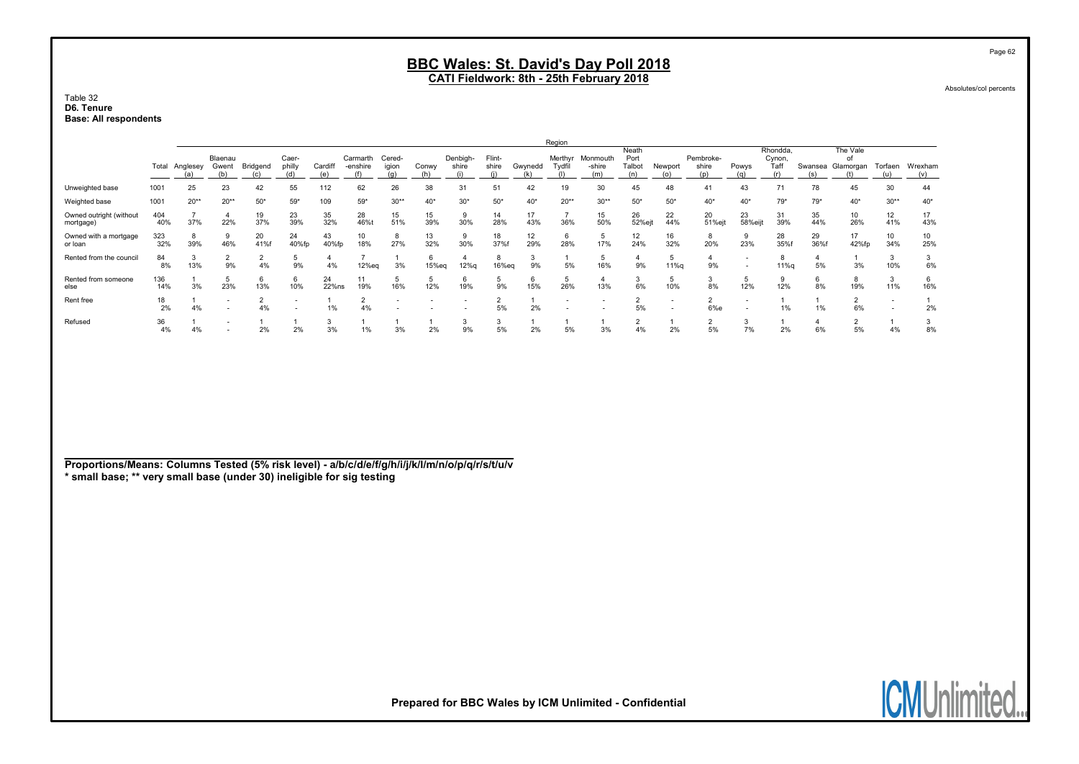CATI Fieldwork: 8th - 25th February 2018

Table 32 D6. Tenure Base: All respondents

|                                      |            | Region         |                                                      |                      |                                                      |                |                      |                 |            |                   |                 |           |                   |                           |                         |                |                           |                                                      |                            |           |                                     |                          |                |
|--------------------------------------|------------|----------------|------------------------------------------------------|----------------------|------------------------------------------------------|----------------|----------------------|-----------------|------------|-------------------|-----------------|-----------|-------------------|---------------------------|-------------------------|----------------|---------------------------|------------------------------------------------------|----------------------------|-----------|-------------------------------------|--------------------------|----------------|
|                                      |            | Total Anglesey | Blaenau<br>Gwent                                     | Bridgend             | Caer-<br>philly                                      | Cardiff<br>(e) | Carmarth<br>-enshire | Cered-<br>igion | Conwy      | Denbigh-<br>shire | Flint-<br>shire | Gwynedd   | Merthyr<br>Tydfil | Monmouth<br>-shire<br>(m) | Neath<br>Port<br>Talbot | Newport<br>(O) | Pembroke-<br>shire<br>(p) | Powys<br>(a)                                         | Rhondda,<br>Cynon,<br>Taff |           | The Vale<br>nf<br>Swansea Glamorgan | Torfaen<br>(u)           | Wrexham<br>(v) |
| Unweighted base                      | 1001       | 25             | 23                                                   | 42                   | 55                                                   | 112            | 62                   | 26              | 38         | 31                | 51              | 42        | 19                | 30                        | 45                      | 48             | 41                        | 43                                                   | 71                         | 78        | 45                                  | 30                       | 44             |
| Weighted base                        | 1001       | $20**$         | $20**$                                               | $50*$                | $59*$                                                | 109            | $59*$                | $30**$          | $40*$      | $30*$             | $50*$           | $40*$     | $20**$            | $30**$                    | $50*$                   | $50*$          | $40*$                     | $40*$                                                | $79*$                      | $79*$     | $40*$                               | $30**$                   | $40*$          |
| Owned outright (without<br>mortgage) | 404<br>40% | 37%            | 22%                                                  | 19<br>37%            | 23<br>39%                                            | 35<br>32%      | 28<br>46%t           | 15<br>51%       | 15<br>39%  | 9<br>30%          | 14<br>28%       | 17<br>43% | 36%               | 15<br>50%                 | 26<br>52%ejt            | 22<br>44%      | 20<br>51%ejt              | 23<br>58%eijt                                        | 31<br>39%                  | 35<br>44% | 10<br>26%                           | 12<br>41%                | 17<br>43%      |
| Owned with a mortgage<br>or loan     | 323<br>32% | 8<br>39%       | 9<br>46%                                             | 20<br>41%f           | 24<br>40%fp                                          | 43<br>40%fp    | 10<br>18%            | 8<br>27%        | 13<br>32%  | 9<br>30%          | 18<br>37%f      | 12<br>29% | 28%               | 5<br>17%                  | 12<br>24%               | 16<br>32%      | 8<br>20%                  | 9<br>23%                                             | 28<br>35%f                 | 29<br>36% | 17<br>42%fp                         | 10<br>34%                | 10<br>25%      |
| Rented from the council              | 84<br>8%   | 3<br>13%       | $\overline{2}$<br>9%                                 | $\overline{2}$<br>4% | 9%                                                   | 4%             | $12%$ eq             | 3%              | 6<br>15%eq | 12%g              | 8<br>16%eg      | 3<br>9%   | 5%                | 5<br>16%                  | 9%                      | 5<br>11%g      | 9%                        | $\overline{\phantom{0}}$<br>$\overline{\phantom{a}}$ | 8<br>11%                   | 5%        | 3%                                  | -3<br>10%                | 3<br>6%        |
| Rented from someone<br>else          | 136<br>14% | 3%             | 5<br>23%                                             | 6<br>13%             | 6<br>10%                                             | 24<br>22%ns    | 11<br>19%            | 5<br>16%        | 5<br>12%   | 6<br>19%          | 5<br>9%         | 6<br>15%  | 26%               | 13%                       | 3<br>6%                 | 5<br>10%       | 3<br>8%                   | 5<br>12%                                             | 9<br>12%                   | 6<br>8%   | 8<br>19%                            | 3<br>11%                 | 6<br>16%       |
| Rent free                            | 18<br>2%   | 4%             | $\overline{\phantom{a}}$<br>$\overline{\phantom{a}}$ | $\overline{2}$<br>4% | $\overline{\phantom{a}}$<br>$\overline{\phantom{0}}$ | 1%             | 4%                   |                 |            |                   | 5%              | 2%        |                   | $\overline{\phantom{a}}$  | 5%                      | $\sim$         | 6%e                       | $\overline{\phantom{0}}$<br>$\overline{\phantom{a}}$ | 1%                         | 1%        | 6%                                  | $\overline{\phantom{a}}$ | 2%             |
| Refused                              | 36<br>4%   | 4%             | $\overline{\phantom{a}}$<br>-                        | 2%                   | 2%                                                   | 3%             | 1%                   | 3%              | 2%         | 3<br>9%           | 5%              | 2%        | 5%                | 3%                        | ∠<br>4%                 | 2%             | $\sim$<br>ے<br>5%         | 3<br>7%                                              | 2%                         | 6%        | ∠<br>5%                             | 4%                       | 3<br>8%        |

Proportions/Means: Columns Tested (5% risk level) - a/b/c/d/e/f/g/h/i/j/k/l/m/n/o/p/q/r/s/t/u/v \* small base; \*\* very small base (under 30) ineligible for sig testing

Prepared for BBC Wales by ICM Unlimited - Confidential

Page 62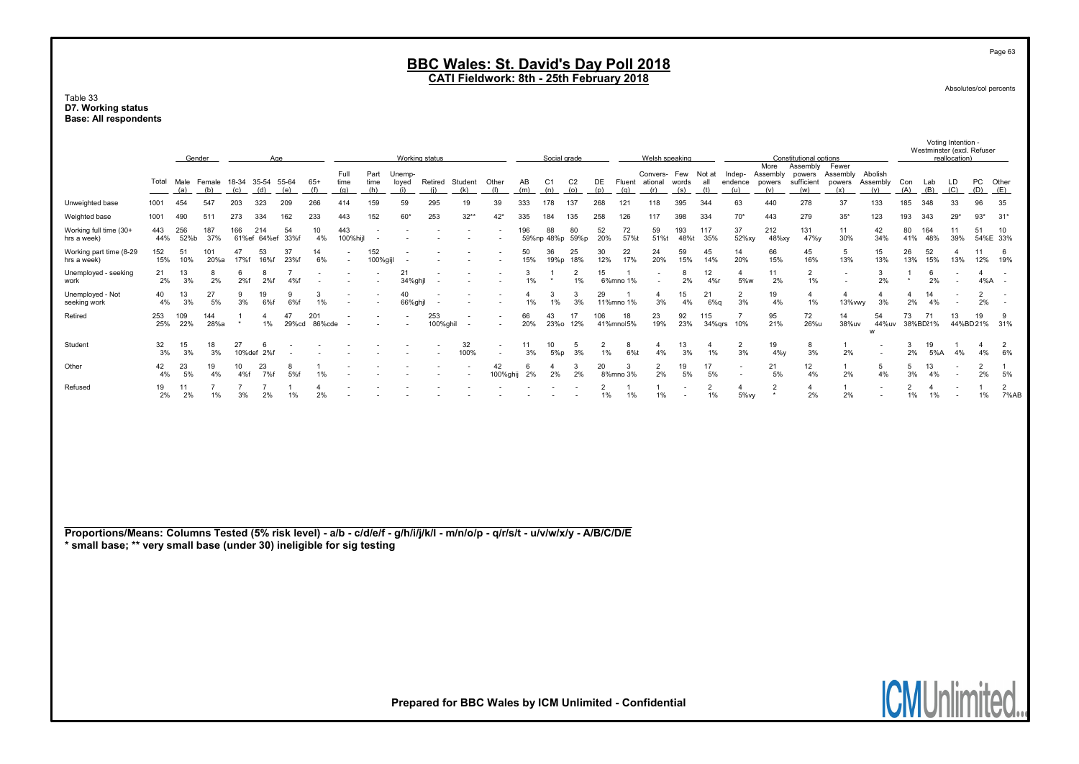#### Table 33 D7. Working status Base: All respondents

|                                        |                                                                                                                                                                                                       |               |               |              |                          |                 |                      |                     |                          |                        |                 |                          |                                                        |              |                       |                       |                      |                          |                                   |                     |                      |                                  | Voting Intention -<br>Westminster (excl. Refuser |                             |                                 |                            |                      |                          |                          |                       |                        |  |
|----------------------------------------|-------------------------------------------------------------------------------------------------------------------------------------------------------------------------------------------------------|---------------|---------------|--------------|--------------------------|-----------------|----------------------|---------------------|--------------------------|------------------------|-----------------|--------------------------|--------------------------------------------------------|--------------|-----------------------|-----------------------|----------------------|--------------------------|-----------------------------------|---------------------|----------------------|----------------------------------|--------------------------------------------------|-----------------------------|---------------------------------|----------------------------|----------------------|--------------------------|--------------------------|-----------------------|------------------------|--|
|                                        |                                                                                                                                                                                                       | Gender<br>Age |               |              |                          |                 |                      | Working status      |                          |                        |                 |                          |                                                        | Social grade |                       |                       |                      | Welsh speaking           |                                   |                     |                      |                                  | More                                             | Assembly                    | Constitutional options<br>Fewer |                            |                      |                          | reallocation)            |                       |                        |  |
|                                        | Total                                                                                                                                                                                                 | Male<br>(a)   | Female<br>(b) | (c)          | 18-34 35-54 55-64<br>(d) | (e)             | $65+$<br>(f)         | Full<br>time<br>(q) | Part<br>time<br>(h)      | Unemp-<br>loyed<br>(i) | Retired<br>(i)  | Student<br>(k)           | Other<br>(1)                                           | AB<br>(m)    | C <sub>1</sub><br>(n) | C <sub>2</sub><br>(0) | DE<br>(p)            | (q)                      | Convers-<br>Fluent ational<br>(r) | Few<br>words<br>(s) | Not at<br>all<br>(t) | Indep-<br>endence<br>(u)         | Assembly<br>powers<br>(v)                        | powers<br>sufficient<br>(w) | Assembly<br>powers<br>(x)       | Abolish<br>Assembly<br>(y) | Con<br>(A)           | Lab<br>(B)               | LD<br>(C)                | PC<br>(D)             | Other<br>(E)           |  |
| Unweighted base                        | 1001                                                                                                                                                                                                  | 454           | 547           | 203          | 323                      | 209             | 266                  | 414                 | 159                      | 59                     | 295             | 19                       | 39                                                     | 333          | 178                   | 137                   | 268                  | 121                      | 118                               | 395                 | 344                  | 63                               | 440                                              | 278                         | 37                              | 133                        | 185                  | 348                      | 33                       | 96                    | 35                     |  |
| Weighted base                          | 1001                                                                                                                                                                                                  | 490           | 511           | 273          | 334                      | 162             | 233                  | 443                 | 152                      | $60*$                  | 253             | $32**$                   | $42*$                                                  | 335          | 184                   | 135                   | 258                  | 126                      | 117                               | 398                 | 334                  | $70*$                            | 443                                              | 279                         | $35*$                           | 123                        | 193                  | 343                      | $29*$                    | $93*$                 | $31*$                  |  |
| Working full time (30+<br>hrs a week)  | 443<br>44%                                                                                                                                                                                            | 256<br>52%b   | 187<br>37%    | 166          | 214<br>61%ef 64%ef       | 54<br>33%f      | 10<br>4%             | 443<br>100%hijl     | $\overline{\phantom{a}}$ |                        |                 | $\overline{\phantom{a}}$ |                                                        | 196          | 88<br>59%np 48%p      | 80<br>59%p            | 52<br>20%            | 72<br>57%t               | 59<br>51%t                        | 193<br>48%t         | 117<br>35%           | 37<br>52%xy                      | 212<br>48%xy                                     | 131<br>47%y                 | 11<br>30%                       | 42<br>34%                  | 80<br>41%            | 164<br>48%               | 11<br>39%                | 51<br>54%E 33%        | 10 <sup>1</sup>        |  |
| Working part time (8-29<br>hrs a week) | 152<br>15%                                                                                                                                                                                            | 51<br>10%     | 101<br>20%a   | 47<br>17%f   | 53<br>16%f               | 37<br>23%f      | 14<br>6%             |                     | 152<br>100%gijl          |                        |                 |                          |                                                        | 50<br>15%    | 36<br>19%p            | 25<br>18%             | 30<br>12%            | 22<br>17%                | 24<br>20%                         | 59<br>15%           | 45<br>14%            | 14<br>20%                        | 66<br>15%                                        | 45<br>16%                   | 5<br>13%                        | 15<br>13%                  | 26<br>13%            | 52<br>15%                | $\overline{4}$<br>13%    | 11<br>12%             | 6<br>19%               |  |
| Unemployed - seeking<br>work           | 21<br>2%                                                                                                                                                                                              | 13<br>3%      | 2%            | 6<br>2%f     | 8<br>2%f                 | 7<br>4%f        |                      |                     |                          | 21<br>34%ghjl          |                 |                          |                                                        | 3<br>1%      |                       | $\overline{2}$<br>1%  | 15                   | $\mathbf{1}$<br>6%mno 1% |                                   | 8<br>2%             | 12<br>4%r            | $\overline{4}$<br>5%w            | 11<br>2%                                         | $\overline{2}$<br>1%        |                                 | 3<br>2%                    | -1<br>$\star$        | 6<br>2%                  |                          | $\overline{4}$<br>4%A |                        |  |
| Unemployed - Not<br>seeking work       | 40<br>4%                                                                                                                                                                                              | 13<br>3%      | 27<br>5%      | 9<br>3%      | 19<br>6%f                | <b>q</b><br>6%f | 3<br>1%              |                     |                          | 40<br>66%ghjl          |                 |                          |                                                        | 4<br>1%      | 3<br>1%               | 3<br>3%               | 29                   | 11%mno 1%                | $\overline{4}$<br>3%              | 15<br>4%            | 21<br>$6\%q$         | 2<br>3%                          | 19<br>4%                                         | $\overline{4}$<br>1%        | $\overline{4}$<br>13% vwy       | $\Delta$<br>3%             | $\overline{4}$<br>2% | 14<br>4%                 |                          | $\overline{2}$<br>2%  |                        |  |
| Retired                                | 253<br>25%                                                                                                                                                                                            | 109<br>22%    | 144<br>28%a   |              | $\overline{4}$<br>1%     | 47<br>29%cd     | 201<br>86%cde        |                     |                          |                        | 253<br>100%ghil |                          |                                                        | 66<br>20%    | 43<br>23%o            | 17<br>12%             | 106                  | 18<br>41%mnol5%          | 23<br>19%                         | 92<br>23%           | 115<br>34%grs        | $\overline{7}$<br>10%            | 95<br>21%                                        | 72<br>26%u                  | 14<br>38%uv                     | 54<br>44%uv<br>W           | 73                   | 71<br>38%BD21%           | 13<br>44%BD21%           | 19                    | 9<br>31%               |  |
| Student                                | 32<br>3%                                                                                                                                                                                              | 15<br>3%      | 18<br>3%      | 27<br>10%def | -6<br>2%f                |                 |                      |                     |                          |                        |                 | 32<br>100%               | $\overline{\phantom{a}}$                               | 11<br>3%     | 10<br>5%p             | 5<br>3%               | $\overline{2}$<br>1% | 8<br>6%t                 | $\overline{4}$<br>4%              | 13<br>3%            | 4<br>1%              | $\overline{2}$<br>3%             | 19<br>$4\%y$                                     | 8<br>3%                     | 1<br>2%                         |                            | 3<br>2%              | 19<br>5%A                | 4%                       | $\overline{4}$<br>4%  | $\overline{2}$<br>6%   |  |
| Other                                  | 42<br>4%                                                                                                                                                                                              | 23<br>5%      | 19<br>4%      | 10<br>4%f    | 23<br>7%f                | 8<br>5%f        | 1%                   |                     |                          |                        |                 |                          | 42<br>100%ghij                                         | 6<br>2%      | $\overline{4}$<br>2%  | 3<br>2%               | 20                   | 3<br>8%mno 3%            | $\overline{2}$<br>2%              | 19<br>5%            | 17<br>5%             | $\overline{a}$<br>$\overline{a}$ | 21<br>5%                                         | 12<br>4%                    | $\mathbf{1}$<br>2%              | 5<br>4%                    | 5<br>3%              | 13<br>4%                 | $\overline{\phantom{a}}$ | $\overline{2}$<br>2%  | $\mathbf{1}$<br>5%     |  |
| Refused                                | 19<br>2%                                                                                                                                                                                              | 11<br>2%      | 1%            | 7<br>3%      | 2%                       | 1%              | $\overline{4}$<br>2% |                     |                          |                        |                 |                          |                                                        |              |                       |                       | $\overline{2}$<br>1% | 1%                       | -1<br>1%                          |                     | $\overline{2}$<br>1% | $\overline{4}$<br>5% vy          | $\overline{2}$                                   | $\overline{4}$<br>2%        | 1<br>2%                         |                            | $\overline{2}$<br>1% | $\overline{\bf 4}$<br>1% |                          | 1<br>1%               | $\overline{2}$<br>7%AB |  |
|                                        | Proportions/Means: Columns Tested (5% risk level) - a/b - c/d/e/f - g/h/i/j/k/l - m/n/o/p - q/r/s/t - u/v/w/x/y - A/B/C/D/E<br>* small base; ** very small base (under 30) ineligible for sig testing |               |               |              |                          |                 |                      |                     |                          |                        |                 |                          |                                                        |              |                       |                       |                      |                          |                                   |                     |                      |                                  |                                                  |                             |                                 |                            |                      |                          |                          |                       |                        |  |
|                                        |                                                                                                                                                                                                       |               |               |              |                          |                 |                      |                     |                          |                        |                 |                          |                                                        |              |                       |                       |                      |                          |                                   |                     |                      |                                  |                                                  |                             |                                 |                            |                      |                          |                          |                       |                        |  |
|                                        |                                                                                                                                                                                                       |               |               |              |                          |                 |                      |                     |                          |                        |                 |                          | Prepared for BBC Wales by ICM Unlimited - Confidential |              |                       |                       |                      |                          |                                   |                     |                      |                                  |                                                  |                             |                                 |                            | <b>ICMUnlimited</b>  |                          |                          |                       |                        |  |

Page 63